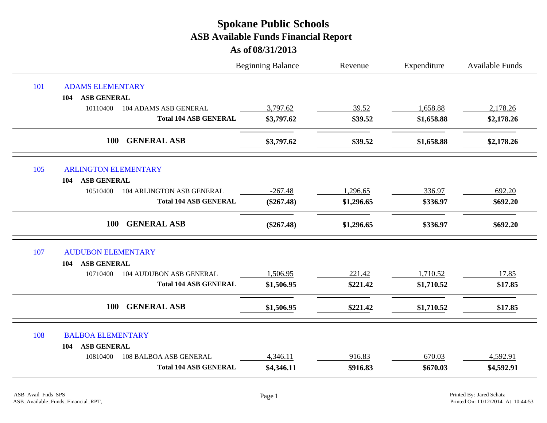|     |                                            | <b>Beginning Balance</b> | Revenue    | Expenditure | Available Funds |
|-----|--------------------------------------------|--------------------------|------------|-------------|-----------------|
| 101 | <b>ADAMS ELEMENTARY</b>                    |                          |            |             |                 |
|     | <b>ASB GENERAL</b><br>104                  |                          |            |             |                 |
|     | 10110400<br>104 ADAMS ASB GENERAL          | 3,797.62                 | 39.52      | 1,658.88    | 2,178.26        |
|     | <b>Total 104 ASB GENERAL</b>               | \$3,797.62               | \$39.52    | \$1,658.88  | \$2,178.26      |
|     | <b>GENERAL ASB</b><br>100                  | \$3,797.62               | \$39.52    | \$1,658.88  | \$2,178.26      |
| 105 | <b>ARLINGTON ELEMENTARY</b>                |                          |            |             |                 |
|     | <b>ASB GENERAL</b><br>104                  |                          |            |             |                 |
|     | 104 ARLINGTON ASB GENERAL<br>10510400      | $-267.48$                | 1,296.65   | 336.97      | 692.20          |
|     | <b>Total 104 ASB GENERAL</b>               | $(\$267.48)$             | \$1,296.65 | \$336.97    | \$692.20        |
|     | <b>GENERAL ASB</b><br><b>100</b>           | $(\$267.48)$             | \$1,296.65 | \$336.97    | \$692.20        |
| 107 | <b>AUDUBON ELEMENTARY</b>                  |                          |            |             |                 |
|     | <b>ASB GENERAL</b><br>104                  |                          |            |             |                 |
|     | <b>104 AUDUBON ASB GENERAL</b><br>10710400 | 1,506.95                 | 221.42     | 1,710.52    | 17.85           |
|     | <b>Total 104 ASB GENERAL</b>               | \$1,506.95               | \$221.42   | \$1,710.52  | \$17.85         |
|     | <b>GENERAL ASB</b><br>100                  | \$1,506.95               | \$221.42   | \$1,710.52  | \$17.85         |
| 108 | <b>BALBOA ELEMENTARY</b>                   |                          |            |             |                 |
|     | <b>ASB GENERAL</b><br>104                  |                          |            |             |                 |
|     | 108 BALBOA ASB GENERAL<br>10810400         | 4,346.11                 | 916.83     | 670.03      | 4,592.91        |
|     | <b>Total 104 ASB GENERAL</b>               | \$4,346.11               | \$916.83   | \$670.03    | \$4,592.91      |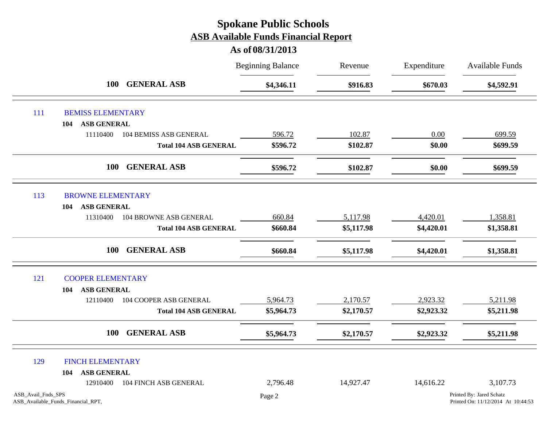|                    |                                    |                               | <b>Beginning Balance</b> | Revenue    | Expenditure | Available Funds                                                |
|--------------------|------------------------------------|-------------------------------|--------------------------|------------|-------------|----------------------------------------------------------------|
|                    | <b>100</b>                         | <b>GENERAL ASB</b>            | \$4,346.11               | \$916.83   | \$670.03    | \$4,592.91                                                     |
| 111                | <b>BEMISS ELEMENTARY</b>           |                               |                          |            |             |                                                                |
|                    | <b>ASB GENERAL</b><br>104          |                               |                          |            |             |                                                                |
|                    | 11110400                           | <b>104 BEMISS ASB GENERAL</b> | 596.72                   | 102.87     | 0.00        | 699.59                                                         |
|                    |                                    | <b>Total 104 ASB GENERAL</b>  | \$596.72                 | \$102.87   | \$0.00      | \$699.59                                                       |
|                    | <b>100</b>                         | <b>GENERAL ASB</b>            | \$596.72                 | \$102.87   | \$0.00      | \$699.59                                                       |
| 113                | <b>BROWNE ELEMENTARY</b>           |                               |                          |            |             |                                                                |
|                    | <b>ASB GENERAL</b><br>104          |                               |                          |            |             |                                                                |
|                    | 11310400                           | <b>104 BROWNE ASB GENERAL</b> | 660.84                   | 5,117.98   | 4,420.01    | 1,358.81                                                       |
|                    |                                    | <b>Total 104 ASB GENERAL</b>  | \$660.84                 | \$5,117.98 | \$4,420.01  | \$1,358.81                                                     |
|                    | <b>100</b>                         | <b>GENERAL ASB</b>            | \$660.84                 | \$5,117.98 | \$4,420.01  | \$1,358.81                                                     |
| 121                | <b>COOPER ELEMENTARY</b>           |                               |                          |            |             |                                                                |
|                    | <b>ASB GENERAL</b><br>104          |                               |                          |            |             |                                                                |
|                    | 12110400                           | <b>104 COOPER ASB GENERAL</b> | 5,964.73                 | 2,170.57   | 2,923.32    | 5,211.98                                                       |
|                    |                                    | <b>Total 104 ASB GENERAL</b>  | \$5,964.73               | \$2,170.57 | \$2,923.32  | \$5,211.98                                                     |
|                    | <b>100</b>                         | <b>GENERAL ASB</b>            | \$5,964.73               | \$2,170.57 | \$2,923.32  | \$5,211.98                                                     |
| 129                | <b>FINCH ELEMENTARY</b>            |                               |                          |            |             |                                                                |
|                    | <b>ASB GENERAL</b><br>104          |                               |                          |            |             |                                                                |
|                    | 12910400                           | <b>104 FINCH ASB GENERAL</b>  | 2,796.48                 | 14,927.47  | 14,616.22   | 3,107.73                                                       |
| ASB Avail Fnds SPS | ASB_Available_Funds_Financial_RPT, |                               | Page 2                   |            |             | Printed By: Jared Schatz<br>Printed On: 11/12/2014 At 10:44:53 |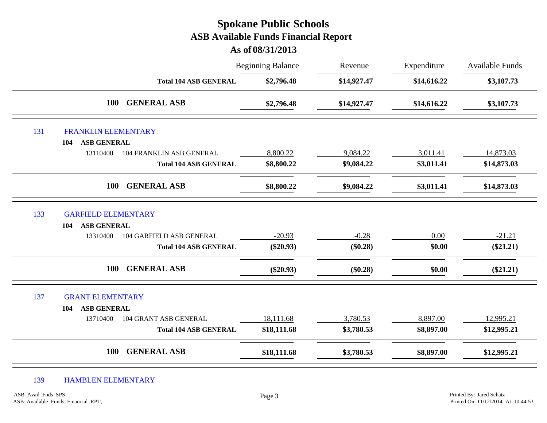|     |                                             | <b>Spokane Public Schools</b><br><b>ASB Available Funds Financial Report</b><br>As of 08/31/2013 |             |             |                        |
|-----|---------------------------------------------|--------------------------------------------------------------------------------------------------|-------------|-------------|------------------------|
|     |                                             | <b>Beginning Balance</b>                                                                         | Revenue     | Expenditure | <b>Available Funds</b> |
|     | <b>Total 104 ASB GENERAL</b>                | \$2,796.48                                                                                       | \$14,927.47 | \$14,616.22 | \$3,107.73             |
|     | <b>GENERAL ASB</b><br><b>100</b>            | \$2,796.48                                                                                       | \$14,927.47 | \$14,616.22 | \$3,107.73             |
| 131 | FRANKLIN ELEMENTARY                         |                                                                                                  |             |             |                        |
|     | <b>ASB GENERAL</b><br>104                   |                                                                                                  |             |             |                        |
|     | 13110400<br><b>104 FRANKLIN ASB GENERAL</b> | 8,800.22                                                                                         | 9,084.22    | 3,011.41    | 14,873.03              |
|     | <b>Total 104 ASB GENERAL</b>                | \$8,800.22                                                                                       | \$9,084.22  | \$3,011.41  | \$14,873.03            |
|     | <b>GENERAL ASB</b><br><b>100</b>            | \$8,800.22                                                                                       | \$9,084.22  | \$3,011.41  | \$14,873.03            |
| 133 | <b>GARFIELD ELEMENTARY</b>                  |                                                                                                  |             |             |                        |
|     | <b>ASB GENERAL</b><br>104                   |                                                                                                  |             |             |                        |
|     | 104 GARFIELD ASB GENERAL<br>13310400        | $-20.93$                                                                                         | $-0.28$     | $0.00\,$    | $-21.21$               |
|     | <b>Total 104 ASB GENERAL</b>                | $(\$20.93)$                                                                                      | $(\$0.28)$  | \$0.00      | $(\$21.21)$            |
|     | <b>GENERAL ASB</b><br><b>100</b>            | $(\$20.93)$                                                                                      | (\$0.28)    | \$0.00      | $(\$21.21)$            |
| 137 | <b>GRANT ELEMENTARY</b>                     |                                                                                                  |             |             |                        |
|     | <b>ASB GENERAL</b><br>104                   |                                                                                                  |             |             |                        |
|     | 104 GRANT ASB GENERAL<br>13710400           | 18,111.68                                                                                        | 3,780.53    | 8,897.00    | 12,995.21              |
|     | <b>Total 104 ASB GENERAL</b>                | \$18,111.68                                                                                      | \$3,780.53  | \$8,897.00  | \$12,995.21            |
|     | <b>GENERAL ASB</b><br><b>100</b>            | \$18,111.68                                                                                      | \$3,780.53  | \$8,897.00  | \$12,995.21            |

139 HAMBLEN ELEMENTARY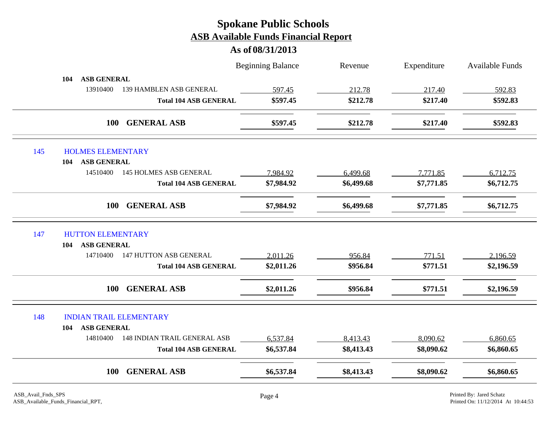|     |                                                 | <b>Beginning Balance</b> | Revenue    | Expenditure | <b>Available Funds</b> |
|-----|-------------------------------------------------|--------------------------|------------|-------------|------------------------|
|     | <b>ASB GENERAL</b><br>104                       |                          |            |             |                        |
|     | 13910400<br>139 HAMBLEN ASB GENERAL             | 597.45                   | 212.78     | 217.40      | 592.83                 |
|     | <b>Total 104 ASB GENERAL</b>                    | \$597.45                 | \$212.78   | \$217.40    | \$592.83               |
|     | <b>100</b><br><b>GENERAL ASB</b>                | \$597.45                 | \$212.78   | \$217.40    | \$592.83               |
| 145 | <b>HOLMES ELEMENTARY</b>                        |                          |            |             |                        |
|     | <b>ASB GENERAL</b><br>104                       |                          |            |             |                        |
|     | 14510400<br><b>145 HOLMES ASB GENERAL</b>       | 7,984.92                 | 6,499.68   | 7,771.85    | 6,712.75               |
|     | <b>Total 104 ASB GENERAL</b>                    | \$7,984.92               | \$6,499.68 | \$7,771.85  | \$6,712.75             |
|     | <b>GENERAL ASB</b><br><b>100</b>                | \$7,984.92               | \$6,499.68 | \$7,771.85  | \$6,712.75             |
| 147 | <b>HUTTON ELEMENTARY</b>                        |                          |            |             |                        |
|     | <b>ASB GENERAL</b><br>104                       |                          |            |             |                        |
|     | <b>147 HUTTON ASB GENERAL</b><br>14710400       | 2,011.26                 | 956.84     | 771.51      | 2,196.59               |
|     | <b>Total 104 ASB GENERAL</b>                    | \$2,011.26               | \$956.84   | \$771.51    | \$2,196.59             |
|     | <b>GENERAL ASB</b><br>100                       | \$2,011.26               | \$956.84   | \$771.51    | \$2,196.59             |
| 148 | <b>INDIAN TRAIL ELEMENTARY</b>                  |                          |            |             |                        |
|     | <b>ASB GENERAL</b><br>104                       |                          |            |             |                        |
|     | 14810400<br><b>148 INDIAN TRAIL GENERAL ASB</b> | 6,537.84                 | 8,413.43   | 8,090.62    | 6,860.65               |
|     | <b>Total 104 ASB GENERAL</b>                    | \$6,537.84               | \$8,413.43 | \$8,090.62  | \$6,860.65             |
|     |                                                 |                          |            |             |                        |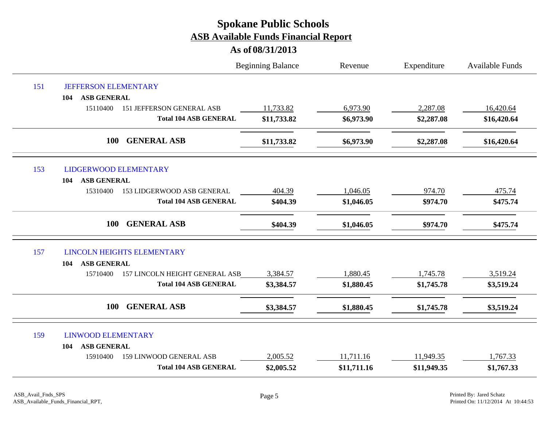|     |                                              | <b>Beginning Balance</b> | Revenue     | Expenditure | Available Funds |
|-----|----------------------------------------------|--------------------------|-------------|-------------|-----------------|
| 151 | <b>JEFFERSON ELEMENTARY</b>                  |                          |             |             |                 |
|     | <b>ASB GENERAL</b><br>104                    |                          |             |             |                 |
|     | 15110400<br><b>151 JEFFERSON GENERAL ASB</b> | 11,733.82                | 6,973.90    | 2,287.08    | 16,420.64       |
|     | <b>Total 104 ASB GENERAL</b>                 | \$11,733.82              | \$6,973.90  | \$2,287.08  | \$16,420.64     |
|     | <b>GENERAL ASB</b><br>100                    | \$11,733.82              | \$6,973.90  | \$2,287.08  | \$16,420.64     |
| 153 | LIDGERWOOD ELEMENTARY                        |                          |             |             |                 |
|     | <b>ASB GENERAL</b><br>104                    |                          |             |             |                 |
|     | 153 LIDGERWOOD ASB GENERAL<br>15310400       | 404.39                   | 1,046.05    | 974.70      | 475.74          |
|     | <b>Total 104 ASB GENERAL</b>                 | \$404.39                 | \$1,046.05  | \$974.70    | \$475.74        |
|     | <b>GENERAL ASB</b><br>100                    | \$404.39                 | \$1,046.05  | \$974.70    | \$475.74        |
| 157 | <b>LINCOLN HEIGHTS ELEMENTARY</b>            |                          |             |             |                 |
|     | <b>ASB GENERAL</b><br>104                    |                          |             |             |                 |
|     | 157 LINCOLN HEIGHT GENERAL ASB<br>15710400   | 3,384.57                 | 1,880.45    | 1,745.78    | 3,519.24        |
|     | <b>Total 104 ASB GENERAL</b>                 | \$3,384.57               | \$1,880.45  | \$1,745.78  | \$3,519.24      |
|     | <b>GENERAL ASB</b><br><b>100</b>             | \$3,384.57               | \$1,880.45  | \$1,745.78  | \$3,519.24      |
| 159 | <b>LINWOOD ELEMENTARY</b>                    |                          |             |             |                 |
|     | <b>ASB GENERAL</b><br>104                    |                          |             |             |                 |
|     | <b>159 LINWOOD GENERAL ASB</b><br>15910400   | 2,005.52                 | 11,711.16   | 11,949.35   | 1,767.33        |
|     | <b>Total 104 ASB GENERAL</b>                 | \$2,005.52               | \$11,711.16 | \$11,949.35 | \$1,767.33      |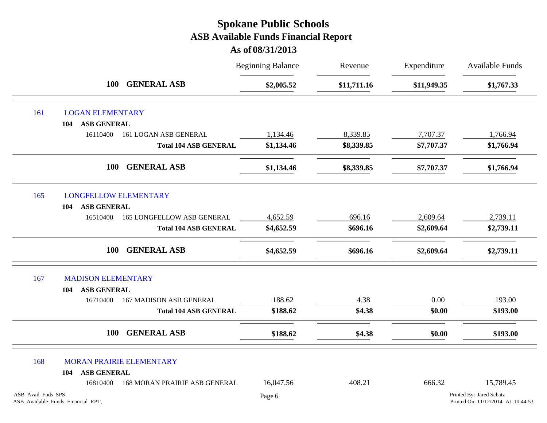|                    |                                    |                                   | <b>Beginning Balance</b> | Revenue     | Expenditure | Available Funds                                                |
|--------------------|------------------------------------|-----------------------------------|--------------------------|-------------|-------------|----------------------------------------------------------------|
|                    | 100                                | <b>GENERAL ASB</b>                | \$2,005.52               | \$11,711.16 | \$11,949.35 | \$1,767.33                                                     |
| 161                | <b>LOGAN ELEMENTARY</b>            |                                   |                          |             |             |                                                                |
|                    | <b>ASB GENERAL</b><br>104          |                                   |                          |             |             |                                                                |
|                    | 16110400                           | 161 LOGAN ASB GENERAL             | 1,134.46                 | 8,339.85    | 7,707.37    | 1,766.94                                                       |
|                    |                                    | <b>Total 104 ASB GENERAL</b>      | \$1,134.46               | \$8,339.85  | \$7,707.37  | \$1,766.94                                                     |
|                    | <b>100</b>                         | <b>GENERAL ASB</b>                | \$1,134.46               | \$8,339.85  | \$7,707.37  | \$1,766.94                                                     |
| 165                | <b>LONGFELLOW ELEMENTARY</b>       |                                   |                          |             |             |                                                                |
|                    | <b>ASB GENERAL</b><br>104          |                                   |                          |             |             |                                                                |
|                    | 16510400                           | <b>165 LONGFELLOW ASB GENERAL</b> | 4,652.59                 | 696.16      | 2,609.64    | 2,739.11                                                       |
|                    |                                    | <b>Total 104 ASB GENERAL</b>      | \$4,652.59               | \$696.16    | \$2,609.64  | \$2,739.11                                                     |
|                    | <b>100</b>                         | <b>GENERAL ASB</b>                | \$4,652.59               | \$696.16    | \$2,609.64  | \$2,739.11                                                     |
| 167                | <b>MADISON ELEMENTARY</b>          |                                   |                          |             |             |                                                                |
|                    | <b>ASB GENERAL</b><br>104          |                                   |                          |             |             |                                                                |
|                    | 16710400                           | <b>167 MADISON ASB GENERAL</b>    | 188.62                   | 4.38        | 0.00        | 193.00                                                         |
|                    |                                    | <b>Total 104 ASB GENERAL</b>      | \$188.62                 | \$4.38      | \$0.00      | \$193.00                                                       |
|                    | 100                                | <b>GENERAL ASB</b>                | \$188.62                 | \$4.38      | \$0.00      | \$193.00                                                       |
| 168                |                                    | MORAN PRAIRIE ELEMENTARY          |                          |             |             |                                                                |
|                    | <b>ASB GENERAL</b><br>104          |                                   |                          |             |             |                                                                |
|                    | 16810400                           | 168 MORAN PRAIRIE ASB GENERAL     | 16,047.56                | 408.21      | 666.32      | 15,789.45                                                      |
| ASB_Avail_Fnds_SPS | ASB_Available_Funds_Financial_RPT, |                                   | Page 6                   |             |             | Printed By: Jared Schatz<br>Printed On: 11/12/2014 At 10:44:53 |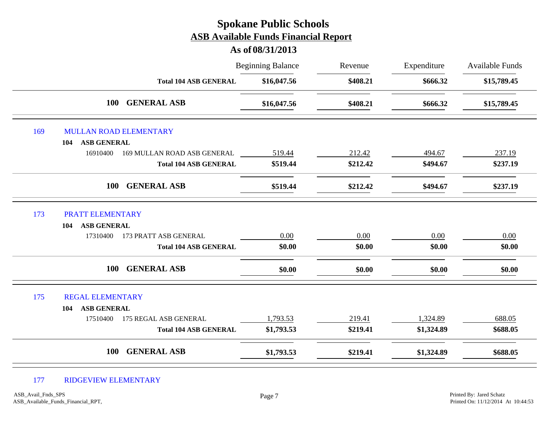# Beginning Balance Revenue Expenditure Available Funds **As of 08/31/2013 Spokane Public Schools ASB Available Funds Financial Report** Revenue **Total 104 ASB GENERAL \$16,047.56 \$408.21 \$666.32 \$15,789.45 100 GENERAL ASB \$16,047.56 \$408.21 \$666.32 \$15,789.45** 169 MULLAN ROAD ELEMENTARY **104 ASB GENERAL** 16910400 169 MULLAN ROAD ASB GENERAL 519.44 212.42 494.67 237.19 **Total 104 ASB GENERAL \$519.44 \$212.42 \$494.67 \$237.19 100 GENERAL ASB \$519.44 \$212.42 \$494.67 \$237.19** 173 PRATT ELEMENTARY **104 ASB GENERAL** 17310400 173 PRATT ASB GENERAL  $0.00$   $0.00$   $0.00$   $0.00$   $0.00$   $0.00$   $0.00$ **Total 104 ASB GENERAL \$0.00 \$0.00 \$0.00 \$0.00 100 GENERAL ASB \$0.00 \$0.00 \$0.00 \$0.00** 175 REGAL ELEMENTARY **104 ASB GENERAL** 17510400 175 REGAL ASB GENERAL 1,793.53 219.41 1,324.89 688.05 **Total 104 ASB GENERAL \$1,793.53 \$219.41 \$1,324.89 \$688.05 100 GENERAL ASB \$1,793.53 \$219.41 \$1,324.89 \$688.05**

#### 177 RIDGEVIEW ELEMENTARY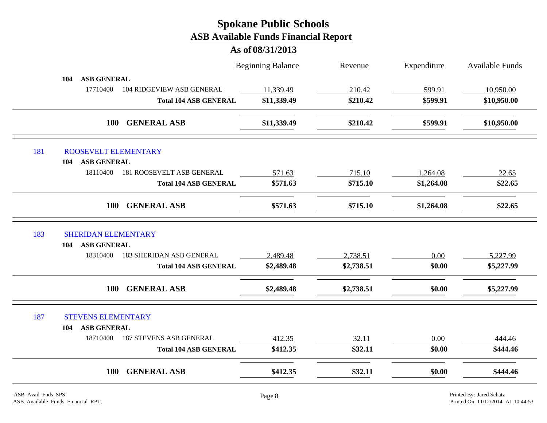|     |                                             | <b>Beginning Balance</b> | Revenue    | Expenditure | <b>Available Funds</b> |
|-----|---------------------------------------------|--------------------------|------------|-------------|------------------------|
|     | <b>ASB GENERAL</b><br>104                   |                          |            |             |                        |
|     | 17710400<br>104 RIDGEVIEW ASB GENERAL       | 11,339.49                | 210.42     | 599.91      | 10,950.00              |
|     | <b>Total 104 ASB GENERAL</b>                | \$11,339.49              | \$210.42   | \$599.91    | \$10,950.00            |
|     | <b>GENERAL ASB</b><br><b>100</b>            | \$11,339.49              | \$210.42   | \$599.91    | \$10,950.00            |
| 181 | ROOSEVELT ELEMENTARY                        |                          |            |             |                        |
|     | <b>ASB GENERAL</b><br>104                   |                          |            |             |                        |
|     | 18110400<br>181 ROOSEVELT ASB GENERAL       | 571.63                   | 715.10     | 1,264.08    | 22.65                  |
|     | <b>Total 104 ASB GENERAL</b>                | \$571.63                 | \$715.10   | \$1,264.08  | \$22.65                |
|     | <b>GENERAL ASB</b><br><b>100</b>            | \$571.63                 | \$715.10   | \$1,264.08  | \$22.65                |
| 183 | <b>SHERIDAN ELEMENTARY</b>                  |                          |            |             |                        |
|     | <b>ASB GENERAL</b><br>104                   |                          |            |             |                        |
|     | <b>183 SHERIDAN ASB GENERAL</b><br>18310400 | 2,489.48                 | 2,738.51   | 0.00        | 5,227.99               |
|     | <b>Total 104 ASB GENERAL</b>                | \$2,489.48               | \$2,738.51 | \$0.00      | \$5,227.99             |
|     | <b>GENERAL ASB</b><br><b>100</b>            | \$2,489.48               | \$2,738.51 | \$0.00      | \$5,227.99             |
| 187 | <b>STEVENS ELEMENTARY</b>                   |                          |            |             |                        |
|     | <b>ASB GENERAL</b><br>104                   |                          |            |             |                        |
|     | 18710400<br><b>187 STEVENS ASB GENERAL</b>  | 412.35                   | 32.11      | 0.00        | 444.46                 |
|     | <b>Total 104 ASB GENERAL</b>                | \$412.35                 | \$32.11    | \$0.00      | \$444.46               |
|     |                                             |                          |            |             |                        |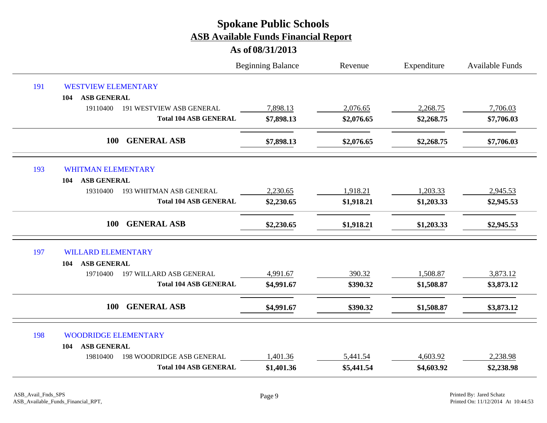|     |                                              | <b>Beginning Balance</b> | Revenue    | Expenditure | <b>Available Funds</b> |
|-----|----------------------------------------------|--------------------------|------------|-------------|------------------------|
| 191 | <b>WESTVIEW ELEMENTARY</b>                   |                          |            |             |                        |
|     | <b>ASB GENERAL</b><br>104                    |                          |            |             |                        |
|     | 19110400<br><b>191 WESTVIEW ASB GENERAL</b>  | 7,898.13                 | 2,076.65   | 2,268.75    | 7,706.03               |
|     | <b>Total 104 ASB GENERAL</b>                 | \$7,898.13               | \$2,076.65 | \$2,268.75  | \$7,706.03             |
|     | 100<br><b>GENERAL ASB</b>                    | \$7,898.13               | \$2,076.65 | \$2,268.75  | \$7,706.03             |
| 193 | <b>WHITMAN ELEMENTARY</b>                    |                          |            |             |                        |
|     | <b>ASB GENERAL</b><br>104                    |                          |            |             |                        |
|     | 19310400<br><b>193 WHITMAN ASB GENERAL</b>   | 2,230.65                 | 1,918.21   | 1,203.33    | 2,945.53               |
|     | <b>Total 104 ASB GENERAL</b>                 | \$2,230.65               | \$1,918.21 | \$1,203.33  | \$2,945.53             |
|     | <b>GENERAL ASB</b><br>100                    | \$2,230.65               | \$1,918.21 | \$1,203.33  | \$2,945.53             |
| 197 | <b>WILLARD ELEMENTARY</b>                    |                          |            |             |                        |
|     | <b>ASB GENERAL</b><br>104                    |                          |            |             |                        |
|     | <b>197 WILLARD ASB GENERAL</b><br>19710400   | 4,991.67                 | 390.32     | 1,508.87    | 3,873.12               |
|     | <b>Total 104 ASB GENERAL</b>                 | \$4,991.67               | \$390.32   | \$1,508.87  | \$3,873.12             |
|     | <b>GENERAL ASB</b><br>100                    | \$4,991.67               | \$390.32   | \$1,508.87  | \$3,873.12             |
| 198 | <b>WOODRIDGE ELEMENTARY</b>                  |                          |            |             |                        |
|     | <b>ASB GENERAL</b><br>104                    |                          |            |             |                        |
|     | <b>198 WOODRIDGE ASB GENERAL</b><br>19810400 | 1,401.36                 | 5,441.54   | 4,603.92    | 2,238.98               |
|     | <b>Total 104 ASB GENERAL</b>                 | \$1,401.36               | \$5,441.54 | \$4,603.92  | \$2,238.98             |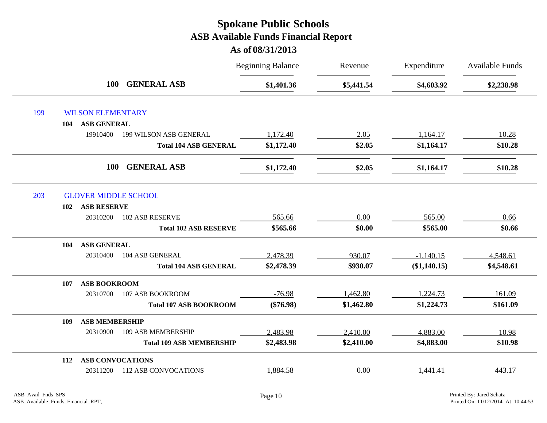|     |     |                          |                                 | <b>Beginning Balance</b> | Revenue    | Expenditure    | <b>Available Funds</b> |
|-----|-----|--------------------------|---------------------------------|--------------------------|------------|----------------|------------------------|
|     |     | <b>100</b>               | <b>GENERAL ASB</b>              | \$1,401.36               | \$5,441.54 | \$4,603.92     | \$2,238.98             |
| 199 |     | <b>WILSON ELEMENTARY</b> |                                 |                          |            |                |                        |
|     | 104 | <b>ASB GENERAL</b>       |                                 |                          |            |                |                        |
|     |     | 19910400                 | 199 WILSON ASB GENERAL          | 1,172.40                 | 2.05       | 1,164.17       | 10.28                  |
|     |     |                          | <b>Total 104 ASB GENERAL</b>    | \$1,172.40               | \$2.05     | \$1,164.17     | \$10.28                |
|     |     | <b>100</b>               | <b>GENERAL ASB</b>              | \$1,172.40               | \$2.05     | \$1,164.17     | \$10.28                |
| 203 |     |                          | <b>GLOVER MIDDLE SCHOOL</b>     |                          |            |                |                        |
|     | 102 | <b>ASB RESERVE</b>       |                                 |                          |            |                |                        |
|     |     | 20310200                 | <b>102 ASB RESERVE</b>          | 565.66                   | 0.00       | 565.00         | 0.66                   |
|     |     |                          | <b>Total 102 ASB RESERVE</b>    | \$565.66                 | \$0.00     | \$565.00       | \$0.66                 |
|     | 104 | <b>ASB GENERAL</b>       |                                 |                          |            |                |                        |
|     |     | 20310400                 | 104 ASB GENERAL                 | 2,478.39                 | 930.07     | $-1,140.15$    | 4,548.61               |
|     |     |                          | <b>Total 104 ASB GENERAL</b>    | \$2,478.39               | \$930.07   | $(\$1,140.15)$ | \$4,548.61             |
|     | 107 | <b>ASB BOOKROOM</b>      |                                 |                          |            |                |                        |
|     |     | 20310700                 | 107 ASB BOOKROOM                | $-76.98$                 | 1,462.80   | 1,224.73       | 161.09                 |
|     |     |                          | <b>Total 107 ASB BOOKROOM</b>   | $(\$76.98)$              | \$1,462.80 | \$1,224.73     | \$161.09               |
|     | 109 | <b>ASB MEMBERSHIP</b>    |                                 |                          |            |                |                        |
|     |     | 20310900                 | 109 ASB MEMBERSHIP              | 2,483.98                 | 2,410.00   | 4,883.00       | 10.98                  |
|     |     |                          | <b>Total 109 ASB MEMBERSHIP</b> | \$2,483.98               | \$2,410.00 | \$4,883.00     | \$10.98                |
|     | 112 | <b>ASB CONVOCATIONS</b>  |                                 |                          |            |                |                        |
|     |     | 20311200                 | <b>112 ASB CONVOCATIONS</b>     | 1,884.58                 | 0.00       | 1,441.41       | 443.17                 |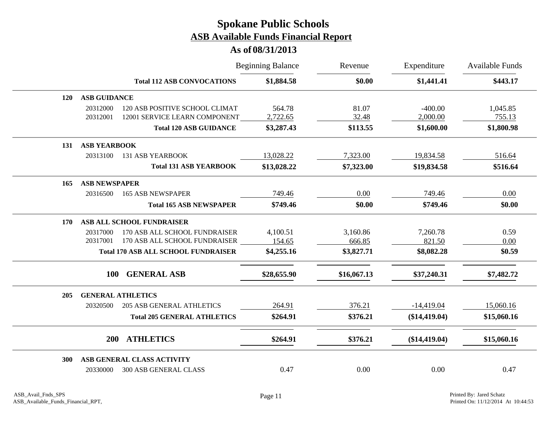|     |                      |                                            | <b>Beginning Balance</b> | Revenue     | Expenditure<br>\$1,441.41 | <b>Available Funds</b><br>\$443.17 |
|-----|----------------------|--------------------------------------------|--------------------------|-------------|---------------------------|------------------------------------|
|     |                      | <b>Total 112 ASB CONVOCATIONS</b>          | \$1,884.58               | \$0.00      |                           |                                    |
| 120 | <b>ASB GUIDANCE</b>  |                                            |                          |             |                           |                                    |
|     | 20312000             | 120 ASB POSITIVE SCHOOL CLIMAT             | 564.78                   | 81.07       | $-400.00$                 | 1,045.85                           |
|     | 20312001             | 12001 SERVICE LEARN COMPONENT              | 2,722.65                 | 32.48       | 2,000.00                  | 755.13                             |
|     |                      | <b>Total 120 ASB GUIDANCE</b>              | \$3,287.43               | \$113.55    | \$1,600.00                | \$1,800.98                         |
| 131 | <b>ASB YEARBOOK</b>  |                                            |                          |             |                           |                                    |
|     | 20313100             | <b>131 ASB YEARBOOK</b>                    | 13,028.22                | 7,323.00    | 19,834.58                 | 516.64                             |
|     |                      | <b>Total 131 ASB YEARBOOK</b>              | \$13,028.22              | \$7,323.00  | \$19,834.58               | \$516.64                           |
| 165 | <b>ASB NEWSPAPER</b> |                                            |                          |             |                           |                                    |
|     | 20316500             | <b>165 ASB NEWSPAPER</b>                   | 749.46                   | 0.00        | 749.46                    | 0.00                               |
|     |                      | <b>Total 165 ASB NEWSPAPER</b>             | \$749.46                 | \$0.00      | \$749.46                  | \$0.00                             |
| 170 |                      | ASB ALL SCHOOL FUNDRAISER                  |                          |             |                           |                                    |
|     | 20317000             | 170 ASB ALL SCHOOL FUNDRAISER              | 4,100.51                 | 3,160.86    | 7,260.78                  | 0.59                               |
|     | 20317001             | 170 ASB ALL SCHOOL FUNDRAISER              | 154.65                   | 666.85      | 821.50                    | 0.00                               |
|     |                      | <b>Total 170 ASB ALL SCHOOL FUNDRAISER</b> | \$4,255.16               | \$3,827.71  | \$8,082.28                | \$0.59                             |
|     | <b>100</b>           | <b>GENERAL ASB</b>                         | \$28,655.90              | \$16,067.13 | \$37,240.31               | \$7,482.72                         |
|     |                      |                                            |                          |             |                           |                                    |
| 205 |                      | <b>GENERAL ATHLETICS</b>                   |                          |             |                           |                                    |
|     | 20320500             | <b>205 ASB GENERAL ATHLETICS</b>           | 264.91                   | 376.21      | $-14,419.04$              | 15,060.16                          |
|     |                      | <b>Total 205 GENERAL ATHLETICS</b>         | \$264.91                 | \$376.21    | $(\$14,419.04)$           | \$15,060.16                        |
|     | <b>200</b>           | <b>ATHLETICS</b>                           | \$264.91                 | \$376.21    | (\$14,419.04)             | \$15,060.16                        |
| 300 |                      | ASB GENERAL CLASS ACTIVITY                 |                          |             |                           |                                    |
|     | 20330000             | <b>300 ASB GENERAL CLASS</b>               | 0.47                     | 0.00        | 0.00                      | 0.47                               |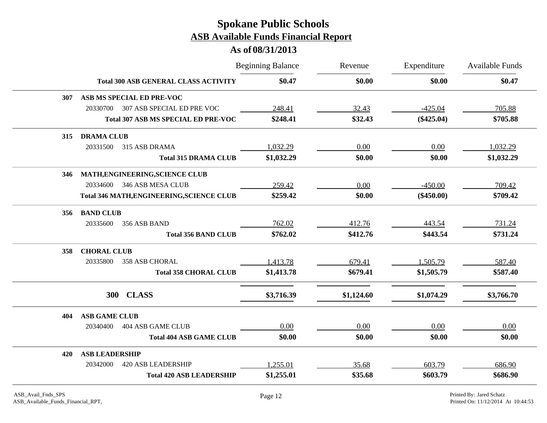|            |                                                  | <b>Beginning Balance</b> | Revenue    | Expenditure  | <b>Available Funds</b> |
|------------|--------------------------------------------------|--------------------------|------------|--------------|------------------------|
|            | <b>Total 300 ASB GENERAL CLASS ACTIVITY</b>      | \$0.47                   | \$0.00     | \$0.00       | \$0.47                 |
| <b>307</b> | ASB MS SPECIAL ED PRE-VOC                        |                          |            |              |                        |
|            | 20330700<br>307 ASB SPECIAL ED PRE VOC           | 248.41                   | 32.43      | $-425.04$    | 705.88                 |
|            | <b>Total 307 ASB MS SPECIAL ED PRE-VOC</b>       | \$248.41                 | \$32.43    | $(\$425.04)$ | \$705.88               |
| 315        | <b>DRAMA CLUB</b>                                |                          |            |              |                        |
|            | 20331500<br>315 ASB DRAMA                        | 1,032.29                 | 0.00       | 0.00         | 1,032.29               |
|            | <b>Total 315 DRAMA CLUB</b>                      | \$1,032.29               | \$0.00     | \$0.00       | \$1,032.29             |
| 346        | MATH, ENGINEERING, SCIENCE CLUB                  |                          |            |              |                        |
|            | 346 ASB MESA CLUB<br>20334600                    | 259.42                   | 0.00       | $-450.00$    | 709.42                 |
|            | <b>Total 346 MATH, ENGINEERING, SCIENCE CLUB</b> | \$259.42                 | \$0.00     | $(\$450.00)$ | \$709.42               |
| 356        | <b>BAND CLUB</b>                                 |                          |            |              |                        |
|            | 20335600<br>356 ASB BAND                         | 762.02                   | 412.76     | 443.54       | 731.24                 |
|            | <b>Total 356 BAND CLUB</b>                       | \$762.02                 | \$412.76   | \$443.54     | \$731.24               |
| 358        | <b>CHORAL CLUB</b>                               |                          |            |              |                        |
|            | 20335800<br>358 ASB CHORAL                       | 1,413.78                 | 679.41     | 1,505.79     | 587.40                 |
|            | <b>Total 358 CHORAL CLUB</b>                     | \$1,413.78               | \$679.41   | \$1,505.79   | \$587.40               |
|            | 300 CLASS                                        | \$3,716.39               | \$1,124.60 | \$1,074.29   | \$3,766.70             |
| 404        | <b>ASB GAME CLUB</b>                             |                          |            |              |                        |
|            | 404 ASB GAME CLUB<br>20340400                    | 0.00                     | 0.00       | 0.00         | 0.00                   |
|            | <b>Total 404 ASB GAME CLUB</b>                   | \$0.00                   | \$0.00     | \$0.00       | \$0.00                 |
| 420        | <b>ASB LEADERSHIP</b>                            |                          |            |              |                        |
|            | 20342000<br><b>420 ASB LEADERSHIP</b>            | 1,255.01                 | 35.68      | 603.79       | 686.90                 |
|            | <b>Total 420 ASB LEADERSHIP</b>                  | \$1,255.01               | \$35.68    | \$603.79     | \$686.90               |
|            |                                                  |                          |            |              |                        |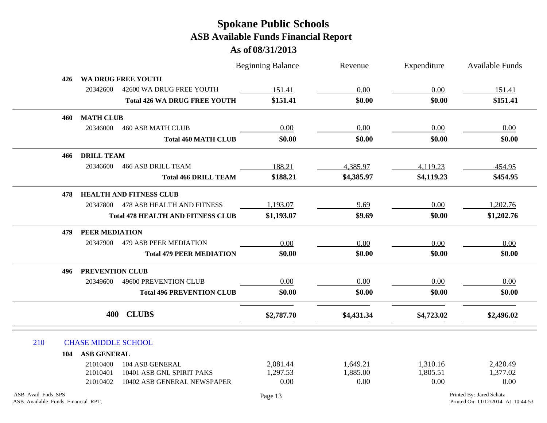|                                                          |                            |                                          | <b>Beginning Balance</b> | Revenue    | Expenditure | <b>Available Funds</b>                                         |
|----------------------------------------------------------|----------------------------|------------------------------------------|--------------------------|------------|-------------|----------------------------------------------------------------|
| 426                                                      |                            | WA DRUG FREE YOUTH                       |                          |            |             |                                                                |
|                                                          | 20342600                   | 42600 WA DRUG FREE YOUTH                 | 151.41                   | 0.00       | 0.00        | 151.41                                                         |
|                                                          |                            | <b>Total 426 WA DRUG FREE YOUTH</b>      | \$151.41                 | \$0.00     | \$0.00      | \$151.41                                                       |
| 460                                                      | <b>MATH CLUB</b>           |                                          |                          |            |             |                                                                |
|                                                          | 20346000                   | <b>460 ASB MATH CLUB</b>                 | 0.00                     | 0.00       | 0.00        | 0.00                                                           |
|                                                          |                            | <b>Total 460 MATH CLUB</b>               | \$0.00                   | \$0.00     | \$0.00      | \$0.00                                                         |
| 466                                                      | <b>DRILL TEAM</b>          |                                          |                          |            |             |                                                                |
|                                                          | 20346600                   | <b>466 ASB DRILL TEAM</b>                | 188.21                   | 4,385.97   | 4,119.23    | 454.95                                                         |
|                                                          |                            | <b>Total 466 DRILL TEAM</b>              | \$188.21                 | \$4,385.97 | \$4,119.23  | \$454.95                                                       |
| 478                                                      |                            | <b>HEALTH AND FITNESS CLUB</b>           |                          |            |             |                                                                |
|                                                          | 20347800                   | 478 ASB HEALTH AND FITNESS               | 1,193.07                 | 9.69       | 0.00        | 1,202.76                                                       |
|                                                          |                            | <b>Total 478 HEALTH AND FITNESS CLUB</b> | \$1,193.07               | \$9.69     | \$0.00      | \$1,202.76                                                     |
| 479                                                      | PEER MEDIATION             |                                          |                          |            |             |                                                                |
|                                                          | 20347900                   | <b>479 ASB PEER MEDIATION</b>            | 0.00                     | 0.00       | 0.00        | 0.00                                                           |
|                                                          |                            | <b>Total 479 PEER MEDIATION</b>          | \$0.00                   | \$0.00     | \$0.00      | \$0.00                                                         |
| 496                                                      | PREVENTION CLUB            |                                          |                          |            |             |                                                                |
|                                                          | 20349600                   | 49600 PREVENTION CLUB                    | 0.00                     | 0.00       | 0.00        | 0.00                                                           |
|                                                          |                            | <b>Total 496 PREVENTION CLUB</b>         | \$0.00                   | \$0.00     | \$0.00      | \$0.00                                                         |
|                                                          | 400                        | <b>CLUBS</b>                             | \$2,787.70               | \$4,431.34 | \$4,723.02  | \$2,496.02                                                     |
| 210                                                      | <b>CHASE MIDDLE SCHOOL</b> |                                          |                          |            |             |                                                                |
| 104                                                      | <b>ASB GENERAL</b>         |                                          |                          |            |             |                                                                |
|                                                          | 21010400                   | 104 ASB GENERAL                          | 2,081.44                 | 1,649.21   | 1,310.16    | 2,420.49                                                       |
|                                                          | 21010401                   | 10401 ASB GNL SPIRIT PAKS                | 1,297.53                 | 1,885.00   | 1,805.51    | 1,377.02                                                       |
|                                                          | 21010402                   | 10402 ASB GENERAL NEWSPAPER              | 0.00                     | 0.00       | 0.00        | 0.00                                                           |
| ASB_Avail_Fnds_SPS<br>ASB_Available_Funds_Financial_RPT, |                            |                                          | Page 13                  |            |             | Printed By: Jared Schatz<br>Printed On: 11/12/2014 At 10:44:53 |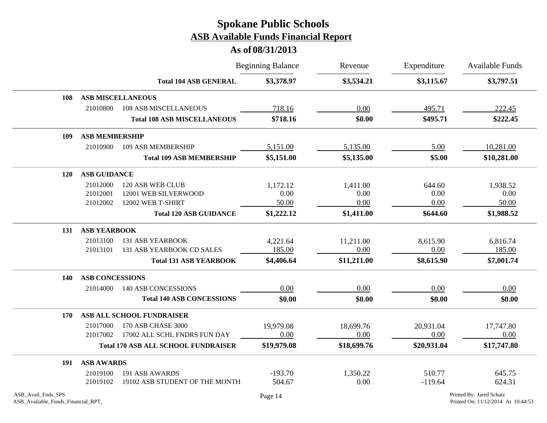|                    |                        |                                            | <b>Beginning Balance</b> | Revenue     | Expenditure | Available Funds          |
|--------------------|------------------------|--------------------------------------------|--------------------------|-------------|-------------|--------------------------|
|                    |                        | <b>Total 104 ASB GENERAL</b>               | \$3,378.97               | \$3,534.21  | \$3,115.67  | \$3,797.51               |
| 108                |                        | <b>ASB MISCELLANEOUS</b>                   |                          |             |             |                          |
|                    | 21010800               | <b>108 ASB MISCELLANEOUS</b>               | 718.16                   | 0.00        | 495.71      | 222.45                   |
|                    |                        | <b>Total 108 ASB MISCELLANEOUS</b>         | \$718.16                 | \$0.00      | \$495.71    | \$222.45                 |
| 109                | <b>ASB MEMBERSHIP</b>  |                                            |                          |             |             |                          |
|                    | 21010900               | 109 ASB MEMBERSHIP                         | 5,151.00                 | 5,135.00    | 5.00        | 10,281.00                |
|                    |                        | <b>Total 109 ASB MEMBERSHIP</b>            | \$5,151.00               | \$5,135.00  | \$5.00      | \$10,281.00              |
| <b>120</b>         | <b>ASB GUIDANCE</b>    |                                            |                          |             |             |                          |
|                    | 21012000               | 120 ASB WEB CLUB                           | 1,172.12                 | 1,411.00    | 644.60      | 1,938.52                 |
|                    | 21012001               | 12001 WEB SILVERWOOD                       | 0.00                     | 0.00        | 0.00        | 0.00                     |
|                    | 21012002               | 12002 WEB T-SHIRT                          | 50.00                    | 0.00        | 0.00        | 50.00                    |
|                    |                        | <b>Total 120 ASB GUIDANCE</b>              | \$1,222.12               | \$1,411.00  | \$644.60    | \$1,988.52               |
| 131                | <b>ASB YEARBOOK</b>    |                                            |                          |             |             |                          |
|                    | 21013100               | <b>131 ASB YEARBOOK</b>                    | 4,221.64                 | 11,211.00   | 8,615.90    | 6,816.74                 |
|                    | 21013101               | 131 ASB YEARBOOK CD SALES                  | 185.00                   | 0.00        | 0.00        | 185.00                   |
|                    |                        | <b>Total 131 ASB YEARBOOK</b>              | \$4,406.64               | \$11,211.00 | \$8,615.90  | \$7,001.74               |
| 140                | <b>ASB CONCESSIONS</b> |                                            |                          |             |             |                          |
|                    | 21014000               | <b>140 ASB CONCESSIONS</b>                 | 0.00                     | 0.00        | 0.00        | 0.00                     |
|                    |                        | <b>Total 140 ASB CONCESSIONS</b>           | \$0.00                   | \$0.00      | \$0.00      | \$0.00                   |
| 170                |                        | ASB ALL SCHOOL FUNDRAISER                  |                          |             |             |                          |
|                    | 21017000               | 170 ASB CHASE 3000                         | 19,979.08                | 18,699.76   | 20,931.04   | 17,747.80                |
|                    | 21017002               | 17002 ALL SCHL FNDRS FUN DAY               | 0.00                     | 0.00        | 0.00        | 0.00                     |
|                    |                        | <b>Total 170 ASB ALL SCHOOL FUNDRAISER</b> | \$19,979.08              | \$18,699.76 | \$20,931.04 | \$17,747.80              |
| 191                | <b>ASB AWARDS</b>      |                                            |                          |             |             |                          |
|                    | 21019100               | 191 ASB AWARDS                             | $-193.70$                | 1,350.22    | 510.77      | 645.75                   |
|                    | 21019102               | 19102 ASB STUDENT OF THE MONTH             | 504.67                   | 0.00        | $-119.64$   | 624.31                   |
| ASB_Avail_Fnds_SPS |                        |                                            | Page 14                  |             |             | Printed By: Jared Schatz |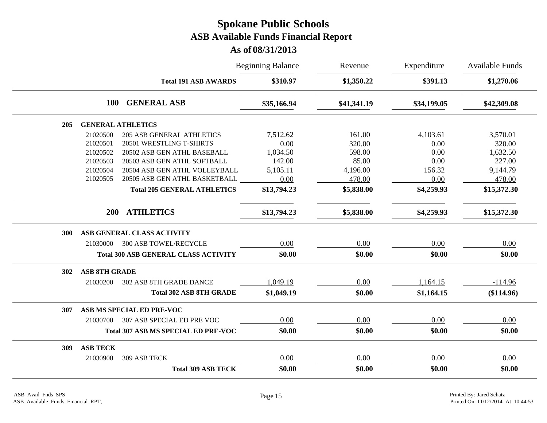|     |                          |                                             | <b>Beginning Balance</b> | Revenue     | Expenditure | <b>Available Funds</b> |
|-----|--------------------------|---------------------------------------------|--------------------------|-------------|-------------|------------------------|
|     |                          | <b>Total 191 ASB AWARDS</b>                 | \$310.97                 | \$1,350.22  | \$391.13    | \$1,270.06             |
|     | <b>100</b>               | <b>GENERAL ASB</b>                          | \$35,166.94              | \$41,341.19 | \$34,199.05 | \$42,309.08            |
| 205 | <b>GENERAL ATHLETICS</b> |                                             |                          |             |             |                        |
|     | 21020500                 | <b>205 ASB GENERAL ATHLETICS</b>            | 7,512.62                 | 161.00      | 4,103.61    | 3,570.01               |
|     | 21020501                 | 20501 WRESTLING T-SHIRTS                    | 0.00                     | 320.00      | 0.00        | 320.00                 |
|     | 21020502                 | 20502 ASB GEN ATHL BASEBALL                 | 1,034.50                 | 598.00      | 0.00        | 1,632.50               |
|     | 21020503                 | 20503 ASB GEN ATHL SOFTBALL                 | 142.00                   | 85.00       | 0.00        | 227.00                 |
|     | 21020504                 | 20504 ASB GEN ATHL VOLLEYBALL               | 5,105.11                 | 4,196.00    | 156.32      | 9,144.79               |
|     | 21020505                 | 20505 ASB GEN ATHL BASKETBALL               | 0.00                     | 478.00      | 0.00        | 478.00                 |
|     |                          | <b>Total 205 GENERAL ATHLETICS</b>          | \$13,794.23              | \$5,838.00  | \$4,259.93  | \$15,372.30            |
|     | <b>200</b>               | <b>ATHLETICS</b>                            | \$13,794.23              | \$5,838.00  | \$4,259.93  | \$15,372.30            |
| 300 |                          | ASB GENERAL CLASS ACTIVITY                  |                          |             |             |                        |
|     | 21030000                 | <b>300 ASB TOWEL/RECYCLE</b>                | 0.00                     | 0.00        | 0.00        | 0.00                   |
|     |                          | <b>Total 300 ASB GENERAL CLASS ACTIVITY</b> | \$0.00                   | \$0.00      | \$0.00      | \$0.00                 |
| 302 | <b>ASB 8TH GRADE</b>     |                                             |                          |             |             |                        |
|     | 21030200                 | <b>302 ASB 8TH GRADE DANCE</b>              | 1,049.19                 | 0.00        | 1,164.15    | $-114.96$              |
|     |                          | <b>Total 302 ASB 8TH GRADE</b>              | \$1,049.19               | \$0.00      | \$1,164.15  | (\$114.96)             |
| 307 |                          | ASB MS SPECIAL ED PRE-VOC                   |                          |             |             |                        |
|     | 21030700                 | 307 ASB SPECIAL ED PRE VOC                  | 0.00                     | 0.00        | 0.00        | 0.00                   |
|     |                          | <b>Total 307 ASB MS SPECIAL ED PRE-VOC</b>  | \$0.00                   | \$0.00      | \$0.00      | \$0.00                 |
| 309 | <b>ASB TECK</b>          |                                             |                          |             |             |                        |
|     | 21030900                 | 309 ASB TECK                                | 0.00                     | 0.00        | 0.00        | 0.00                   |
|     |                          | <b>Total 309 ASB TECK</b>                   | \$0.00                   | \$0.00      | \$0.00      | \$0.00                 |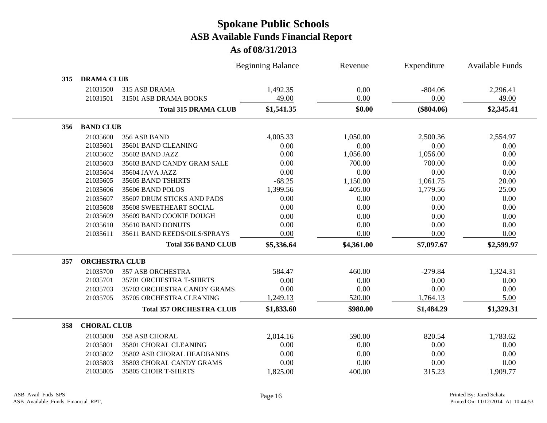|                           |                                 | <b>Beginning Balance</b> | Revenue    | Expenditure  | <b>Available Funds</b> |
|---------------------------|---------------------------------|--------------------------|------------|--------------|------------------------|
| <b>DRAMA CLUB</b><br>315  |                                 |                          |            |              |                        |
| 21031500                  | 315 ASB DRAMA                   | 1,492.35                 | 0.00       | $-804.06$    | 2,296.41               |
| 21031501                  | 31501 ASB DRAMA BOOKS           | 49.00                    | 0.00       | 0.00         | 49.00                  |
|                           | <b>Total 315 DRAMA CLUB</b>     | \$1,541.35               | \$0.00     | $(\$804.06)$ | \$2,345.41             |
| <b>BAND CLUB</b><br>356   |                                 |                          |            |              |                        |
| 21035600                  | 356 ASB BAND                    | 4,005.33                 | 1,050.00   | 2,500.36     | 2,554.97               |
| 21035601                  | 35601 BAND CLEANING             | 0.00                     | 0.00       | 0.00         | 0.00                   |
| 21035602                  | 35602 BAND JAZZ                 | 0.00                     | 1,056.00   | 1,056.00     | 0.00                   |
| 21035603                  | 35603 BAND CANDY GRAM SALE      | 0.00                     | 700.00     | 700.00       | 0.00                   |
| 21035604                  | 35604 JAVA JAZZ                 | 0.00                     | 0.00       | 0.00         | 0.00                   |
| 21035605                  | 35605 BAND TSHIRTS              | $-68.25$                 | 1,150.00   | 1,061.75     | 20.00                  |
| 21035606                  | 35606 BAND POLOS                | 1,399.56                 | 405.00     | 1,779.56     | 25.00                  |
| 21035607                  | 35607 DRUM STICKS AND PADS      | 0.00                     | 0.00       | 0.00         | 0.00                   |
| 21035608                  | 35608 SWEETHEART SOCIAL         | 0.00                     | 0.00       | 0.00         | 0.00                   |
| 21035609                  | 35609 BAND COOKIE DOUGH         | 0.00                     | 0.00       | 0.00         | 0.00                   |
| 21035610                  | 35610 BAND DONUTS               | 0.00                     | 0.00       | 0.00         | 0.00                   |
| 21035611                  | 35611 BAND REEDS/OILS/SPRAYS    | 0.00                     | 0.00       | 0.00         | 0.00                   |
|                           | <b>Total 356 BAND CLUB</b>      | \$5,336.64               | \$4,361.00 | \$7,097.67   | \$2,599.97             |
| 357                       | <b>ORCHESTRA CLUB</b>           |                          |            |              |                        |
| 21035700                  | <b>357 ASB ORCHESTRA</b>        | 584.47                   | 460.00     | $-279.84$    | 1,324.31               |
| 21035701                  | 35701 ORCHESTRA T-SHIRTS        | 0.00                     | 0.00       | 0.00         | 0.00                   |
| 21035703                  | 35703 ORCHESTRA CANDY GRAMS     | 0.00                     | 0.00       | 0.00         | 0.00                   |
| 21035705                  | 35705 ORCHESTRA CLEANING        | 1,249.13                 | 520.00     | 1,764.13     | 5.00                   |
|                           | <b>Total 357 ORCHESTRA CLUB</b> | \$1,833.60               | \$980.00   | \$1,484.29   | \$1,329.31             |
| <b>CHORAL CLUB</b><br>358 |                                 |                          |            |              |                        |
| 21035800                  | <b>358 ASB CHORAL</b>           | 2,014.16                 | 590.00     | 820.54       | 1,783.62               |
| 21035801                  | 35801 CHORAL CLEANING           | 0.00                     | 0.00       | 0.00         | 0.00                   |
| 21035802                  | 35802 ASB CHORAL HEADBANDS      | 0.00                     | 0.00       | 0.00         | 0.00                   |
| 21035803                  | 35803 CHORAL CANDY GRAMS        | 0.00                     | 0.00       | 0.00         | 0.00                   |
| 21035805                  | 35805 CHOIR T-SHIRTS            | 1,825.00                 | 400.00     | 315.23       | 1,909.77               |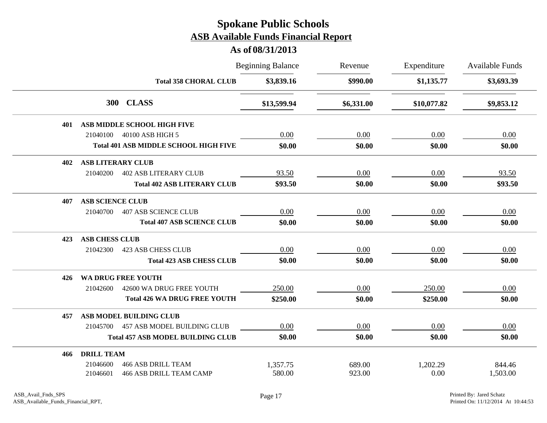|     |                          |                                              | <b>Beginning Balance</b> | Revenue    | Expenditure | <b>Available Funds</b><br>\$3,693.39 |
|-----|--------------------------|----------------------------------------------|--------------------------|------------|-------------|--------------------------------------|
|     |                          | <b>Total 358 CHORAL CLUB</b>                 | \$3,839.16               | \$990.00   | \$1,135.77  |                                      |
|     |                          | 300 CLASS                                    | \$13,599.94              | \$6,331.00 | \$10,077.82 | \$9,853.12                           |
| 401 |                          | ASB MIDDLE SCHOOL HIGH FIVE                  |                          |            |             |                                      |
|     | 21040100                 | 40100 ASB HIGH 5                             | 0.00                     | 0.00       | 0.00        | 0.00                                 |
|     |                          | <b>Total 401 ASB MIDDLE SCHOOL HIGH FIVE</b> | \$0.00                   | \$0.00     | \$0.00      | \$0.00                               |
| 402 | <b>ASB LITERARY CLUB</b> |                                              |                          |            |             |                                      |
|     | 21040200                 | <b>402 ASB LITERARY CLUB</b>                 | 93.50                    | 0.00       | 0.00        | 93.50                                |
|     |                          | <b>Total 402 ASB LITERARY CLUB</b>           | \$93.50                  | \$0.00     | \$0.00      | \$93.50                              |
| 407 | <b>ASB SCIENCE CLUB</b>  |                                              |                          |            |             |                                      |
|     | 21040700                 | <b>407 ASB SCIENCE CLUB</b>                  | 0.00                     | 0.00       | 0.00        | 0.00                                 |
|     |                          | <b>Total 407 ASB SCIENCE CLUB</b>            | \$0.00                   | \$0.00     | \$0.00      | \$0.00                               |
| 423 | <b>ASB CHESS CLUB</b>    |                                              |                          |            |             |                                      |
|     | 21042300                 | <b>423 ASB CHESS CLUB</b>                    | 0.00                     | 0.00       | 0.00        | 0.00                                 |
|     |                          | <b>Total 423 ASB CHESS CLUB</b>              | \$0.00                   | \$0.00     | \$0.00      | \$0.00                               |
| 426 |                          | WA DRUG FREE YOUTH                           |                          |            |             |                                      |
|     | 21042600                 | 42600 WA DRUG FREE YOUTH                     | 250.00                   | 0.00       | 250.00      | 0.00                                 |
|     |                          | <b>Total 426 WA DRUG FREE YOUTH</b>          | \$250.00                 | \$0.00     | \$250.00    | \$0.00                               |
| 457 |                          | ASB MODEL BUILDING CLUB                      |                          |            |             |                                      |
|     | 21045700                 | 457 ASB MODEL BUILDING CLUB                  | 0.00                     | 0.00       | 0.00        | 0.00                                 |
|     |                          | <b>Total 457 ASB MODEL BUILDING CLUB</b>     | \$0.00                   | \$0.00     | \$0.00      | \$0.00                               |
| 466 | <b>DRILL TEAM</b>        |                                              |                          |            |             |                                      |
|     | 21046600                 | <b>466 ASB DRILL TEAM</b>                    | 1,357.75                 | 689.00     | 1,202.29    | 844.46                               |
|     | 21046601                 | <b>466 ASB DRILL TEAM CAMP</b>               | 580.00                   | 923.00     | 0.00        | 1,503.00                             |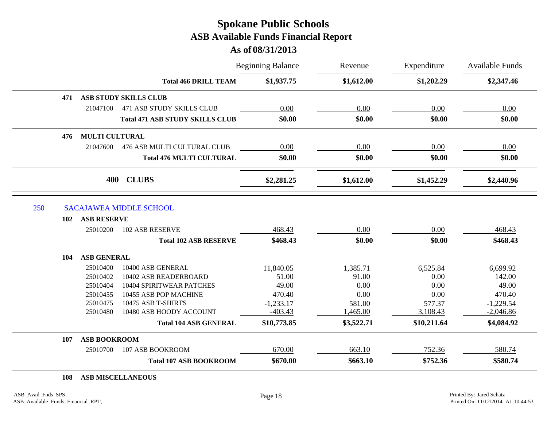#### **As of 08/31/2013**

|                            |                                        | <b>Beginning Balance</b> | Revenue    | Expenditure<br>\$1,202.29 | <b>Available Funds</b><br>\$2,347.46 |
|----------------------------|----------------------------------------|--------------------------|------------|---------------------------|--------------------------------------|
|                            | <b>Total 466 DRILL TEAM</b>            | \$1,937.75               | \$1,612.00 |                           |                                      |
| 471                        | <b>ASB STUDY SKILLS CLUB</b>           |                          |            |                           |                                      |
| 21047100                   | 471 ASB STUDY SKILLS CLUB              | 0.00                     | 0.00       | 0.00                      | 0.00                                 |
|                            | <b>Total 471 ASB STUDY SKILLS CLUB</b> | \$0.00                   | \$0.00     | \$0.00                    | \$0.00                               |
| 476                        | <b>MULTI CULTURAL</b>                  |                          |            |                           |                                      |
| 21047600                   | 476 ASB MULTI CULTURAL CLUB            | 0.00                     | 0.00       | 0.00                      | 0.00                                 |
|                            | <b>Total 476 MULTI CULTURAL</b>        | \$0.00                   | \$0.00     | \$0.00                    | \$0.00                               |
|                            | <b>CLUBS</b><br>400                    | \$2,281.25               | \$1,612.00 | \$1,452.29                | \$2,440.96                           |
| 250                        | <b>SACAJAWEA MIDDLE SCHOOL</b>         |                          |            |                           |                                      |
| <b>ASB RESERVE</b><br>102  |                                        |                          |            |                           |                                      |
| 25010200                   | <b>102 ASB RESERVE</b>                 | 468.43                   | 0.00       | 0.00                      | 468.43                               |
|                            | <b>Total 102 ASB RESERVE</b>           | \$468.43                 | \$0.00     | \$0.00                    | \$468.43                             |
| <b>ASB GENERAL</b><br>104  |                                        |                          |            |                           |                                      |
| 25010400                   | 10400 ASB GENERAL                      | 11,840.05                | 1,385.71   | 6,525.84                  | 6,699.92                             |
| 25010402                   | 10402 ASB READERBOARD                  | 51.00                    | 91.00      | 0.00                      | 142.00                               |
| 25010404                   | 10404 SPIRITWEAR PATCHES               | 49.00                    | 0.00       | 0.00                      | 49.00                                |
| 25010455                   | 10455 ASB POP MACHINE                  | 470.40                   | 0.00       | 0.00                      | 470.40                               |
| 25010475                   | 10475 ASB T-SHIRTS                     | $-1,233.17$              | 581.00     | 577.37                    | $-1,229.54$                          |
|                            | 10480 ASB HOODY ACCOUNT                | $-403.43$                | 1,465.00   | 3,108.43                  | $-2,046.86$                          |
| 25010480                   |                                        |                          |            |                           |                                      |
|                            | <b>Total 104 ASB GENERAL</b>           | \$10,773.85              | \$3,522.71 | \$10,211.64               | \$4,084.92                           |
| <b>ASB BOOKROOM</b><br>107 |                                        |                          |            |                           |                                      |
| 25010700                   | 107 ASB BOOKROOM                       | 670.00                   | 663.10     | 752.36                    | 580.74                               |

**108 ASB MISCELLANEOUS**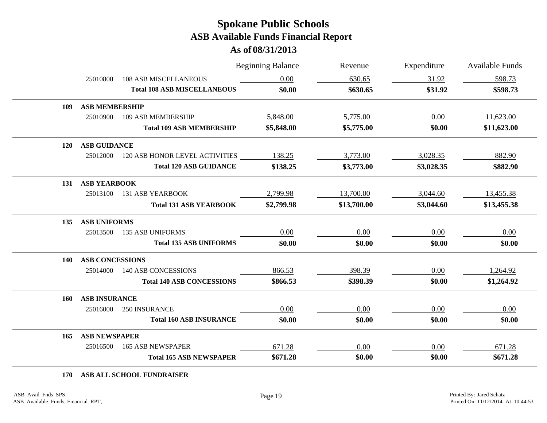#### **As of 08/31/2013**

|     |                        |                                    | <b>Beginning Balance</b> | Revenue     | Expenditure | <b>Available Funds</b> |
|-----|------------------------|------------------------------------|--------------------------|-------------|-------------|------------------------|
|     | 25010800               | <b>108 ASB MISCELLANEOUS</b>       | 0.00                     | 630.65      | 31.92       | 598.73                 |
|     |                        | <b>Total 108 ASB MISCELLANEOUS</b> | \$0.00                   | \$630.65    | \$31.92     | \$598.73               |
| 109 | <b>ASB MEMBERSHIP</b>  |                                    |                          |             |             |                        |
|     | 25010900               | 109 ASB MEMBERSHIP                 | 5,848.00                 | 5,775.00    | 0.00        | 11,623.00              |
|     |                        | <b>Total 109 ASB MEMBERSHIP</b>    | \$5,848.00               | \$5,775.00  | \$0.00      | \$11,623.00            |
| 120 | <b>ASB GUIDANCE</b>    |                                    |                          |             |             |                        |
|     | 25012000               | 120 ASB HONOR LEVEL ACTIVITIES     | 138.25                   | 3,773.00    | 3,028.35    | 882.90                 |
|     |                        | <b>Total 120 ASB GUIDANCE</b>      | \$138.25                 | \$3,773.00  | \$3,028.35  | \$882.90               |
| 131 | <b>ASB YEARBOOK</b>    |                                    |                          |             |             |                        |
|     | 25013100               | <b>131 ASB YEARBOOK</b>            | 2,799.98                 | 13,700.00   | 3,044.60    | 13,455.38              |
|     |                        | <b>Total 131 ASB YEARBOOK</b>      | \$2,799.98               | \$13,700.00 | \$3,044.60  | \$13,455.38            |
| 135 | <b>ASB UNIFORMS</b>    |                                    |                          |             |             |                        |
|     | 25013500               | <b>135 ASB UNIFORMS</b>            | 0.00                     | 0.00        | 0.00        | 0.00                   |
|     |                        | <b>Total 135 ASB UNIFORMS</b>      | \$0.00                   | \$0.00      | \$0.00      | \$0.00                 |
| 140 | <b>ASB CONCESSIONS</b> |                                    |                          |             |             |                        |
|     | 25014000               | 140 ASB CONCESSIONS                | 866.53                   | 398.39      | 0.00        | 1,264.92               |
|     |                        | <b>Total 140 ASB CONCESSIONS</b>   | \$866.53                 | \$398.39    | \$0.00      | \$1,264.92             |
| 160 | <b>ASB INSURANCE</b>   |                                    |                          |             |             |                        |
|     | 25016000               | 250 INSURANCE                      | 0.00                     | 0.00        | 0.00        | 0.00                   |
|     |                        | <b>Total 160 ASB INSURANCE</b>     | \$0.00                   | \$0.00      | \$0.00      | \$0.00                 |
| 165 | <b>ASB NEWSPAPER</b>   |                                    |                          |             |             |                        |
|     | 25016500               | <b>165 ASB NEWSPAPER</b>           | 671.28                   | 0.00        | 0.00        | 671.28                 |
|     |                        | <b>Total 165 ASB NEWSPAPER</b>     | \$671.28                 | \$0.00      | \$0.00      | \$671.28               |

**170 ASB ALL SCHOOL FUNDRAISER**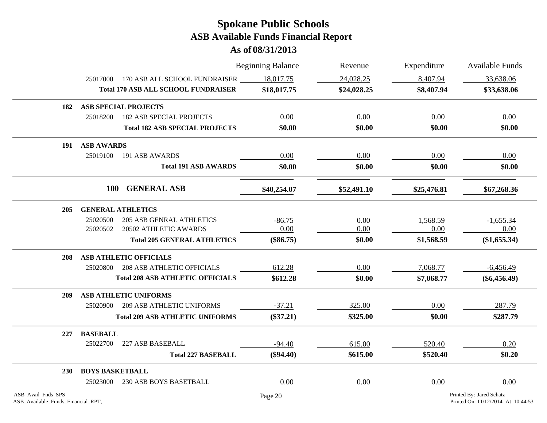|                                                          |                        |                                            | <b>Beginning Balance</b> | Revenue     | Expenditure | Available Funds                                                |
|----------------------------------------------------------|------------------------|--------------------------------------------|--------------------------|-------------|-------------|----------------------------------------------------------------|
|                                                          | 25017000               | 170 ASB ALL SCHOOL FUNDRAISER              | 18,017.75                | 24,028.25   | 8,407.94    | 33,638.06                                                      |
|                                                          |                        | <b>Total 170 ASB ALL SCHOOL FUNDRAISER</b> | \$18,017.75              | \$24,028.25 | \$8,407.94  | \$33,638.06                                                    |
| 182                                                      |                        | <b>ASB SPECIAL PROJECTS</b>                |                          |             |             |                                                                |
|                                                          | 25018200               | <b>182 ASB SPECIAL PROJECTS</b>            | 0.00                     | 0.00        | 0.00        | 0.00                                                           |
|                                                          |                        | <b>Total 182 ASB SPECIAL PROJECTS</b>      | \$0.00                   | \$0.00      | \$0.00      | \$0.00                                                         |
| 191                                                      | <b>ASB AWARDS</b>      |                                            |                          |             |             |                                                                |
|                                                          | 25019100               | 191 ASB AWARDS                             | 0.00                     | 0.00        | 0.00        | 0.00                                                           |
|                                                          |                        | <b>Total 191 ASB AWARDS</b>                | \$0.00                   | \$0.00      | \$0.00      | \$0.00                                                         |
|                                                          | <b>100</b>             | <b>GENERAL ASB</b>                         | \$40,254.07              | \$52,491.10 | \$25,476.81 | \$67,268.36                                                    |
| 205                                                      |                        | <b>GENERAL ATHLETICS</b>                   |                          |             |             |                                                                |
|                                                          | 25020500               | <b>205 ASB GENRAL ATHLETICS</b>            | $-86.75$                 | 0.00        | 1,568.59    | $-1,655.34$                                                    |
|                                                          | 25020502               | 20502 ATHLETIC AWARDS                      | 0.00                     | 0.00        | 0.00        | 0.00                                                           |
|                                                          |                        | <b>Total 205 GENERAL ATHLETICS</b>         | $(\$86.75)$              | \$0.00      | \$1,568.59  | (\$1,655.34)                                                   |
| 208                                                      |                        | <b>ASB ATHLETIC OFFICIALS</b>              |                          |             |             |                                                                |
|                                                          | 25020800               | <b>208 ASB ATHLETIC OFFICIALS</b>          | 612.28                   | 0.00        | 7,068.77    | $-6,456.49$                                                    |
|                                                          |                        | <b>Total 208 ASB ATHLETIC OFFICIALS</b>    | \$612.28                 | \$0.00      | \$7,068.77  | $(\$6,456.49)$                                                 |
| 209                                                      |                        | <b>ASB ATHLETIC UNIFORMS</b>               |                          |             |             |                                                                |
|                                                          | 25020900               | <b>209 ASB ATHLETIC UNIFORMS</b>           | $-37.21$                 | 325.00      | 0.00        | 287.79                                                         |
|                                                          |                        | <b>Total 209 ASB ATHLETIC UNIFORMS</b>     | $(\$37.21)$              | \$325.00    | \$0.00      | \$287.79                                                       |
| 227                                                      | <b>BASEBALL</b>        |                                            |                          |             |             |                                                                |
|                                                          | 25022700               | 227 ASB BASEBALL                           | $-94.40$                 | 615.00      | 520.40      | 0.20                                                           |
|                                                          |                        | <b>Total 227 BASEBALL</b>                  | $(\$94.40)$              | \$615.00    | \$520.40    | \$0.20                                                         |
| 230                                                      | <b>BOYS BASKETBALL</b> |                                            |                          |             |             |                                                                |
|                                                          | 25023000               | 230 ASB BOYS BASETBALL                     | 0.00                     | 0.00        | 0.00        | 0.00                                                           |
| ASB_Avail_Fnds_SPS<br>ASB_Available_Funds_Financial_RPT, |                        |                                            | Page 20                  |             |             | Printed By: Jared Schatz<br>Printed On: 11/12/2014 At 10:44:53 |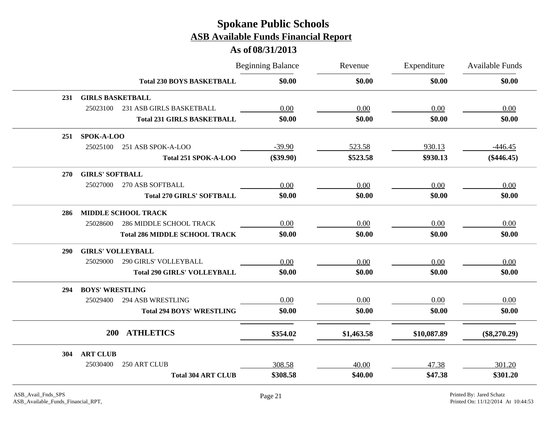|            |                          |                                      | <b>Beginning Balance</b> | Revenue    | Expenditure | Available Funds |
|------------|--------------------------|--------------------------------------|--------------------------|------------|-------------|-----------------|
|            |                          | <b>Total 230 BOYS BASKETBALL</b>     | \$0.00                   | \$0.00     | \$0.00      | \$0.00          |
| 231        | <b>GIRLS BASKETBALL</b>  |                                      |                          |            |             |                 |
|            | 25023100                 | 231 ASB GIRLS BASKETBALL             | 0.00                     | 0.00       | 0.00        | 0.00            |
|            |                          | <b>Total 231 GIRLS BASKETBALL</b>    | \$0.00                   | \$0.00     | \$0.00      | \$0.00          |
| 251        | SPOK-A-LOO               |                                      |                          |            |             |                 |
|            | 25025100                 | 251 ASB SPOK-A-LOO                   | $-39.90$                 | 523.58     | 930.13      | $-446.45$       |
|            |                          | Total 251 SPOK-A-LOO                 | $(\$39.90)$              | \$523.58   | \$930.13    | $(\$446.45)$    |
| 270        | <b>GIRLS' SOFTBALL</b>   |                                      |                          |            |             |                 |
|            | 25027000                 | 270 ASB SOFTBALL                     | 0.00                     | 0.00       | 0.00        | 0.00            |
|            |                          | <b>Total 270 GIRLS' SOFTBALL</b>     | \$0.00                   | \$0.00     | \$0.00      | \$0.00          |
| 286        |                          | <b>MIDDLE SCHOOL TRACK</b>           |                          |            |             |                 |
|            | 25028600                 | <b>286 MIDDLE SCHOOL TRACK</b>       | 0.00                     | 0.00       | 0.00        | 0.00            |
|            |                          | <b>Total 286 MIDDLE SCHOOL TRACK</b> | \$0.00                   | \$0.00     | \$0.00      | \$0.00          |
| <b>290</b> | <b>GIRLS' VOLLEYBALL</b> |                                      |                          |            |             |                 |
|            | 25029000                 | 290 GIRLS' VOLLEYBALL                | 0.00                     | 0.00       | 0.00        | 0.00            |
|            |                          | <b>Total 290 GIRLS' VOLLEYBALL</b>   | \$0.00                   | \$0.00     | \$0.00      | \$0.00          |
| 294        | <b>BOYS' WRESTLING</b>   |                                      |                          |            |             |                 |
|            | 25029400                 | <b>294 ASB WRESTLING</b>             | $0.00\,$                 | $0.00\,$   | 0.00        | 0.00            |
|            |                          | <b>Total 294 BOYS' WRESTLING</b>     | \$0.00                   | \$0.00     | \$0.00      | \$0.00          |
|            | <b>200</b>               | <b>ATHLETICS</b>                     | \$354.02                 | \$1,463.58 | \$10,087.89 | $(\$8,270.29)$  |
|            |                          |                                      |                          |            |             |                 |
| 304        | <b>ART CLUB</b>          |                                      |                          |            |             |                 |
|            | 25030400                 | 250 ART CLUB                         | 308.58                   | 40.00      | 47.38       | 301.20          |
|            |                          | <b>Total 304 ART CLUB</b>            | \$308.58                 | \$40.00    | \$47.38     | \$301.20        |
|            |                          |                                      |                          |            |             |                 |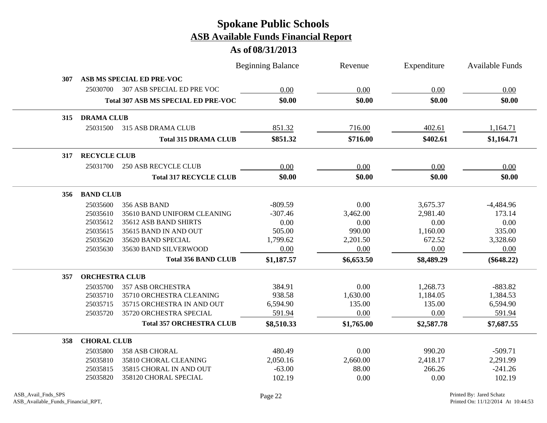|     |                       |                                            | <b>Beginning Balance</b> | Revenue    | Expenditure | <b>Available Funds</b> |
|-----|-----------------------|--------------------------------------------|--------------------------|------------|-------------|------------------------|
| 307 |                       | ASB MS SPECIAL ED PRE-VOC                  |                          |            |             |                        |
|     | 25030700              | 307 ASB SPECIAL ED PRE VOC                 | 0.00                     | 0.00       | 0.00        | 0.00                   |
|     |                       | <b>Total 307 ASB MS SPECIAL ED PRE-VOC</b> | \$0.00                   | \$0.00     | \$0.00      | \$0.00                 |
| 315 | <b>DRAMA CLUB</b>     |                                            |                          |            |             |                        |
|     | 25031500              | 315 ASB DRAMA CLUB                         | 851.32                   | 716.00     | 402.61      | 1,164.71               |
|     |                       | <b>Total 315 DRAMA CLUB</b>                | \$851.32                 | \$716.00   | \$402.61    | \$1,164.71             |
| 317 | <b>RECYCLE CLUB</b>   |                                            |                          |            |             |                        |
|     | 25031700              | <b>250 ASB RECYCLE CLUB</b>                | 0.00                     | 0.00       | 0.00        | 0.00                   |
|     |                       | <b>Total 317 RECYCLE CLUB</b>              | \$0.00                   | \$0.00     | \$0.00      | \$0.00                 |
| 356 | <b>BAND CLUB</b>      |                                            |                          |            |             |                        |
|     | 25035600              | 356 ASB BAND                               | $-809.59$                | 0.00       | 3,675.37    | $-4,484.96$            |
|     | 25035610              | 35610 BAND UNIFORM CLEANING                | $-307.46$                | 3,462.00   | 2,981.40    | 173.14                 |
|     | 25035612              | 35612 ASB BAND SHIRTS                      | 0.00                     | 0.00       | 0.00        | 0.00                   |
|     | 25035615              | 35615 BAND IN AND OUT                      | 505.00                   | 990.00     | 1,160.00    | 335.00                 |
|     | 25035620              | 35620 BAND SPECIAL                         | 1,799.62                 | 2,201.50   | 672.52      | 3,328.60               |
|     | 25035630              | 35630 BAND SILVERWOOD                      | 0.00                     | 0.00       | 0.00        | 0.00                   |
|     |                       | <b>Total 356 BAND CLUB</b>                 | \$1,187.57               | \$6,653.50 | \$8,489.29  | $(\$648.22)$           |
| 357 | <b>ORCHESTRA CLUB</b> |                                            |                          |            |             |                        |
|     | 25035700              | <b>357 ASB ORCHESTRA</b>                   | 384.91                   | 0.00       | 1,268.73    | $-883.82$              |
|     | 25035710              | 35710 ORCHESTRA CLEANING                   | 938.58                   | 1,630.00   | 1,184.05    | 1,384.53               |
|     | 25035715              | 35715 ORCHESTRA IN AND OUT                 | 6,594.90                 | 135.00     | 135.00      | 6,594.90               |
|     | 25035720              | 35720 ORCHESTRA SPECIAL                    | 591.94                   | 0.00       | 0.00        | 591.94                 |
|     |                       | <b>Total 357 ORCHESTRA CLUB</b>            | \$8,510.33               | \$1,765.00 | \$2,587.78  | \$7,687.55             |
| 358 | <b>CHORAL CLUB</b>    |                                            |                          |            |             |                        |
|     | 25035800              | 358 ASB CHORAL                             | 480.49                   | 0.00       | 990.20      | $-509.71$              |
|     | 25035810              | 35810 CHORAL CLEANING                      | 2,050.16                 | 2,660.00   | 2,418.17    | 2,291.99               |
|     | 25035815              | 35815 CHORAL IN AND OUT                    | $-63.00$                 | 88.00      | 266.26      | $-241.26$              |
|     | 25035820              | 358120 CHORAL SPECIAL                      | 102.19                   | 0.00       | 0.00        | 102.19                 |
|     |                       |                                            |                          |            |             |                        |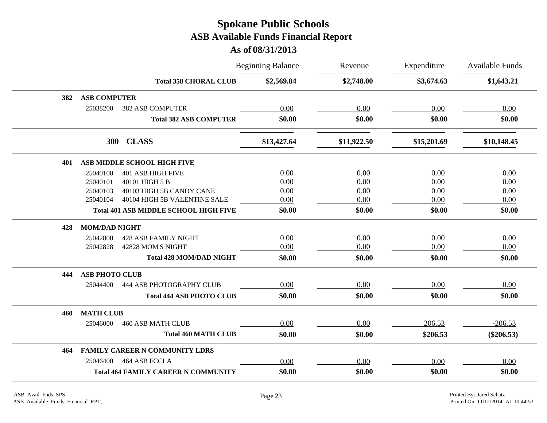|     |                                              | <b>Beginning Balance</b> | Revenue     | Expenditure | <b>Available Funds</b> |
|-----|----------------------------------------------|--------------------------|-------------|-------------|------------------------|
|     | <b>Total 358 CHORAL CLUB</b>                 | \$2,569.84               | \$2,748.00  | \$3,674.63  | \$1,643.21             |
| 382 | <b>ASB COMPUTER</b>                          |                          |             |             |                        |
|     | 25038200<br><b>382 ASB COMPUTER</b>          | 0.00                     | 0.00        | 0.00        | 0.00                   |
|     | <b>Total 382 ASB COMPUTER</b>                | \$0.00                   | \$0.00      | \$0.00      | \$0.00                 |
|     | 300 CLASS                                    | \$13,427.64              | \$11,922.50 | \$15,201.69 | \$10,148.45            |
| 401 | ASB MIDDLE SCHOOL HIGH FIVE                  |                          |             |             |                        |
|     | <b>401 ASB HIGH FIVE</b><br>25040100         | 0.00                     | 0.00        | 0.00        | 0.00                   |
|     | 25040101<br>40101 HIGH 5 B                   | 0.00                     | 0.00        | 0.00        | 0.00                   |
|     | 40103 HIGH 5B CANDY CANE<br>25040103         | 0.00                     | 0.00        | 0.00        | 0.00                   |
|     | 40104 HIGH 5B VALENTINE SALE<br>25040104     | 0.00                     | 0.00        | 0.00        | 0.00                   |
|     | <b>Total 401 ASB MIDDLE SCHOOL HIGH FIVE</b> | \$0.00                   | \$0.00      | \$0.00      | \$0.00                 |
| 428 | <b>MOM/DAD NIGHT</b>                         |                          |             |             |                        |
|     | 25042800<br><b>428 ASB FAMILY NIGHT</b>      | 0.00                     | 0.00        | 0.00        | 0.00                   |
|     | 42828 MOM'S NIGHT<br>25042828                | 0.00                     | 0.00        | 0.00        | 0.00                   |
|     | <b>Total 428 MOM/DAD NIGHT</b>               | \$0.00                   | \$0.00      | \$0.00      | \$0.00                 |
| 444 | <b>ASB PHOTO CLUB</b>                        |                          |             |             |                        |
|     | 444 ASB PHOTOGRAPHY CLUB<br>25044400         | 0.00                     | 0.00        | 0.00        | 0.00                   |
|     | <b>Total 444 ASB PHOTO CLUB</b>              | \$0.00                   | \$0.00      | \$0.00      | \$0.00                 |
| 460 | <b>MATH CLUB</b>                             |                          |             |             |                        |
|     | 25046000<br><b>460 ASB MATH CLUB</b>         | 0.00                     | 0.00        | 206.53      | $-206.53$              |
|     | <b>Total 460 MATH CLUB</b>                   | \$0.00                   | \$0.00      | \$206.53    | $(\$206.53)$           |
| 464 | <b>FAMILY CAREER N COMMUNITY LDRS</b>        |                          |             |             |                        |
|     | 25046400<br>464 ASB FCCLA                    | 0.00                     | 0.00        | 0.00        | 0.00                   |
|     | <b>Total 464 FAMILY CAREER N COMMUNITY</b>   | \$0.00                   | \$0.00      | \$0.00      | \$0.00                 |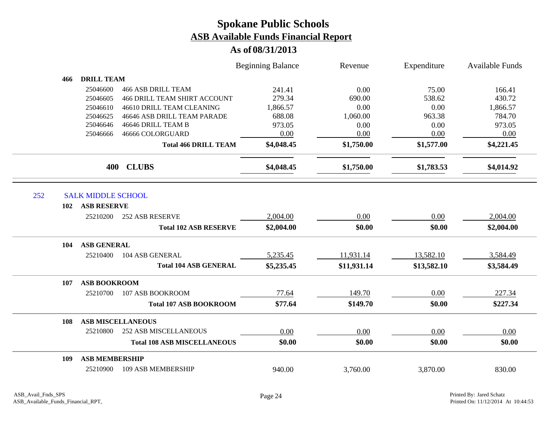|     |     |                           |                                     | <b>Beginning Balance</b> | Revenue     | Expenditure | <b>Available Funds</b> |
|-----|-----|---------------------------|-------------------------------------|--------------------------|-------------|-------------|------------------------|
|     | 466 | <b>DRILL TEAM</b>         |                                     |                          |             |             |                        |
|     |     | 25046600                  | <b>466 ASB DRILL TEAM</b>           | 241.41                   | 0.00        | 75.00       | 166.41                 |
|     |     | 25046605                  | <b>466 DRILL TEAM SHIRT ACCOUNT</b> | 279.34                   | 690.00      | 538.62      | 430.72                 |
|     |     | 25046610                  | 46610 DRILL TEAM CLEANING           | 1,866.57                 | 0.00        | 0.00        | 1,866.57               |
|     |     | 25046625                  | 46646 ASB DRILL TEAM PARADE         | 688.08                   | 1,060.00    | 963.38      | 784.70                 |
|     |     | 25046646                  | 46646 DRILL TEAM B                  | 973.05                   | 0.00        | 0.00        | 973.05                 |
|     |     | 25046666                  | 46666 COLORGUARD                    | 0.00                     | 0.00        | 0.00        | 0.00                   |
|     |     |                           | <b>Total 466 DRILL TEAM</b>         | \$4,048.45               | \$1,750.00  | \$1,577.00  | \$4,221.45             |
|     |     | 400                       | <b>CLUBS</b>                        | \$4,048.45               | \$1,750.00  | \$1,783.53  | \$4,014.92             |
|     |     |                           |                                     |                          |             |             |                        |
| 252 |     | <b>SALK MIDDLE SCHOOL</b> |                                     |                          |             |             |                        |
|     | 102 | <b>ASB RESERVE</b>        |                                     |                          |             |             |                        |
|     |     | 25210200                  | <b>252 ASB RESERVE</b>              | 2,004.00                 | 0.00        | 0.00        | 2,004.00               |
|     |     |                           | <b>Total 102 ASB RESERVE</b>        | \$2,004.00               | \$0.00      | \$0.00      | \$2,004.00             |
|     | 104 | <b>ASB GENERAL</b>        |                                     |                          |             |             |                        |
|     |     | 25210400                  | 104 ASB GENERAL                     | 5,235.45                 | 11,931.14   | 13,582.10   | 3,584.49               |
|     |     |                           | <b>Total 104 ASB GENERAL</b>        | \$5,235.45               | \$11,931.14 | \$13,582.10 | \$3,584.49             |
|     | 107 | <b>ASB BOOKROOM</b>       |                                     |                          |             |             |                        |
|     |     | 25210700                  | 107 ASB BOOKROOM                    | 77.64                    | 149.70      | 0.00        | 227.34                 |
|     |     |                           | <b>Total 107 ASB BOOKROOM</b>       | \$77.64                  | \$149.70    | \$0.00      | \$227.34               |
|     | 108 | <b>ASB MISCELLANEOUS</b>  |                                     |                          |             |             |                        |
|     |     | 25210800                  | <b>252 ASB MISCELLANEOUS</b>        | 0.00                     | 0.00        | 0.00        | 0.00                   |
|     |     |                           | <b>Total 108 ASB MISCELLANEOUS</b>  | \$0.00                   | \$0.00      | \$0.00      | \$0.00                 |
|     | 109 | <b>ASB MEMBERSHIP</b>     |                                     |                          |             |             |                        |
|     |     | 25210900                  | 109 ASB MEMBERSHIP                  | 940.00                   | 3,760.00    | 3,870.00    | 830.00                 |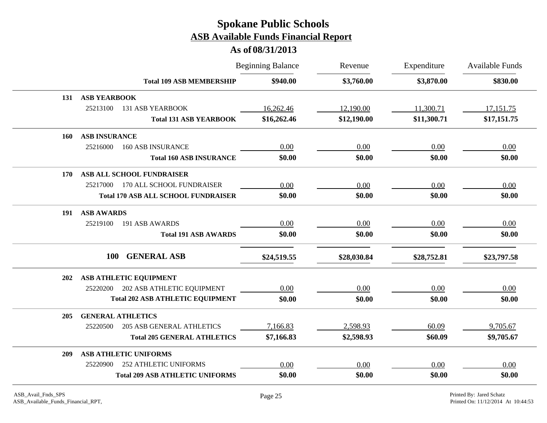|            |                                              | <b>Beginning Balance</b> | Revenue     | Expenditure | <b>Available Funds</b> |
|------------|----------------------------------------------|--------------------------|-------------|-------------|------------------------|
|            | <b>Total 109 ASB MEMBERSHIP</b>              | \$940.00                 | \$3,760.00  | \$3,870.00  | \$830.00               |
| 131        | <b>ASB YEARBOOK</b>                          |                          |             |             |                        |
|            | 25213100<br><b>131 ASB YEARBOOK</b>          | 16,262.46                | 12,190.00   | 11,300.71   | 17,151.75              |
|            | <b>Total 131 ASB YEARBOOK</b>                | \$16,262.46              | \$12,190.00 | \$11,300.71 | \$17,151.75            |
| 160        | <b>ASB INSURANCE</b>                         |                          |             |             |                        |
|            | 25216000<br><b>160 ASB INSURANCE</b>         | 0.00                     | 0.00        | 0.00        | 0.00                   |
|            | <b>Total 160 ASB INSURANCE</b>               | \$0.00                   | \$0.00      | \$0.00      | \$0.00                 |
| <b>170</b> | ASB ALL SCHOOL FUNDRAISER                    |                          |             |             |                        |
|            | 170 ALL SCHOOL FUNDRAISER<br>25217000        | 0.00                     | 0.00        | 0.00        | 0.00                   |
|            | <b>Total 170 ASB ALL SCHOOL FUNDRAISER</b>   | \$0.00                   | \$0.00      | \$0.00      | \$0.00                 |
| 191        | <b>ASB AWARDS</b>                            |                          |             |             |                        |
|            | 25219100<br>191 ASB AWARDS                   | 0.00                     | 0.00        | 0.00        | 0.00                   |
|            | <b>Total 191 ASB AWARDS</b>                  | \$0.00                   | \$0.00      | \$0.00      | \$0.00                 |
|            | <b>GENERAL ASB</b><br><b>100</b>             | \$24,519.55              | \$28,030.84 | \$28,752.81 | \$23,797.58            |
| 202        | ASB ATHLETIC EQUIPMENT                       |                          |             |             |                        |
|            | 202 ASB ATHLETIC EQUIPMENT<br>25220200       | 0.00                     | 0.00        | 0.00        | 0.00                   |
|            | <b>Total 202 ASB ATHLETIC EQUIPMENT</b>      | \$0.00                   | \$0.00      | \$0.00      | \$0.00                 |
| 205        | <b>GENERAL ATHLETICS</b>                     |                          |             |             |                        |
|            | <b>205 ASB GENERAL ATHLETICS</b><br>25220500 | 7,166.83                 | 2,598.93    | 60.09       | 9,705.67               |
|            | <b>Total 205 GENERAL ATHLETICS</b>           | \$7,166.83               | \$2,598.93  | \$60.09     | \$9,705.67             |
| 209        | ASB ATHLETIC UNIFORMS                        |                          |             |             |                        |
|            | <b>252 ATHLETIC UNIFORMS</b><br>25220900     | 0.00                     | 0.00        | 0.00        | 0.00                   |
|            | <b>Total 209 ASB ATHLETIC UNIFORMS</b>       | \$0.00                   | \$0.00      | \$0.00      | \$0.00                 |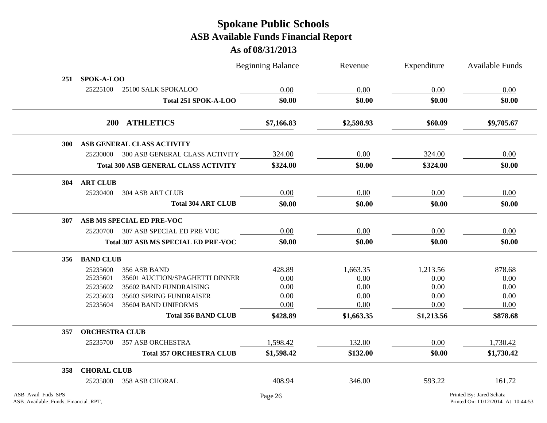|                                                          |                       |                                             | <b>Beginning Balance</b> | Revenue    | Expenditure | <b>Available Funds</b>                                         |
|----------------------------------------------------------|-----------------------|---------------------------------------------|--------------------------|------------|-------------|----------------------------------------------------------------|
| 251                                                      | SPOK-A-LOO            |                                             |                          |            |             |                                                                |
|                                                          | 25225100              | 25100 SALK SPOKALOO                         | 0.00                     | 0.00       | 0.00        | 0.00                                                           |
|                                                          |                       | Total 251 SPOK-A-LOO                        | \$0.00                   | \$0.00     | \$0.00      | \$0.00                                                         |
|                                                          |                       | 200 ATHLETICS                               | \$7,166.83               | \$2,598.93 | \$60.09     | \$9,705.67                                                     |
| <b>300</b>                                               |                       | ASB GENERAL CLASS ACTIVITY                  |                          |            |             |                                                                |
|                                                          |                       | 25230000 300 ASB GENERAL CLASS ACTIVITY     | 324.00                   | 0.00       | 324.00      | 0.00                                                           |
|                                                          |                       | <b>Total 300 ASB GENERAL CLASS ACTIVITY</b> | \$324.00                 | \$0.00     | \$324.00    | \$0.00                                                         |
| 304                                                      | <b>ART CLUB</b>       |                                             |                          |            |             |                                                                |
|                                                          | 25230400              | <b>304 ASB ART CLUB</b>                     | 0.00                     | 0.00       | 0.00        | 0.00                                                           |
|                                                          |                       | <b>Total 304 ART CLUB</b>                   | \$0.00                   | \$0.00     | \$0.00      | \$0.00                                                         |
| 307                                                      |                       | ASB MS SPECIAL ED PRE-VOC                   |                          |            |             |                                                                |
|                                                          |                       | 25230700 307 ASB SPECIAL ED PRE VOC         | 0.00                     | 0.00       | 0.00        | 0.00                                                           |
|                                                          |                       | Total 307 ASB MS SPECIAL ED PRE-VOC         | \$0.00                   | \$0.00     | \$0.00      | \$0.00                                                         |
| 356                                                      | <b>BAND CLUB</b>      |                                             |                          |            |             |                                                                |
|                                                          | 25235600              | 356 ASB BAND                                | 428.89                   | 1,663.35   | 1,213.56    | 878.68                                                         |
|                                                          | 25235601              | 35601 AUCTION/SPAGHETTI DINNER              | 0.00                     | 0.00       | 0.00        | 0.00                                                           |
|                                                          | 25235602              | 35602 BAND FUNDRAISING                      | 0.00                     | 0.00       | 0.00        | 0.00                                                           |
|                                                          | 25235603              | 35603 SPRING FUNDRAISER                     | 0.00                     | 0.00       | 0.00        | 0.00                                                           |
|                                                          | 25235604              | 35604 BAND UNIFORMS                         | 0.00                     | 0.00       | 0.00        | 0.00                                                           |
|                                                          |                       | <b>Total 356 BAND CLUB</b>                  | \$428.89                 | \$1,663.35 | \$1,213.56  | \$878.68                                                       |
| 357                                                      | <b>ORCHESTRA CLUB</b> |                                             |                          |            |             |                                                                |
|                                                          | 25235700              | 357 ASB ORCHESTRA                           | 1,598.42                 | 132.00     | 0.00        | 1,730.42                                                       |
|                                                          |                       | <b>Total 357 ORCHESTRA CLUB</b>             | \$1,598.42               | \$132.00   | \$0.00      | \$1,730.42                                                     |
| 358                                                      | <b>CHORAL CLUB</b>    |                                             |                          |            |             |                                                                |
|                                                          | 25235800              | <b>358 ASB CHORAL</b>                       | 408.94                   | 346.00     | 593.22      | 161.72                                                         |
| ASB_Avail_Fnds_SPS<br>ASB_Available_Funds_Financial_RPT, |                       |                                             | Page 26                  |            |             | Printed By: Jared Schatz<br>Printed On: 11/12/2014 At 10:44:53 |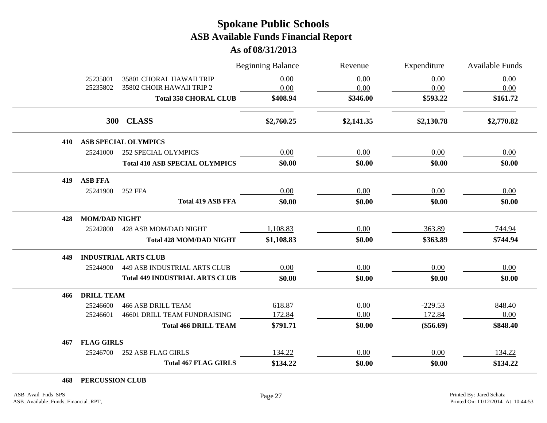**As of 08/31/2013**

|                                                 | <b>Beginning Balance</b> | Revenue    | Expenditure | Available Funds |
|-------------------------------------------------|--------------------------|------------|-------------|-----------------|
| 35801 CHORAL HAWAII TRIP<br>25235801            | 0.00                     | 0.00       | 0.00        | 0.00            |
| 25235802<br>35802 CHOIR HAWAII TRIP 2           | 0.00                     | 0.00       | 0.00        | 0.00            |
| <b>Total 358 CHORAL CLUB</b>                    | \$408.94                 | \$346.00   | \$593.22    | \$161.72        |
| 300 CLASS                                       | \$2,760.25               | \$2,141.35 | \$2,130.78  | \$2,770.82      |
| ASB SPECIAL OLYMPICS<br>410                     |                          |            |             |                 |
| 25241000<br>252 SPECIAL OLYMPICS                | 0.00                     | 0.00       | 0.00        | 0.00            |
| <b>Total 410 ASB SPECIAL OLYMPICS</b>           | \$0.00                   | \$0.00     | \$0.00      | \$0.00          |
| <b>ASB FFA</b><br>419                           |                          |            |             |                 |
| 25241900<br><b>252 FFA</b>                      | 0.00                     | 0.00       | 0.00        | 0.00            |
| <b>Total 419 ASB FFA</b>                        | \$0.00                   | \$0.00     | \$0.00      | \$0.00          |
| <b>MOM/DAD NIGHT</b><br>428                     |                          |            |             |                 |
| 25242800<br>428 ASB MOM/DAD NIGHT               | 1,108.83                 | 0.00       | 363.89      | 744.94          |
| <b>Total 428 MOM/DAD NIGHT</b>                  | \$1,108.83               | \$0.00     | \$363.89    | \$744.94        |
| <b>INDUSTRIAL ARTS CLUB</b><br>449              |                          |            |             |                 |
| <b>449 ASB INDUSTRIAL ARTS CLUB</b><br>25244900 | 0.00                     | 0.00       | 0.00        | 0.00            |
| <b>Total 449 INDUSTRIAL ARTS CLUB</b>           | \$0.00                   | \$0.00     | \$0.00      | \$0.00          |
| <b>DRILL TEAM</b><br>466                        |                          |            |             |                 |
| <b>466 ASB DRILL TEAM</b><br>25246600           | 618.87                   | 0.00       | $-229.53$   | 848.40          |
| 25246601<br>46601 DRILL TEAM FUNDRAISING        | 172.84                   | 0.00       | 172.84      | 0.00            |
| <b>Total 466 DRILL TEAM</b>                     | \$791.71                 | \$0.00     | $(\$56.69)$ | \$848.40        |
| <b>FLAG GIRLS</b><br>467                        |                          |            |             |                 |
| 25246700<br>252 ASB FLAG GIRLS                  | 134.22                   | 0.00       | 0.00        | 134.22          |
| <b>Total 467 FLAG GIRLS</b>                     | \$134.22                 | \$0.00     | \$0.00      | \$134.22        |

**468 PERCUSSION CLUB**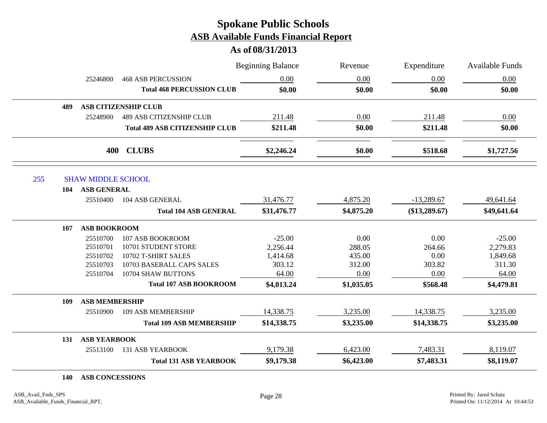**As of 08/31/2013**

|     |                           |                                       | <b>Beginning Balance</b> | Revenue    | Expenditure     | Available Funds |
|-----|---------------------------|---------------------------------------|--------------------------|------------|-----------------|-----------------|
|     | 25246800                  | <b>468 ASB PERCUSSION</b>             | 0.00                     | 0.00       | 0.00            | 0.00            |
|     |                           | <b>Total 468 PERCUSSION CLUB</b>      | \$0.00                   | \$0.00     | \$0.00          | \$0.00          |
| 489 |                           | <b>ASB CITIZENSHIP CLUB</b>           |                          |            |                 |                 |
|     | 25248900                  | <b>489 ASB CITIZENSHIP CLUB</b>       | 211.48                   | 0.00       | 211.48          | 0.00            |
|     |                           | <b>Total 489 ASB CITIZENSHIP CLUB</b> | \$211.48                 | \$0.00     | \$211.48        | \$0.00          |
|     |                           | 400 CLUBS                             | \$2,246.24               | \$0.00     | \$518.68        | \$1,727.56      |
| 255 | <b>SHAW MIDDLE SCHOOL</b> |                                       |                          |            |                 |                 |
| 104 | <b>ASB GENERAL</b>        |                                       |                          |            |                 |                 |
|     | 25510400                  | 104 ASB GENERAL                       | 31,476.77                | 4,875.20   | $-13,289.67$    | 49,641.64       |
|     |                           | <b>Total 104 ASB GENERAL</b>          | \$31,476.77              | \$4,875.20 | $(\$13,289.67)$ | \$49,641.64     |
| 107 | <b>ASB BOOKROOM</b>       |                                       |                          |            |                 |                 |
|     | 25510700                  | 107 ASB BOOKROOM                      | $-25.00$                 | 0.00       | 0.00            | $-25.00$        |
|     | 25510701                  | 10701 STUDENT STORE                   | 2,256.44                 | 288.05     | 264.66          | 2,279.83        |
|     | 25510702                  | 10702 T-SHIRT SALES                   | 1,414.68                 | 435.00     | 0.00            | 1,849.68        |
|     | 25510703                  | 10703 BASEBALL CAPS SALES             | 303.12                   | 312.00     | 303.82          | 311.30          |
|     | 25510704                  | 10704 SHAW BUTTONS                    | 64.00                    | 0.00       | 0.00            | 64.00           |
|     |                           | <b>Total 107 ASB BOOKROOM</b>         | \$4,013.24               | \$1,035.05 | \$568.48        | \$4,479.81      |
| 109 | <b>ASB MEMBERSHIP</b>     |                                       |                          |            |                 |                 |
|     | 25510900                  | 109 ASB MEMBERSHIP                    | 14,338.75                | 3,235.00   | 14,338.75       | 3,235.00        |
|     |                           | <b>Total 109 ASB MEMBERSHIP</b>       | \$14,338.75              | \$3,235.00 | \$14,338.75     | \$3,235.00      |
| 131 | <b>ASB YEARBOOK</b>       |                                       |                          |            |                 |                 |
|     | 25513100                  | <b>131 ASB YEARBOOK</b>               | 9,179.38                 | 6,423.00   | 7,483.31        | 8,119.07        |
|     |                           | <b>Total 131 ASB YEARBOOK</b>         | \$9,179.38               | \$6,423.00 | \$7,483.31      | \$8,119.07      |

**140 ASB CONCESSIONS**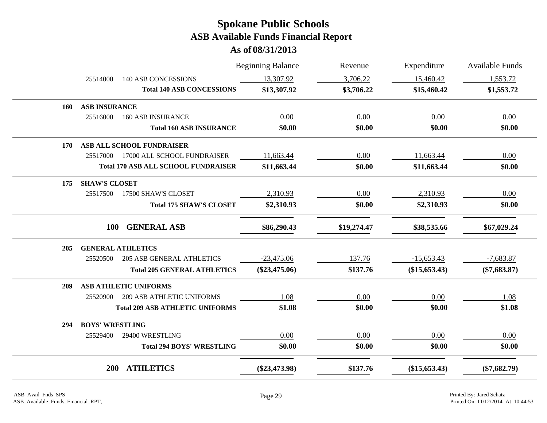|     |                        |                                            | <b>Beginning Balance</b> | Revenue     | Expenditure     | <b>Available Funds</b> |
|-----|------------------------|--------------------------------------------|--------------------------|-------------|-----------------|------------------------|
|     | 25514000               | <b>140 ASB CONCESSIONS</b>                 | 13,307.92                | 3,706.22    | 15,460.42       | 1,553.72               |
|     |                        | <b>Total 140 ASB CONCESSIONS</b>           | \$13,307.92              | \$3,706.22  | \$15,460.42     | \$1,553.72             |
| 160 | <b>ASB INSURANCE</b>   |                                            |                          |             |                 |                        |
|     | 25516000               | <b>160 ASB INSURANCE</b>                   | 0.00                     | 0.00        | 0.00            | 0.00                   |
|     |                        | <b>Total 160 ASB INSURANCE</b>             | \$0.00                   | \$0.00      | \$0.00          | \$0.00                 |
| 170 |                        | ASB ALL SCHOOL FUNDRAISER                  |                          |             |                 |                        |
|     | 25517000               | 17000 ALL SCHOOL FUNDRAISER                | 11,663.44                | 0.00        | 11,663.44       | 0.00                   |
|     |                        | <b>Total 170 ASB ALL SCHOOL FUNDRAISER</b> | \$11,663.44              | \$0.00      | \$11,663.44     | \$0.00                 |
| 175 | <b>SHAW'S CLOSET</b>   |                                            |                          |             |                 |                        |
|     | 25517500               | 17500 SHAW'S CLOSET                        | 2,310.93                 | 0.00        | 2,310.93        | 0.00                   |
|     |                        | <b>Total 175 SHAW'S CLOSET</b>             | \$2,310.93               | \$0.00      | \$2,310.93      | \$0.00                 |
|     | <b>100</b>             | <b>GENERAL ASB</b>                         | \$86,290.43              | \$19,274.47 | \$38,535.66     | \$67,029.24            |
| 205 |                        | <b>GENERAL ATHLETICS</b>                   |                          |             |                 |                        |
|     | 25520500               | <b>205 ASB GENERAL ATHLETICS</b>           | $-23,475.06$             | 137.76      | $-15,653.43$    | $-7,683.87$            |
|     |                        | <b>Total 205 GENERAL ATHLETICS</b>         | $(\$23,475.06)$          | \$137.76    | $(\$15,653.43)$ | $(\$7,683.87)$         |
| 209 |                        | ASB ATHLETIC UNIFORMS                      |                          |             |                 |                        |
|     | 25520900               | <b>209 ASB ATHLETIC UNIFORMS</b>           | 1.08                     | 0.00        | 0.00            | 1.08                   |
|     |                        | <b>Total 209 ASB ATHLETIC UNIFORMS</b>     | \$1.08                   | \$0.00      | \$0.00          | \$1.08                 |
| 294 | <b>BOYS' WRESTLING</b> |                                            |                          |             |                 |                        |
|     | 25529400               | 29400 WRESTLING                            | 0.00                     | 0.00        | 0.00            | 0.00                   |
|     |                        | <b>Total 294 BOYS' WRESTLING</b>           | \$0.00                   | \$0.00      | \$0.00          | \$0.00                 |
|     | <b>200</b>             | <b>ATHLETICS</b>                           | $(\$23,473.98)$          | \$137.76    | (\$15,653.43)   | $(\$7,682.79)$         |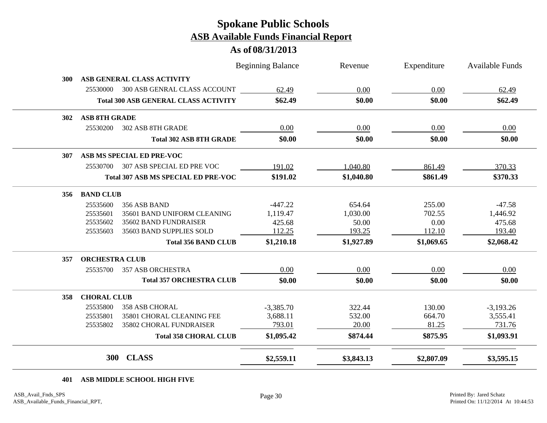**As of 08/31/2013**

|            |                       |                                             | <b>Beginning Balance</b> | Revenue    | Expenditure | Available Funds |
|------------|-----------------------|---------------------------------------------|--------------------------|------------|-------------|-----------------|
| 300        |                       | ASB GENERAL CLASS ACTIVITY                  |                          |            |             |                 |
|            | 25530000              | 300 ASB GENRAL CLASS ACCOUNT                | 62.49                    | 0.00       | 0.00        | 62.49           |
|            |                       | <b>Total 300 ASB GENERAL CLASS ACTIVITY</b> | \$62.49                  | \$0.00     | \$0.00      | \$62.49         |
| <b>302</b> | <b>ASB 8TH GRADE</b>  |                                             |                          |            |             |                 |
|            | 25530200              | 302 ASB 8TH GRADE                           | 0.00                     | 0.00       | 0.00        | 0.00            |
|            |                       | <b>Total 302 ASB 8TH GRADE</b>              | \$0.00                   | \$0.00     | \$0.00      | \$0.00          |
| 307        |                       | ASB MS SPECIAL ED PRE-VOC                   |                          |            |             |                 |
|            | 25530700              | 307 ASB SPECIAL ED PRE VOC                  | 191.02                   | 1,040.80   | 861.49      | 370.33          |
|            |                       | <b>Total 307 ASB MS SPECIAL ED PRE-VOC</b>  | \$191.02                 | \$1,040.80 | \$861.49    | \$370.33        |
| 356        | <b>BAND CLUB</b>      |                                             |                          |            |             |                 |
|            | 25535600              | 356 ASB BAND                                | $-447.22$                | 654.64     | 255.00      | $-47.58$        |
|            | 25535601              | 35601 BAND UNIFORM CLEANING                 | 1,119.47                 | 1,030.00   | 702.55      | 1,446.92        |
|            | 25535602              | 35602 BAND FUNDRAISER                       | 425.68                   | 50.00      | 0.00        | 475.68          |
|            | 25535603              | 35603 BAND SUPPLIES SOLD                    | 112.25                   | 193.25     | 112.10      | 193.40          |
|            |                       | <b>Total 356 BAND CLUB</b>                  | \$1,210.18               | \$1,927.89 | \$1,069.65  | \$2,068.42      |
| 357        | <b>ORCHESTRA CLUB</b> |                                             |                          |            |             |                 |
|            | 25535700              | <b>357 ASB ORCHESTRA</b>                    | 0.00                     | 0.00       | 0.00        | 0.00            |
|            |                       | <b>Total 357 ORCHESTRA CLUB</b>             | \$0.00                   | \$0.00     | \$0.00      | \$0.00          |
| 358        | <b>CHORAL CLUB</b>    |                                             |                          |            |             |                 |
|            | 25535800              | <b>358 ASB CHORAL</b>                       | $-3,385.70$              | 322.44     | 130.00      | $-3,193.26$     |
|            | 25535801              | 35801 CHORAL CLEANING FEE                   | 3,688.11                 | 532.00     | 664.70      | 3,555.41        |
|            | 25535802              | 35802 CHORAL FUNDRAISER                     | 793.01                   | 20.00      | 81.25       | 731.76          |
|            |                       | <b>Total 358 CHORAL CLUB</b>                | \$1,095.42               | \$874.44   | \$875.95    | \$1,093.91      |
|            | 300                   | <b>CLASS</b>                                | \$2,559.11               | \$3,843.13 | \$2,807.09  | \$3,595.15      |

**401 ASB MIDDLE SCHOOL HIGH FIVE**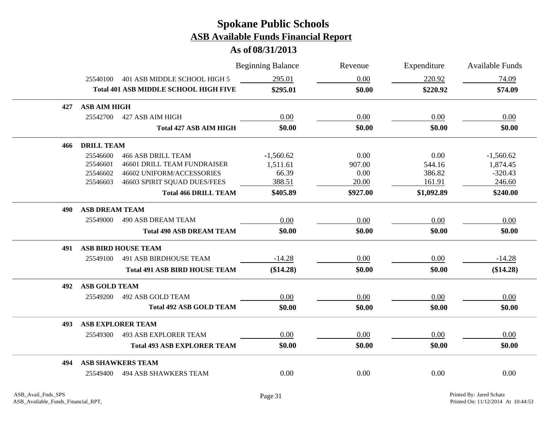|     |                       |                                              | <b>Beginning Balance</b> | Revenue  | Expenditure | <b>Available Funds</b> |
|-----|-----------------------|----------------------------------------------|--------------------------|----------|-------------|------------------------|
|     | 25540100              | 401 ASB MIDDLE SCHOOL HIGH 5                 | 295.01                   | 0.00     | 220.92      | 74.09                  |
|     |                       | <b>Total 401 ASB MIDDLE SCHOOL HIGH FIVE</b> | \$295.01                 | \$0.00   | \$220.92    | \$74.09                |
| 427 | <b>ASB AIM HIGH</b>   |                                              |                          |          |             |                        |
|     | 25542700              | 427 ASB AIM HIGH                             | 0.00                     | 0.00     | 0.00        | 0.00                   |
|     |                       | <b>Total 427 ASB AIM HIGH</b>                | \$0.00                   | \$0.00   | \$0.00      | \$0.00                 |
| 466 | <b>DRILL TEAM</b>     |                                              |                          |          |             |                        |
|     | 25546600              | <b>466 ASB DRILL TEAM</b>                    | $-1,560.62$              | 0.00     | 0.00        | $-1,560.62$            |
|     | 25546601              | <b>46601 DRILL TEAM FUNDRAISER</b>           | 1,511.61                 | 907.00   | 544.16      | 1,874.45               |
|     | 25546602              | 46602 UNIFORM/ACCESSORIES                    | 66.39                    | 0.00     | 386.82      | $-320.43$              |
|     | 25546603              | 46603 SPIRIT SQUAD DUES/FEES                 | 388.51                   | 20.00    | 161.91      | 246.60                 |
|     |                       | <b>Total 466 DRILL TEAM</b>                  | \$405.89                 | \$927.00 | \$1,092.89  | \$240.00               |
| 490 | <b>ASB DREAM TEAM</b> |                                              |                          |          |             |                        |
|     | 25549000              | <b>490 ASB DREAM TEAM</b>                    | 0.00                     | 0.00     | 0.00        | 0.00                   |
|     |                       | <b>Total 490 ASB DREAM TEAM</b>              | \$0.00                   | \$0.00   | \$0.00      | \$0.00                 |
| 491 |                       | <b>ASB BIRD HOUSE TEAM</b>                   |                          |          |             |                        |
|     | 25549100              | 491 ASB BIRDHOUSE TEAM                       | $-14.28$                 | 0.00     | 0.00        | $-14.28$               |
|     |                       | <b>Total 491 ASB BIRD HOUSE TEAM</b>         | (\$14.28)                | \$0.00   | \$0.00      | (\$14.28)              |
| 492 | <b>ASB GOLD TEAM</b>  |                                              |                          |          |             |                        |
|     | 25549200              | 492 ASB GOLD TEAM                            | 0.00                     | 0.00     | 0.00        | 0.00                   |
|     |                       | <b>Total 492 ASB GOLD TEAM</b>               | \$0.00                   | \$0.00   | \$0.00      | \$0.00                 |
| 493 |                       | <b>ASB EXPLORER TEAM</b>                     |                          |          |             |                        |
|     | 25549300              | <b>493 ASB EXPLORER TEAM</b>                 | 0.00                     | 0.00     | 0.00        | 0.00                   |
|     |                       | <b>Total 493 ASB EXPLORER TEAM</b>           | \$0.00                   | \$0.00   | \$0.00      | \$0.00                 |
| 494 |                       | <b>ASB SHAWKERS TEAM</b>                     |                          |          |             |                        |
|     | 25549400              | <b>494 ASB SHAWKERS TEAM</b>                 | 0.00                     | 0.00     | 0.00        | 0.00                   |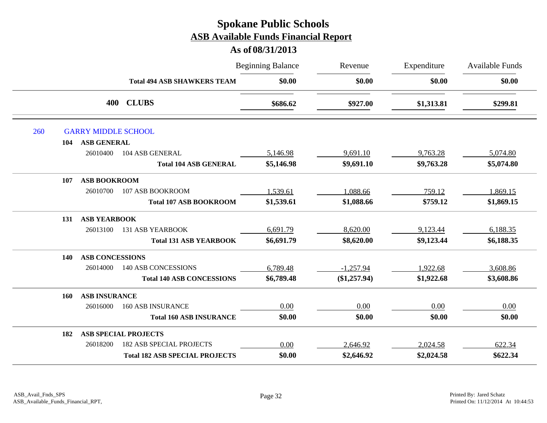|     |                           |                                       | <b>Beginning Balance</b> | Revenue      | Expenditure | <b>Available Funds</b> |
|-----|---------------------------|---------------------------------------|--------------------------|--------------|-------------|------------------------|
|     |                           | <b>Total 494 ASB SHAWKERS TEAM</b>    | \$0.00                   | \$0.00       | \$0.00      | \$0.00                 |
|     |                           | <b>CLUBS</b><br>400                   | \$686.62                 | \$927.00     | \$1,313.81  | \$299.81               |
| 260 |                           | <b>GARRY MIDDLE SCHOOL</b>            |                          |              |             |                        |
|     | <b>ASB GENERAL</b><br>104 |                                       |                          |              |             |                        |
|     | 26010400                  | 104 ASB GENERAL                       | 5,146.98                 | 9,691.10     | 9,763.28    | 5,074.80               |
|     |                           | <b>Total 104 ASB GENERAL</b>          | \$5,146.98               | \$9,691.10   | \$9,763.28  | \$5,074.80             |
|     | 107                       | <b>ASB BOOKROOM</b>                   |                          |              |             |                        |
|     | 26010700                  | 107 ASB BOOKROOM                      | 1,539.61                 | 1,088.66     | 759.12      | 1,869.15               |
|     |                           | <b>Total 107 ASB BOOKROOM</b>         | \$1,539.61               | \$1,088.66   | \$759.12    | \$1,869.15             |
|     | 131                       | <b>ASB YEARBOOK</b>                   |                          |              |             |                        |
|     | 26013100                  | <b>131 ASB YEARBOOK</b>               | 6,691.79                 | 8,620.00     | 9,123.44    | 6,188.35               |
|     |                           | <b>Total 131 ASB YEARBOOK</b>         | \$6,691.79               | \$8,620.00   | \$9,123.44  | \$6,188.35             |
|     | 140                       | <b>ASB CONCESSIONS</b>                |                          |              |             |                        |
|     | 26014000                  | <b>140 ASB CONCESSIONS</b>            | 6,789.48                 | $-1,257.94$  | 1,922.68    | 3,608.86               |
|     |                           | <b>Total 140 ASB CONCESSIONS</b>      | \$6,789.48               | (\$1,257.94) | \$1,922.68  | \$3,608.86             |
|     | 160                       | <b>ASB INSURANCE</b>                  |                          |              |             |                        |
|     | 26016000                  | <b>160 ASB INSURANCE</b>              | 0.00                     | 0.00         | 0.00        | 0.00                   |
|     |                           | <b>Total 160 ASB INSURANCE</b>        | \$0.00                   | \$0.00       | \$0.00      | \$0.00                 |
|     | 182                       | <b>ASB SPECIAL PROJECTS</b>           |                          |              |             |                        |
|     | 26018200                  | <b>182 ASB SPECIAL PROJECTS</b>       | 0.00                     | 2,646.92     | 2,024.58    | 622.34                 |
|     |                           | <b>Total 182 ASB SPECIAL PROJECTS</b> | \$0.00                   | \$2,646.92   | \$2,024.58  | \$622.34               |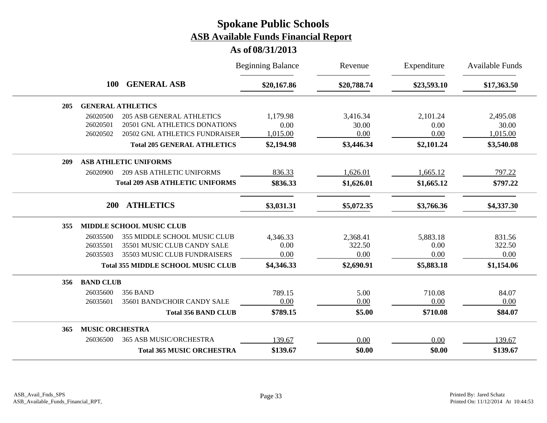|                                     |                                           | <b>Beginning Balance</b> | Revenue     | Expenditure | <b>Available Funds</b> |
|-------------------------------------|-------------------------------------------|--------------------------|-------------|-------------|------------------------|
| 100                                 | <b>GENERAL ASB</b>                        | \$20,167.86              | \$20,788.74 | \$23,593.10 | \$17,363.50            |
| <b>GENERAL ATHLETICS</b><br>205     |                                           |                          |             |             |                        |
| 26020500                            | <b>205 ASB GENERAL ATHLETICS</b>          | 1,179.98                 | 3,416.34    | 2,101.24    | 2,495.08               |
| 26020501                            | 20501 GNL ATHLETICS DONATIONS             | 0.00                     | 30.00       | 0.00        | 30.00                  |
| 26020502                            | 20502 GNL ATHLETICS FUNDRAISER            | 1,015.00                 | 0.00        | 0.00        | 1,015.00               |
|                                     | <b>Total 205 GENERAL ATHLETICS</b>        | \$2,194.98               | \$3,446.34  | \$2,101.24  | \$3,540.08             |
| <b>ASB ATHLETIC UNIFORMS</b><br>209 |                                           |                          |             |             |                        |
| 26020900                            | <b>209 ASB ATHLETIC UNIFORMS</b>          | 836.33                   | 1,626.01    | 1,665.12    | 797.22                 |
|                                     | <b>Total 209 ASB ATHLETIC UNIFORMS</b>    | \$836.33                 | \$1,626.01  | \$1,665.12  | \$797.22               |
| <b>ATHLETICS</b><br><b>200</b>      |                                           | \$3,031.31               | \$5,072.35  | \$3,766.36  | \$4,337.30             |
| MIDDLE SCHOOL MUSIC CLUB<br>355     |                                           |                          |             |             |                        |
| 26035500                            | 355 MIDDLE SCHOOL MUSIC CLUB              | 4,346.33                 | 2,368.41    | 5,883.18    | 831.56                 |
| 26035501                            | 35501 MUSIC CLUB CANDY SALE               | 0.00                     | 322.50      | 0.00        | 322.50                 |
| 26035503                            | 35503 MUSIC CLUB FUNDRAISERS              | 0.00                     | 0.00        | 0.00        | 0.00                   |
|                                     | <b>Total 355 MIDDLE SCHOOL MUSIC CLUB</b> | \$4,346.33               | \$2,690.91  | \$5,883.18  | \$1,154.06             |
| <b>BAND CLUB</b><br>356             |                                           |                          |             |             |                        |
| 26035600<br><b>356 BAND</b>         |                                           | 789.15                   | 5.00        | 710.08      | 84.07                  |
| 26035601                            | 35601 BAND/CHOIR CANDY SALE               | 0.00                     | 0.00        | 0.00        | 0.00                   |
|                                     | <b>Total 356 BAND CLUB</b>                | \$789.15                 | \$5.00      | \$710.08    | \$84.07                |
| <b>MUSIC ORCHESTRA</b><br>365       |                                           |                          |             |             |                        |
| 26036500                            | 365 ASB MUSIC/ORCHESTRA                   | 139.67                   | 0.00        | 0.00        | 139.67                 |
|                                     | <b>Total 365 MUSIC ORCHESTRA</b>          | \$139.67                 | \$0.00      | \$0.00      | \$139.67               |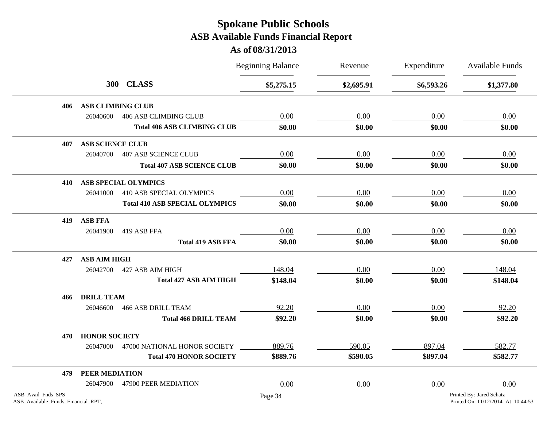|                                                          |                          |                                       | <b>Beginning Balance</b> | Revenue    | Expenditure | <b>Available Funds</b>                                         |
|----------------------------------------------------------|--------------------------|---------------------------------------|--------------------------|------------|-------------|----------------------------------------------------------------|
|                                                          |                          | 300 CLASS                             | \$5,275.15               | \$2,695.91 | \$6,593.26  | \$1,377.80                                                     |
| 406                                                      | <b>ASB CLIMBING CLUB</b> |                                       |                          |            |             |                                                                |
|                                                          | 26040600                 | <b>406 ASB CLIMBING CLUB</b>          | 0.00                     | 0.00       | 0.00        | 0.00                                                           |
|                                                          |                          | <b>Total 406 ASB CLIMBING CLUB</b>    | \$0.00                   | \$0.00     | \$0.00      | \$0.00                                                         |
| 407                                                      | <b>ASB SCIENCE CLUB</b>  |                                       |                          |            |             |                                                                |
|                                                          | 26040700                 | <b>407 ASB SCIENCE CLUB</b>           | 0.00                     | 0.00       | 0.00        | 0.00                                                           |
|                                                          |                          | <b>Total 407 ASB SCIENCE CLUB</b>     | \$0.00                   | \$0.00     | \$0.00      | \$0.00                                                         |
| 410                                                      |                          | <b>ASB SPECIAL OLYMPICS</b>           |                          |            |             |                                                                |
|                                                          | 26041000                 | 410 ASB SPECIAL OLYMPICS              | $0.00\,$                 | 0.00       | 0.00        | 0.00                                                           |
|                                                          |                          | <b>Total 410 ASB SPECIAL OLYMPICS</b> | \$0.00                   | \$0.00     | \$0.00      | \$0.00                                                         |
| 419                                                      | <b>ASB FFA</b>           |                                       |                          |            |             |                                                                |
|                                                          | 26041900                 | 419 ASB FFA                           | 0.00                     | 0.00       | 0.00        | 0.00                                                           |
|                                                          |                          | <b>Total 419 ASB FFA</b>              | \$0.00                   | \$0.00     | \$0.00      | \$0.00                                                         |
| 427                                                      | <b>ASB AIM HIGH</b>      |                                       |                          |            |             |                                                                |
|                                                          | 26042700                 | 427 ASB AIM HIGH                      | 148.04                   | 0.00       | 0.00        | 148.04                                                         |
|                                                          |                          | <b>Total 427 ASB AIM HIGH</b>         | \$148.04                 | \$0.00     | \$0.00      | \$148.04                                                       |
| 466                                                      | <b>DRILL TEAM</b>        |                                       |                          |            |             |                                                                |
|                                                          | 26046600                 | <b>466 ASB DRILL TEAM</b>             | 92.20                    | 0.00       | 0.00        | 92.20                                                          |
|                                                          |                          | <b>Total 466 DRILL TEAM</b>           | \$92.20                  | \$0.00     | \$0.00      | \$92.20                                                        |
| 470                                                      | <b>HONOR SOCIETY</b>     |                                       |                          |            |             |                                                                |
|                                                          | 26047000                 | 47000 NATIONAL HONOR SOCIETY          | 889.76                   | 590.05     | 897.04      | 582.77                                                         |
|                                                          |                          | <b>Total 470 HONOR SOCIETY</b>        | \$889.76                 | \$590.05   | \$897.04    | \$582.77                                                       |
| 479                                                      | PEER MEDIATION           |                                       |                          |            |             |                                                                |
|                                                          | 26047900                 | 47900 PEER MEDIATION                  | 0.00                     | 0.00       | 0.00        | 0.00                                                           |
| ASB_Avail_Fnds_SPS<br>ASB_Available_Funds_Financial_RPT, |                          |                                       | Page 34                  |            |             | Printed By: Jared Schatz<br>Printed On: 11/12/2014 At 10:44:53 |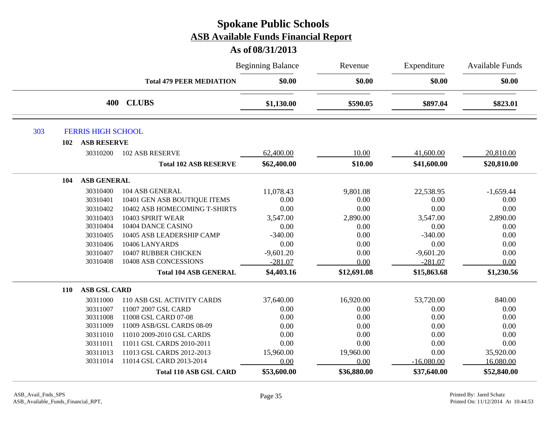|            |                           | <b>Beginning Balance</b><br>Revenue |             | Expenditure | <b>Available Funds</b> |             |
|------------|---------------------------|-------------------------------------|-------------|-------------|------------------------|-------------|
|            |                           | <b>Total 479 PEER MEDIATION</b>     | \$0.00      | \$0.00      | \$0.00                 | \$0.00      |
|            | 400                       | <b>CLUBS</b>                        | \$1,130.00  | \$590.05    | \$897.04               | \$823.01    |
| 303        | <b>FERRIS HIGH SCHOOL</b> |                                     |             |             |                        |             |
| 102        | <b>ASB RESERVE</b>        |                                     |             |             |                        |             |
|            | 30310200                  | <b>102 ASB RESERVE</b>              | 62,400.00   | 10.00       | 41,600.00              | 20,810.00   |
|            |                           | <b>Total 102 ASB RESERVE</b>        | \$62,400.00 | \$10.00     | \$41,600.00            | \$20,810.00 |
| 104        | <b>ASB GENERAL</b>        |                                     |             |             |                        |             |
|            | 30310400                  | 104 ASB GENERAL                     | 11,078.43   | 9,801.08    | 22,538.95              | $-1,659.44$ |
|            | 30310401                  | 10401 GEN ASB BOUTIQUE ITEMS        | 0.00        | 0.00        | 0.00                   | 0.00        |
|            | 30310402                  | 10402 ASB HOMECOMING T-SHIRTS       | 0.00        | 0.00        | 0.00                   | 0.00        |
|            | 30310403                  | 10403 SPIRIT WEAR                   | 3,547.00    | 2,890.00    | 3,547.00               | 2,890.00    |
|            | 30310404                  | 10404 DANCE CASINO                  | 0.00        | 0.00        | 0.00                   | 0.00        |
|            | 30310405                  | 10405 ASB LEADERSHIP CAMP           | $-340.00$   | 0.00        | $-340.00$              | 0.00        |
|            | 30310406                  | 10406 LANYARDS                      | 0.00        | 0.00        | 0.00                   | 0.00        |
|            | 30310407                  | 10407 RUBBER CHICKEN                | $-9,601.20$ | 0.00        | $-9,601.20$            | 0.00        |
|            | 30310408                  | 10408 ASB CONCESSIONS               | $-281.07$   | 0.00        | $-281.07$              | 0.00        |
|            |                           | <b>Total 104 ASB GENERAL</b>        | \$4,403.16  | \$12,691.08 | \$15,863.68            | \$1,230.56  |
| <b>110</b> | <b>ASB GSL CARD</b>       |                                     |             |             |                        |             |
|            | 30311000                  | 110 ASB GSL ACTIVITY CARDS          | 37,640.00   | 16,920.00   | 53,720.00              | 840.00      |
|            | 30311007                  | 11007 2007 GSL CARD                 | 0.00        | 0.00        | 0.00                   | 0.00        |
|            | 30311008                  | 11008 GSL CARD 07-08                | 0.00        | 0.00        | 0.00                   | 0.00        |
|            | 30311009                  | 11009 ASB/GSL CARDS 08-09           | 0.00        | 0.00        | 0.00                   | 0.00        |
|            | 30311010                  | 11010 2009-2010 GSL CARDS           | 0.00        | 0.00        | 0.00                   | 0.00        |
|            | 30311011                  | 11011 GSL CARDS 2010-2011           | 0.00        | 0.00        | 0.00                   | 0.00        |
|            | 30311013                  | 11013 GSL CARDS 2012-2013           | 15,960.00   | 19,960.00   | 0.00                   | 35,920.00   |
|            | 30311014                  | 11014 GSL CARD 2013-2014            | 0.00        | 0.00        | $-16,080.00$           | 16,080.00   |
|            |                           | <b>Total 110 ASB GSL CARD</b>       | \$53,600.00 | \$36,880.00 | \$37,640.00            | \$52,840.00 |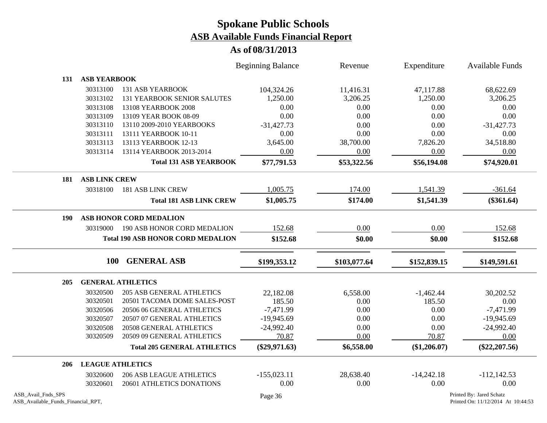|                                                          |                         |                                          | <b>Beginning Balance</b> | Revenue      | Expenditure  | <b>Available Funds</b>                                         |
|----------------------------------------------------------|-------------------------|------------------------------------------|--------------------------|--------------|--------------|----------------------------------------------------------------|
| 131                                                      | <b>ASB YEARBOOK</b>     |                                          |                          |              |              |                                                                |
|                                                          | 30313100                | <b>131 ASB YEARBOOK</b>                  | 104,324.26               | 11,416.31    | 47,117.88    | 68,622.69                                                      |
|                                                          | 30313102                | <b>131 YEARBOOK SENIOR SALUTES</b>       | 1,250.00                 | 3,206.25     | 1,250.00     | 3,206.25                                                       |
|                                                          | 30313108                | 13108 YEARBOOK 2008                      | 0.00                     | 0.00         | 0.00         | 0.00                                                           |
|                                                          | 30313109                | 13109 YEAR BOOK 08-09                    | 0.00                     | 0.00         | 0.00         | 0.00                                                           |
|                                                          | 30313110                | 13110 2009-2010 YEARBOOKS                | $-31,427.73$             | 0.00         | 0.00         | $-31,427.73$                                                   |
|                                                          | 30313111                | 13111 YEARBOOK 10-11                     | 0.00                     | 0.00         | 0.00         | 0.00                                                           |
|                                                          | 30313113                | 13113 YEARBOOK 12-13                     | 3,645.00                 | 38,700.00    | 7,826.20     | 34,518.80                                                      |
|                                                          | 30313114                | 13114 YEARBOOK 2013-2014                 | 0.00                     | 0.00         | 0.00         | 0.00                                                           |
|                                                          |                         | <b>Total 131 ASB YEARBOOK</b>            | \$77,791.53              | \$53,322.56  | \$56,194.08  | \$74,920.01                                                    |
| 181                                                      | <b>ASB LINK CREW</b>    |                                          |                          |              |              |                                                                |
|                                                          | 30318100                | <b>181 ASB LINK CREW</b>                 | 1,005.75                 | 174.00       | 1,541.39     | $-361.64$                                                      |
|                                                          |                         | <b>Total 181 ASB LINK CREW</b>           | \$1,005.75               | \$174.00     | \$1,541.39   | $(\$361.64)$                                                   |
| 190                                                      |                         | <b>ASB HONOR CORD MEDALION</b>           |                          |              |              |                                                                |
|                                                          | 30319000                | 190 ASB HONOR CORD MEDALION              | 152.68                   | 0.00         | 0.00         | 152.68                                                         |
|                                                          |                         | <b>Total 190 ASB HONOR CORD MEDALION</b> | \$152.68                 | \$0.00       | \$0.00       | \$152.68                                                       |
|                                                          | <b>100</b>              | <b>GENERAL ASB</b>                       | \$199,353.12             | \$103,077.64 | \$152,839.15 | \$149,591.61                                                   |
| 205                                                      |                         | <b>GENERAL ATHLETICS</b>                 |                          |              |              |                                                                |
|                                                          | 30320500                | <b>205 ASB GENERAL ATHLETICS</b>         | 22,182.08                | 6,558.00     | $-1,462.44$  | 30,202.52                                                      |
|                                                          | 30320501                | 20501 TACOMA DOME SALES-POST             | 185.50                   | 0.00         | 185.50       | 0.00                                                           |
|                                                          | 30320506                | 20506 06 GENERAL ATHLETICS               | $-7,471.99$              | 0.00         | 0.00         | $-7,471.99$                                                    |
|                                                          | 30320507                | 20507 07 GENERAL ATHLETICS               | $-19,945.69$             | 0.00         | 0.00         | $-19,945.69$                                                   |
|                                                          | 30320508                | 20508 GENERAL ATHLETICS                  | $-24,992.40$             | 0.00         | 0.00         | $-24,992.40$                                                   |
|                                                          | 30320509                | 20509 09 GENERAL ATHLETICS               | 70.87                    | 0.00         | 70.87        | 0.00                                                           |
|                                                          |                         | <b>Total 205 GENERAL ATHLETICS</b>       | $(\$29,971.63)$          | \$6,558.00   | (\$1,206.07) | $(\$22, 207.56)$                                               |
| 206                                                      | <b>LEAGUE ATHLETICS</b> |                                          |                          |              |              |                                                                |
|                                                          | 30320600                | <b>206 ASB LEAGUE ATHLETICS</b>          | $-155,023.11$            | 28,638.40    | $-14,242.18$ | $-112,142.53$                                                  |
|                                                          | 30320601                | 20601 ATHLETICS DONATIONS                | 0.00                     | 0.00         | 0.00         | 0.00                                                           |
| ASB_Avail_Fnds_SPS<br>ASB_Available_Funds_Financial_RPT, |                         |                                          | Page 36                  |              |              | Printed By: Jared Schatz<br>Printed On: 11/12/2014 At 10:44:53 |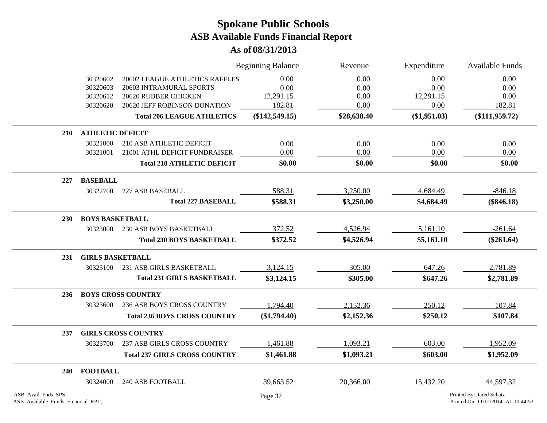|                                                          |                         |                                      | <b>Beginning Balance</b> | Revenue     | Expenditure  | <b>Available Funds</b>                                         |
|----------------------------------------------------------|-------------------------|--------------------------------------|--------------------------|-------------|--------------|----------------------------------------------------------------|
|                                                          | 30320602                | 20602 LEAGUE ATHLETICS RAFFLES       | 0.00                     | 0.00        | 0.00         | 0.00                                                           |
|                                                          | 30320603                | 20603 INTRAMURAL SPORTS              | 0.00                     | 0.00        | 0.00         | 0.00                                                           |
|                                                          | 30320612                | 20620 RUBBER CHICKEN                 | 12,291.15                | 0.00        | 12,291.15    | 0.00                                                           |
|                                                          | 30320620                | 20620 JEFF ROBINSON DONATION         | 182.81                   | 0.00        | 0.00         | 182.81                                                         |
|                                                          |                         | <b>Total 206 LEAGUE ATHLETICS</b>    | $(\$142,549.15)$         | \$28,638.40 | (\$1,951.03) | $(\$111,959.72)$                                               |
| <b>210</b>                                               | <b>ATHLETIC DEFICIT</b> |                                      |                          |             |              |                                                                |
|                                                          | 30321000                | 210 ASB ATHLETIC DEFICIT             | 0.00                     | 0.00        | 0.00         | 0.00                                                           |
|                                                          | 30321001                | 21001 ATHL DEFICIT FUNDRAISER        | 0.00                     | 0.00        | 0.00         | 0.00                                                           |
|                                                          |                         | <b>Total 210 ATHLETIC DEFICIT</b>    | \$0.00                   | \$0.00      | \$0.00       | \$0.00                                                         |
| 227                                                      | <b>BASEBALL</b>         |                                      |                          |             |              |                                                                |
|                                                          | 30322700                | 227 ASB BASEBALL                     | 588.31                   | 3,250.00    | 4,684.49     | $-846.18$                                                      |
|                                                          |                         | <b>Total 227 BASEBALL</b>            | \$588.31                 | \$3,250.00  | \$4,684.49   | $(\$846.18)$                                                   |
| <b>230</b>                                               | <b>BOYS BASKETBALL</b>  |                                      |                          |             |              |                                                                |
|                                                          | 30323000                | 230 ASB BOYS BASKETBALL              | 372.52                   | 4,526.94    | 5,161.10     | $-261.64$                                                      |
|                                                          |                         | <b>Total 230 BOYS BASKETBALL</b>     | \$372.52                 | \$4,526.94  | \$5,161.10   | $(\$261.64)$                                                   |
| 231                                                      | <b>GIRLS BASKETBALL</b> |                                      |                          |             |              |                                                                |
|                                                          | 30323100                | 231 ASB GIRLS BASKETBALL             | 3,124.15                 | 305.00      | 647.26       | 2,781.89                                                       |
|                                                          |                         | <b>Total 231 GIRLS BASKETBALL</b>    | \$3,124.15               | \$305.00    | \$647.26     | \$2,781.89                                                     |
| 236                                                      |                         | <b>BOYS CROSS COUNTRY</b>            |                          |             |              |                                                                |
|                                                          | 30323600                | 236 ASB BOYS CROSS COUNTRY           | $-1,794.40$              | 2,152.36    | 250.12       | 107.84                                                         |
|                                                          |                         | <b>Total 236 BOYS CROSS COUNTRY</b>  | $(\$1,794.40)$           | \$2,152.36  | \$250.12     | \$107.84                                                       |
| 237                                                      |                         | <b>GIRLS CROSS COUNTRY</b>           |                          |             |              |                                                                |
|                                                          | 30323700                | 237 ASB GIRLS CROSS COUNTRY          | 1,461.88                 | 1,093.21    | 603.00       | 1,952.09                                                       |
|                                                          |                         | <b>Total 237 GIRLS CROSS COUNTRY</b> | \$1,461.88               | \$1,093.21  | \$603.00     | \$1,952.09                                                     |
| 240                                                      | <b>FOOTBALL</b>         |                                      |                          |             |              |                                                                |
|                                                          | 30324000                | <b>240 ASB FOOTBALL</b>              | 39,663.52                | 20,366.00   | 15,432.20    | 44,597.32                                                      |
| ASB_Avail_Fnds_SPS<br>ASB_Available_Funds_Financial_RPT, |                         |                                      | Page 37                  |             |              | Printed By: Jared Schatz<br>Printed On: 11/12/2014 At 10:44:53 |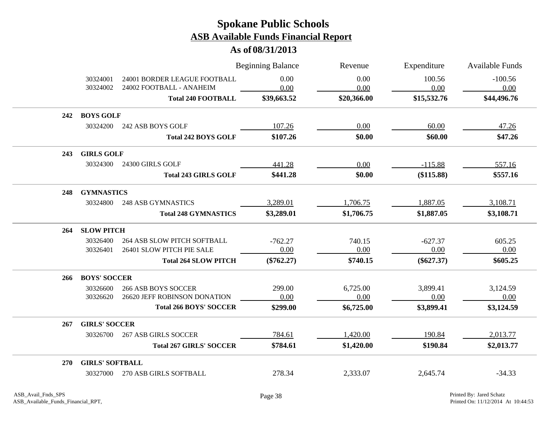|            |                        |                                                          | <b>Beginning Balance</b> | Revenue      | Expenditure    | <b>Available Funds</b> |
|------------|------------------------|----------------------------------------------------------|--------------------------|--------------|----------------|------------------------|
|            | 30324001<br>30324002   | 24001 BORDER LEAGUE FOOTBALL<br>24002 FOOTBALL - ANAHEIM | 0.00<br>0.00             | 0.00<br>0.00 | 100.56<br>0.00 | $-100.56$<br>0.00      |
|            |                        | <b>Total 240 FOOTBALL</b>                                | \$39,663.52              | \$20,366.00  | \$15,532.76    | \$44,496.76            |
| 242        | <b>BOYS GOLF</b>       |                                                          |                          |              |                |                        |
|            | 30324200               | 242 ASB BOYS GOLF                                        | 107.26                   | 0.00         | 60.00          | 47.26                  |
|            |                        | <b>Total 242 BOYS GOLF</b>                               | \$107.26                 | \$0.00       | \$60.00        | \$47.26                |
| 243        | <b>GIRLS GOLF</b>      |                                                          |                          |              |                |                        |
|            | 30324300               | 24300 GIRLS GOLF                                         | 441.28                   | 0.00         | $-115.88$      | 557.16                 |
|            |                        | <b>Total 243 GIRLS GOLF</b>                              | \$441.28                 | \$0.00       | (\$115.88)     | \$557.16               |
| 248        | <b>GYMNASTICS</b>      |                                                          |                          |              |                |                        |
|            | 30324800               | <b>248 ASB GYMNASTICS</b>                                | 3,289.01                 | 1,706.75     | 1,887.05       | 3,108.71               |
|            |                        | <b>Total 248 GYMNASTICS</b>                              | \$3,289.01               | \$1,706.75   | \$1,887.05     | \$3,108.71             |
| 264        | <b>SLOW PITCH</b>      |                                                          |                          |              |                |                        |
|            | 30326400               | <b>264 ASB SLOW PITCH SOFTBALL</b>                       | $-762.27$                | 740.15       | $-627.37$      | 605.25                 |
|            | 30326401               | 26401 SLOW PITCH PIE SALE                                | 0.00                     | 0.00         | 0.00           | 0.00                   |
|            |                        | <b>Total 264 SLOW PITCH</b>                              | $(\$762.27)$             | \$740.15     | $(\$627.37)$   | \$605.25               |
| 266        | <b>BOYS' SOCCER</b>    |                                                          |                          |              |                |                        |
|            | 30326600               | <b>266 ASB BOYS SOCCER</b>                               | 299.00                   | 6,725.00     | 3,899.41       | 3,124.59               |
|            | 30326620               | 26620 JEFF ROBINSON DONATION                             | 0.00                     | 0.00         | 0.00           | 0.00                   |
|            |                        | <b>Total 266 BOYS' SOCCER</b>                            | \$299.00                 | \$6,725.00   | \$3,899.41     | \$3,124.59             |
| 267        | <b>GIRLS' SOCCER</b>   |                                                          |                          |              |                |                        |
|            | 30326700               | <b>267 ASB GIRLS SOCCER</b>                              | 784.61                   | 1,420.00     | 190.84         | 2,013.77               |
|            |                        | <b>Total 267 GIRLS' SOCCER</b>                           | \$784.61                 | \$1,420.00   | \$190.84       | \$2,013.77             |
| <b>270</b> | <b>GIRLS' SOFTBALL</b> |                                                          |                          |              |                |                        |
|            | 30327000               | 270 ASB GIRLS SOFTBALL                                   | 278.34                   | 2,333.07     | 2,645.74       | $-34.33$               |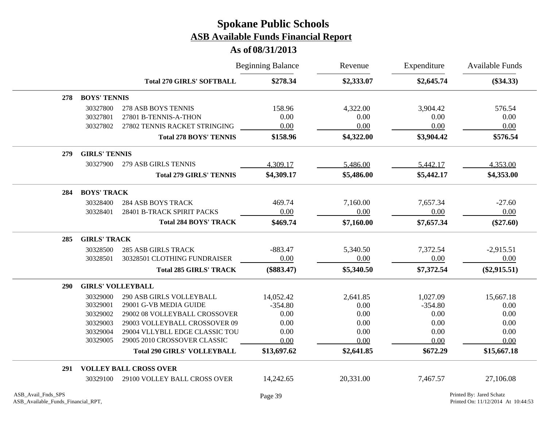|     |                          |                                    | <b>Beginning Balance</b> | Revenue    | Expenditure | <b>Available Funds</b> |
|-----|--------------------------|------------------------------------|--------------------------|------------|-------------|------------------------|
|     |                          | <b>Total 270 GIRLS' SOFTBALL</b>   | \$278.34                 | \$2,333.07 | \$2,645.74  | $(\$34.33)$            |
| 278 | <b>BOYS' TENNIS</b>      |                                    |                          |            |             |                        |
|     | 30327800                 | <b>278 ASB BOYS TENNIS</b>         | 158.96                   | 4,322.00   | 3,904.42    | 576.54                 |
|     | 30327801                 | 27801 B-TENNIS-A-THON              | 0.00                     | 0.00       | 0.00        | 0.00                   |
|     | 30327802                 | 27802 TENNIS RACKET STRINGING      | 0.00                     | 0.00       | 0.00        | 0.00                   |
|     |                          | <b>Total 278 BOYS' TENNIS</b>      | \$158.96                 | \$4,322.00 | \$3,904.42  | \$576.54               |
| 279 | <b>GIRLS' TENNIS</b>     |                                    |                          |            |             |                        |
|     | 30327900                 | 279 ASB GIRLS TENNIS               | 4,309.17                 | 5,486.00   | 5,442.17    | 4,353.00               |
|     |                          | <b>Total 279 GIRLS' TENNIS</b>     | \$4,309.17               | \$5,486.00 | \$5,442.17  | \$4,353.00             |
| 284 | <b>BOYS' TRACK</b>       |                                    |                          |            |             |                        |
|     | 30328400                 | <b>284 ASB BOYS TRACK</b>          | 469.74                   | 7,160.00   | 7,657.34    | $-27.60$               |
|     | 30328401                 | 28401 B-TRACK SPIRIT PACKS         | 0.00                     | 0.00       | 0.00        | 0.00                   |
|     |                          | <b>Total 284 BOYS' TRACK</b>       | \$469.74                 | \$7,160.00 | \$7,657.34  | $(\$27.60)$            |
| 285 | <b>GIRLS' TRACK</b>      |                                    |                          |            |             |                        |
|     | 30328500                 | <b>285 ASB GIRLS TRACK</b>         | $-883.47$                | 5,340.50   | 7,372.54    | $-2,915.51$            |
|     | 30328501                 | 30328501 CLOTHING FUNDRAISER       | 0.00                     | 0.00       | 0.00        | 0.00                   |
|     |                          | <b>Total 285 GIRLS' TRACK</b>      | $(\$883.47)$             | \$5,340.50 | \$7,372.54  | $(\$2,915.51)$         |
| 290 | <b>GIRLS' VOLLEYBALL</b> |                                    |                          |            |             |                        |
|     | 30329000                 | 290 ASB GIRLS VOLLEYBALL           | 14,052.42                | 2,641.85   | 1,027.09    | 15,667.18              |
|     | 30329001                 | 29001 G-VB MEDIA GUIDE             | $-354.80$                | 0.00       | $-354.80$   | 0.00                   |
|     | 30329002                 | 29002 08 VOLLEYBALL CROSSOVER      | 0.00                     | 0.00       | 0.00        | 0.00                   |
|     | 30329003                 | 29003 VOLLEYBALL CROSSOVER 09      | 0.00                     | 0.00       | 0.00        | 0.00                   |
|     | 30329004                 | 29004 VLLYBLL EDGE CLASSIC TOU     | 0.00                     | 0.00       | 0.00        | 0.00                   |
|     | 30329005                 | 29005 2010 CROSSOVER CLASSIC       | 0.00                     | 0.00       | 0.00        | 0.00                   |
|     |                          | <b>Total 290 GIRLS' VOLLEYBALL</b> | \$13,697.62              | \$2,641.85 | \$672.29    | \$15,667.18            |
| 291 |                          | <b>VOLLEY BALL CROSS OVER</b>      |                          |            |             |                        |
|     | 30329100                 | 29100 VOLLEY BALL CROSS OVER       | 14,242.65                | 20,331.00  | 7,467.57    | 27,106.08              |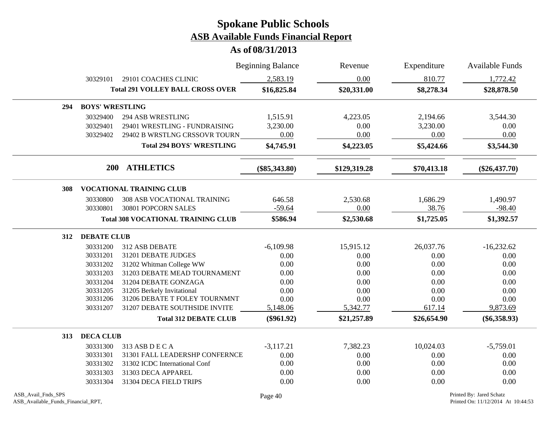|     |                        |                                           | <b>Beginning Balance</b> | Revenue      | Expenditure | <b>Available Funds</b> |
|-----|------------------------|-------------------------------------------|--------------------------|--------------|-------------|------------------------|
|     | 30329101               | 29101 COACHES CLINIC                      | 2,583.19                 | 0.00         | 810.77      | 1,772.42               |
|     |                        | <b>Total 291 VOLLEY BALL CROSS OVER</b>   | \$16,825.84              | \$20,331.00  | \$8,278.34  | \$28,878.50            |
| 294 | <b>BOYS' WRESTLING</b> |                                           |                          |              |             |                        |
|     | 30329400               | <b>294 ASB WRESTLING</b>                  | 1,515.91                 | 4,223.05     | 2,194.66    | 3,544.30               |
|     | 30329401               | 29401 WRESTLING - FUNDRAISING             | 3,230.00                 | $0.00\,$     | 3,230.00    | 0.00                   |
|     | 30329402               | 29402 B WRSTLNG CRSSOVR TOURN             | 0.00                     | 0.00         | 0.00        | 0.00                   |
|     |                        | <b>Total 294 BOYS' WRESTLING</b>          | \$4,745.91               | \$4,223.05   | \$5,424.66  | \$3,544.30             |
|     |                        | 200 ATHLETICS                             | $(\$85,343.80)$          | \$129,319.28 | \$70,413.18 | $(\$26,437.70)$        |
| 308 |                        | <b>VOCATIONAL TRAINING CLUB</b>           |                          |              |             |                        |
|     | 30330800               | 308 ASB VOCATIONAL TRAINING               | 646.58                   | 2,530.68     | 1,686.29    | 1,490.97               |
|     | 30330801               | 30801 POPCORN SALES                       | $-59.64$                 | 0.00         | 38.76       | $-98.40$               |
|     |                        | <b>Total 308 VOCATIONAL TRAINING CLUB</b> | \$586.94                 | \$2,530.68   | \$1,725.05  | \$1,392.57             |
| 312 | <b>DEBATE CLUB</b>     |                                           |                          |              |             |                        |
|     | 30331200               | 312 ASB DEBATE                            | $-6,109.98$              | 15,915.12    | 26,037.76   | $-16,232.62$           |
|     | 30331201               | 31201 DEBATE JUDGES                       | 0.00                     | 0.00         | 0.00        | 0.00                   |
|     | 30331202               | 31202 Whitman College WW                  | 0.00                     | 0.00         | 0.00        | 0.00                   |
|     | 30331203               | 31203 DEBATE MEAD TOURNAMENT              | 0.00                     | 0.00         | 0.00        | 0.00                   |
|     | 30331204               | 31204 DEBATE GONZAGA                      | 0.00                     | 0.00         | 0.00        | 0.00                   |
|     | 30331205               | 31205 Berkely Invitational                | 0.00                     | 0.00         | 0.00        | 0.00                   |
|     | 30331206               | 31206 DEBATE T FOLEY TOURNMNT             | 0.00                     | 0.00         | 0.00        | 0.00                   |
|     | 30331207               | 31207 DEBATE SOUTHSIDE INVITE             | 5,148.06                 | 5,342.77     | 617.14      | 9,873.69               |
|     |                        | <b>Total 312 DEBATE CLUB</b>              | $(\$961.92)$             | \$21,257.89  | \$26,654.90 | $(\$6,358.93)$         |
| 313 | <b>DECA CLUB</b>       |                                           |                          |              |             |                        |
|     | 30331300               | 313 ASB D E C A                           | $-3,117.21$              | 7,382.23     | 10,024.03   | $-5,759.01$            |
|     | 30331301               | 31301 FALL LEADERSHP CONFERNCE            | 0.00                     | 0.00         | 0.00        | 0.00                   |
|     | 30331302               | 31302 ICDC International Conf             | 0.00                     | 0.00         | 0.00        | 0.00                   |
|     | 30331303               | 31303 DECA APPAREL                        | 0.00                     | 0.00         | 0.00        | 0.00                   |
|     | 30331304               | 31304 DECA FIELD TRIPS                    | 0.00                     | 0.00         | 0.00        | 0.00                   |
|     |                        |                                           |                          |              |             |                        |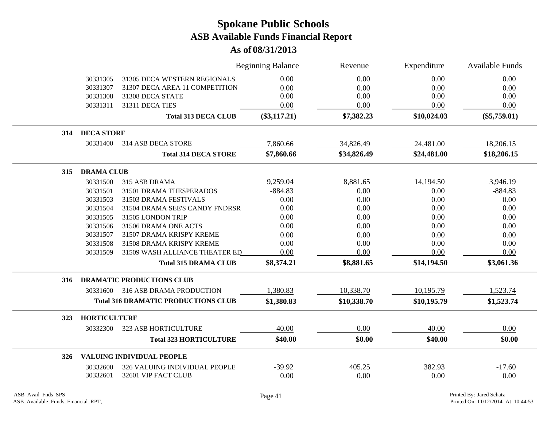|     |                     |                                            | <b>Beginning Balance</b> | Revenue     | Expenditure | Available Funds |
|-----|---------------------|--------------------------------------------|--------------------------|-------------|-------------|-----------------|
|     | 30331305            | 31305 DECA WESTERN REGIONALS               | 0.00                     | 0.00        | 0.00        | 0.00            |
|     | 30331307            | 31307 DECA AREA 11 COMPETITION             | 0.00                     | 0.00        | 0.00        | 0.00            |
|     | 30331308            | 31308 DECA STATE                           | 0.00                     | 0.00        | 0.00        | 0.00            |
|     | 30331311            | 31311 DECA TIES                            | 0.00                     | 0.00        | 0.00        | 0.00            |
|     |                     | <b>Total 313 DECA CLUB</b>                 | $(\$3,117.21)$           | \$7,382.23  | \$10,024.03 | $(\$5,759.01)$  |
| 314 | <b>DECA STORE</b>   |                                            |                          |             |             |                 |
|     | 30331400            | 314 ASB DECA STORE                         | 7,860.66                 | 34,826.49   | 24,481.00   | 18,206.15       |
|     |                     | <b>Total 314 DECA STORE</b>                | \$7,860.66               | \$34,826.49 | \$24,481.00 | \$18,206.15     |
| 315 | <b>DRAMA CLUB</b>   |                                            |                          |             |             |                 |
|     | 30331500            | 315 ASB DRAMA                              | 9,259.04                 | 8,881.65    | 14,194.50   | 3,946.19        |
|     | 30331501            | 31501 DRAMA THESPERADOS                    | $-884.83$                | 0.00        | 0.00        | $-884.83$       |
|     | 30331503            | 31503 DRAMA FESTIVALS                      | 0.00                     | 0.00        | 0.00        | 0.00            |
|     | 30331504            | 31504 DRAMA SEE'S CANDY FNDRSR             | 0.00                     | 0.00        | 0.00        | 0.00            |
|     | 30331505            | 31505 LONDON TRIP                          | 0.00                     | 0.00        | 0.00        | 0.00            |
|     | 30331506            | 31506 DRAMA ONE ACTS                       | 0.00                     | 0.00        | 0.00        | 0.00            |
|     | 30331507            | 31507 DRAMA KRISPY KREME                   | 0.00                     | 0.00        | 0.00        | 0.00            |
|     | 30331508            | 31508 DRAMA KRISPY KREME                   | 0.00                     | 0.00        | 0.00        | 0.00            |
|     | 30331509            | 31509 WASH ALLIANCE THEATER ED             | 0.00                     | 0.00        | 0.00        | 0.00            |
|     |                     | <b>Total 315 DRAMA CLUB</b>                | \$8,374.21               | \$8,881.65  | \$14,194.50 | \$3,061.36      |
| 316 |                     | <b>DRAMATIC PRODUCTIONS CLUB</b>           |                          |             |             |                 |
|     | 30331600            | 316 ASB DRAMA PRODUCTION                   | 1,380.83                 | 10,338.70   | 10,195.79   | 1,523.74        |
|     |                     | <b>Total 316 DRAMATIC PRODUCTIONS CLUB</b> | \$1,380.83               | \$10,338.70 | \$10,195.79 | \$1,523.74      |
| 323 | <b>HORTICULTURE</b> |                                            |                          |             |             |                 |
|     | 30332300            | 323 ASB HORTICULTURE                       | 40.00                    | 0.00        | 40.00       | 0.00            |
|     |                     | <b>Total 323 HORTICULTURE</b>              | \$40.00                  | \$0.00      | \$40.00     | \$0.00          |
| 326 |                     | VALUING INDIVIDUAL PEOPLE                  |                          |             |             |                 |
|     | 30332600            | 326 VALUING INDIVIDUAL PEOPLE              | $-39.92$                 | 405.25      | 382.93      | $-17.60$        |
|     | 30332601            | 32601 VIP FACT CLUB                        | 0.00                     | 0.00        | 0.00        | 0.00            |
|     |                     |                                            |                          |             |             |                 |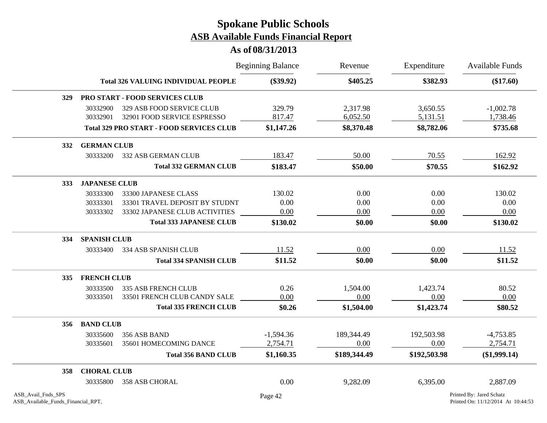|                                                          |                                            |                                                          | <b>Beginning Balance</b> | Revenue              | Expenditure          | <b>Available Funds</b>                                         |  |  |
|----------------------------------------------------------|--------------------------------------------|----------------------------------------------------------|--------------------------|----------------------|----------------------|----------------------------------------------------------------|--|--|
|                                                          | <b>Total 326 VALUING INDIVIDUAL PEOPLE</b> |                                                          | $(\$39.92)$              | \$405.25             | \$382.93             | $(\$17.60)$                                                    |  |  |
| 329                                                      |                                            | PRO START - FOOD SERVICES CLUB                           |                          |                      |                      |                                                                |  |  |
|                                                          | 30332900<br>30332901                       | 329 ASB FOOD SERVICE CLUB<br>32901 FOOD SERVICE ESPRESSO | 329.79<br>817.47         | 2,317.98<br>6,052.50 | 3,650.55<br>5,131.51 | $-1,002.78$<br>1,738.46                                        |  |  |
|                                                          |                                            | <b>Total 329 PRO START - FOOD SERVICES CLUB</b>          | \$1,147.26               | \$8,370.48           | \$8,782.06           | \$735.68                                                       |  |  |
| 332                                                      |                                            | <b>GERMAN CLUB</b>                                       |                          |                      |                      |                                                                |  |  |
|                                                          | 30333200                                   | <b>332 ASB GERMAN CLUB</b>                               | 183.47                   | 50.00                | 70.55                | 162.92                                                         |  |  |
|                                                          |                                            | <b>Total 332 GERMAN CLUB</b>                             | \$183.47                 | \$50.00              | \$70.55              | \$162.92                                                       |  |  |
| 333                                                      | <b>JAPANESE CLUB</b>                       |                                                          |                          |                      |                      |                                                                |  |  |
|                                                          | 30333300                                   | 33300 JAPANESE CLASS                                     | 130.02                   | 0.00                 | 0.00                 | 130.02                                                         |  |  |
|                                                          | 30333301                                   | 33301 TRAVEL DEPOSIT BY STUDNT                           | 0.00                     | 0.00                 | 0.00                 | 0.00                                                           |  |  |
|                                                          | 30333302                                   | 33302 JAPANESE CLUB ACTIVITIES                           | 0.00                     | 0.00                 | 0.00                 | 0.00                                                           |  |  |
|                                                          |                                            | <b>Total 333 JAPANESE CLUB</b>                           | \$130.02                 | \$0.00               | \$0.00               | \$130.02                                                       |  |  |
| 334                                                      | <b>SPANISH CLUB</b>                        |                                                          |                          |                      |                      |                                                                |  |  |
|                                                          | 30333400                                   | 334 ASB SPANISH CLUB                                     | 11.52                    | 0.00                 | 0.00                 | 11.52                                                          |  |  |
|                                                          |                                            | <b>Total 334 SPANISH CLUB</b>                            | \$11.52                  | \$0.00               | \$0.00               | \$11.52                                                        |  |  |
| 335                                                      | <b>FRENCH CLUB</b>                         |                                                          |                          |                      |                      |                                                                |  |  |
|                                                          | 30333500                                   | <b>335 ASB FRENCH CLUB</b>                               | 0.26                     | 1,504.00             | 1,423.74             | 80.52                                                          |  |  |
|                                                          | 30333501                                   | 33501 FRENCH CLUB CANDY SALE                             | 0.00                     | 0.00                 | 0.00                 | 0.00                                                           |  |  |
|                                                          |                                            | <b>Total 335 FRENCH CLUB</b>                             | \$0.26                   | \$1,504.00           | \$1,423.74           | \$80.52                                                        |  |  |
| 356                                                      | <b>BAND CLUB</b>                           |                                                          |                          |                      |                      |                                                                |  |  |
|                                                          | 30335600                                   | 356 ASB BAND                                             | $-1,594.36$              | 189,344.49           | 192,503.98           | $-4,753.85$                                                    |  |  |
|                                                          | 30335601                                   | 35601 HOMECOMING DANCE                                   | 2,754.71                 | 0.00                 | 0.00                 | 2,754.71                                                       |  |  |
|                                                          |                                            | <b>Total 356 BAND CLUB</b>                               | \$1,160.35               | \$189,344.49         | \$192,503.98         | $(\$1,999.14)$                                                 |  |  |
| 358                                                      | <b>CHORAL CLUB</b>                         |                                                          |                          |                      |                      |                                                                |  |  |
|                                                          | 30335800                                   | 358 ASB CHORAL                                           | 0.00                     | 9,282.09             | 6,395.00             | 2,887.09                                                       |  |  |
| ASB Avail Fnds SPS<br>ASB_Available_Funds_Financial_RPT, |                                            |                                                          | Page 42                  |                      |                      | Printed By: Jared Schatz<br>Printed On: 11/12/2014 At 10:44:53 |  |  |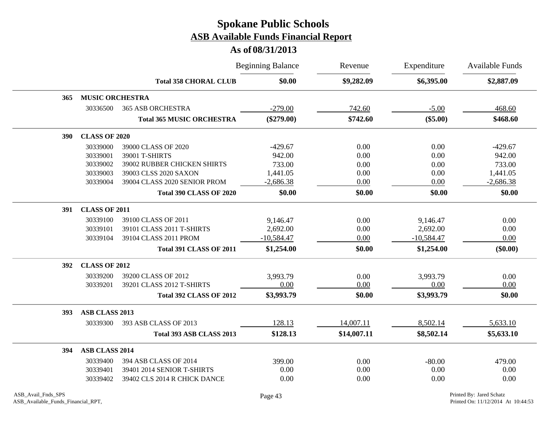|            |                        |                                  | <b>Beginning Balance</b> | Revenue     | Expenditure  | Available Funds |
|------------|------------------------|----------------------------------|--------------------------|-------------|--------------|-----------------|
|            |                        | <b>Total 358 CHORAL CLUB</b>     | \$0.00                   | \$9,282.09  | \$6,395.00   | \$2,887.09      |
| 365        | <b>MUSIC ORCHESTRA</b> |                                  |                          |             |              |                 |
|            | 30336500               | <b>365 ASB ORCHESTRA</b>         | $-279.00$                | 742.60      | $-5.00$      | 468.60          |
|            |                        | <b>Total 365 MUSIC ORCHESTRA</b> | $(\$279.00)$             | \$742.60    | $(\$5.00)$   | \$468.60        |
| <b>390</b> | <b>CLASS OF 2020</b>   |                                  |                          |             |              |                 |
|            | 30339000               | 39000 CLASS OF 2020              | $-429.67$                | 0.00        | 0.00         | $-429.67$       |
|            | 30339001               | 39001 T-SHIRTS                   | 942.00                   | 0.00        | 0.00         | 942.00          |
|            | 30339002               | 39002 RUBBER CHICKEN SHIRTS      | 733.00                   | 0.00        | 0.00         | 733.00          |
|            | 30339003               | 39003 CLSS 2020 SAXON            | 1,441.05                 | 0.00        | 0.00         | 1,441.05        |
|            | 30339004               | 39004 CLASS 2020 SENIOR PROM     | $-2,686.38$              | 0.00        | 0.00         | $-2,686.38$     |
|            |                        | <b>Total 390 CLASS OF 2020</b>   | \$0.00                   | \$0.00      | \$0.00       | \$0.00          |
| 391        | <b>CLASS OF 2011</b>   |                                  |                          |             |              |                 |
|            | 30339100               | 39100 CLASS OF 2011              | 9,146.47                 | 0.00        | 9,146.47     | 0.00            |
|            | 30339101               | 39101 CLASS 2011 T-SHIRTS        | 2,692.00                 | 0.00        | 2,692.00     | 0.00            |
|            | 30339104               | 39104 CLASS 2011 PROM            | $-10,584.47$             | 0.00        | $-10,584.47$ | 0.00            |
|            |                        | <b>Total 391 CLASS OF 2011</b>   | \$1,254.00               | \$0.00      | \$1,254.00   | $(\$0.00)$      |
| 392        | <b>CLASS OF 2012</b>   |                                  |                          |             |              |                 |
|            | 30339200               | 39200 CLASS OF 2012              | 3,993.79                 | 0.00        | 3,993.79     | 0.00            |
|            | 30339201               | 39201 CLASS 2012 T-SHIRTS        | 0.00                     | 0.00        | 0.00         | 0.00            |
|            |                        | <b>Total 392 CLASS OF 2012</b>   | \$3,993.79               | \$0.00      | \$3,993.79   | \$0.00          |
| 393        | ASB CLASS 2013         |                                  |                          |             |              |                 |
|            | 30339300               | 393 ASB CLASS OF 2013            | 128.13                   | 14,007.11   | 8,502.14     | 5,633.10        |
|            |                        | Total 393 ASB CLASS 2013         | \$128.13                 | \$14,007.11 | \$8,502.14   | \$5,633.10      |
| 394        | ASB CLASS 2014         |                                  |                          |             |              |                 |
|            | 30339400               | 394 ASB CLASS OF 2014            | 399.00                   | 0.00        | $-80.00$     | 479.00          |
|            | 30339401               | 39401 2014 SENIOR T-SHIRTS       | $0.00\,$                 | 0.00        | 0.00         | 0.00            |
|            | 30339402               | 39402 CLS 2014 R CHICK DANCE     | 0.00                     | 0.00        | 0.00         | 0.00            |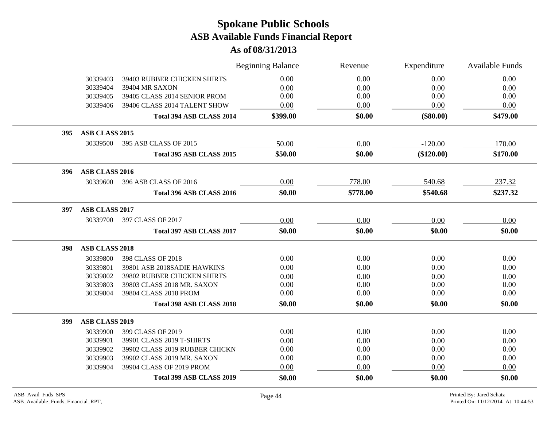|     |                       |                                | <b>Beginning Balance</b> | Revenue  | Expenditure  | <b>Available Funds</b> |
|-----|-----------------------|--------------------------------|--------------------------|----------|--------------|------------------------|
|     | 30339403              | 39403 RUBBER CHICKEN SHIRTS    | 0.00                     | 0.00     | 0.00         | 0.00                   |
|     | 30339404              | 39404 MR SAXON                 | 0.00                     | 0.00     | 0.00         | 0.00                   |
|     | 30339405              | 39405 CLASS 2014 SENIOR PROM   | $0.00\,$                 | 0.00     | $0.00\,$     | 0.00                   |
|     | 30339406              | 39406 CLASS 2014 TALENT SHOW   | 0.00                     | 0.00     | 0.00         | 0.00                   |
|     |                       | Total 394 ASB CLASS 2014       | \$399.00                 | \$0.00   | $(\$80.00)$  | \$479.00               |
| 395 | ASB CLASS 2015        |                                |                          |          |              |                        |
|     | 30339500              | 395 ASB CLASS OF 2015          | 50.00                    | 0.00     | $-120.00$    | 170.00                 |
|     |                       | Total 395 ASB CLASS 2015       | \$50.00                  | \$0.00   | $(\$120.00)$ | \$170.00               |
| 396 | ASB CLASS 2016        |                                |                          |          |              |                        |
|     | 30339600              | 396 ASB CLASS OF 2016          | 0.00                     | 778.00   | 540.68       | 237.32                 |
|     |                       | Total 396 ASB CLASS 2016       | \$0.00                   | \$778.00 | \$540.68     | \$237.32               |
| 397 | ASB CLASS 2017        |                                |                          |          |              |                        |
|     | 30339700              | 397 CLASS OF 2017              | 0.00                     | 0.00     | 0.00         | 0.00                   |
|     |                       | Total 397 ASB CLASS 2017       | \$0.00                   | \$0.00   | \$0.00       | \$0.00                 |
| 398 | <b>ASB CLASS 2018</b> |                                |                          |          |              |                        |
|     | 30339800              | 398 CLASS OF 2018              | 0.00                     | 0.00     | 0.00         | 0.00                   |
|     | 30339801              | 39801 ASB 2018SADIE HAWKINS    | 0.00                     | 0.00     | 0.00         | 0.00                   |
|     | 30339802              | 39802 RUBBER CHICKEN SHIRTS    | 0.00                     | 0.00     | 0.00         | 0.00                   |
|     | 30339803              | 39803 CLASS 2018 MR. SAXON     | 0.00                     | 0.00     | 0.00         | 0.00                   |
|     | 30339804              | 39804 CLASS 2018 PROM          | 0.00                     | 0.00     | 0.00         | 0.00                   |
|     |                       | Total 398 ASB CLASS 2018       | \$0.00                   | \$0.00   | \$0.00       | \$0.00                 |
| 399 | <b>ASB CLASS 2019</b> |                                |                          |          |              |                        |
|     | 30339900              | 399 CLASS OF 2019              | 0.00                     | 0.00     | 0.00         | 0.00                   |
|     | 30339901              | 39901 CLASS 2019 T-SHIRTS      | 0.00                     | 0.00     | 0.00         | 0.00                   |
|     | 30339902              | 39902 CLASS 2019 RUBBER CHICKN | 0.00                     | 0.00     | 0.00         | 0.00                   |
|     | 30339903              | 39902 CLASS 2019 MR. SAXON     | 0.00                     | 0.00     | 0.00         | 0.00                   |
|     | 30339904              | 39904 CLASS OF 2019 PROM       | 0.00                     | 0.00     | 0.00         | 0.00                   |
|     |                       | Total 399 ASB CLASS 2019       | \$0.00                   | \$0.00   | \$0.00       | \$0.00                 |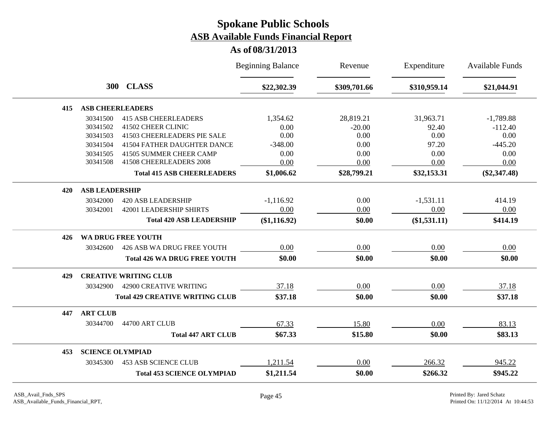|     |                         |                                        | <b>Beginning Balance</b> | Revenue      | Expenditure    | <b>Available Funds</b> |
|-----|-------------------------|----------------------------------------|--------------------------|--------------|----------------|------------------------|
|     |                         | 300 CLASS                              | \$22,302.39              | \$309,701.66 | \$310,959.14   | \$21,044.91            |
| 415 | <b>ASB CHEERLEADERS</b> |                                        |                          |              |                |                        |
|     | 30341500                | <b>415 ASB CHEERLEADERS</b>            | 1,354.62                 | 28,819.21    | 31,963.71      | $-1,789.88$            |
|     | 30341502                | 41502 CHEER CLINIC                     | 0.00                     | $-20.00$     | 92.40          | $-112.40$              |
|     | 30341503                | 41503 CHEERLEADERS PIE SALE            | 0.00                     | 0.00         | 0.00           | 0.00                   |
|     | 30341504                | 41504 FATHER DAUGHTER DANCE            | $-348.00$                | 0.00         | 97.20          | $-445.20$              |
|     | 30341505                | 41505 SUMMER CHEER CAMP                | 0.00                     | 0.00         | 0.00           | 0.00                   |
|     | 30341508                | 41508 CHEERLEADERS 2008                | 0.00                     | 0.00         | 0.00           | 0.00                   |
|     |                         | <b>Total 415 ASB CHEERLEADERS</b>      | \$1,006.62               | \$28,799.21  | \$32,153.31    | $(\$2,347.48)$         |
| 420 | <b>ASB LEADERSHIP</b>   |                                        |                          |              |                |                        |
|     | 30342000                | <b>420 ASB LEADERSHIP</b>              | $-1,116.92$              | 0.00         | $-1,531.11$    | 414.19                 |
|     | 30342001                | <b>42001 LEADERSHIP SHIRTS</b>         | 0.00                     | 0.00         | 0.00           | 0.00                   |
|     |                         | <b>Total 420 ASB LEADERSHIP</b>        | $(\$1,116.92)$           | \$0.00       | $(\$1,531.11)$ | \$414.19               |
| 426 |                         | <b>WA DRUG FREE YOUTH</b>              |                          |              |                |                        |
|     | 30342600                | 426 ASB WA DRUG FREE YOUTH             | 0.00                     | 0.00         | 0.00           | 0.00                   |
|     |                         | <b>Total 426 WA DRUG FREE YOUTH</b>    | \$0.00                   | \$0.00       | \$0.00         | \$0.00                 |
| 429 |                         | <b>CREATIVE WRITING CLUB</b>           |                          |              |                |                        |
|     | 30342900                | 42900 CREATIVE WRITING                 | 37.18                    | 0.00         | 0.00           | 37.18                  |
|     |                         | <b>Total 429 CREATIVE WRITING CLUB</b> | \$37.18                  | \$0.00       | \$0.00         | \$37.18                |
| 447 | <b>ART CLUB</b>         |                                        |                          |              |                |                        |
|     | 30344700                | 44700 ART CLUB                         | 67.33                    | 15.80        | 0.00           | 83.13                  |
|     |                         | <b>Total 447 ART CLUB</b>              | \$67.33                  | \$15.80      | \$0.00         | \$83.13                |
| 453 | <b>SCIENCE OLYMPIAD</b> |                                        |                          |              |                |                        |
|     | 30345300                | <b>453 ASB SCIENCE CLUB</b>            | 1,211.54                 | 0.00         | 266.32         | 945.22                 |
|     |                         | <b>Total 453 SCIENCE OLYMPIAD</b>      | \$1,211.54               | \$0.00       | \$266.32       | \$945.22               |
|     |                         |                                        |                          |              |                |                        |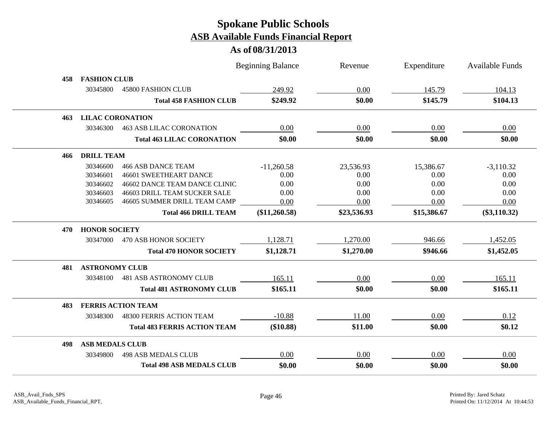|     |                         |                                     | <b>Beginning Balance</b> | Revenue     | Expenditure   | <b>Available Funds</b> |
|-----|-------------------------|-------------------------------------|--------------------------|-------------|---------------|------------------------|
| 458 | <b>FASHION CLUB</b>     |                                     |                          |             |               |                        |
|     | 30345800                | <b>45800 FASHION CLUB</b>           | 249.92                   | 0.00        | <u>145.79</u> | 104.13                 |
|     |                         | <b>Total 458 FASHION CLUB</b>       | \$249.92                 | \$0.00      | \$145.79      | \$104.13               |
| 463 | <b>LILAC CORONATION</b> |                                     |                          |             |               |                        |
|     | 30346300                | <b>463 ASB LILAC CORONATION</b>     | 0.00                     | 0.00        | 0.00          | 0.00                   |
|     |                         | <b>Total 463 LILAC CORONATION</b>   | \$0.00                   | \$0.00      | \$0.00        | \$0.00                 |
| 466 | <b>DRILL TEAM</b>       |                                     |                          |             |               |                        |
|     | 30346600                | <b>466 ASB DANCE TEAM</b>           | $-11,260.58$             | 23,536.93   | 15,386.67     | $-3,110.32$            |
|     | 30346601                | 46601 SWEETHEART DANCE              | 0.00                     | 0.00        | 0.00          | 0.00                   |
|     | 30346602                | 46602 DANCE TEAM DANCE CLINIC       | 0.00                     | 0.00        | 0.00          | 0.00                   |
|     | 30346603                | 46603 DRILL TEAM SUCKER SALE        | 0.00                     | 0.00        | 0.00          | 0.00                   |
|     | 30346605                | 46605 SUMMER DRILL TEAM CAMP        | 0.00                     | 0.00        | 0.00          | 0.00                   |
|     |                         | <b>Total 466 DRILL TEAM</b>         | (\$11,260.58)            | \$23,536.93 | \$15,386.67   | $(\$3,110.32)$         |
| 470 | <b>HONOR SOCIETY</b>    |                                     |                          |             |               |                        |
|     | 30347000                | 470 ASB HONOR SOCIETY               | 1,128.71                 | 1,270.00    | 946.66        | 1,452.05               |
|     |                         | <b>Total 470 HONOR SOCIETY</b>      | \$1,128.71               | \$1,270.00  | \$946.66      | \$1,452.05             |
| 481 | <b>ASTRONOMY CLUB</b>   |                                     |                          |             |               |                        |
|     | 30348100                | <b>481 ASB ASTRONOMY CLUB</b>       | 165.11                   | 0.00        | 0.00          | 165.11                 |
|     |                         | <b>Total 481 ASTRONOMY CLUB</b>     | \$165.11                 | \$0.00      | \$0.00        | \$165.11               |
| 483 |                         | <b>FERRIS ACTION TEAM</b>           |                          |             |               |                        |
|     | 30348300                | <b>48300 FERRIS ACTION TEAM</b>     | $-10.88$                 | 11.00       | 0.00          | 0.12                   |
|     |                         | <b>Total 483 FERRIS ACTION TEAM</b> | (\$10.88)                | \$11.00     | \$0.00        | \$0.12                 |
| 498 | <b>ASB MEDALS CLUB</b>  |                                     |                          |             |               |                        |
|     | 30349800                | <b>498 ASB MEDALS CLUB</b>          | 0.00                     | 0.00        | 0.00          | 0.00                   |
|     |                         | <b>Total 498 ASB MEDALS CLUB</b>    | \$0.00                   | \$0.00      | \$0.00        | \$0.00                 |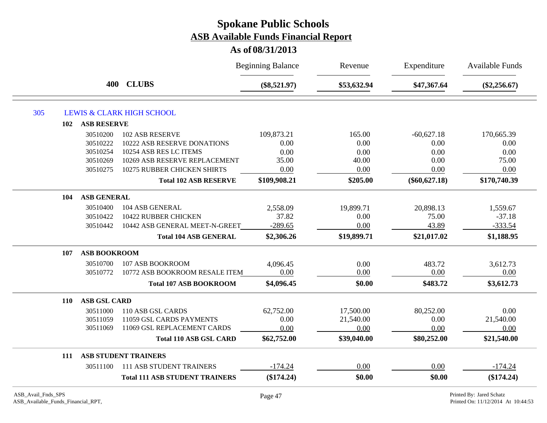|     |                            |                                       | <b>Beginning Balance</b> | Revenue     | Expenditure     | Available Funds |
|-----|----------------------------|---------------------------------------|--------------------------|-------------|-----------------|-----------------|
|     | 400                        | <b>CLUBS</b>                          | $(\$8,521.97)$           | \$53,632.94 | \$47,367.64     | $(\$2,256.67)$  |
| 305 |                            | <b>LEWIS &amp; CLARK HIGH SCHOOL</b>  |                          |             |                 |                 |
|     | <b>ASB RESERVE</b><br>102  |                                       |                          |             |                 |                 |
|     | 30510200                   | <b>102 ASB RESERVE</b>                | 109,873.21               | 165.00      | $-60,627.18$    | 170,665.39      |
|     | 30510222                   | <b>10222 ASB RESERVE DONATIONS</b>    | 0.00                     | 0.00        | 0.00            | 0.00            |
|     | 30510254                   | 10254 ASB RES LC ITEMS                | 0.00                     | 0.00        | 0.00            | 0.00            |
|     | 30510269                   | 10269 ASB RESERVE REPLACEMENT         | 35.00                    | 40.00       | 0.00            | 75.00           |
|     | 30510275                   | 10275 RUBBER CHICKEN SHIRTS           | 0.00                     | 0.00        | 0.00            | 0.00            |
|     |                            | <b>Total 102 ASB RESERVE</b>          | \$109,908.21             | \$205.00    | $(\$60,627.18)$ | \$170,740.39    |
|     | <b>ASB GENERAL</b><br>104  |                                       |                          |             |                 |                 |
|     | 30510400                   | 104 ASB GENERAL                       | 2,558.09                 | 19,899.71   | 20,898.13       | 1,559.67        |
|     | 30510422                   | 10422 RUBBER CHICKEN                  | 37.82                    | 0.00        | 75.00           | $-37.18$        |
|     | 30510442                   | 10442 ASB GENERAL MEET-N-GREET        | $-289.65$                | 0.00        | 43.89           | $-333.54$       |
|     |                            | <b>Total 104 ASB GENERAL</b>          | \$2,306.26               | \$19,899.71 | \$21,017.02     | \$1,188.95      |
|     | <b>ASB BOOKROOM</b><br>107 |                                       |                          |             |                 |                 |
|     | 30510700                   | 107 ASB BOOKROOM                      | 4,096.45                 | 0.00        | 483.72          | 3,612.73        |
|     | 30510772                   | 10772 ASB BOOKROOM RESALE ITEM        | 0.00                     | 0.00        | 0.00            | 0.00            |
|     |                            | <b>Total 107 ASB BOOKROOM</b>         | \$4,096.45               | \$0.00      | \$483.72        | \$3,612.73      |
|     | <b>ASB GSL CARD</b><br>110 |                                       |                          |             |                 |                 |
|     | 30511000                   | 110 ASB GSL CARDS                     | 62,752.00                | 17,500.00   | 80,252.00       | 0.00            |
|     | 30511059                   | 11059 GSL CARDS PAYMENTS              | 0.00                     | 21,540.00   | 0.00            | 21,540.00       |
|     | 30511069                   | 11069 GSL REPLACEMENT CARDS           | 0.00                     | 0.00        | 0.00            | 0.00            |
|     |                            | <b>Total 110 ASB GSL CARD</b>         | \$62,752.00              | \$39,040.00 | \$80,252.00     | \$21,540.00     |
|     | 111                        | <b>ASB STUDENT TRAINERS</b>           |                          |             |                 |                 |
|     | 30511100                   | 111 ASB STUDENT TRAINERS              | $-174.24$                | 0.00        | 0.00            | $-174.24$       |
|     |                            | <b>Total 111 ASB STUDENT TRAINERS</b> | $(\$174.24)$             | \$0.00      | \$0.00          | (\$174.24)      |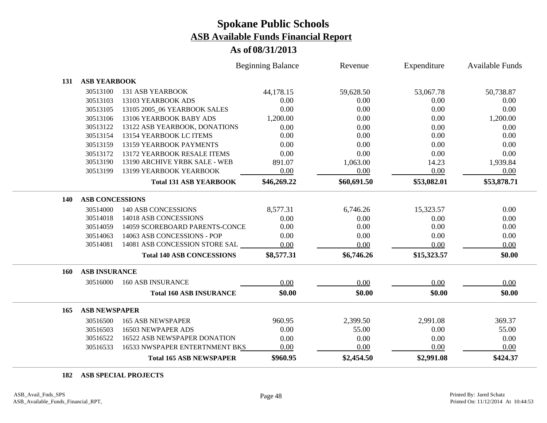### **As of 08/31/2013**

|            |                        |                                  | <b>Beginning Balance</b> | Revenue     | Expenditure | <b>Available Funds</b> |
|------------|------------------------|----------------------------------|--------------------------|-------------|-------------|------------------------|
| 131        | <b>ASB YEARBOOK</b>    |                                  |                          |             |             |                        |
|            | 30513100               | <b>131 ASB YEARBOOK</b>          | 44,178.15                | 59,628.50   | 53,067.78   | 50,738.87              |
|            | 30513103               | 13103 YEARBOOK ADS               | 0.00                     | 0.00        | 0.00        | 0.00                   |
|            | 30513105               | 13105 2005_06 YEARBOOK SALES     | 0.00                     | 0.00        | 0.00        | 0.00                   |
|            | 30513106               | 13106 YEARBOOK BABY ADS          | 1,200.00                 | 0.00        | 0.00        | 1,200.00               |
|            | 30513122               | 13122 ASB YEARBOOK, DONATIONS    | 0.00                     | 0.00        | 0.00        | 0.00                   |
|            | 30513154               | 13154 YEARBOOK LC ITEMS          | 0.00                     | 0.00        | 0.00        | 0.00                   |
|            | 30513159               | 13159 YEARBOOK PAYMENTS          | 0.00                     | 0.00        | 0.00        | 0.00                   |
|            | 30513172               | 13172 YEARBOOK RESALE ITEMS      | 0.00                     | 0.00        | 0.00        | 0.00                   |
|            | 30513190               | 13190 ARCHIVE YRBK SALE - WEB    | 891.07                   | 1,063.00    | 14.23       | 1,939.84               |
|            | 30513199               | 13199 YEARBOOK YEARBOOK          | 0.00                     | 0.00        | 0.00        | 0.00                   |
|            |                        | <b>Total 131 ASB YEARBOOK</b>    | \$46,269.22              | \$60,691.50 | \$53,082.01 | \$53,878.71            |
| 140        | <b>ASB CONCESSIONS</b> |                                  |                          |             |             |                        |
|            | 30514000               | <b>140 ASB CONCESSIONS</b>       | 8,577.31                 | 6,746.26    | 15,323.57   | 0.00                   |
|            | 30514018               | 14018 ASB CONCESSIONS            | 0.00                     | 0.00        | 0.00        | 0.00                   |
|            | 30514059               | 14059 SCOREBOARD PARENTS-CONCE   | 0.00                     | 0.00        | 0.00        | 0.00                   |
|            | 30514063               | 14063 ASB CONCESSIONS - POP      | 0.00                     | 0.00        | 0.00        | 0.00                   |
|            | 30514081               | 14081 ASB CONCESSION STORE SAL   | 0.00                     | 0.00        | 0.00        | 0.00                   |
|            |                        | <b>Total 140 ASB CONCESSIONS</b> | \$8,577.31               | \$6,746.26  | \$15,323.57 | \$0.00                 |
| <b>160</b> | <b>ASB INSURANCE</b>   |                                  |                          |             |             |                        |
|            | 30516000               | <b>160 ASB INSURANCE</b>         | 0.00                     | 0.00        | 0.00        | 0.00                   |
|            |                        | <b>Total 160 ASB INSURANCE</b>   | \$0.00                   | \$0.00      | \$0.00      | \$0.00                 |
| 165        | <b>ASB NEWSPAPER</b>   |                                  |                          |             |             |                        |
|            | 30516500               | <b>165 ASB NEWSPAPER</b>         | 960.95                   | 2,399.50    | 2,991.08    | 369.37                 |
|            | 30516503               | 16503 NEWPAPER ADS               | 0.00                     | 55.00       | 0.00        | 55.00                  |
|            | 30516522               | 16522 ASB NEWSPAPER DONATION     | 0.00                     | 0.00        | 0.00        | 0.00                   |
|            | 30516533               | 16533 NWSPAPER ENTERTNMENT BKS   | 0.00                     | 0.00        | 0.00        | 0.00                   |
|            |                        | <b>Total 165 ASB NEWSPAPER</b>   | \$960.95                 | \$2,454.50  | \$2,991.08  | \$424.37               |

**ASB SPECIAL PROJECTS**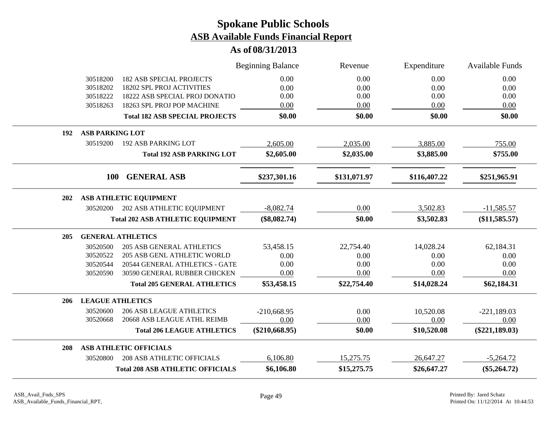|     |                         |                                         | <b>Beginning Balance</b> | Revenue      | Expenditure  | <b>Available Funds</b> |
|-----|-------------------------|-----------------------------------------|--------------------------|--------------|--------------|------------------------|
|     | 30518200                | <b>182 ASB SPECIAL PROJECTS</b>         | 0.00                     | 0.00         | 0.00         | 0.00                   |
|     | 30518202                | <b>18202 SPL PROJ ACTIVITIES</b>        | 0.00                     | 0.00         | 0.00         | 0.00                   |
|     | 30518222                | 18222 ASB SPECIAL PROJ DONATIO          | 0.00                     | 0.00         | 0.00         | 0.00                   |
|     | 30518263                | 18263 SPL PROJ POP MACHINE              | 0.00                     | 0.00         | 0.00         | 0.00                   |
|     |                         | <b>Total 182 ASB SPECIAL PROJECTS</b>   | \$0.00                   | \$0.00       | \$0.00       | \$0.00                 |
| 192 | <b>ASB PARKING LOT</b>  |                                         |                          |              |              |                        |
|     | 30519200                | <b>192 ASB PARKING LOT</b>              | 2,605.00                 | 2,035.00     | 3,885.00     | 755.00                 |
|     |                         | <b>Total 192 ASB PARKING LOT</b>        | \$2,605.00               | \$2,035.00   | \$3,885.00   | \$755.00               |
|     | <b>100</b>              | <b>GENERAL ASB</b>                      | \$237,301.16             | \$131,071.97 | \$116,407.22 | \$251,965.91           |
| 202 |                         | ASB ATHLETIC EQUIPMENT                  |                          |              |              |                        |
|     | 30520200                | 202 ASB ATHLETIC EQUIPMENT              | $-8,082.74$              | 0.00         | 3,502.83     | $-11,585.57$           |
|     |                         | <b>Total 202 ASB ATHLETIC EQUIPMENT</b> | $(\$8,082.74)$           | \$0.00       | \$3,502.83   | $(\$11,585.57)$        |
| 205 |                         | <b>GENERAL ATHLETICS</b>                |                          |              |              |                        |
|     | 30520500                | <b>205 ASB GENERAL ATHLETICS</b>        | 53,458.15                | 22,754.40    | 14,028.24    | 62,184.31              |
|     | 30520522                | <b>205 ASB GENL ATHLETIC WORLD</b>      | 0.00                     | 0.00         | 0.00         | 0.00                   |
|     | 30520544                | 20544 GENERAL ATHLETICS - GATE          | 0.00                     | 0.00         | 0.00         | 0.00                   |
|     | 30520590                | 30590 GENERAL RUBBER CHICKEN            | 0.00                     | 0.00         | 0.00         | 0.00                   |
|     |                         | <b>Total 205 GENERAL ATHLETICS</b>      | \$53,458.15              | \$22,754.40  | \$14,028.24  | \$62,184.31            |
| 206 | <b>LEAGUE ATHLETICS</b> |                                         |                          |              |              |                        |
|     | 30520600                | <b>206 ASB LEAGUE ATHLETICS</b>         | $-210,668.95$            | 0.00         | 10,520.08    | $-221,189.03$          |
|     | 30520668                | 20668 ASB LEAGUE ATHL REIMB             | 0.00                     | 0.00         | 0.00         | 0.00                   |
|     |                         | <b>Total 206 LEAGUE ATHLETICS</b>       | $(\$210,668.95)$         | \$0.00       | \$10,520.08  | $(\$221,189.03)$       |
| 208 |                         | <b>ASB ATHLETIC OFFICIALS</b>           |                          |              |              |                        |
|     | 30520800                | <b>208 ASB ATHLETIC OFFICIALS</b>       | 6,106.80                 | 15,275.75    | 26,647.27    | $-5,264.72$            |
|     |                         | <b>Total 208 ASB ATHLETIC OFFICIALS</b> | \$6,106.80               | \$15,275.75  | \$26,647.27  | $(\$5,264.72)$         |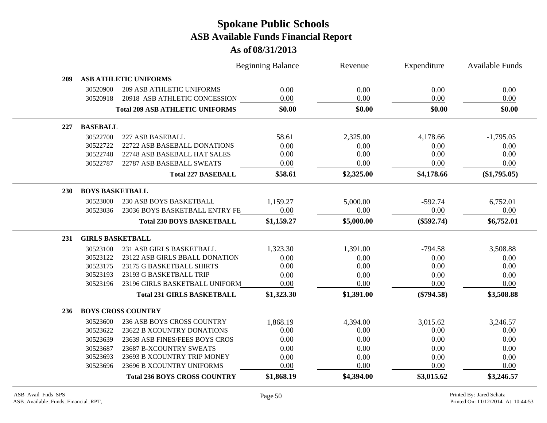|            |                         |                                        | <b>Beginning Balance</b> | Revenue    | Expenditure  | <b>Available Funds</b> |
|------------|-------------------------|----------------------------------------|--------------------------|------------|--------------|------------------------|
| 209        |                         | <b>ASB ATHLETIC UNIFORMS</b>           |                          |            |              |                        |
|            | 30520900                | <b>209 ASB ATHLETIC UNIFORMS</b>       | 0.00                     | 0.00       | 0.00         | 0.00                   |
|            | 30520918                | 20918 ASB ATHLETIC CONCESSION          | 0.00                     | 0.00       | 0.00         | 0.00                   |
|            |                         | <b>Total 209 ASB ATHLETIC UNIFORMS</b> | \$0.00                   | \$0.00     | \$0.00       | \$0.00                 |
| 227        | <b>BASEBALL</b>         |                                        |                          |            |              |                        |
|            | 30522700                | 227 ASB BASEBALL                       | 58.61                    | 2,325.00   | 4,178.66     | $-1,795.05$            |
|            | 30522722                | 22722 ASB BASEBALL DONATIONS           | 0.00                     | 0.00       | 0.00         | 0.00                   |
|            | 30522748                | 22748 ASB BASEBALL HAT SALES           | 0.00                     | 0.00       | 0.00         | 0.00                   |
|            | 30522787                | 22787 ASB BASEBALL SWEATS              | 0.00                     | 0.00       | 0.00         | 0.00                   |
|            |                         | <b>Total 227 BASEBALL</b>              | \$58.61                  | \$2,325.00 | \$4,178.66   | $(\$1,795.05)$         |
| <b>230</b> | <b>BOYS BASKETBALL</b>  |                                        |                          |            |              |                        |
|            | 30523000                | 230 ASB BOYS BASKETBALL                | 1,159.27                 | 5,000.00   | $-592.74$    | 6,752.01               |
|            | 30523036                | 23036 BOYS BASKETBALL ENTRY FE         | 0.00                     | 0.00       | 0.00         | 0.00                   |
|            |                         | <b>Total 230 BOYS BASKETBALL</b>       | \$1,159.27               | \$5,000.00 | $(\$592.74)$ | \$6,752.01             |
| 231        | <b>GIRLS BASKETBALL</b> |                                        |                          |            |              |                        |
|            | 30523100                | 231 ASB GIRLS BASKETBALL               | 1,323.30                 | 1,391.00   | $-794.58$    | 3,508.88               |
|            | 30523122                | 23122 ASB GIRLS BBALL DONATION         | 0.00                     | 0.00       | 0.00         | 0.00                   |
|            | 30523175                | 23175 G BASKETBALL SHIRTS              | 0.00                     | 0.00       | 0.00         | 0.00                   |
|            | 30523193                | 23193 G BASKETBALL TRIP                | 0.00                     | 0.00       | 0.00         | 0.00                   |
|            | 30523196                | 23196 GIRLS BASKETBALL UNIFORM         | 0.00                     | 0.00       | 0.00         | 0.00                   |
|            |                         | <b>Total 231 GIRLS BASKETBALL</b>      | \$1,323.30               | \$1,391.00 | $(\$794.58)$ | \$3,508.88             |
| 236        |                         | <b>BOYS CROSS COUNTRY</b>              |                          |            |              |                        |
|            | 30523600                | 236 ASB BOYS CROSS COUNTRY             | 1,868.19                 | 4,394.00   | 3,015.62     | 3,246.57               |
|            | 30523622                | 23622 B XCOUNTRY DONATIONS             | 0.00                     | 0.00       | 0.00         | 0.00                   |
|            | 30523639                | 23639 ASB FINES/FEES BOYS CROS         | 0.00                     | 0.00       | 0.00         | 0.00                   |
|            | 30523687                | 23687 B-XCOUNTRY SWEATS                | 0.00                     | 0.00       | 0.00         | 0.00                   |
|            | 30523693                | 23693 B XCOUNTRY TRIP MONEY            | 0.00                     | 0.00       | 0.00         | 0.00                   |
|            | 30523696                | 23696 B XCOUNTRY UNIFORMS              | 0.00                     | 0.00       | 0.00         | 0.00                   |
|            |                         | <b>Total 236 BOYS CROSS COUNTRY</b>    | \$1,868.19               | \$4,394.00 | \$3,015.62   | \$3,246.57             |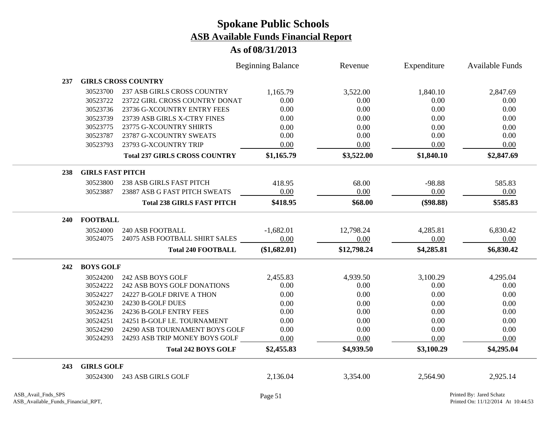|     |                         |                                      | <b>Beginning Balance</b> | Revenue     | Expenditure | Available Funds |
|-----|-------------------------|--------------------------------------|--------------------------|-------------|-------------|-----------------|
| 237 |                         | <b>GIRLS CROSS COUNTRY</b>           |                          |             |             |                 |
|     | 30523700                | 237 ASB GIRLS CROSS COUNTRY          | 1,165.79                 | 3,522.00    | 1,840.10    | 2,847.69        |
|     | 30523722                | 23722 GIRL CROSS COUNTRY DONAT       | 0.00                     | 0.00        | 0.00        | 0.00            |
|     | 30523736                | 23736 G-XCOUNTRY ENTRY FEES          | 0.00                     | 0.00        | 0.00        | 0.00            |
|     | 30523739                | 23739 ASB GIRLS X-CTRY FINES         | 0.00                     | 0.00        | 0.00        | 0.00            |
|     | 30523775                | 23775 G-XCOUNTRY SHIRTS              | 0.00                     | 0.00        | 0.00        | 0.00            |
|     | 30523787                | 23787 G-XCOUNTRY SWEATS              | 0.00                     | 0.00        | 0.00        | 0.00            |
|     | 30523793                | 23793 G-XCOUNTRY TRIP                | 0.00                     | 0.00        | 0.00        | 0.00            |
|     |                         | <b>Total 237 GIRLS CROSS COUNTRY</b> | \$1,165.79               | \$3,522.00  | \$1,840.10  | \$2,847.69      |
| 238 | <b>GIRLS FAST PITCH</b> |                                      |                          |             |             |                 |
|     | 30523800                | 238 ASB GIRLS FAST PITCH             | 418.95                   | 68.00       | $-98.88$    | 585.83          |
|     | 30523887                | 23887 ASB G FAST PITCH SWEATS        | 0.00                     | 0.00        | 0.00        | 0.00            |
|     |                         | <b>Total 238 GIRLS FAST PITCH</b>    | \$418.95                 | \$68.00     | (\$98.88)   | \$585.83        |
| 240 | <b>FOOTBALL</b>         |                                      |                          |             |             |                 |
|     | 30524000                | <b>240 ASB FOOTBALL</b>              | $-1,682.01$              | 12,798.24   | 4,285.81    | 6,830.42        |
|     | 30524075                | 24075 ASB FOOTBALL SHIRT SALES       | 0.00                     | 0.00        | 0.00        | 0.00            |
|     |                         | <b>Total 240 FOOTBALL</b>            | (\$1,682.01)             | \$12,798.24 | \$4,285.81  | \$6,830.42      |
| 242 | <b>BOYS GOLF</b>        |                                      |                          |             |             |                 |
|     | 30524200                | 242 ASB BOYS GOLF                    | 2,455.83                 | 4,939.50    | 3,100.29    | 4,295.04        |
|     | 30524222                | 242 ASB BOYS GOLF DONATIONS          | 0.00                     | 0.00        | 0.00        | 0.00            |
|     | 30524227                | 24227 B-GOLF DRIVE A THON            | 0.00                     | 0.00        | 0.00        | 0.00            |
|     | 30524230                | 24230 B-GOLF DUES                    | 0.00                     | 0.00        | 0.00        | 0.00            |
|     | 30524236                | 24236 B-GOLF ENTRY FEES              | 0.00                     | 0.00        | 0.00        | 0.00            |
|     | 30524251                | 24251 B-GOLF I.E. TOURNAMENT         | 0.00                     | 0.00        | 0.00        | 0.00            |
|     | 30524290                | 24290 ASB TOURNAMENT BOYS GOLF       | 0.00                     | 0.00        | $0.00\,$    | 0.00            |
|     | 30524293                | 24293 ASB TRIP MONEY BOYS GOLF       | 0.00                     | 0.00        | 0.00        | 0.00            |
|     |                         | <b>Total 242 BOYS GOLF</b>           | \$2,455.83               | \$4,939.50  | \$3,100.29  | \$4,295.04      |
| 243 | <b>GIRLS GOLF</b>       |                                      |                          |             |             |                 |
|     | 30524300                | 243 ASB GIRLS GOLF                   | 2,136.04                 | 3,354.00    | 2,564.90    | 2,925.14        |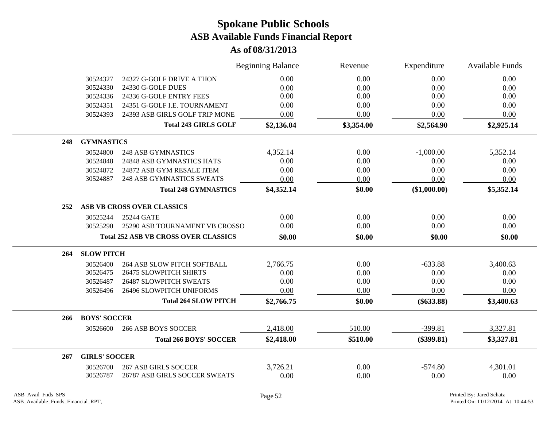|     |                      |                                             | <b>Beginning Balance</b> | Revenue    | Expenditure  | <b>Available Funds</b> |
|-----|----------------------|---------------------------------------------|--------------------------|------------|--------------|------------------------|
|     | 30524327             | 24327 G-GOLF DRIVE A THON                   | 0.00                     | 0.00       | 0.00         | 0.00                   |
|     | 30524330             | 24330 G-GOLF DUES                           | 0.00                     | 0.00       | 0.00         | 0.00                   |
|     | 30524336             | 24336 G-GOLF ENTRY FEES                     | 0.00                     | 0.00       | 0.00         | 0.00                   |
|     | 30524351             | 24351 G-GOLF I.E. TOURNAMENT                | 0.00                     | 0.00       | 0.00         | 0.00                   |
|     | 30524393             | 24393 ASB GIRLS GOLF TRIP MONE              | 0.00                     | 0.00       | 0.00         | 0.00                   |
|     |                      | <b>Total 243 GIRLS GOLF</b>                 | \$2,136.04               | \$3,354.00 | \$2,564.90   | \$2,925.14             |
| 248 | <b>GYMNASTICS</b>    |                                             |                          |            |              |                        |
|     | 30524800             | <b>248 ASB GYMNASTICS</b>                   | 4,352.14                 | 0.00       | $-1,000.00$  | 5,352.14               |
|     | 30524848             | 24848 ASB GYMNASTICS HATS                   | 0.00                     | 0.00       | 0.00         | 0.00                   |
|     | 30524872             | 24872 ASB GYM RESALE ITEM                   | 0.00                     | 0.00       | 0.00         | 0.00                   |
|     | 30524887             | <b>248 ASB GYMNASTICS SWEATS</b>            | 0.00                     | 0.00       | 0.00         | 0.00                   |
|     |                      | <b>Total 248 GYMNASTICS</b>                 | \$4,352.14               | \$0.00     | (\$1,000.00) | \$5,352.14             |
| 252 |                      | ASB VB CROSS OVER CLASSICS                  |                          |            |              |                        |
|     | 30525244             | 25244 GATE                                  | 0.00                     | 0.00       | 0.00         | 0.00                   |
|     | 30525290             | 25290 ASB TOURNAMENT VB CROSSO              | 0.00                     | 0.00       | 0.00         | 0.00                   |
|     |                      | <b>Total 252 ASB VB CROSS OVER CLASSICS</b> | \$0.00                   | \$0.00     | \$0.00       | \$0.00                 |
| 264 | <b>SLOW PITCH</b>    |                                             |                          |            |              |                        |
|     | 30526400             | <b>264 ASB SLOW PITCH SOFTBALL</b>          | 2,766.75                 | 0.00       | $-633.88$    | 3,400.63               |
|     | 30526475             | <b>26475 SLOWPITCH SHIRTS</b>               | 0.00                     | 0.00       | 0.00         | 0.00                   |
|     | 30526487             | <b>26487 SLOWPITCH SWEATS</b>               | 0.00                     | 0.00       | 0.00         | 0.00                   |
|     | 30526496             | 26496 SLOWPITCH UNIFORMS                    | 0.00                     | 0.00       | 0.00         | 0.00                   |
|     |                      | <b>Total 264 SLOW PITCH</b>                 | \$2,766.75               | \$0.00     | $(\$633.88)$ | \$3,400.63             |
| 266 | <b>BOYS' SOCCER</b>  |                                             |                          |            |              |                        |
|     | 30526600             | <b>266 ASB BOYS SOCCER</b>                  | 2,418.00                 | 510.00     | $-399.81$    | 3,327.81               |
|     |                      | <b>Total 266 BOYS' SOCCER</b>               | \$2,418.00               | \$510.00   | $(\$399.81)$ | \$3,327.81             |
| 267 | <b>GIRLS' SOCCER</b> |                                             |                          |            |              |                        |
|     | 30526700             | <b>267 ASB GIRLS SOCCER</b>                 | 3,726.21                 | 0.00       | $-574.80$    | 4,301.01               |
|     | 30526787             | 26787 ASB GIRLS SOCCER SWEATS               | 0.00                     | 0.00       | 0.00         | 0.00                   |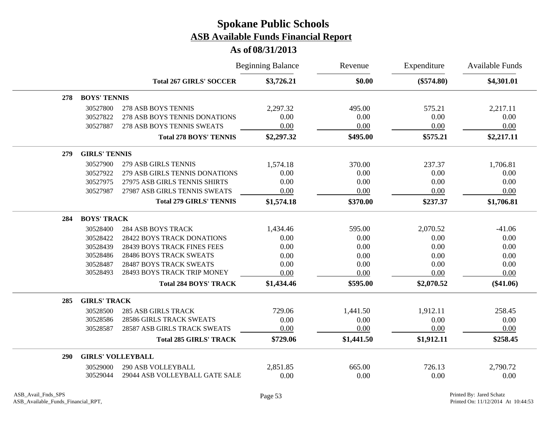|     |                          |                                    | <b>Beginning Balance</b> | Revenue    | Expenditure  | <b>Available Funds</b> |
|-----|--------------------------|------------------------------------|--------------------------|------------|--------------|------------------------|
|     |                          | <b>Total 267 GIRLS' SOCCER</b>     | \$3,726.21               | \$0.00     | $(\$574.80)$ | \$4,301.01             |
| 278 | <b>BOYS' TENNIS</b>      |                                    |                          |            |              |                        |
|     | 30527800                 | 278 ASB BOYS TENNIS                | 2,297.32                 | 495.00     | 575.21       | 2,217.11               |
|     | 30527822                 | 278 ASB BOYS TENNIS DONATIONS      | 0.00                     | 0.00       | 0.00         | 0.00                   |
|     | 30527887                 | 278 ASB BOYS TENNIS SWEATS         | 0.00                     | 0.00       | 0.00         | 0.00                   |
|     |                          | <b>Total 278 BOYS' TENNIS</b>      | \$2,297.32               | \$495.00   | \$575.21     | \$2,217.11             |
| 279 | <b>GIRLS' TENNIS</b>     |                                    |                          |            |              |                        |
|     | 30527900                 | 279 ASB GIRLS TENNIS               | 1,574.18                 | 370.00     | 237.37       | 1,706.81               |
|     | 30527922                 | 279 ASB GIRLS TENNIS DONATIONS     | 0.00                     | 0.00       | 0.00         | 0.00                   |
|     | 30527975                 | 27975 ASB GIRLS TENNIS SHIRTS      | 0.00                     | 0.00       | 0.00         | 0.00                   |
|     | 30527987                 | 27987 ASB GIRLS TENNIS SWEATS      | 0.00                     | 0.00       | 0.00         | 0.00                   |
|     |                          | <b>Total 279 GIRLS' TENNIS</b>     | \$1,574.18               | \$370.00   | \$237.37     | \$1,706.81             |
| 284 | <b>BOYS' TRACK</b>       |                                    |                          |            |              |                        |
|     | 30528400                 | <b>284 ASB BOYS TRACK</b>          | 1,434.46                 | 595.00     | 2,070.52     | $-41.06$               |
|     | 30528422                 | 28422 BOYS TRACK DONATIONS         | 0.00                     | 0.00       | 0.00         | 0.00                   |
|     | 30528439                 | <b>28439 BOYS TRACK FINES FEES</b> | 0.00                     | 0.00       | 0.00         | 0.00                   |
|     | 30528486                 | <b>28486 BOYS TRACK SWEATS</b>     | 0.00                     | 0.00       | 0.00         | 0.00                   |
|     | 30528487                 | 28487 BOYS TRACK SWEATS            | 0.00                     | 0.00       | 0.00         | 0.00                   |
|     | 30528493                 | 28493 BOYS TRACK TRIP MONEY        | 0.00                     | 0.00       | 0.00         | 0.00                   |
|     |                          | <b>Total 284 BOYS' TRACK</b>       | \$1,434.46               | \$595.00   | \$2,070.52   | $(\$41.06)$            |
| 285 | <b>GIRLS' TRACK</b>      |                                    |                          |            |              |                        |
|     | 30528500                 | <b>285 ASB GIRLS TRACK</b>         | 729.06                   | 1,441.50   | 1,912.11     | 258.45                 |
|     | 30528586                 | <b>28586 GIRLS TRACK SWEATS</b>    | 0.00                     | 0.00       | 0.00         | 0.00                   |
|     | 30528587                 | 28587 ASB GIRLS TRACK SWEATS       | 0.00                     | 0.00       | 0.00         | 0.00                   |
|     |                          | <b>Total 285 GIRLS' TRACK</b>      | \$729.06                 | \$1,441.50 | \$1,912.11   | \$258.45               |
| 290 | <b>GIRLS' VOLLEYBALL</b> |                                    |                          |            |              |                        |
|     | 30529000                 | <b>290 ASB VOLLEYBALL</b>          | 2,851.85                 | 665.00     | 726.13       | 2,790.72               |
|     | 30529044                 | 29044 ASB VOLLEYBALL GATE SALE     | 0.00                     | 0.00       | 0.00         | 0.00                   |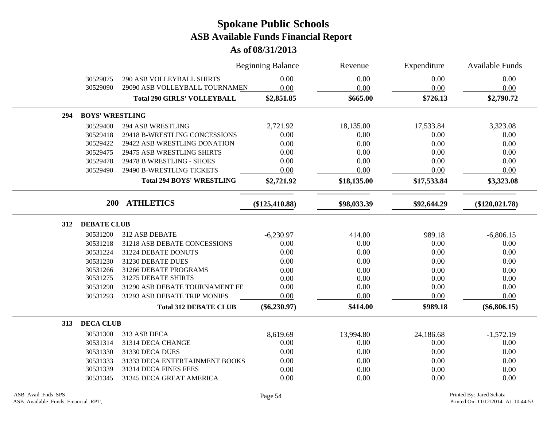|                           |                                    | <b>Beginning Balance</b> | Revenue     | Expenditure | <b>Available Funds</b> |
|---------------------------|------------------------------------|--------------------------|-------------|-------------|------------------------|
| 30529075                  | <b>290 ASB VOLLEYBALL SHIRTS</b>   | 0.00                     | 0.00        | 0.00        | 0.00                   |
| 30529090                  | 29090 ASB VOLLEYBALL TOURNAMEN     | 0.00                     | 0.00        | 0.00        | 0.00                   |
|                           | <b>Total 290 GIRLS' VOLLEYBALL</b> | \$2,851.85               | \$665.00    | \$726.13    | \$2,790.72             |
| 294                       | <b>BOYS' WRESTLING</b>             |                          |             |             |                        |
| 30529400                  | <b>294 ASB WRESTLING</b>           | 2,721.92                 | 18,135.00   | 17,533.84   | 3,323.08               |
| 30529418                  | 29418 B-WRESTLING CONCESSIONS      | 0.00                     | 0.00        | 0.00        | 0.00                   |
| 30529422                  | 29422 ASB WRESTLING DONATION       | 0.00                     | 0.00        | 0.00        | 0.00                   |
| 30529475                  | 29475 ASB WRESTLING SHIRTS         | 0.00                     | 0.00        | 0.00        | 0.00                   |
| 30529478                  | 29478 B WRESTLING - SHOES          | 0.00                     | 0.00        | 0.00        | 0.00                   |
| 30529490                  | 29490 B-WRESTLING TICKETS          | 0.00                     | 0.00        | 0.00        | 0.00                   |
|                           | <b>Total 294 BOYS' WRESTLING</b>   | \$2,721.92               | \$18,135.00 | \$17,533.84 | \$3,323.08             |
|                           | 200<br><b>ATHLETICS</b>            | $(\$125,410.88)$         | \$98,033.39 | \$92,644.29 | $(\$120,021.78)$       |
| <b>DEBATE CLUB</b><br>312 |                                    |                          |             |             |                        |
| 30531200                  | 312 ASB DEBATE                     | $-6,230.97$              | 414.00      | 989.18      | $-6,806.15$            |
| 30531218                  | 31218 ASB DEBATE CONCESSIONS       | 0.00                     | 0.00        | 0.00        | 0.00                   |
| 30531224                  | 31224 DEBATE DONUTS                | 0.00                     | 0.00        | 0.00        | 0.00                   |
| 30531230                  | 31230 DEBATE DUES                  | 0.00                     | 0.00        | 0.00        | 0.00                   |
| 30531266                  | 31266 DEBATE PROGRAMS              | 0.00                     | $0.00\,$    | 0.00        | 0.00                   |
| 30531275                  | 31275 DEBATE SHIRTS                | 0.00                     | 0.00        | 0.00        | 0.00                   |
| 30531290                  | 31290 ASB DEBATE TOURNAMENT FE     | 0.00                     | 0.00        | 0.00        | 0.00                   |
| 30531293                  | 31293 ASB DEBATE TRIP MONIES       | 0.00                     | 0.00        | 0.00        | 0.00                   |
|                           | <b>Total 312 DEBATE CLUB</b>       | $(\$6,230.97)$           | \$414.00    | \$989.18    | $(\$6,806.15)$         |
| <b>DECA CLUB</b><br>313   |                                    |                          |             |             |                        |
| 30531300                  | 313 ASB DECA                       | 8,619.69                 | 13,994.80   | 24,186.68   | $-1,572.19$            |
| 30531314                  | 31314 DECA CHANGE                  | 0.00                     | 0.00        | 0.00        | 0.00                   |
| 30531330                  | 31330 DECA DUES                    | 0.00                     | 0.00        | 0.00        | 0.00                   |
| 30531333                  | 31333 DECA ENTERTAINMENT BOOKS     | 0.00                     | 0.00        | 0.00        | 0.00                   |
| 30531339                  | 31314 DECA FINES FEES              | 0.00                     | 0.00        | 0.00        | 0.00                   |
| 30531345                  | 31345 DECA GREAT AMERICA           | 0.00                     | 0.00        | 0.00        | 0.00                   |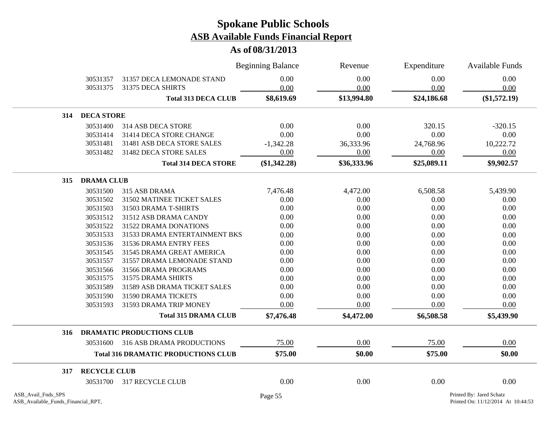|                    |                     |                                            | <b>Beginning Balance</b> | Revenue     | Expenditure | Available Funds          |
|--------------------|---------------------|--------------------------------------------|--------------------------|-------------|-------------|--------------------------|
|                    | 30531357            | 31357 DECA LEMONADE STAND                  | 0.00                     | 0.00        | 0.00        | 0.00                     |
|                    | 30531375            | 31375 DECA SHIRTS                          | 0.00                     | 0.00        | 0.00        | 0.00                     |
|                    |                     | <b>Total 313 DECA CLUB</b>                 | \$8,619.69               | \$13,994.80 | \$24,186.68 | (\$1,572.19)             |
| 314                | <b>DECA STORE</b>   |                                            |                          |             |             |                          |
|                    | 30531400            | 314 ASB DECA STORE                         | 0.00                     | 0.00        | 320.15      | $-320.15$                |
|                    | 30531414            | 31414 DECA STORE CHANGE                    | 0.00                     | 0.00        | 0.00        | 0.00                     |
|                    | 30531481            | 31481 ASB DECA STORE SALES                 | $-1,342.28$              | 36,333.96   | 24,768.96   | 10,222.72                |
|                    | 30531482            | 31482 DECA STORE SALES                     | 0.00                     | 0.00        | 0.00        | 0.00                     |
|                    |                     | <b>Total 314 DECA STORE</b>                | $(\$1,342.28)$           | \$36,333.96 | \$25,089.11 | \$9,902.57               |
| 315                | <b>DRAMA CLUB</b>   |                                            |                          |             |             |                          |
|                    | 30531500            | 315 ASB DRAMA                              | 7,476.48                 | 4,472.00    | 6,508.58    | 5,439.90                 |
|                    | 30531502            | 31502 MATINEE TICKET SALES                 | 0.00                     | 0.00        | 0.00        | 0.00                     |
|                    | 30531503            | 31503 DRAMA T-SHIRTS                       | 0.00                     | 0.00        | 0.00        | 0.00                     |
|                    | 30531512            | 31512 ASB DRAMA CANDY                      | 0.00                     | 0.00        | 0.00        | 0.00                     |
|                    | 30531522            | 31522 DRAMA DONATIONS                      | 0.00                     | 0.00        | 0.00        | 0.00                     |
|                    | 30531533            | 31533 DRAMA ENTERTAINMENT BKS              | 0.00                     | 0.00        | 0.00        | 0.00                     |
|                    | 30531536            | 31536 DRAMA ENTRY FEES                     | 0.00                     | 0.00        | 0.00        | 0.00                     |
|                    | 30531545            | 31545 DRAMA GREAT AMERICA                  | 0.00                     | 0.00        | 0.00        | 0.00                     |
|                    | 30531557            | 31557 DRAMA LEMONADE STAND                 | 0.00                     | 0.00        | 0.00        | 0.00                     |
|                    | 30531566            | 31566 DRAMA PROGRAMS                       | 0.00                     | 0.00        | 0.00        | 0.00                     |
|                    | 30531575            | 31575 DRAMA SHIRTS                         | 0.00                     | 0.00        | 0.00        | 0.00                     |
|                    | 30531589            | 31589 ASB DRAMA TICKET SALES               | 0.00                     | 0.00        | 0.00        | 0.00                     |
|                    | 30531590            | 31590 DRAMA TICKETS                        | 0.00                     | 0.00        | 0.00        | 0.00                     |
|                    | 30531593            | 31593 DRAMA TRIP MONEY                     | 0.00                     | 0.00        | 0.00        | 0.00                     |
|                    |                     | <b>Total 315 DRAMA CLUB</b>                | \$7,476.48               | \$4,472.00  | \$6,508.58  | \$5,439.90               |
| 316                |                     | <b>DRAMATIC PRODUCTIONS CLUB</b>           |                          |             |             |                          |
|                    |                     | 30531600 316 ASB DRAMA PRODUCTIONS         | 75.00                    | 0.00        | 75.00       | 0.00                     |
|                    |                     | <b>Total 316 DRAMATIC PRODUCTIONS CLUB</b> | \$75.00                  | \$0.00      | \$75.00     | \$0.00                   |
| 317                | <b>RECYCLE CLUB</b> |                                            |                          |             |             |                          |
|                    |                     | 30531700 317 RECYCLE CLUB                  | 0.00                     | 0.00        | 0.00        | 0.00                     |
| ASB_Avail_Fnds_SPS |                     |                                            | Page 55                  |             |             | Printed By: Jared Schatz |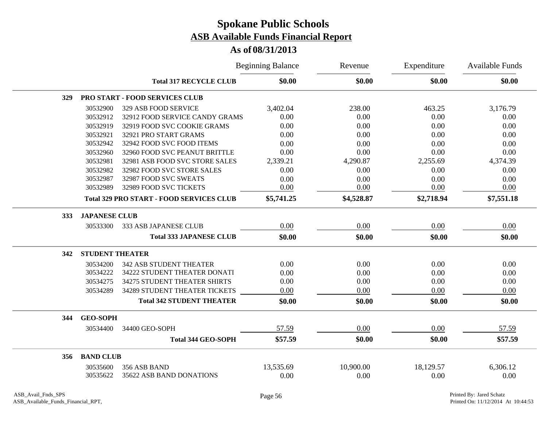|     |                        |                                                 | <b>Beginning Balance</b> | Revenue    | Expenditure<br>\$0.00 | Available Funds<br>\$0.00 |
|-----|------------------------|-------------------------------------------------|--------------------------|------------|-----------------------|---------------------------|
|     |                        | <b>Total 317 RECYCLE CLUB</b>                   | \$0.00                   | \$0.00     |                       |                           |
| 329 |                        | PRO START - FOOD SERVICES CLUB                  |                          |            |                       |                           |
|     | 30532900               | 329 ASB FOOD SERVICE                            | 3,402.04                 | 238.00     | 463.25                | 3,176.79                  |
|     | 30532912               | 32912 FOOD SERVICE CANDY GRAMS                  | 0.00                     | 0.00       | 0.00                  | 0.00                      |
|     | 30532919               | 32919 FOOD SVC COOKIE GRAMS                     | 0.00                     | 0.00       | 0.00                  | 0.00                      |
|     | 30532921               | 32921 PRO START GRAMS                           | 0.00                     | 0.00       | 0.00                  | 0.00                      |
|     | 30532942               | 32942 FOOD SVC FOOD ITEMS                       | 0.00                     | 0.00       | 0.00                  | 0.00                      |
|     | 30532960               | 32960 FOOD SVC PEANUT BRITTLE                   | 0.00                     | 0.00       | 0.00                  | 0.00                      |
|     | 30532981               | 32981 ASB FOOD SVC STORE SALES                  | 2,339.21                 | 4,290.87   | 2,255.69              | 4,374.39                  |
|     | 30532982               | 32982 FOOD SVC STORE SALES                      | 0.00                     | 0.00       | 0.00                  | 0.00                      |
|     | 30532987               | 32987 FOOD SVC SWEATS                           | 0.00                     | 0.00       | 0.00                  | 0.00                      |
|     | 30532989               | 32989 FOOD SVC TICKETS                          | 0.00                     | 0.00       | 0.00                  | 0.00                      |
|     |                        | <b>Total 329 PRO START - FOOD SERVICES CLUB</b> | \$5,741.25               | \$4,528.87 | \$2,718.94            | \$7,551.18                |
| 333 | <b>JAPANESE CLUB</b>   |                                                 |                          |            |                       |                           |
|     | 30533300               | 333 ASB JAPANESE CLUB                           | 0.00                     | 0.00       | 0.00                  | 0.00                      |
|     |                        | <b>Total 333 JAPANESE CLUB</b>                  | \$0.00                   | \$0.00     | \$0.00                | \$0.00                    |
| 342 | <b>STUDENT THEATER</b> |                                                 |                          |            |                       |                           |
|     | 30534200               | <b>342 ASB STUDENT THEATER</b>                  | 0.00                     | 0.00       | 0.00                  | 0.00                      |
|     | 30534222               | 34222 STUDENT THEATER DONATI                    | 0.00                     | 0.00       | 0.00                  | 0.00                      |
|     | 30534275               | 34275 STUDENT THEATER SHIRTS                    | 0.00                     | 0.00       | 0.00                  | 0.00                      |
|     | 30534289               | 34289 STUDENT THEATER TICKETS                   | 0.00                     | 0.00       | 0.00                  | 0.00                      |
|     |                        | <b>Total 342 STUDENT THEATER</b>                | \$0.00                   | \$0.00     | \$0.00                | \$0.00                    |
| 344 | <b>GEO-SOPH</b>        |                                                 |                          |            |                       |                           |
|     | 30534400               | 34400 GEO-SOPH                                  | 57.59                    | 0.00       | 0.00                  | 57.59                     |
|     |                        | <b>Total 344 GEO-SOPH</b>                       | \$57.59                  | \$0.00     | \$0.00                | \$57.59                   |
| 356 | <b>BAND CLUB</b>       |                                                 |                          |            |                       |                           |
|     | 30535600               | 356 ASB BAND                                    | 13,535.69                | 10,900.00  | 18,129.57             | 6,306.12                  |
|     | 30535622               | 35622 ASB BAND DONATIONS                        | 0.00                     | 0.00       | 0.00                  | 0.00                      |
|     |                        |                                                 |                          |            |                       |                           |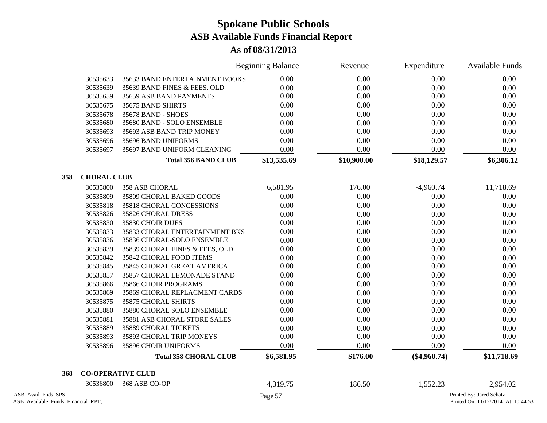|                                                          |                                | <b>Beginning Balance</b> | Revenue     | Expenditure    | <b>Available Funds</b>                                         |
|----------------------------------------------------------|--------------------------------|--------------------------|-------------|----------------|----------------------------------------------------------------|
| 30535633                                                 | 35633 BAND ENTERTAINMENT BOOKS | 0.00                     | 0.00        | $0.00\,$       | 0.00                                                           |
| 30535639                                                 | 35639 BAND FINES & FEES, OLD   | 0.00                     | 0.00        | 0.00           | 0.00                                                           |
| 30535659                                                 | 35659 ASB BAND PAYMENTS        | 0.00                     | 0.00        | 0.00           | 0.00                                                           |
| 30535675                                                 | 35675 BAND SHIRTS              | 0.00                     | 0.00        | 0.00           | 0.00                                                           |
| 30535678                                                 | 35678 BAND - SHOES             | 0.00                     | 0.00        | 0.00           | 0.00                                                           |
| 30535680                                                 | 35680 BAND - SOLO ENSEMBLE     | 0.00                     | 0.00        | 0.00           | 0.00                                                           |
| 30535693                                                 | 35693 ASB BAND TRIP MONEY      | 0.00                     | 0.00        | 0.00           | 0.00                                                           |
| 30535696                                                 | 35696 BAND UNIFORMS            | 0.00                     | 0.00        | 0.00           | 0.00                                                           |
| 30535697                                                 | 35697 BAND UNIFORM CLEANING    | 0.00                     | 0.00        | 0.00           | 0.00                                                           |
|                                                          | <b>Total 356 BAND CLUB</b>     | \$13,535.69              | \$10,900.00 | \$18,129.57    | \$6,306.12                                                     |
| <b>CHORAL CLUB</b><br>358                                |                                |                          |             |                |                                                                |
| 30535800                                                 | 358 ASB CHORAL                 | 6,581.95                 | 176.00      | $-4,960.74$    | 11,718.69                                                      |
| 30535809                                                 | 35809 CHORAL BAKED GOODS       | 0.00                     | 0.00        | 0.00           | 0.00                                                           |
| 30535818                                                 | 35818 CHORAL CONCESSIONS       | 0.00                     | 0.00        | 0.00           | 0.00                                                           |
| 30535826                                                 | 35826 CHORAL DRESS             | 0.00                     | 0.00        | 0.00           | 0.00                                                           |
| 30535830                                                 | 35830 CHOIR DUES               | 0.00                     | 0.00        | 0.00           | 0.00                                                           |
| 30535833                                                 | 35833 CHORAL ENTERTAINMENT BKS | 0.00                     | 0.00        | 0.00           | 0.00                                                           |
| 30535836                                                 | 35836 CHORAL-SOLO ENSEMBLE     | 0.00                     | 0.00        | 0.00           | 0.00                                                           |
| 30535839                                                 | 35839 CHORAL FINES & FEES, OLD | $0.00\,$                 | 0.00        | 0.00           | 0.00                                                           |
| 30535842                                                 | 35842 CHORAL FOOD ITEMS        | 0.00                     | 0.00        | 0.00           | 0.00                                                           |
| 30535845                                                 | 35845 CHORAL GREAT AMERICA     | 0.00                     | 0.00        | 0.00           | 0.00                                                           |
| 30535857                                                 | 35857 CHORAL LEMONADE STAND    | 0.00                     | 0.00        | 0.00           | 0.00                                                           |
| 30535866                                                 | 35866 CHOIR PROGRAMS           | 0.00                     | 0.00        | 0.00           | 0.00                                                           |
| 30535869                                                 | 35869 CHORAL REPLACMENT CARDS  | 0.00                     | 0.00        | 0.00           | 0.00                                                           |
| 30535875                                                 | 35875 CHORAL SHIRTS            | 0.00                     | 0.00        | 0.00           | 0.00                                                           |
| 30535880                                                 | 35880 CHORAL SOLO ENSEMBLE     | 0.00                     | 0.00        | 0.00           | 0.00                                                           |
| 30535881                                                 | 35881 ASB CHORAL STORE SALES   | 0.00                     | 0.00        | 0.00           | 0.00                                                           |
| 30535889                                                 | 35889 CHORAL TICKETS           | 0.00                     | 0.00        | 0.00           | 0.00                                                           |
| 30535893                                                 | 35893 CHORAL TRIP MONEYS       | 0.00                     | 0.00        | 0.00           | 0.00                                                           |
| 30535896                                                 | 35896 CHOIR UNIFORMS           | 0.00                     | 0.00        | 0.00           | 0.00                                                           |
|                                                          | <b>Total 358 CHORAL CLUB</b>   | \$6,581.95               | \$176.00    | $(\$4,960.74)$ | \$11,718.69                                                    |
| 368                                                      | <b>CO-OPERATIVE CLUB</b>       |                          |             |                |                                                                |
| 30536800                                                 | 368 ASB CO-OP                  | 4,319.75                 | 186.50      | 1,552.23       | 2,954.02                                                       |
| ASB_Avail_Fnds_SPS<br>ASB_Available_Funds_Financial_RPT, |                                | Page 57                  |             |                | Printed By: Jared Schatz<br>Printed On: 11/12/2014 At 10:44:53 |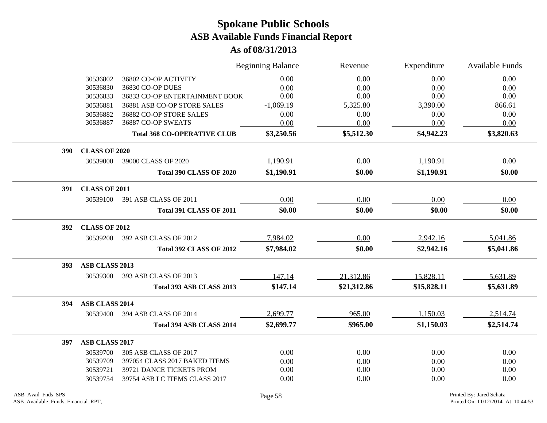|            |                       |                                    | <b>Beginning Balance</b> | Revenue     | Expenditure | <b>Available Funds</b> |
|------------|-----------------------|------------------------------------|--------------------------|-------------|-------------|------------------------|
|            | 30536802              | 36802 CO-OP ACTIVITY               | 0.00                     | 0.00        | 0.00        | 0.00                   |
|            | 30536830              | 36830 CO-OP DUES                   | 0.00                     | 0.00        | 0.00        | 0.00                   |
|            | 30536833              | 36833 CO-OP ENTERTAINMENT BOOK     | 0.00                     | 0.00        | 0.00        | 0.00                   |
|            | 30536881              | 36881 ASB CO-OP STORE SALES        | $-1,069.19$              | 5,325.80    | 3,390.00    | 866.61                 |
|            | 30536882              | 36882 CO-OP STORE SALES            | 0.00                     | 0.00        | 0.00        | 0.00                   |
|            | 30536887              | 36887 CO-OP SWEATS                 | 0.00                     | 0.00        | 0.00        | 0.00                   |
|            |                       | <b>Total 368 CO-OPERATIVE CLUB</b> | \$3,250.56               | \$5,512.30  | \$4,942.23  | \$3,820.63             |
| 390        | <b>CLASS OF 2020</b>  |                                    |                          |             |             |                        |
|            | 30539000              | 39000 CLASS OF 2020                | 1,190.91                 | 0.00        | 1,190.91    | 0.00                   |
|            |                       | <b>Total 390 CLASS OF 2020</b>     | \$1,190.91               | \$0.00      | \$1,190.91  | \$0.00                 |
| <b>391</b> | <b>CLASS OF 2011</b>  |                                    |                          |             |             |                        |
|            | 30539100              | 391 ASB CLASS OF 2011              | 0.00                     | 0.00        | 0.00        | 0.00                   |
|            |                       | <b>Total 391 CLASS OF 2011</b>     | \$0.00                   | \$0.00      | \$0.00      | \$0.00                 |
| 392        | <b>CLASS OF 2012</b>  |                                    |                          |             |             |                        |
|            | 30539200              | 392 ASB CLASS OF 2012              | 7,984.02                 | 0.00        | 2,942.16    | 5,041.86               |
|            |                       | <b>Total 392 CLASS OF 2012</b>     | \$7,984.02               | \$0.00      | \$2,942.16  | \$5,041.86             |
| 393        | ASB CLASS 2013        |                                    |                          |             |             |                        |
|            | 30539300              | 393 ASB CLASS OF 2013              | 147.14                   | 21,312.86   | 15,828.11   | 5,631.89               |
|            |                       | Total 393 ASB CLASS 2013           | \$147.14                 | \$21,312.86 | \$15,828.11 | \$5,631.89             |
| 394        | ASB CLASS 2014        |                                    |                          |             |             |                        |
|            | 30539400              | 394 ASB CLASS OF 2014              | 2,699.77                 | 965.00      | 1,150.03    | 2,514.74               |
|            |                       | Total 394 ASB CLASS 2014           | \$2,699.77               | \$965.00    | \$1,150.03  | \$2,514.74             |
| 397        | <b>ASB CLASS 2017</b> |                                    |                          |             |             |                        |
|            | 30539700              | 305 ASB CLASS OF 2017              | 0.00                     | 0.00        | 0.00        | 0.00                   |
|            | 30539709              | 397054 CLASS 2017 BAKED ITEMS      | 0.00                     | 0.00        | 0.00        | 0.00                   |
|            | 30539721              | 39721 DANCE TICKETS PROM           | 0.00                     | 0.00        | 0.00        | 0.00                   |
|            | 30539754              | 39754 ASB LC ITEMS CLASS 2017      | 0.00                     | 0.00        | 0.00        | 0.00                   |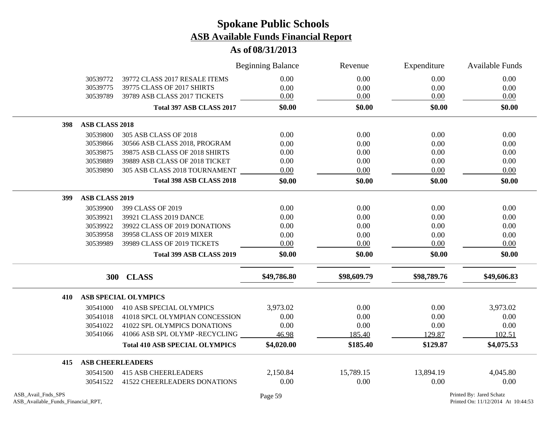|     |                       |                                       | <b>Beginning Balance</b> | Revenue     | Expenditure | Available Funds |
|-----|-----------------------|---------------------------------------|--------------------------|-------------|-------------|-----------------|
|     | 30539772              | 39772 CLASS 2017 RESALE ITEMS         | 0.00                     | 0.00        | 0.00        | 0.00            |
|     | 30539775              | 39775 CLASS OF 2017 SHIRTS            | 0.00                     | 0.00        | 0.00        | 0.00            |
|     | 30539789              | 39789 ASB CLASS 2017 TICKETS          | 0.00                     | 0.00        | 0.00        | 0.00            |
|     |                       | Total 397 ASB CLASS 2017              | \$0.00                   | \$0.00      | \$0.00      | \$0.00          |
| 398 | <b>ASB CLASS 2018</b> |                                       |                          |             |             |                 |
|     | 30539800              | 305 ASB CLASS OF 2018                 | 0.00                     | 0.00        | 0.00        | 0.00            |
|     | 30539866              | 30566 ASB CLASS 2018, PROGRAM         | 0.00                     | 0.00        | 0.00        | 0.00            |
|     | 30539875              | 39875 ASB CLASS OF 2018 SHIRTS        | 0.00                     | 0.00        | 0.00        | 0.00            |
|     | 30539889              | 39889 ASB CLASS OF 2018 TICKET        | 0.00                     | 0.00        | 0.00        | 0.00            |
|     | 30539890              | 305 ASB CLASS 2018 TOURNAMENT         | 0.00                     | 0.00        | 0.00        | 0.00            |
|     |                       | Total 398 ASB CLASS 2018              | \$0.00                   | \$0.00      | \$0.00      | \$0.00          |
| 399 | <b>ASB CLASS 2019</b> |                                       |                          |             |             |                 |
|     | 30539900              | 399 CLASS OF 2019                     | 0.00                     | 0.00        | 0.00        | 0.00            |
|     | 30539921              | 39921 CLASS 2019 DANCE                | 0.00                     | 0.00        | 0.00        | 0.00            |
|     | 30539922              | 39922 CLASS OF 2019 DONATIONS         | 0.00                     | 0.00        | 0.00        | 0.00            |
|     | 30539958              | 39958 CLASS OF 2019 MIXER             | 0.00                     | 0.00        | 0.00        | 0.00            |
|     | 30539989              | 39989 CLASS OF 2019 TICKETS           | 0.00                     | 0.00        | 0.00        | 0.00            |
|     |                       | Total 399 ASB CLASS 2019              | \$0.00                   | \$0.00      | \$0.00      | \$0.00          |
|     |                       | 300 CLASS                             | \$49,786.80              | \$98,609.79 | \$98,789.76 | \$49,606.83     |
| 410 |                       | <b>ASB SPECIAL OLYMPICS</b>           |                          |             |             |                 |
|     | 30541000              | 410 ASB SPECIAL OLYMPICS              | 3,973.02                 | 0.00        | 0.00        | 3,973.02        |
|     | 30541018              | 41018 SPCL OLYMPIAN CONCESSION        | 0.00                     | 0.00        | 0.00        | 0.00            |
|     | 30541022              | 41022 SPL OLYMPICS DONATIONS          | 0.00                     | 0.00        | 0.00        | 0.00            |
|     | 30541066              | 41066 ASB SPL OLYMP -RECYCLING        | 46.98                    | 185.40      | 129.87      | 102.51          |
|     |                       | <b>Total 410 ASB SPECIAL OLYMPICS</b> | \$4,020.00               | \$185.40    | \$129.87    | \$4,075.53      |
| 415 |                       | <b>ASB CHEERLEADERS</b>               |                          |             |             |                 |
|     | 30541500              | <b>415 ASB CHEERLEADERS</b>           | 2,150.84                 | 15,789.15   | 13,894.19   | 4,045.80        |
|     | 30541522              | <b>41522 CHEERLEADERS DONATIONS</b>   | 0.00                     | 0.00        | 0.00        | 0.00            |
|     |                       |                                       |                          |             |             |                 |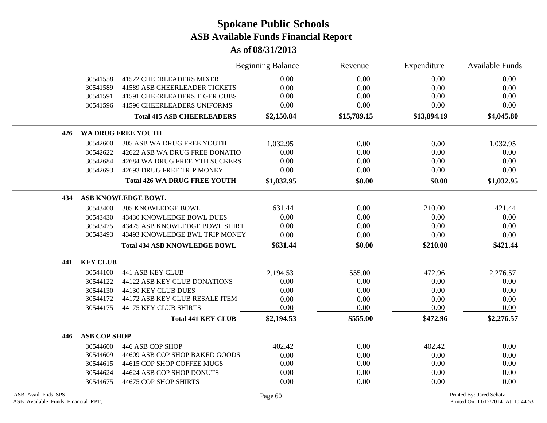|     |                     |                                      | <b>Beginning Balance</b> | Revenue     | Expenditure | <b>Available Funds</b> |
|-----|---------------------|--------------------------------------|--------------------------|-------------|-------------|------------------------|
|     | 30541558            | <b>41522 CHEERLEADERS MIXER</b>      | 0.00                     | 0.00        | 0.00        | 0.00                   |
|     | 30541589            | <b>41589 ASB CHEERLEADER TICKETS</b> | 0.00                     | 0.00        | 0.00        | 0.00                   |
|     | 30541591            | <b>41591 CHEERLEADERS TIGER CUBS</b> | 0.00                     | 0.00        | 0.00        | 0.00                   |
|     | 30541596            | <b>41596 CHEERLEADERS UNIFORMS</b>   | 0.00                     | 0.00        | 0.00        | 0.00                   |
|     |                     | <b>Total 415 ASB CHEERLEADERS</b>    | \$2,150.84               | \$15,789.15 | \$13,894.19 | \$4,045.80             |
| 426 |                     | WA DRUG FREE YOUTH                   |                          |             |             |                        |
|     | 30542600            | 305 ASB WA DRUG FREE YOUTH           | 1,032.95                 | 0.00        | 0.00        | 1,032.95               |
|     | 30542622            | 42622 ASB WA DRUG FREE DONATIO       | 0.00                     | 0.00        | $0.00\,$    | 0.00                   |
|     | 30542684            | 42684 WA DRUG FREE YTH SUCKERS       | 0.00                     | 0.00        | 0.00        | 0.00                   |
|     | 30542693            | 42693 DRUG FREE TRIP MONEY           | 0.00                     | 0.00        | 0.00        | 0.00                   |
|     |                     | <b>Total 426 WA DRUG FREE YOUTH</b>  | \$1,032.95               | \$0.00      | \$0.00      | \$1,032.95             |
| 434 |                     | ASB KNOWLEDGE BOWL                   |                          |             |             |                        |
|     | 30543400            | <b>305 KNOWLEDGE BOWL</b>            | 631.44                   | 0.00        | 210.00      | 421.44                 |
|     | 30543430            | 43430 KNOWLEDGE BOWL DUES            | 0.00                     | 0.00        | 0.00        | 0.00                   |
|     | 30543475            | 43475 ASB KNOWLEDGE BOWL SHIRT       | 0.00                     | 0.00        | 0.00        | 0.00                   |
|     | 30543493            | 43493 KNOWLEDGE BWL TRIP MONEY       | 0.00                     | 0.00        | 0.00        | 0.00                   |
|     |                     | <b>Total 434 ASB KNOWLEDGE BOWL</b>  | \$631.44                 | \$0.00      | \$210.00    | \$421.44               |
| 441 | <b>KEY CLUB</b>     |                                      |                          |             |             |                        |
|     | 30544100            | <b>441 ASB KEY CLUB</b>              | 2,194.53                 | 555.00      | 472.96      | 2,276.57               |
|     | 30544122            | 44122 ASB KEY CLUB DONATIONS         | 0.00                     | 0.00        | 0.00        | 0.00                   |
|     | 30544130            | 44130 KEY CLUB DUES                  | 0.00                     | 0.00        | 0.00        | 0.00                   |
|     | 30544172            | 44172 ASB KEY CLUB RESALE ITEM       | 0.00                     | 0.00        | 0.00        | 0.00                   |
|     | 30544175            | 44175 KEY CLUB SHIRTS                | 0.00                     | 0.00        | 0.00        | 0.00                   |
|     |                     | <b>Total 441 KEY CLUB</b>            | \$2,194.53               | \$555.00    | \$472.96    | \$2,276.57             |
| 446 | <b>ASB COP SHOP</b> |                                      |                          |             |             |                        |
|     | 30544600            | 446 ASB COP SHOP                     | 402.42                   | 0.00        | 402.42      | 0.00                   |
|     | 30544609            | 44609 ASB COP SHOP BAKED GOODS       | 0.00                     | 0.00        | 0.00        | 0.00                   |
|     | 30544615            | 44615 COP SHOP COFFEE MUGS           | 0.00                     | 0.00        | 0.00        | 0.00                   |
|     | 30544624            | 44624 ASB COP SHOP DONUTS            | 0.00                     | 0.00        | 0.00        | 0.00                   |
|     | 30544675            | 44675 COP SHOP SHIRTS                | 0.00                     | 0.00        | 0.00        | 0.00                   |
|     |                     |                                      |                          |             |             |                        |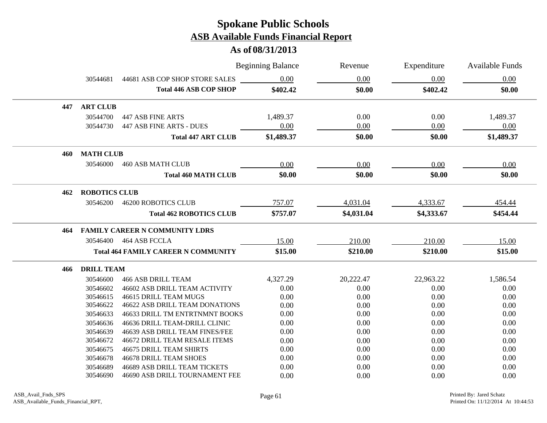|     |                      |                                            | <b>Beginning Balance</b> | Revenue    | Expenditure | <b>Available Funds</b> |
|-----|----------------------|--------------------------------------------|--------------------------|------------|-------------|------------------------|
|     | 30544681             | 44681 ASB COP SHOP STORE SALES             | 0.00                     | 0.00       | 0.00        | 0.00                   |
|     |                      | <b>Total 446 ASB COP SHOP</b>              | \$402.42                 | \$0.00     | \$402.42    | \$0.00                 |
| 447 | <b>ART CLUB</b>      |                                            |                          |            |             |                        |
|     | 30544700             | <b>447 ASB FINE ARTS</b>                   | 1,489.37                 | 0.00       | 0.00        | 1,489.37               |
|     | 30544730             | <b>447 ASB FINE ARTS - DUES</b>            | 0.00                     | 0.00       | 0.00        | 0.00                   |
|     |                      | <b>Total 447 ART CLUB</b>                  | \$1,489.37               | \$0.00     | \$0.00      | \$1,489.37             |
| 460 | <b>MATH CLUB</b>     |                                            |                          |            |             |                        |
|     | 30546000             | <b>460 ASB MATH CLUB</b>                   | 0.00                     | 0.00       | 0.00        | 0.00                   |
|     |                      | <b>Total 460 MATH CLUB</b>                 | \$0.00                   | \$0.00     | \$0.00      | \$0.00                 |
| 462 | <b>ROBOTICS CLUB</b> |                                            |                          |            |             |                        |
|     | 30546200             | <b>46200 ROBOTICS CLUB</b>                 | 757.07                   | 4,031.04   | 4,333.67    | 454.44                 |
|     |                      | <b>Total 462 ROBOTICS CLUB</b>             | \$757.07                 | \$4,031.04 | \$4,333.67  | \$454.44               |
| 464 |                      | <b>FAMILY CAREER N COMMUNITY LDRS</b>      |                          |            |             |                        |
|     | 30546400             | 464 ASB FCCLA                              | 15.00                    | 210.00     | 210.00      | 15.00                  |
|     |                      | <b>Total 464 FAMILY CAREER N COMMUNITY</b> | \$15.00                  | \$210.00   | \$210.00    | \$15.00                |
| 466 | <b>DRILL TEAM</b>    |                                            |                          |            |             |                        |
|     | 30546600             | <b>466 ASB DRILL TEAM</b>                  | 4,327.29                 | 20,222.47  | 22,963.22   | 1,586.54               |
|     | 30546602             | 46602 ASB DRILL TEAM ACTIVITY              | 0.00                     | 0.00       | 0.00        | 0.00                   |
|     | 30546615             | 46615 DRILL TEAM MUGS                      | 0.00                     | 0.00       | 0.00        | 0.00                   |
|     | 30546622             | <b>46622 ASB DRILL TEAM DONATIONS</b>      | 0.00                     | 0.00       | 0.00        | 0.00                   |
|     | 30546633             | 46633 DRILL TM ENTRTNMNT BOOKS             | 0.00                     | 0.00       | 0.00        | 0.00                   |
|     | 30546636             | 46636 DRILL TEAM-DRILL CLINIC              | 0.00                     | 0.00       | 0.00        | 0.00                   |
|     | 30546639             | 46639 ASB DRILL TEAM FINES/FEE             | 0.00                     | 0.00       | 0.00        | 0.00                   |
|     | 30546672             | <b>46672 DRILL TEAM RESALE ITEMS</b>       | 0.00                     | 0.00       | 0.00        | 0.00                   |
|     | 30546675             | <b>46675 DRILL TEAM SHIRTS</b>             | 0.00                     | 0.00       | 0.00        | 0.00                   |
|     | 30546678             | <b>46678 DRILL TEAM SHOES</b>              | 0.00                     | 0.00       | 0.00        | 0.00                   |
|     | 30546689             | <b>46689 ASB DRILL TEAM TICKETS</b>        | 0.00                     | 0.00       | 0.00        | 0.00                   |
|     | 30546690             | 46690 ASB DRILL TOURNAMENT FEE             | 0.00                     | 0.00       | 0.00        | 0.00                   |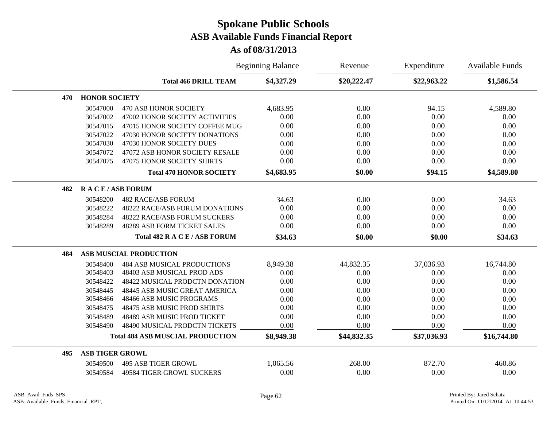|     |                        |                                         | <b>Beginning Balance</b> | Revenue     | Expenditure | <b>Available Funds</b> |
|-----|------------------------|-----------------------------------------|--------------------------|-------------|-------------|------------------------|
|     |                        | <b>Total 466 DRILL TEAM</b>             | \$4,327.29               | \$20,222.47 | \$22,963.22 | \$1,586.54             |
| 470 | <b>HONOR SOCIETY</b>   |                                         |                          |             |             |                        |
|     | 30547000               | <b>470 ASB HONOR SOCIETY</b>            | 4,683.95                 | 0.00        | 94.15       | 4,589.80               |
|     | 30547002               | 47002 HONOR SOCIETY ACTIVITIES          | 0.00                     | 0.00        | 0.00        | 0.00                   |
|     | 30547015               | 47015 HONOR SOCIETY COFFEE MUG          | 0.00                     | 0.00        | 0.00        | 0.00                   |
|     | 30547022               | 47030 HONOR SOCIETY DONATIONS           | 0.00                     | 0.00        | 0.00        | 0.00                   |
|     | 30547030               | 47030 HONOR SOCIETY DUES                | 0.00                     | 0.00        | 0.00        | 0.00                   |
|     | 30547072               | 47072 ASB HONOR SOCIETY RESALE          | 0.00                     | 0.00        | 0.00        | 0.00                   |
|     | 30547075               | <b>47075 HONOR SOCIETY SHIRTS</b>       | 0.00                     | 0.00        | 0.00        | 0.00                   |
|     |                        | <b>Total 470 HONOR SOCIETY</b>          | \$4,683.95               | \$0.00      | \$94.15     | \$4,589.80             |
| 482 | <b>RACE/ASB FORUM</b>  |                                         |                          |             |             |                        |
|     | 30548200               | <b>482 RACE/ASB FORUM</b>               | 34.63                    | 0.00        | 0.00        | 34.63                  |
|     | 30548222               | <b>48222 RACE/ASB FORUM DONATIONS</b>   | 0.00                     | 0.00        | 0.00        | 0.00                   |
|     | 30548284               | <b>48222 RACE/ASB FORUM SUCKERS</b>     | 0.00                     | 0.00        | 0.00        | 0.00                   |
|     | 30548289               | <b>48289 ASB FORM TICKET SALES</b>      | 0.00                     | 0.00        | 0.00        | 0.00                   |
|     |                        | Total 482 R A C E / ASB FORUM           | \$34.63                  | \$0.00      | \$0.00      | \$34.63                |
| 484 |                        | <b>ASB MUSCIAL PRODUCTION</b>           |                          |             |             |                        |
|     | 30548400               | <b>484 ASB MUSICAL PRODUCTIONS</b>      | 8,949.38                 | 44,832.35   | 37,036.93   | 16,744.80              |
|     | 30548403               | 48403 ASB MUSICAL PROD ADS              | 0.00                     | 0.00        | 0.00        | 0.00                   |
|     | 30548422               | 48422 MUSICAL PRODCTN DONATION          | 0.00                     | 0.00        | 0.00        | 0.00                   |
|     | 30548445               | 48445 ASB MUSIC GREAT AMERICA           | 0.00                     | 0.00        | 0.00        | 0.00                   |
|     | 30548466               | 48466 ASB MUSIC PROGRAMS                | 0.00                     | 0.00        | 0.00        | 0.00                   |
|     | 30548475               | 48475 ASB MUSIC PROD SHIRTS             | 0.00                     | 0.00        | 0.00        | 0.00                   |
|     | 30548489               | 48489 ASB MUSIC PROD TICKET             | 0.00                     | 0.00        | 0.00        | 0.00                   |
|     | 30548490               | 48490 MUSICAL PRODCTN TICKETS           | 0.00                     | 0.00        | 0.00        | 0.00                   |
|     |                        | <b>Total 484 ASB MUSCIAL PRODUCTION</b> | \$8,949.38               | \$44,832.35 | \$37,036.93 | \$16,744.80            |
| 495 | <b>ASB TIGER GROWL</b> |                                         |                          |             |             |                        |
|     | 30549500               | <b>495 ASB TIGER GROWL</b>              | 1,065.56                 | 268.00      | 872.70      | 460.86                 |
|     | 30549584               | <b>49584 TIGER GROWL SUCKERS</b>        | 0.00                     | 0.00        | 0.00        | 0.00                   |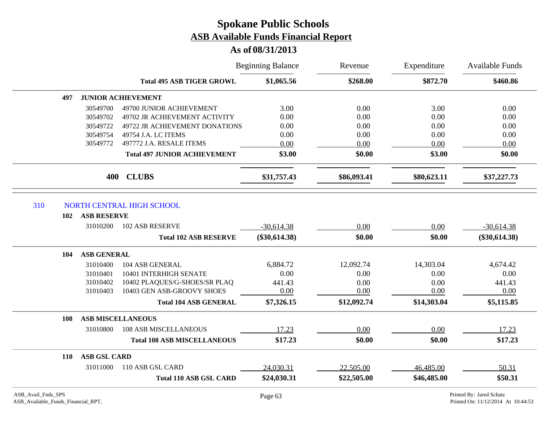|                                                          |                                   |                                     | <b>Beginning Balance</b> | Revenue     | Expenditure | Available Funds<br>\$460.86                                    |
|----------------------------------------------------------|-----------------------------------|-------------------------------------|--------------------------|-------------|-------------|----------------------------------------------------------------|
|                                                          |                                   | <b>Total 495 ASB TIGER GROWL</b>    | \$1,065.56               | \$268.00    | \$872.70    |                                                                |
|                                                          | 497                               | <b>JUNIOR ACHIEVEMENT</b>           |                          |             |             |                                                                |
|                                                          | 30549700                          | 49700 JUNIOR ACHIEVEMENT            | 3.00                     | 0.00        | 3.00        | 0.00                                                           |
|                                                          | 30549702                          | 49702 JR ACHIEVEMENT ACTIVITY       | 0.00                     | 0.00        | 0.00        | 0.00                                                           |
|                                                          | 30549722                          | 49722 JR ACHIEVEMENT DONATIONS      | 0.00                     | 0.00        | 0.00        | 0.00                                                           |
|                                                          | 30549754                          | 49754 J.A. LC ITEMS                 | 0.00                     | 0.00        | 0.00        | 0.00                                                           |
|                                                          | 30549772                          | 497772 J.A. RESALE ITEMS            | 0.00                     | 0.00        | 0.00        | 0.00                                                           |
|                                                          |                                   | <b>Total 497 JUNIOR ACHIEVEMENT</b> | \$3.00                   | \$0.00      | \$3.00      | \$0.00                                                         |
|                                                          | 400                               | <b>CLUBS</b>                        | \$31,757.43              | \$86,093.41 | \$80,623.11 | \$37,227.73                                                    |
| 310                                                      |                                   | NORTH CENTRAL HIGH SCHOOL           |                          |             |             |                                                                |
|                                                          | <b>ASB RESERVE</b><br>102         |                                     |                          |             |             |                                                                |
|                                                          | 31010200                          | <b>102 ASB RESERVE</b>              | $-30,614.38$             | 0.00        | 0.00        | $-30,614.38$                                                   |
|                                                          |                                   | <b>Total 102 ASB RESERVE</b>        | $(\$30,614.38)$          | \$0.00      | \$0.00      | $(\$30,614.38)$                                                |
|                                                          | ASB GENERAL<br>104                |                                     |                          |             |             |                                                                |
|                                                          | 31010400                          | 104 ASB GENERAL                     | 6,884.72                 | 12,092.74   | 14,303.04   | 4,674.42                                                       |
|                                                          | 31010401                          | 10401 INTERHIGH SENATE              | 0.00                     | 0.00        | 0.00        | 0.00                                                           |
|                                                          | 31010402                          | 10402 PLAQUES/G-SHOES/SR PLAQ       | 441.43                   | 0.00        | 0.00        | 441.43                                                         |
|                                                          | 31010403                          | 10403 GEN ASB-GROOVY SHOES          | 0.00                     | 0.00        | 0.00        | 0.00                                                           |
|                                                          |                                   | <b>Total 104 ASB GENERAL</b>        | \$7,326.15               | \$12,092.74 | \$14,303.04 | \$5,115.85                                                     |
|                                                          | 108                               | <b>ASB MISCELLANEOUS</b>            |                          |             |             |                                                                |
|                                                          | 31010800                          | <b>108 ASB MISCELLANEOUS</b>        | 17.23                    | 0.00        | 0.00        | 17.23                                                          |
|                                                          |                                   | <b>Total 108 ASB MISCELLANEOUS</b>  | \$17.23                  | \$0.00      | \$0.00      | \$17.23                                                        |
|                                                          | <b>ASB GSL CARD</b><br><b>110</b> |                                     |                          |             |             |                                                                |
|                                                          | 31011000                          | 110 ASB GSL CARD                    | 24,030.31                | 22,505.00   | 46,485.00   | 50.31                                                          |
|                                                          |                                   | <b>Total 110 ASB GSL CARD</b>       | \$24,030.31              | \$22,505.00 | \$46,485.00 | \$50.31                                                        |
| ASB_Avail_Fnds_SPS<br>ASB_Available_Funds_Financial_RPT, |                                   |                                     | Page 63                  |             |             | Printed By: Jared Schatz<br>Printed On: 11/12/2014 At 10:44:53 |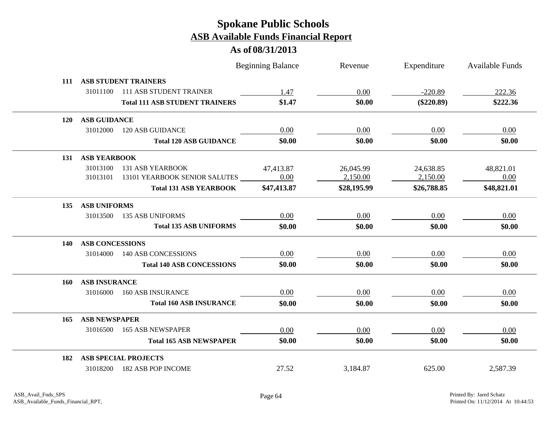|     |                        |                                       | <b>Beginning Balance</b> | Revenue     | Expenditure  | <b>Available Funds</b> |
|-----|------------------------|---------------------------------------|--------------------------|-------------|--------------|------------------------|
| 111 |                        | <b>ASB STUDENT TRAINERS</b>           |                          |             |              |                        |
|     | 31011100               | <b>111 ASB STUDENT TRAINER</b>        | 1.47                     | 0.00        | $-220.89$    | 222.36                 |
|     |                        | <b>Total 111 ASB STUDENT TRAINERS</b> | \$1.47                   | \$0.00      | $(\$220.89)$ | \$222.36               |
| 120 | <b>ASB GUIDANCE</b>    |                                       |                          |             |              |                        |
|     | 31012000               | <b>120 ASB GUIDANCE</b>               | 0.00                     | 0.00        | 0.00         | 0.00                   |
|     |                        | <b>Total 120 ASB GUIDANCE</b>         | \$0.00                   | \$0.00      | \$0.00       | \$0.00                 |
| 131 | <b>ASB YEARBOOK</b>    |                                       |                          |             |              |                        |
|     | 31013100               | 131 ASB YEARBOOK                      | 47,413.87                | 26,045.99   | 24,638.85    | 48,821.01              |
|     | 31013101               | 13101 YEARBOOK SENIOR SALUTES         | 0.00                     | 2,150.00    | 2,150.00     | 0.00                   |
|     |                        | <b>Total 131 ASB YEARBOOK</b>         | \$47,413.87              | \$28,195.99 | \$26,788.85  | \$48,821.01            |
| 135 | <b>ASB UNIFORMS</b>    |                                       |                          |             |              |                        |
|     | 31013500               | <b>135 ASB UNIFORMS</b>               | 0.00                     | 0.00        | 0.00         | 0.00                   |
|     |                        | <b>Total 135 ASB UNIFORMS</b>         | \$0.00                   | \$0.00      | \$0.00       | \$0.00                 |
| 140 | <b>ASB CONCESSIONS</b> |                                       |                          |             |              |                        |
|     | 31014000               | <b>140 ASB CONCESSIONS</b>            | 0.00                     | 0.00        | 0.00         | 0.00                   |
|     |                        | <b>Total 140 ASB CONCESSIONS</b>      | \$0.00                   | \$0.00      | \$0.00       | \$0.00                 |
| 160 | <b>ASB INSURANCE</b>   |                                       |                          |             |              |                        |
|     | 31016000               | <b>160 ASB INSURANCE</b>              | 0.00                     | 0.00        | 0.00         | 0.00                   |
|     |                        | <b>Total 160 ASB INSURANCE</b>        | \$0.00                   | \$0.00      | \$0.00       | \$0.00                 |
| 165 | <b>ASB NEWSPAPER</b>   |                                       |                          |             |              |                        |
|     | 31016500               | <b>165 ASB NEWSPAPER</b>              | 0.00                     | 0.00        | 0.00         | 0.00                   |
|     |                        | <b>Total 165 ASB NEWSPAPER</b>        | \$0.00                   | \$0.00      | \$0.00       | \$0.00                 |
| 182 |                        | <b>ASB SPECIAL PROJECTS</b>           |                          |             |              |                        |
|     |                        | 31018200 182 ASB POP INCOME           | 27.52                    | 3,184.87    | 625.00       | 2,587.39               |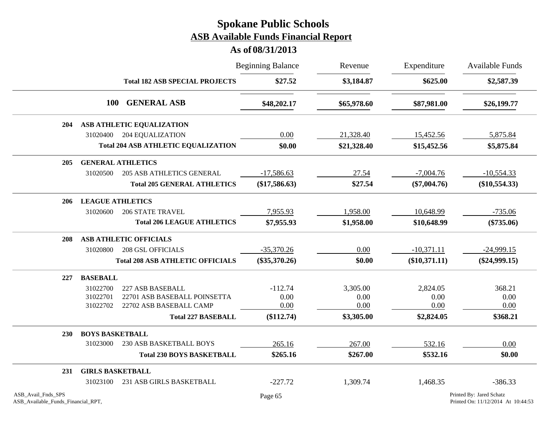|                                                          |                         |                                            | <b>Beginning Balance</b> | Revenue     | Expenditure     | Available Funds<br>\$2,587.39                                  |
|----------------------------------------------------------|-------------------------|--------------------------------------------|--------------------------|-------------|-----------------|----------------------------------------------------------------|
|                                                          |                         | <b>Total 182 ASB SPECIAL PROJECTS</b>      | \$27.52                  | \$3,184.87  | \$625.00        |                                                                |
|                                                          | <b>100</b>              | <b>GENERAL ASB</b>                         | \$48,202.17              | \$65,978.60 | \$87,981.00     | \$26,199.77                                                    |
| <b>204</b>                                               |                         | ASB ATHLETIC EQUALIZATION                  |                          |             |                 |                                                                |
|                                                          | 31020400                | 204 EQUALIZATION                           | 0.00                     | 21,328.40   | 15,452.56       | 5,875.84                                                       |
|                                                          |                         | <b>Total 204 ASB ATHLETIC EQUALIZATION</b> | \$0.00                   | \$21,328.40 | \$15,452.56     | \$5,875.84                                                     |
| 205                                                      |                         | <b>GENERAL ATHLETICS</b>                   |                          |             |                 |                                                                |
|                                                          | 31020500                | <b>205 ASB ATHLETICS GENERAL</b>           | $-17,586.63$             | 27.54       | $-7,004.76$     | $-10,554.33$                                                   |
|                                                          |                         | <b>Total 205 GENERAL ATHLETICS</b>         | $(\$17,586.63)$          | \$27.54     | $(\$7,004.76)$  | $(\$10,554.33)$                                                |
| <b>206</b>                                               | <b>LEAGUE ATHLETICS</b> |                                            |                          |             |                 |                                                                |
|                                                          | 31020600                | <b>206 STATE TRAVEL</b>                    | 7,955.93                 | 1,958.00    | 10,648.99       | $-735.06$                                                      |
|                                                          |                         | <b>Total 206 LEAGUE ATHLETICS</b>          | \$7,955.93               | \$1,958.00  | \$10,648.99     | $(\$735.06)$                                                   |
| 208                                                      |                         | <b>ASB ATHLETIC OFFICIALS</b>              |                          |             |                 |                                                                |
|                                                          | 31020800                | <b>208 GSL OFFICIALS</b>                   | $-35,370.26$             | 0.00        | $-10,371.11$    | $-24,999.15$                                                   |
|                                                          |                         | <b>Total 208 ASB ATHLETIC OFFICIALS</b>    | $(\$35,370.26)$          | \$0.00      | $(\$10,371.11)$ | $(\$24,999.15)$                                                |
| 227                                                      | <b>BASEBALL</b>         |                                            |                          |             |                 |                                                                |
|                                                          | 31022700                | 227 ASB BASEBALL                           | $-112.74$                | 3,305.00    | 2,824.05        | 368.21                                                         |
|                                                          | 31022701                | 22701 ASB BASEBALL POINSETTA               | 0.00                     | 0.00        | 0.00            | 0.00                                                           |
|                                                          | 31022702                | 22702 ASB BASEBALL CAMP                    | 0.00                     | 0.00        | 0.00            | 0.00                                                           |
|                                                          |                         | <b>Total 227 BASEBALL</b>                  | (\$112.74)               | \$3,305.00  | \$2,824.05      | \$368.21                                                       |
| <b>230</b>                                               | <b>BOYS BASKETBALL</b>  |                                            |                          |             |                 |                                                                |
|                                                          | 31023000                | 230 ASB BASKETBALL BOYS                    | 265.16                   | 267.00      | 532.16          | 0.00                                                           |
|                                                          |                         | <b>Total 230 BOYS BASKETBALL</b>           | \$265.16                 | \$267.00    | \$532.16        | \$0.00                                                         |
| 231                                                      | <b>GIRLS BASKETBALL</b> |                                            |                          |             |                 |                                                                |
|                                                          | 31023100                | 231 ASB GIRLS BASKETBALL                   | $-227.72$                | 1,309.74    | 1,468.35        | $-386.33$                                                      |
| ASB_Avail_Fnds_SPS<br>ASB_Available_Funds_Financial_RPT, |                         |                                            | Page 65                  |             |                 | Printed By: Jared Schatz<br>Printed On: 11/12/2014 At 10:44:53 |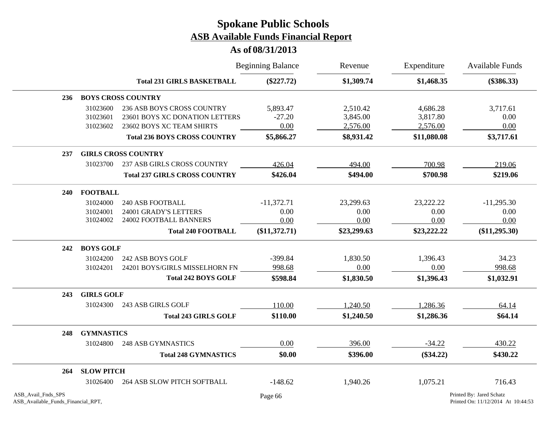### **As of 08/31/2013**

|                                                          |                   |                                      | <b>Beginning Balance</b> | Revenue     | Expenditure | Available Funds<br>$(\$386.33)$                                |
|----------------------------------------------------------|-------------------|--------------------------------------|--------------------------|-------------|-------------|----------------------------------------------------------------|
|                                                          |                   | <b>Total 231 GIRLS BASKETBALL</b>    | $(\$227.72)$             | \$1,309.74  | \$1,468.35  |                                                                |
| 236                                                      |                   | <b>BOYS CROSS COUNTRY</b>            |                          |             |             |                                                                |
|                                                          | 31023600          | 236 ASB BOYS CROSS COUNTRY           | 5,893.47                 | 2,510.42    | 4,686.28    | 3,717.61                                                       |
|                                                          | 31023601          | 23601 BOYS XC DONATION LETTERS       | $-27.20$                 | 3,845.00    | 3,817.80    | 0.00                                                           |
|                                                          | 31023602          | 23602 BOYS XC TEAM SHIRTS            | 0.00                     | 2,576.00    | 2,576.00    | 0.00                                                           |
|                                                          |                   | <b>Total 236 BOYS CROSS COUNTRY</b>  | \$5,866.27               | \$8,931.42  | \$11,080.08 | \$3,717.61                                                     |
| 237                                                      |                   | <b>GIRLS CROSS COUNTRY</b>           |                          |             |             |                                                                |
|                                                          | 31023700          | 237 ASB GIRLS CROSS COUNTRY          | 426.04                   | 494.00      | 700.98      | 219.06                                                         |
|                                                          |                   | <b>Total 237 GIRLS CROSS COUNTRY</b> | \$426.04                 | \$494.00    | \$700.98    | \$219.06                                                       |
| 240                                                      | <b>FOOTBALL</b>   |                                      |                          |             |             |                                                                |
|                                                          | 31024000          | <b>240 ASB FOOTBALL</b>              | $-11,372.71$             | 23,299.63   | 23,222.22   | $-11,295.30$                                                   |
|                                                          | 31024001          | 24001 GRADY'S LETTERS                | 0.00                     | 0.00        | 0.00        | 0.00                                                           |
|                                                          | 31024002          | 24002 FOOTBALL BANNERS               | 0.00                     | 0.00        | 0.00        | 0.00                                                           |
|                                                          |                   | <b>Total 240 FOOTBALL</b>            | $(\$11,372.71)$          | \$23,299.63 | \$23,222.22 | $(\$11,295.30)$                                                |
| 242                                                      | <b>BOYS GOLF</b>  |                                      |                          |             |             |                                                                |
|                                                          | 31024200          | 242 ASB BOYS GOLF                    | $-399.84$                | 1,830.50    | 1,396.43    | 34.23                                                          |
|                                                          | 31024201          | 24201 BOYS/GIRLS MISSELHORN FN       | 998.68                   | 0.00        | 0.00        | 998.68                                                         |
|                                                          |                   | <b>Total 242 BOYS GOLF</b>           | \$598.84                 | \$1,830.50  | \$1,396.43  | \$1,032.91                                                     |
| 243                                                      | <b>GIRLS GOLF</b> |                                      |                          |             |             |                                                                |
|                                                          | 31024300          | 243 ASB GIRLS GOLF                   | 110.00                   | 1,240.50    | 1,286.36    | 64.14                                                          |
|                                                          |                   | <b>Total 243 GIRLS GOLF</b>          | \$110.00                 | \$1,240.50  | \$1,286.36  | \$64.14                                                        |
| 248                                                      | <b>GYMNASTICS</b> |                                      |                          |             |             |                                                                |
|                                                          | 31024800          | <b>248 ASB GYMNASTICS</b>            | 0.00                     | 396.00      | $-34.22$    | 430.22                                                         |
|                                                          |                   | <b>Total 248 GYMNASTICS</b>          | \$0.00                   | \$396.00    | $(\$34.22)$ | \$430.22                                                       |
| 264                                                      | <b>SLOW PITCH</b> |                                      |                          |             |             |                                                                |
|                                                          | 31026400          | 264 ASB SLOW PITCH SOFTBALL          | $-148.62$                | 1,940.26    | 1,075.21    | 716.43                                                         |
| ASB_Avail_Fnds_SPS<br>ASB_Available_Funds_Financial_RPT, |                   |                                      | Page 66                  |             |             | Printed By: Jared Schatz<br>Printed On: 11/12/2014 At 10:44:53 |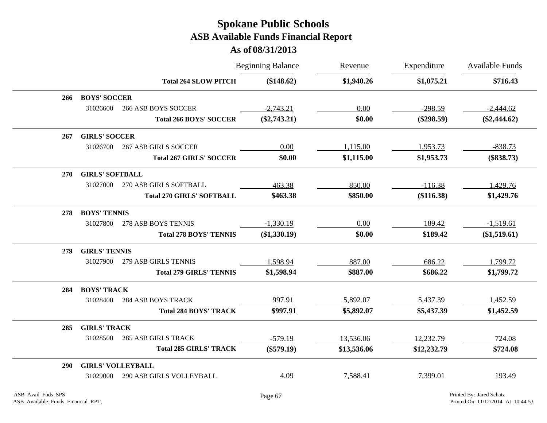|            |                          |                                  | <b>Beginning Balance</b> | Revenue     | Expenditure  | <b>Available Funds</b> |
|------------|--------------------------|----------------------------------|--------------------------|-------------|--------------|------------------------|
|            |                          | <b>Total 264 SLOW PITCH</b>      | (\$148.62)               | \$1,940.26  | \$1,075.21   | \$716.43               |
| 266        | <b>BOYS' SOCCER</b>      |                                  |                          |             |              |                        |
|            | 31026600                 | <b>266 ASB BOYS SOCCER</b>       | $-2,743.21$              | 0.00        | $-298.59$    | $-2,444.62$            |
|            |                          | <b>Total 266 BOYS' SOCCER</b>    | $(\$2,743.21)$           | \$0.00      | $(\$298.59)$ | $(\$2,444.62)$         |
| 267        | <b>GIRLS' SOCCER</b>     |                                  |                          |             |              |                        |
|            | 31026700                 | <b>267 ASB GIRLS SOCCER</b>      | 0.00                     | 1,115.00    | 1,953.73     | $-838.73$              |
|            |                          | <b>Total 267 GIRLS' SOCCER</b>   | \$0.00                   | \$1,115.00  | \$1,953.73   | $(\$838.73)$           |
| 270        | <b>GIRLS' SOFTBALL</b>   |                                  |                          |             |              |                        |
|            | 31027000                 | 270 ASB GIRLS SOFTBALL           | 463.38                   | 850.00      | $-116.38$    | 1,429.76               |
|            |                          | <b>Total 270 GIRLS' SOFTBALL</b> | \$463.38                 | \$850.00    | (\$116.38)   | \$1,429.76             |
| 278        | <b>BOYS' TENNIS</b>      |                                  |                          |             |              |                        |
|            | 31027800                 | 278 ASB BOYS TENNIS              | $-1,330.19$              | 0.00        | 189.42       | $-1,519.61$            |
|            |                          | <b>Total 278 BOYS' TENNIS</b>    | $(\$1,330.19)$           | \$0.00      | \$189.42     | $(\$1,519.61)$         |
| 279        | <b>GIRLS' TENNIS</b>     |                                  |                          |             |              |                        |
|            | 31027900                 | 279 ASB GIRLS TENNIS             | 1,598.94                 | 887.00      | 686.22       | 1,799.72               |
|            |                          | <b>Total 279 GIRLS' TENNIS</b>   | \$1,598.94               | \$887.00    | \$686.22     | \$1,799.72             |
| 284        | <b>BOYS' TRACK</b>       |                                  |                          |             |              |                        |
|            | 31028400                 | <b>284 ASB BOYS TRACK</b>        | 997.91                   | 5,892.07    | 5,437.39     | 1,452.59               |
|            |                          | <b>Total 284 BOYS' TRACK</b>     | \$997.91                 | \$5,892.07  | \$5,437.39   | \$1,452.59             |
| 285        | <b>GIRLS' TRACK</b>      |                                  |                          |             |              |                        |
|            | 31028500                 | <b>285 ASB GIRLS TRACK</b>       | $-579.19$                | 13,536.06   | 12,232.79    | 724.08                 |
|            |                          | <b>Total 285 GIRLS' TRACK</b>    | $(\$579.19)$             | \$13,536.06 | \$12,232.79  | \$724.08               |
| <b>290</b> | <b>GIRLS' VOLLEYBALL</b> |                                  |                          |             |              |                        |
|            | 31029000                 | <b>290 ASB GIRLS VOLLEYBALL</b>  | 4.09                     | 7,588.41    | 7,399.01     | 193.49                 |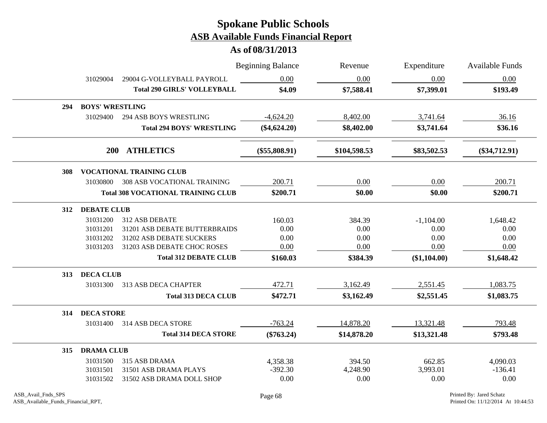|     |                        |                                           | <b>Beginning Balance</b> | Revenue      | Expenditure  | Available Funds |
|-----|------------------------|-------------------------------------------|--------------------------|--------------|--------------|-----------------|
|     | 31029004               | 29004 G-VOLLEYBALL PAYROLL                | 0.00                     | 0.00         | 0.00         | 0.00            |
|     |                        | <b>Total 290 GIRLS' VOLLEYBALL</b>        | \$4.09                   | \$7,588.41   | \$7,399.01   | \$193.49        |
| 294 | <b>BOYS' WRESTLING</b> |                                           |                          |              |              |                 |
|     | 31029400               | <b>294 ASB BOYS WRESTLING</b>             | $-4,624.20$              | 8,402.00     | 3,741.64     | 36.16           |
|     |                        | <b>Total 294 BOYS' WRESTLING</b>          | $(\$4,624.20)$           | \$8,402.00   | \$3,741.64   | \$36.16         |
|     | <b>200</b>             | <b>ATHLETICS</b>                          | $(\$55,808.91)$          | \$104,598.53 | \$83,502.53  | $(\$34,712.91)$ |
| 308 |                        | <b>VOCATIONAL TRAINING CLUB</b>           |                          |              |              |                 |
|     | 31030800               | <b>308 ASB VOCATIONAL TRAINING</b>        | 200.71                   | $0.00\,$     | 0.00         | 200.71          |
|     |                        | <b>Total 308 VOCATIONAL TRAINING CLUB</b> | \$200.71                 | \$0.00       | \$0.00       | \$200.71        |
| 312 | <b>DEBATE CLUB</b>     |                                           |                          |              |              |                 |
|     | 31031200               | 312 ASB DEBATE                            | 160.03                   | 384.39       | $-1,104.00$  | 1,648.42        |
|     | 31031201               | 31201 ASB DEBATE BUTTERBRAIDS             | 0.00                     | 0.00         | 0.00         | 0.00            |
|     | 31031202               | 31202 ASB DEBATE SUCKERS                  | 0.00                     | 0.00         | 0.00         | 0.00            |
|     | 31031203               | 31203 ASB DEBATE CHOC ROSES               | 0.00                     | 0.00         | 0.00         | 0.00            |
|     |                        | <b>Total 312 DEBATE CLUB</b>              | \$160.03                 | \$384.39     | (\$1,104.00) | \$1,648.42      |
| 313 | <b>DECA CLUB</b>       |                                           |                          |              |              |                 |
|     | 31031300               | 313 ASB DECA CHAPTER                      | 472.71                   | 3,162.49     | 2,551.45     | 1,083.75        |
|     |                        | <b>Total 313 DECA CLUB</b>                | \$472.71                 | \$3,162.49   | \$2,551.45   | \$1,083.75      |
| 314 | <b>DECA STORE</b>      |                                           |                          |              |              |                 |
|     | 31031400               | 314 ASB DECA STORE                        | $-763.24$                | 14,878.20    | 13,321.48    | 793.48          |
|     |                        | <b>Total 314 DECA STORE</b>               | $(\$763.24)$             | \$14,878.20  | \$13,321.48  | \$793.48        |
| 315 | <b>DRAMA CLUB</b>      |                                           |                          |              |              |                 |
|     | 31031500               | 315 ASB DRAMA                             | 4,358.38                 | 394.50       | 662.85       | 4,090.03        |
|     | 31031501               | 31501 ASB DRAMA PLAYS                     | $-392.30$                | 4,248.90     | 3,993.01     | $-136.41$       |
|     |                        | 31502 ASB DRAMA DOLL SHOP                 | 0.00                     | 0.00         | 0.00         | 0.00            |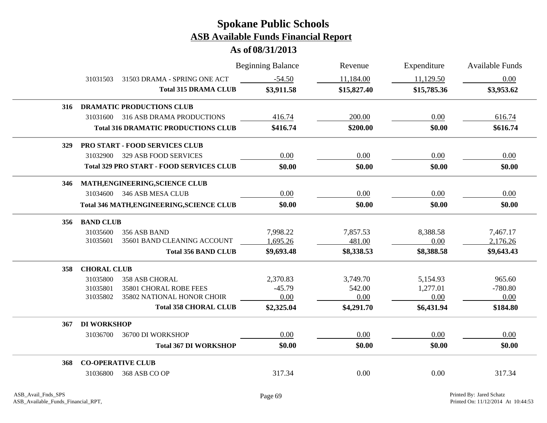|     |                    |                                                  | <b>Beginning Balance</b> | Revenue     | Expenditure | Available Funds |
|-----|--------------------|--------------------------------------------------|--------------------------|-------------|-------------|-----------------|
|     | 31031503           | 31503 DRAMA - SPRING ONE ACT                     | $-54.50$                 | 11,184.00   | 11,129.50   | 0.00            |
|     |                    | <b>Total 315 DRAMA CLUB</b>                      | \$3,911.58               | \$15,827.40 | \$15,785.36 | \$3,953.62      |
| 316 |                    | <b>DRAMATIC PRODUCTIONS CLUB</b>                 |                          |             |             |                 |
|     | 31031600           | 316 ASB DRAMA PRODUCTIONS                        | 416.74                   | 200.00      | 0.00        | 616.74          |
|     |                    | <b>Total 316 DRAMATIC PRODUCTIONS CLUB</b>       | \$416.74                 | \$200.00    | \$0.00      | \$616.74        |
| 329 |                    | PRO START - FOOD SERVICES CLUB                   |                          |             |             |                 |
|     | 31032900           | 329 ASB FOOD SERVICES                            | 0.00                     | 0.00        | 0.00        | 0.00            |
|     |                    | <b>Total 329 PRO START - FOOD SERVICES CLUB</b>  | \$0.00                   | \$0.00      | \$0.00      | \$0.00          |
| 346 |                    | MATH, ENGINEERING, SCIENCE CLUB                  |                          |             |             |                 |
|     | 31034600           | 346 ASB MESA CLUB                                | 0.00                     | 0.00        | 0.00        | 0.00            |
|     |                    | <b>Total 346 MATH, ENGINEERING, SCIENCE CLUB</b> | \$0.00                   | \$0.00      | \$0.00      | \$0.00          |
| 356 | <b>BAND CLUB</b>   |                                                  |                          |             |             |                 |
|     | 31035600           | 356 ASB BAND                                     | 7,998.22                 | 7,857.53    | 8,388.58    | 7,467.17        |
|     | 31035601           | 35601 BAND CLEANING ACCOUNT                      | ,695.26                  | 481.00      | 0.00        | 2,176.26        |
|     |                    | <b>Total 356 BAND CLUB</b>                       | \$9,693.48               | \$8,338.53  | \$8,388.58  | \$9,643.43      |
| 358 | <b>CHORAL CLUB</b> |                                                  |                          |             |             |                 |
|     | 31035800           | <b>358 ASB CHORAL</b>                            | 2,370.83                 | 3,749.70    | 5,154.93    | 965.60          |
|     | 31035801           | 35801 CHORAL ROBE FEES                           | $-45.79$                 | 542.00      | 1,277.01    | $-780.80$       |
|     | 31035802           | 35802 NATIONAL HONOR CHOIR                       | 0.00                     | 0.00        | 0.00        | 0.00            |
|     |                    | <b>Total 358 CHORAL CLUB</b>                     | \$2,325.04               | \$4,291.70  | \$6,431.94  | \$184.80        |
| 367 | <b>DI WORKSHOP</b> |                                                  |                          |             |             |                 |
|     | 31036700           | 36700 DI WORKSHOP                                | 0.00                     | $0.00\,$    | 0.00        | 0.00            |
|     |                    | <b>Total 367 DI WORKSHOP</b>                     | \$0.00                   | \$0.00      | \$0.00      | \$0.00          |
| 368 |                    | <b>CO-OPERATIVE CLUB</b>                         |                          |             |             |                 |
|     | 31036800           | 368 ASB CO OP                                    | 317.34                   | 0.00        | 0.00        | 317.34          |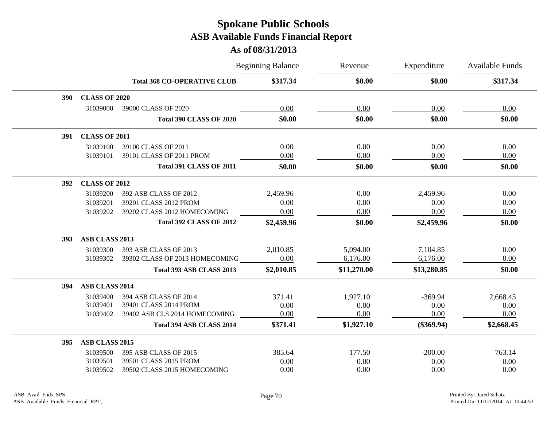|            |                       |                                    | <b>Beginning Balance</b> | Revenue     | Expenditure  | <b>Available Funds</b> |  |
|------------|-----------------------|------------------------------------|--------------------------|-------------|--------------|------------------------|--|
|            |                       | <b>Total 368 CO-OPERATIVE CLUB</b> | \$317.34                 | \$0.00      | \$0.00       | \$317.34               |  |
| <b>390</b> | <b>CLASS OF 2020</b>  |                                    |                          |             |              |                        |  |
|            | 31039000              | 39000 CLASS OF 2020                | 0.00                     | 0.00        | 0.00         | 0.00                   |  |
|            |                       | <b>Total 390 CLASS OF 2020</b>     | \$0.00                   | \$0.00      | \$0.00       | \$0.00                 |  |
| 391        | <b>CLASS OF 2011</b>  |                                    |                          |             |              |                        |  |
|            | 31039100              | 39100 CLASS OF 2011                | 0.00                     | 0.00        | 0.00         | 0.00                   |  |
|            | 31039101              | 39101 CLASS OF 2011 PROM           | 0.00                     | 0.00        | 0.00         | 0.00                   |  |
|            |                       | <b>Total 391 CLASS OF 2011</b>     | \$0.00                   | \$0.00      | \$0.00       | \$0.00                 |  |
| 392        | <b>CLASS OF 2012</b>  |                                    |                          |             |              |                        |  |
|            | 31039200              | 392 ASB CLASS OF 2012              | 2,459.96                 | 0.00        | 2,459.96     | 0.00                   |  |
|            | 31039201              | 39201 CLASS 2012 PROM              | 0.00                     | 0.00        | 0.00         | 0.00                   |  |
|            | 31039202              | 39202 CLASS 2012 HOMECOMING        | 0.00                     | 0.00        | 0.00         | 0.00                   |  |
|            |                       | <b>Total 392 CLASS OF 2012</b>     | \$2,459.96               | \$0.00      | \$2,459.96   | \$0.00                 |  |
| 393        | <b>ASB CLASS 2013</b> |                                    |                          |             |              |                        |  |
|            | 31039300              | 393 ASB CLASS OF 2013              | 2,010.85                 | 5,094.00    | 7,104.85     | 0.00                   |  |
|            | 31039302              | 39302 CLASS OF 2013 HOMECOMING     | 0.00                     | 6,176.00    | 6,176.00     | 0.00                   |  |
|            |                       | Total 393 ASB CLASS 2013           | \$2,010.85               | \$11,270.00 | \$13,280.85  | \$0.00                 |  |
| 394        | ASB CLASS 2014        |                                    |                          |             |              |                        |  |
|            | 31039400              | 394 ASB CLASS OF 2014              | 371.41                   | 1,927.10    | $-369.94$    | 2,668.45               |  |
|            | 31039401              | 39401 CLASS 2014 PROM              | 0.00                     | 0.00        | 0.00         | 0.00                   |  |
|            | 31039402              | 39402 ASB CLS 2014 HOMECOMING      | 0.00                     | 0.00        | 0.00         | 0.00                   |  |
|            |                       | Total 394 ASB CLASS 2014           | \$371.41                 | \$1,927.10  | $(\$369.94)$ | \$2,668.45             |  |
| 395        | ASB CLASS 2015        |                                    |                          |             |              |                        |  |
|            | 31039500              | 395 ASB CLASS OF 2015              | 385.64                   | 177.50      | $-200.00$    | 763.14                 |  |
|            | 31039501              | 39501 CLASS 2015 PROM              | 0.00                     | 0.00        | 0.00         | 0.00                   |  |
|            | 31039502              | 39502 CLASS 2015 HOMECOMING        | 0.00                     | 0.00        | 0.00         | 0.00                   |  |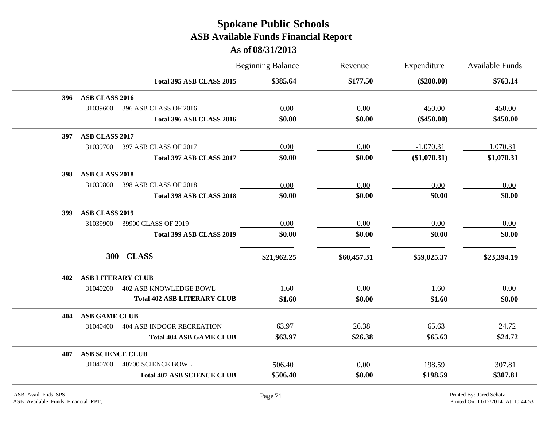|                                              | <b>Beginning Balance</b> | Revenue     | Expenditure  | <b>Available Funds</b> |
|----------------------------------------------|--------------------------|-------------|--------------|------------------------|
| Total 395 ASB CLASS 2015                     | \$385.64                 | \$177.50    | $(\$200.00)$ | \$763.14               |
| ASB CLASS 2016<br>396                        |                          |             |              |                        |
| 31039600<br>396 ASB CLASS OF 2016            | 0.00                     | 0.00        | $-450.00$    | 450.00                 |
| Total 396 ASB CLASS 2016                     | \$0.00                   | \$0.00      | $(\$450.00)$ | \$450.00               |
| ASB CLASS 2017<br>397                        |                          |             |              |                        |
| 31039700<br>397 ASB CLASS OF 2017            | 0.00                     | 0.00        | $-1,070.31$  | 1,070.31               |
| Total 397 ASB CLASS 2017                     | \$0.00                   | \$0.00      | (\$1,070.31) | \$1,070.31             |
| <b>ASB CLASS 2018</b><br>398                 |                          |             |              |                        |
| 31039800<br>398 ASB CLASS OF 2018            | 0.00                     | 0.00        | 0.00         | 0.00                   |
| Total 398 ASB CLASS 2018                     | \$0.00                   | \$0.00      | \$0.00       | \$0.00                 |
| <b>ASB CLASS 2019</b><br>399                 |                          |             |              |                        |
| 31039900<br>39900 CLASS OF 2019              | 0.00                     | 0.00        | 0.00         | 0.00                   |
| Total 399 ASB CLASS 2019                     | \$0.00                   | \$0.00      | \$0.00       | \$0.00                 |
| <b>CLASS</b><br><b>300</b>                   | \$21,962.25              | \$60,457.31 | \$59,025.37  | \$23,394.19            |
| <b>ASB LITERARY CLUB</b><br>402              |                          |             |              |                        |
| <b>402 ASB KNOWLEDGE BOWL</b><br>31040200    | 1.60                     | 0.00        | 1.60         | 0.00                   |
| <b>Total 402 ASB LITERARY CLUB</b>           | \$1.60                   | \$0.00      | \$1.60       | \$0.00                 |
| <b>ASB GAME CLUB</b><br>404                  |                          |             |              |                        |
| 31040400<br><b>404 ASB INDOOR RECREATION</b> | 63.97                    | 26.38       | 65.63        | 24.72                  |
| <b>Total 404 ASB GAME CLUB</b>               | \$63.97                  | \$26.38     | \$65.63      | \$24.72                |
| <b>ASB SCIENCE CLUB</b><br>407               |                          |             |              |                        |
| 31040700<br>40700 SCIENCE BOWL               | 506.40                   | 0.00        | 198.59       | 307.81                 |
| <b>Total 407 ASB SCIENCE CLUB</b>            | \$506.40                 | \$0.00      | \$198.59     | \$307.81               |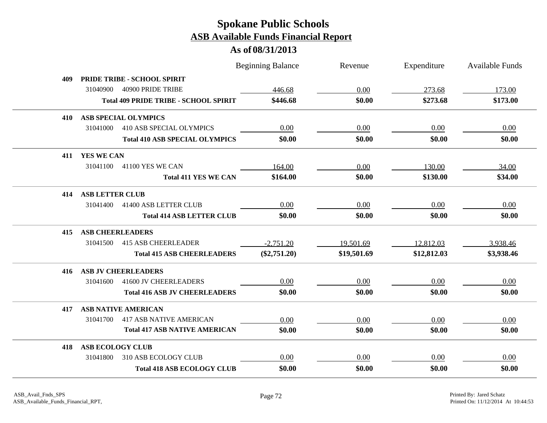|     |                                              |                             | <b>Beginning Balance</b> | Revenue     | Expenditure | Available Funds |
|-----|----------------------------------------------|-----------------------------|--------------------------|-------------|-------------|-----------------|
| 409 | PRIDE TRIBE - SCHOOL SPIRIT                  |                             |                          |             |             |                 |
|     | 31040900<br>40900 PRIDE TRIBE                |                             | 446.68                   | 0.00        | 273.68      | 173.00          |
|     | <b>Total 409 PRIDE TRIBE - SCHOOL SPIRIT</b> |                             | \$446.68                 | \$0.00      | \$273.68    | \$173.00        |
| 410 | <b>ASB SPECIAL OLYMPICS</b>                  |                             |                          |             |             |                 |
|     | 31041000<br><b>410 ASB SPECIAL OLYMPICS</b>  |                             | 0.00                     | 0.00        | 0.00        | 0.00            |
|     | <b>Total 410 ASB SPECIAL OLYMPICS</b>        |                             | \$0.00                   | \$0.00      | \$0.00      | \$0.00          |
| 411 | YES WE CAN                                   |                             |                          |             |             |                 |
|     | 31041100<br>41100 YES WE CAN                 |                             | 164.00                   | 0.00        | 130.00      | 34.00           |
|     |                                              | <b>Total 411 YES WE CAN</b> | \$164.00                 | \$0.00      | \$130.00    | \$34.00         |
| 414 | <b>ASB LETTER CLUB</b>                       |                             |                          |             |             |                 |
|     | 31041400<br>41400 ASB LETTER CLUB            |                             | 0.00                     | 0.00        | 0.00        | 0.00            |
|     | <b>Total 414 ASB LETTER CLUB</b>             |                             | \$0.00                   | \$0.00      | \$0.00      | \$0.00          |
| 415 | <b>ASB CHEERLEADERS</b>                      |                             |                          |             |             |                 |
|     | <b>415 ASB CHEERLEADER</b><br>31041500       |                             | $-2,751.20$              | 19,501.69   | 12,812.03   | 3,938.46        |
|     | <b>Total 415 ASB CHEERLEADERS</b>            |                             | $(\$2,751.20)$           | \$19,501.69 | \$12,812.03 | \$3,938.46      |
| 416 | <b>ASB JV CHEERLEADERS</b>                   |                             |                          |             |             |                 |
|     | 41600 JV CHEERLEADERS<br>31041600            |                             | 0.00                     | 0.00        | 0.00        | 0.00            |
|     | <b>Total 416 ASB JV CHEERLEADERS</b>         |                             | \$0.00                   | \$0.00      | \$0.00      | \$0.00          |
| 417 | <b>ASB NATIVE AMERICAN</b>                   |                             |                          |             |             |                 |
|     | <b>417 ASB NATIVE AMERICAN</b><br>31041700   |                             | 0.00                     | 0.00        | 0.00        | 0.00            |
|     | <b>Total 417 ASB NATIVE AMERICAN</b>         |                             | \$0.00                   | \$0.00      | \$0.00      | \$0.00          |
| 418 | <b>ASB ECOLOGY CLUB</b>                      |                             |                          |             |             |                 |
|     | 310 ASB ECOLOGY CLUB<br>31041800             |                             | 0.00                     | 0.00        | 0.00        | 0.00            |
|     | <b>Total 418 ASB ECOLOGY CLUB</b>            |                             | \$0.00                   | \$0.00      | \$0.00      | \$0.00          |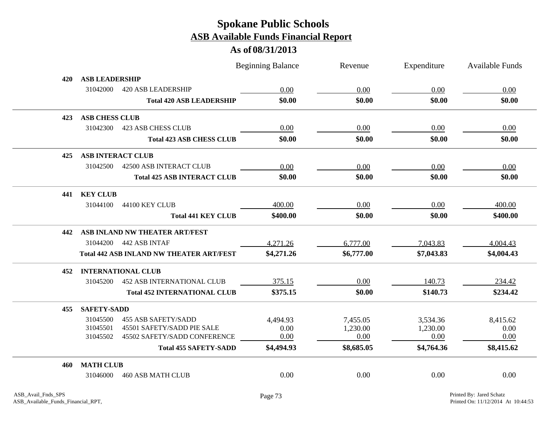| <b>ASB LEADERSHIP</b><br>420<br>31042000<br><b>420 ASB LEADERSHIP</b><br>0.00<br>0.00<br>0.00<br>0.00<br>\$0.00<br>\$0.00<br>\$0.00<br><b>Total 420 ASB LEADERSHIP</b><br>\$0.00<br><b>ASB CHESS CLUB</b><br>423<br>0.00<br>0.00<br>0.00<br>0.00<br>31042300<br><b>423 ASB CHESS CLUB</b><br>\$0.00<br>\$0.00<br>\$0.00<br>\$0.00<br><b>Total 423 ASB CHESS CLUB</b><br><b>ASB INTERACT CLUB</b><br>425<br><b>42500 ASB INTERACT CLUB</b><br>31042500<br>0.00<br>0.00<br>0.00<br>0.00<br>\$0.00<br>\$0.00<br>\$0.00<br>\$0.00<br><b>Total 425 ASB INTERACT CLUB</b><br><b>KEY CLUB</b><br>441<br>400.00<br>0.00<br>0.00<br>31044100<br>44100 KEY CLUB<br>400.00<br>\$400.00<br>\$400.00<br>\$0.00<br>\$0.00<br><b>Total 441 KEY CLUB</b><br>ASB INLAND NW THEATER ART/FEST<br>442<br>31044200 442 ASB INTAF<br>4,271.26<br>6,777.00<br>7,043.83<br>4,004.43<br><b>Total 442 ASB INLAND NW THEATER ART/FEST</b><br>\$4,271.26<br>\$6,777.00<br>\$7,043.83<br>\$4,004.43<br><b>INTERNATIONAL CLUB</b><br>452<br>375.15<br>0.00<br>140.73<br>234.42<br><b>452 ASB INTERNATIONAL CLUB</b><br>31045200<br>\$234.42<br>\$375.15<br>\$0.00<br>\$140.73<br><b>Total 452 INTERNATIONAL CLUB</b><br><b>SAFETY-SADD</b><br>455<br>31045500<br><b>455 ASB SAFETY/SADD</b><br>7,455.05<br>8,415.62<br>4,494.93<br>3,534.36<br>31045501<br>45501 SAFETY/SADD PIE SALE<br>1,230.00<br>0.00<br>1,230.00<br>0.00<br>0.00<br>0.00<br>0.00<br>0.00<br>45502 SAFETY/SADD CONFERENCE<br>31045502<br>\$4,494.93<br>\$8,685.05<br>\$4,764.36<br>\$8,415.62<br><b>Total 455 SAFETY-SADD</b><br><b>MATH CLUB</b><br>460<br>0.00<br>0.00<br>0.00<br>0.00<br><b>460 ASB MATH CLUB</b><br>31046000 |  | <b>Beginning Balance</b> | Revenue | Expenditure | <b>Available Funds</b> |
|------------------------------------------------------------------------------------------------------------------------------------------------------------------------------------------------------------------------------------------------------------------------------------------------------------------------------------------------------------------------------------------------------------------------------------------------------------------------------------------------------------------------------------------------------------------------------------------------------------------------------------------------------------------------------------------------------------------------------------------------------------------------------------------------------------------------------------------------------------------------------------------------------------------------------------------------------------------------------------------------------------------------------------------------------------------------------------------------------------------------------------------------------------------------------------------------------------------------------------------------------------------------------------------------------------------------------------------------------------------------------------------------------------------------------------------------------------------------------------------------------------------------------------------------------------------------------------------------------------------------------------------------------------------------|--|--------------------------|---------|-------------|------------------------|
|                                                                                                                                                                                                                                                                                                                                                                                                                                                                                                                                                                                                                                                                                                                                                                                                                                                                                                                                                                                                                                                                                                                                                                                                                                                                                                                                                                                                                                                                                                                                                                                                                                                                        |  |                          |         |             |                        |
|                                                                                                                                                                                                                                                                                                                                                                                                                                                                                                                                                                                                                                                                                                                                                                                                                                                                                                                                                                                                                                                                                                                                                                                                                                                                                                                                                                                                                                                                                                                                                                                                                                                                        |  |                          |         |             |                        |
|                                                                                                                                                                                                                                                                                                                                                                                                                                                                                                                                                                                                                                                                                                                                                                                                                                                                                                                                                                                                                                                                                                                                                                                                                                                                                                                                                                                                                                                                                                                                                                                                                                                                        |  |                          |         |             |                        |
|                                                                                                                                                                                                                                                                                                                                                                                                                                                                                                                                                                                                                                                                                                                                                                                                                                                                                                                                                                                                                                                                                                                                                                                                                                                                                                                                                                                                                                                                                                                                                                                                                                                                        |  |                          |         |             |                        |
|                                                                                                                                                                                                                                                                                                                                                                                                                                                                                                                                                                                                                                                                                                                                                                                                                                                                                                                                                                                                                                                                                                                                                                                                                                                                                                                                                                                                                                                                                                                                                                                                                                                                        |  |                          |         |             |                        |
|                                                                                                                                                                                                                                                                                                                                                                                                                                                                                                                                                                                                                                                                                                                                                                                                                                                                                                                                                                                                                                                                                                                                                                                                                                                                                                                                                                                                                                                                                                                                                                                                                                                                        |  |                          |         |             |                        |
|                                                                                                                                                                                                                                                                                                                                                                                                                                                                                                                                                                                                                                                                                                                                                                                                                                                                                                                                                                                                                                                                                                                                                                                                                                                                                                                                                                                                                                                                                                                                                                                                                                                                        |  |                          |         |             |                        |
|                                                                                                                                                                                                                                                                                                                                                                                                                                                                                                                                                                                                                                                                                                                                                                                                                                                                                                                                                                                                                                                                                                                                                                                                                                                                                                                                                                                                                                                                                                                                                                                                                                                                        |  |                          |         |             |                        |
|                                                                                                                                                                                                                                                                                                                                                                                                                                                                                                                                                                                                                                                                                                                                                                                                                                                                                                                                                                                                                                                                                                                                                                                                                                                                                                                                                                                                                                                                                                                                                                                                                                                                        |  |                          |         |             |                        |
|                                                                                                                                                                                                                                                                                                                                                                                                                                                                                                                                                                                                                                                                                                                                                                                                                                                                                                                                                                                                                                                                                                                                                                                                                                                                                                                                                                                                                                                                                                                                                                                                                                                                        |  |                          |         |             |                        |
|                                                                                                                                                                                                                                                                                                                                                                                                                                                                                                                                                                                                                                                                                                                                                                                                                                                                                                                                                                                                                                                                                                                                                                                                                                                                                                                                                                                                                                                                                                                                                                                                                                                                        |  |                          |         |             |                        |
|                                                                                                                                                                                                                                                                                                                                                                                                                                                                                                                                                                                                                                                                                                                                                                                                                                                                                                                                                                                                                                                                                                                                                                                                                                                                                                                                                                                                                                                                                                                                                                                                                                                                        |  |                          |         |             |                        |
|                                                                                                                                                                                                                                                                                                                                                                                                                                                                                                                                                                                                                                                                                                                                                                                                                                                                                                                                                                                                                                                                                                                                                                                                                                                                                                                                                                                                                                                                                                                                                                                                                                                                        |  |                          |         |             |                        |
|                                                                                                                                                                                                                                                                                                                                                                                                                                                                                                                                                                                                                                                                                                                                                                                                                                                                                                                                                                                                                                                                                                                                                                                                                                                                                                                                                                                                                                                                                                                                                                                                                                                                        |  |                          |         |             |                        |
|                                                                                                                                                                                                                                                                                                                                                                                                                                                                                                                                                                                                                                                                                                                                                                                                                                                                                                                                                                                                                                                                                                                                                                                                                                                                                                                                                                                                                                                                                                                                                                                                                                                                        |  |                          |         |             |                        |
|                                                                                                                                                                                                                                                                                                                                                                                                                                                                                                                                                                                                                                                                                                                                                                                                                                                                                                                                                                                                                                                                                                                                                                                                                                                                                                                                                                                                                                                                                                                                                                                                                                                                        |  |                          |         |             |                        |
|                                                                                                                                                                                                                                                                                                                                                                                                                                                                                                                                                                                                                                                                                                                                                                                                                                                                                                                                                                                                                                                                                                                                                                                                                                                                                                                                                                                                                                                                                                                                                                                                                                                                        |  |                          |         |             |                        |
|                                                                                                                                                                                                                                                                                                                                                                                                                                                                                                                                                                                                                                                                                                                                                                                                                                                                                                                                                                                                                                                                                                                                                                                                                                                                                                                                                                                                                                                                                                                                                                                                                                                                        |  |                          |         |             |                        |
|                                                                                                                                                                                                                                                                                                                                                                                                                                                                                                                                                                                                                                                                                                                                                                                                                                                                                                                                                                                                                                                                                                                                                                                                                                                                                                                                                                                                                                                                                                                                                                                                                                                                        |  |                          |         |             |                        |
|                                                                                                                                                                                                                                                                                                                                                                                                                                                                                                                                                                                                                                                                                                                                                                                                                                                                                                                                                                                                                                                                                                                                                                                                                                                                                                                                                                                                                                                                                                                                                                                                                                                                        |  |                          |         |             |                        |
|                                                                                                                                                                                                                                                                                                                                                                                                                                                                                                                                                                                                                                                                                                                                                                                                                                                                                                                                                                                                                                                                                                                                                                                                                                                                                                                                                                                                                                                                                                                                                                                                                                                                        |  |                          |         |             |                        |
|                                                                                                                                                                                                                                                                                                                                                                                                                                                                                                                                                                                                                                                                                                                                                                                                                                                                                                                                                                                                                                                                                                                                                                                                                                                                                                                                                                                                                                                                                                                                                                                                                                                                        |  |                          |         |             |                        |
|                                                                                                                                                                                                                                                                                                                                                                                                                                                                                                                                                                                                                                                                                                                                                                                                                                                                                                                                                                                                                                                                                                                                                                                                                                                                                                                                                                                                                                                                                                                                                                                                                                                                        |  |                          |         |             |                        |
|                                                                                                                                                                                                                                                                                                                                                                                                                                                                                                                                                                                                                                                                                                                                                                                                                                                                                                                                                                                                                                                                                                                                                                                                                                                                                                                                                                                                                                                                                                                                                                                                                                                                        |  |                          |         |             |                        |
|                                                                                                                                                                                                                                                                                                                                                                                                                                                                                                                                                                                                                                                                                                                                                                                                                                                                                                                                                                                                                                                                                                                                                                                                                                                                                                                                                                                                                                                                                                                                                                                                                                                                        |  |                          |         |             |                        |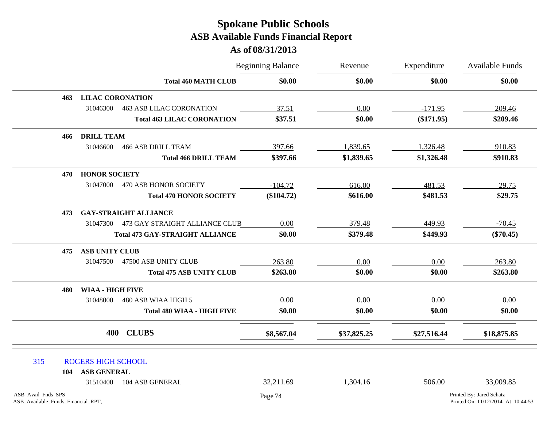|                                                          |                           |                                         | <b>Beginning Balance</b> | Revenue     | Expenditure<br>\$0.00 | Available Funds                                                |
|----------------------------------------------------------|---------------------------|-----------------------------------------|--------------------------|-------------|-----------------------|----------------------------------------------------------------|
|                                                          |                           | <b>Total 460 MATH CLUB</b>              | \$0.00                   | \$0.00      |                       | \$0.00                                                         |
| 463                                                      | <b>LILAC CORONATION</b>   |                                         |                          |             |                       |                                                                |
|                                                          | 31046300                  | <b>463 ASB LILAC CORONATION</b>         | 37.51                    | 0.00        | $-171.95$             | 209.46                                                         |
|                                                          |                           | <b>Total 463 LILAC CORONATION</b>       | \$37.51                  | \$0.00      | $(\$171.95)$          | \$209.46                                                       |
| 466                                                      | <b>DRILL TEAM</b>         |                                         |                          |             |                       |                                                                |
|                                                          | 31046600                  | <b>466 ASB DRILL TEAM</b>               | 397.66                   | 1,839.65    | 1,326.48              | 910.83                                                         |
|                                                          |                           | <b>Total 466 DRILL TEAM</b>             | \$397.66                 | \$1,839.65  | \$1,326.48            | \$910.83                                                       |
| 470                                                      | <b>HONOR SOCIETY</b>      |                                         |                          |             |                       |                                                                |
|                                                          | 31047000                  | 470 ASB HONOR SOCIETY                   | $-104.72$                | 616.00      | 481.53                | 29.75                                                          |
|                                                          |                           | <b>Total 470 HONOR SOCIETY</b>          | (\$104.72)               | \$616.00    | \$481.53              | \$29.75                                                        |
| 473                                                      |                           | <b>GAY-STRAIGHT ALLIANCE</b>            |                          |             |                       |                                                                |
|                                                          |                           | 31047300 473 GAY STRAIGHT ALLIANCE CLUB | 0.00                     | 379.48      | 449.93                | $-70.45$                                                       |
|                                                          |                           | <b>Total 473 GAY-STRAIGHT ALLIANCE</b>  | \$0.00                   | \$379.48    | \$449.93              | $(\$70.45)$                                                    |
| 475                                                      | <b>ASB UNITY CLUB</b>     |                                         |                          |             |                       |                                                                |
|                                                          | 31047500                  | 47500 ASB UNITY CLUB                    | 263.80                   | 0.00        | 0.00                  | 263.80                                                         |
|                                                          |                           | <b>Total 475 ASB UNITY CLUB</b>         | \$263.80                 | \$0.00      | \$0.00                | \$263.80                                                       |
| 480                                                      | <b>WIAA - HIGH FIVE</b>   |                                         |                          |             |                       |                                                                |
|                                                          | 31048000                  | 480 ASB WIAA HIGH 5                     | 0.00                     | 0.00        | 0.00                  | 0.00                                                           |
|                                                          |                           | <b>Total 480 WIAA - HIGH FIVE</b>       | \$0.00                   | \$0.00      | \$0.00                | \$0.00                                                         |
|                                                          | 400                       | <b>CLUBS</b>                            | \$8,567.04               | \$37,825.25 | \$27,516.44           | \$18,875.85                                                    |
| 315                                                      | <b>ROGERS HIGH SCHOOL</b> |                                         |                          |             |                       |                                                                |
| 104                                                      | <b>ASB GENERAL</b>        |                                         |                          |             |                       |                                                                |
|                                                          | 31510400                  | 104 ASB GENERAL                         | 32,211.69                | 1,304.16    | 506.00                | 33,009.85                                                      |
| ASB_Avail_Fnds_SPS<br>ASB_Available_Funds_Financial_RPT, |                           |                                         | Page 74                  |             |                       | Printed By: Jared Schatz<br>Printed On: 11/12/2014 At 10:44:53 |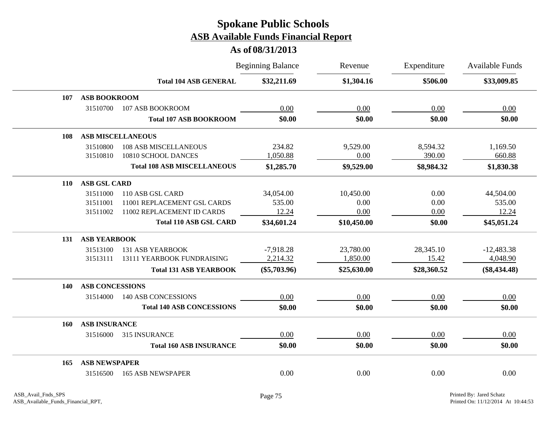|            |                        |                                    | <b>Beginning Balance</b> | Revenue     | Expenditure | <b>Available Funds</b> |
|------------|------------------------|------------------------------------|--------------------------|-------------|-------------|------------------------|
|            |                        | <b>Total 104 ASB GENERAL</b>       | \$32,211.69              | \$1,304.16  | \$506.00    | \$33,009.85            |
| 107        | <b>ASB BOOKROOM</b>    |                                    |                          |             |             |                        |
|            | 31510700               | 107 ASB BOOKROOM                   | 0.00                     | 0.00        | 0.00        | 0.00                   |
|            |                        | <b>Total 107 ASB BOOKROOM</b>      | \$0.00                   | \$0.00      | \$0.00      | \$0.00                 |
| <b>108</b> |                        | <b>ASB MISCELLANEOUS</b>           |                          |             |             |                        |
|            | 31510800               | <b>108 ASB MISCELLANEOUS</b>       | 234.82                   | 9,529.00    | 8,594.32    | 1,169.50               |
|            | 31510810               | 10810 SCHOOL DANCES                | 1,050.88                 | 0.00        | 390.00      | 660.88                 |
|            |                        | <b>Total 108 ASB MISCELLANEOUS</b> | \$1,285.70               | \$9,529.00  | \$8,984.32  | \$1,830.38             |
| 110        | <b>ASB GSL CARD</b>    |                                    |                          |             |             |                        |
|            | 31511000               | 110 ASB GSL CARD                   | 34,054.00                | 10,450.00   | 0.00        | 44,504.00              |
|            | 31511001               | 11001 REPLACEMENT GSL CARDS        | 535.00                   | 0.00        | 0.00        | 535.00                 |
|            | 31511002               | 11002 REPLACEMENT ID CARDS         | 12.24                    | 0.00        | 0.00        | 12.24                  |
|            |                        | <b>Total 110 ASB GSL CARD</b>      | \$34,601.24              | \$10,450.00 | \$0.00      | \$45,051.24            |
| 131        | <b>ASB YEARBOOK</b>    |                                    |                          |             |             |                        |
|            | 31513100               | <b>131 ASB YEARBOOK</b>            | $-7,918.28$              | 23,780.00   | 28,345.10   | $-12,483.38$           |
|            | 31513111               | 13111 YEARBOOK FUNDRAISING         | 2,214.32                 | 1,850.00    | 15.42       | 4,048.90               |
|            |                        | <b>Total 131 ASB YEARBOOK</b>      | $(\$5,703.96)$           | \$25,630.00 | \$28,360.52 | $(\$8,434.48)$         |
| 140        | <b>ASB CONCESSIONS</b> |                                    |                          |             |             |                        |
|            | 31514000               | <b>140 ASB CONCESSIONS</b>         | 0.00                     | 0.00        | 0.00        | 0.00                   |
|            |                        | <b>Total 140 ASB CONCESSIONS</b>   | \$0.00                   | \$0.00      | \$0.00      | \$0.00                 |
| 160        | <b>ASB INSURANCE</b>   |                                    |                          |             |             |                        |
|            | 31516000               | 315 INSURANCE                      | 0.00                     | 0.00        | 0.00        | 0.00                   |
|            |                        | <b>Total 160 ASB INSURANCE</b>     | \$0.00                   | \$0.00      | \$0.00      | \$0.00                 |
| 165        | <b>ASB NEWSPAPER</b>   |                                    |                          |             |             |                        |
|            | 31516500               | <b>165 ASB NEWSPAPER</b>           | 0.00                     | 0.00        | 0.00        | 0.00                   |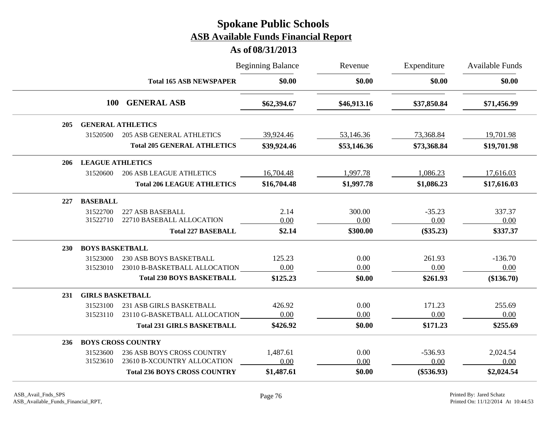|     |                         |                                     | <b>Beginning Balance</b> | Revenue     | Expenditure  | <b>Available Funds</b> |
|-----|-------------------------|-------------------------------------|--------------------------|-------------|--------------|------------------------|
|     |                         | <b>Total 165 ASB NEWSPAPER</b>      | \$0.00                   | \$0.00      | \$0.00       | \$0.00                 |
|     | <b>100</b>              | <b>GENERAL ASB</b>                  | \$62,394.67              | \$46,913.16 | \$37,850.84  | \$71,456.99            |
| 205 |                         | <b>GENERAL ATHLETICS</b>            |                          |             |              |                        |
|     | 31520500                | <b>205 ASB GENERAL ATHLETICS</b>    | 39,924.46                | 53,146.36   | 73,368.84    | 19,701.98              |
|     |                         | <b>Total 205 GENERAL ATHLETICS</b>  | \$39,924.46              | \$53,146.36 | \$73,368.84  | \$19,701.98            |
| 206 | <b>LEAGUE ATHLETICS</b> |                                     |                          |             |              |                        |
|     | 31520600                | <b>206 ASB LEAGUE ATHLETICS</b>     | 16,704.48                | 1,997.78    | 1,086.23     | 17,616.03              |
|     |                         | <b>Total 206 LEAGUE ATHLETICS</b>   | \$16,704.48              | \$1,997.78  | \$1,086.23   | \$17,616.03            |
| 227 | <b>BASEBALL</b>         |                                     |                          |             |              |                        |
|     | 31522700                | 227 ASB BASEBALL                    | 2.14                     | 300.00      | $-35.23$     | 337.37                 |
|     | 31522710                | 22710 BASEBALL ALLOCATION           | 0.00                     | 0.00        | 0.00         | 0.00                   |
|     |                         | <b>Total 227 BASEBALL</b>           | \$2.14                   | \$300.00    | $(\$35.23)$  | \$337.37               |
| 230 | <b>BOYS BASKETBALL</b>  |                                     |                          |             |              |                        |
|     | 31523000                | <b>230 ASB BOYS BASKETBALL</b>      | 125.23                   | 0.00        | 261.93       | $-136.70$              |
|     | 31523010                | 23010 B-BASKETBALL ALLOCATION       | 0.00                     | 0.00        | 0.00         | 0.00                   |
|     |                         | <b>Total 230 BOYS BASKETBALL</b>    | \$125.23                 | \$0.00      | \$261.93     | (\$136.70)             |
| 231 | <b>GIRLS BASKETBALL</b> |                                     |                          |             |              |                        |
|     | 31523100                | 231 ASB GIRLS BASKETBALL            | 426.92                   | 0.00        | 171.23       | 255.69                 |
|     | 31523110                | 23110 G-BASKETBALL ALLOCATION       | 0.00                     | 0.00        | 0.00         | 0.00                   |
|     |                         | <b>Total 231 GIRLS BASKETBALL</b>   | \$426.92                 | \$0.00      | \$171.23     | \$255.69               |
| 236 |                         | <b>BOYS CROSS COUNTRY</b>           |                          |             |              |                        |
|     | 31523600                | 236 ASB BOYS CROSS COUNTRY          | 1,487.61                 | 0.00        | $-536.93$    | 2,024.54               |
|     | 31523610                | 23610 B-XCOUNTRY ALLOCATION         | 0.00                     | 0.00        | 0.00         | 0.00                   |
|     |                         | <b>Total 236 BOYS CROSS COUNTRY</b> | \$1,487.61               | \$0.00      | $(\$536.93)$ | \$2,024.54             |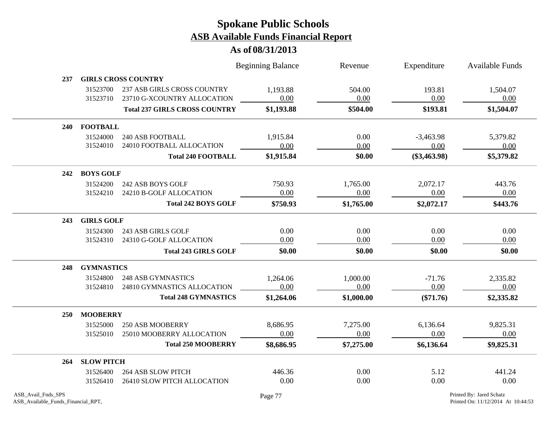|                                                          |                   |                                      | <b>Beginning Balance</b> | Revenue    | Expenditure    | <b>Available Funds</b>                                         |  |
|----------------------------------------------------------|-------------------|--------------------------------------|--------------------------|------------|----------------|----------------------------------------------------------------|--|
| 237                                                      |                   | <b>GIRLS CROSS COUNTRY</b>           |                          |            |                |                                                                |  |
|                                                          | 31523700          | 237 ASB GIRLS CROSS COUNTRY          | 1,193.88                 | 504.00     | 193.81         | 1,504.07                                                       |  |
|                                                          | 31523710          | 23710 G-XCOUNTRY ALLOCATION          | 0.00                     | 0.00       | 0.00           | 0.00                                                           |  |
|                                                          |                   | <b>Total 237 GIRLS CROSS COUNTRY</b> | \$1,193.88               | \$504.00   | \$193.81       | \$1,504.07                                                     |  |
| 240                                                      | <b>FOOTBALL</b>   |                                      |                          |            |                |                                                                |  |
|                                                          | 31524000          | <b>240 ASB FOOTBALL</b>              | 1,915.84                 | 0.00       | $-3,463.98$    | 5,379.82                                                       |  |
|                                                          | 31524010          | 24010 FOOTBALL ALLOCATION            | 0.00                     | 0.00       | 0.00           | 0.00                                                           |  |
|                                                          |                   | <b>Total 240 FOOTBALL</b>            | \$1,915.84               | \$0.00     | $(\$3,463.98)$ | \$5,379.82                                                     |  |
| 242                                                      | <b>BOYS GOLF</b>  |                                      |                          |            |                |                                                                |  |
|                                                          | 31524200          | 242 ASB BOYS GOLF                    | 750.93                   | 1,765.00   | 2,072.17       | 443.76                                                         |  |
|                                                          | 31524210          | 24210 B-GOLF ALLOCATION              | 0.00                     | 0.00       | 0.00           | 0.00                                                           |  |
|                                                          |                   | <b>Total 242 BOYS GOLF</b>           | \$750.93                 | \$1,765.00 | \$2,072.17     | \$443.76                                                       |  |
| 243                                                      | <b>GIRLS GOLF</b> |                                      |                          |            |                |                                                                |  |
|                                                          | 31524300          | 243 ASB GIRLS GOLF                   | 0.00                     | 0.00       | 0.00           | 0.00                                                           |  |
|                                                          | 31524310          | 24310 G-GOLF ALLOCATION              | 0.00                     | 0.00       | 0.00           | 0.00                                                           |  |
|                                                          |                   | <b>Total 243 GIRLS GOLF</b>          | \$0.00                   | \$0.00     | \$0.00         | \$0.00                                                         |  |
| 248                                                      | <b>GYMNASTICS</b> |                                      |                          |            |                |                                                                |  |
|                                                          | 31524800          | <b>248 ASB GYMNASTICS</b>            | 1,264.06                 | 1,000.00   | $-71.76$       | 2,335.82                                                       |  |
|                                                          | 31524810          | 24810 GYMNASTICS ALLOCATION          | 0.00                     | 0.00       | 0.00           | 0.00                                                           |  |
|                                                          |                   | <b>Total 248 GYMNASTICS</b>          | \$1,264.06               | \$1,000.00 | $(\$71.76)$    | \$2,335.82                                                     |  |
| <b>250</b>                                               | <b>MOOBERRY</b>   |                                      |                          |            |                |                                                                |  |
|                                                          | 31525000          | <b>250 ASB MOOBERRY</b>              | 8,686.95                 | 7,275.00   | 6,136.64       | 9,825.31                                                       |  |
|                                                          | 31525010          | 25010 MOOBERRY ALLOCATION            | 0.00                     | 0.00       | 0.00           | 0.00                                                           |  |
|                                                          |                   | <b>Total 250 MOOBERRY</b>            | \$8,686.95               | \$7,275.00 | \$6,136.64     | \$9,825.31                                                     |  |
| 264                                                      | <b>SLOW PITCH</b> |                                      |                          |            |                |                                                                |  |
|                                                          | 31526400          | <b>264 ASB SLOW PITCH</b>            | 446.36                   | 0.00       | 5.12           | 441.24                                                         |  |
|                                                          | 31526410          | 26410 SLOW PITCH ALLOCATION          | 0.00                     | 0.00       | 0.00           | 0.00                                                           |  |
| ASB_Avail_Fnds_SPS<br>ASB_Available_Funds_Financial_RPT, |                   |                                      | Page 77                  |            |                | Printed By: Jared Schatz<br>Printed On: 11/12/2014 At 10:44:53 |  |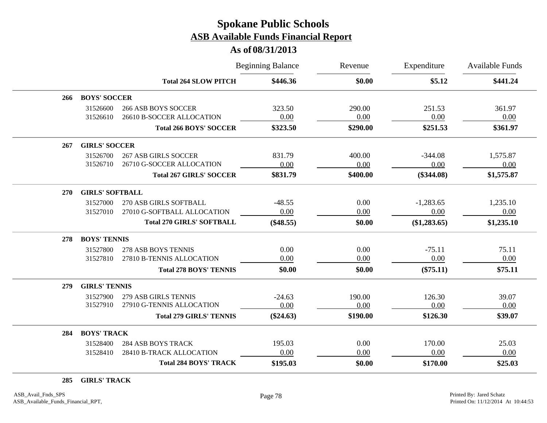### **As of 08/31/2013**

|     |                        |                                                          | <b>Beginning Balance</b> | Revenue        | Expenditure       | <b>Available Funds</b> |
|-----|------------------------|----------------------------------------------------------|--------------------------|----------------|-------------------|------------------------|
|     |                        | <b>Total 264 SLOW PITCH</b>                              | \$446.36                 | \$0.00         | \$5.12            | \$441.24               |
| 266 | <b>BOYS' SOCCER</b>    |                                                          |                          |                |                   |                        |
|     | 31526600<br>31526610   | <b>266 ASB BOYS SOCCER</b><br>26610 B-SOCCER ALLOCATION  | 323.50<br>0.00           | 290.00<br>0.00 | 251.53<br>0.00    | 361.97<br>0.00         |
|     |                        | <b>Total 266 BOYS' SOCCER</b>                            | \$323.50                 | \$290.00       | \$251.53          | \$361.97               |
| 267 | <b>GIRLS' SOCCER</b>   |                                                          |                          |                |                   |                        |
|     | 31526700<br>31526710   | <b>267 ASB GIRLS SOCCER</b><br>26710 G-SOCCER ALLOCATION | 831.79<br>0.00           | 400.00<br>0.00 | $-344.08$<br>0.00 | 1,575.87<br>0.00       |
|     |                        | <b>Total 267 GIRLS' SOCCER</b>                           | \$831.79                 | \$400.00       | $(\$344.08)$      | \$1,575.87             |
| 270 | <b>GIRLS' SOFTBALL</b> |                                                          |                          |                |                   |                        |
|     | 31527000               | 270 ASB GIRLS SOFTBALL                                   | $-48.55$                 | 0.00           | $-1,283.65$       | 1,235.10               |
|     | 31527010               | 27010 G-SOFTBALL ALLOCATION                              | 0.00                     | 0.00           | 0.00              | 0.00                   |
|     |                        | <b>Total 270 GIRLS' SOFTBALL</b>                         | $(\$48.55)$              | \$0.00         | (\$1,283.65)      | \$1,235.10             |
| 278 | <b>BOYS' TENNIS</b>    |                                                          |                          |                |                   |                        |
|     | 31527800               | 278 ASB BOYS TENNIS                                      | 0.00                     | 0.00           | $-75.11$          | 75.11                  |
|     | 31527810               | 27810 B-TENNIS ALLOCATION                                | 0.00                     | 0.00           | 0.00              | 0.00                   |
|     |                        | <b>Total 278 BOYS' TENNIS</b>                            | \$0.00                   | \$0.00         | $(\$75.11)$       | \$75.11                |
| 279 | <b>GIRLS' TENNIS</b>   |                                                          |                          |                |                   |                        |
|     | 31527900               | <b>279 ASB GIRLS TENNIS</b>                              | $-24.63$                 | 190.00         | 126.30            | 39.07                  |
|     | 31527910               | 27910 G-TENNIS ALLOCATION                                | 0.00                     | 0.00           | 0.00              | 0.00                   |
|     |                        | <b>Total 279 GIRLS' TENNIS</b>                           | $(\$24.63)$              | \$190.00       | \$126.30          | \$39.07                |
| 284 | <b>BOYS' TRACK</b>     |                                                          |                          |                |                   |                        |
|     | 31528400               | <b>284 ASB BOYS TRACK</b>                                | 195.03                   | 0.00           | 170.00            | 25.03                  |
|     | 31528410               | 28410 B-TRACK ALLOCATION                                 | 0.00                     | 0.00           | 0.00              | 0.00                   |
|     |                        | <b>Total 284 BOYS' TRACK</b>                             | \$195.03                 | \$0.00         | \$170.00          | \$25.03                |

**285 GIRLS' TRACK**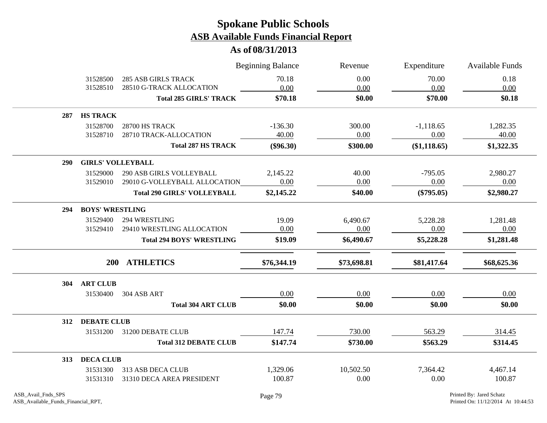|            |                          |                                    | <b>Beginning Balance</b> | Revenue     | Expenditure  | Available Funds |
|------------|--------------------------|------------------------------------|--------------------------|-------------|--------------|-----------------|
|            | 31528500                 | <b>285 ASB GIRLS TRACK</b>         | 70.18                    | 0.00        | 70.00        | 0.18            |
|            | 31528510                 | 28510 G-TRACK ALLOCATION           | 0.00                     | 0.00        | 0.00         | 0.00            |
|            |                          | <b>Total 285 GIRLS' TRACK</b>      | \$70.18                  | \$0.00      | \$70.00      | \$0.18          |
| 287        | <b>HS TRACK</b>          |                                    |                          |             |              |                 |
|            | 31528700                 | 28700 HS TRACK                     | $-136.30$                | 300.00      | $-1,118.65$  | 1,282.35        |
|            | 31528710                 | 28710 TRACK-ALLOCATION             | 40.00                    | 0.00        | 0.00         | 40.00           |
|            |                          | <b>Total 287 HS TRACK</b>          | $(\$96.30)$              | \$300.00    | (\$1,118.65) | \$1,322.35      |
| <b>290</b> | <b>GIRLS' VOLLEYBALL</b> |                                    |                          |             |              |                 |
|            | 31529000                 | 290 ASB GIRLS VOLLEYBALL           | 2,145.22                 | 40.00       | $-795.05$    | 2,980.27        |
|            | 31529010                 | 29010 G-VOLLEYBALL ALLOCATION      | 0.00                     | 0.00        | 0.00         | 0.00            |
|            |                          | <b>Total 290 GIRLS' VOLLEYBALL</b> | \$2,145.22               | \$40.00     | $(\$795.05)$ | \$2,980.27      |
| 294        | <b>BOYS' WRESTLING</b>   |                                    |                          |             |              |                 |
|            | 31529400                 | 294 WRESTLING                      | 19.09                    | 6,490.67    | 5,228.28     | 1,281.48        |
|            | 31529410                 | 29410 WRESTLING ALLOCATION         | 0.00                     | 0.00        | 0.00         | 0.00            |
|            |                          | <b>Total 294 BOYS' WRESTLING</b>   | \$19.09                  | \$6,490.67  | \$5,228.28   | \$1,281.48      |
|            |                          | 200 ATHLETICS                      | \$76,344.19              | \$73,698.81 | \$81,417.64  | \$68,625.36     |
| 304        | <b>ART CLUB</b>          |                                    |                          |             |              |                 |
|            | 31530400                 | 304 ASB ART                        | 0.00                     | 0.00        | 0.00         | 0.00            |
|            |                          | <b>Total 304 ART CLUB</b>          | \$0.00                   | \$0.00      | \$0.00       | \$0.00          |
|            | 312 DEBATE CLUB          |                                    |                          |             |              |                 |
|            | 31531200                 | 31200 DEBATE CLUB                  | 147.74                   | 730.00      | 563.29       | 314.45          |
|            |                          | <b>Total 312 DEBATE CLUB</b>       | \$147.74                 | \$730.00    | \$563.29     | \$314.45        |
| 313        | <b>DECA CLUB</b>         |                                    |                          |             |              |                 |
|            | 31531300                 | 313 ASB DECA CLUB                  | 1,329.06                 | 10,502.50   | 7,364.42     | 4,467.14        |
|            | 31531310                 | 31310 DECA AREA PRESIDENT          | 100.87                   | 0.00        | 0.00         | 100.87          |
|            |                          |                                    |                          |             |              |                 |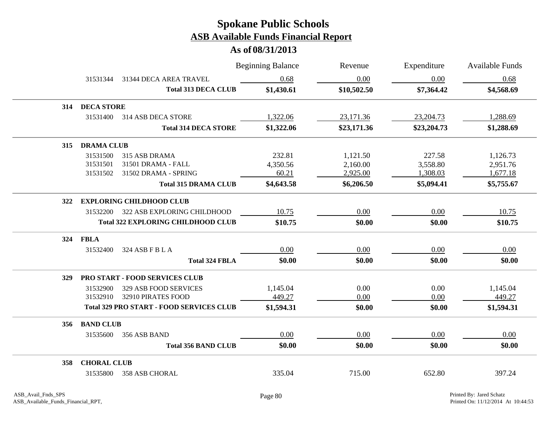|     |                    |                                                 | <b>Beginning Balance</b> | Revenue     | Expenditure | <b>Available Funds</b> |
|-----|--------------------|-------------------------------------------------|--------------------------|-------------|-------------|------------------------|
|     | 31531344           | 31344 DECA AREA TRAVEL                          | 0.68                     | 0.00        | 0.00        | 0.68                   |
|     |                    | <b>Total 313 DECA CLUB</b>                      | \$1,430.61               | \$10,502.50 | \$7,364.42  | \$4,568.69             |
| 314 | <b>DECA STORE</b>  |                                                 |                          |             |             |                        |
|     | 31531400           | 314 ASB DECA STORE                              | 1,322.06                 | 23,171.36   | 23,204.73   | 1,288.69               |
|     |                    | <b>Total 314 DECA STORE</b>                     | \$1,322.06               | \$23,171.36 | \$23,204.73 | \$1,288.69             |
| 315 | <b>DRAMA CLUB</b>  |                                                 |                          |             |             |                        |
|     | 31531500           | 315 ASB DRAMA                                   | 232.81                   | 1,121.50    | 227.58      | 1,126.73               |
|     | 31531501           | 31501 DRAMA - FALL                              | 4,350.56                 | 2,160.00    | 3,558.80    | 2,951.76               |
|     | 31531502           | 31502 DRAMA - SPRING                            | 60.21                    | 2,925.00    | 1,308.03    | 1,677.18               |
|     |                    | <b>Total 315 DRAMA CLUB</b>                     | \$4,643.58               | \$6,206.50  | \$5,094.41  | \$5,755.67             |
| 322 |                    | <b>EXPLORING CHILDHOOD CLUB</b>                 |                          |             |             |                        |
|     | 31532200           | 322 ASB EXPLORING CHILDHOOD                     | 10.75                    | 0.00        | 0.00        | 10.75                  |
|     |                    | <b>Total 322 EXPLORING CHILDHOOD CLUB</b>       | \$10.75                  | \$0.00      | \$0.00      | \$10.75                |
| 324 | <b>FBLA</b>        |                                                 |                          |             |             |                        |
|     | 31532400           | 324 ASB F B L A                                 | 0.00                     | 0.00        | 0.00        | 0.00                   |
|     |                    | <b>Total 324 FBLA</b>                           | \$0.00                   | \$0.00      | \$0.00      | \$0.00                 |
| 329 |                    | PRO START - FOOD SERVICES CLUB                  |                          |             |             |                        |
|     | 31532900           | 329 ASB FOOD SERVICES                           | 1,145.04                 | 0.00        | 0.00        | 1,145.04               |
|     | 31532910           | 32910 PIRATES FOOD                              | 449.27                   | 0.00        | 0.00        | 449.27                 |
|     |                    | <b>Total 329 PRO START - FOOD SERVICES CLUB</b> | \$1,594.31               | \$0.00      | \$0.00      | \$1,594.31             |
| 356 | <b>BAND CLUB</b>   |                                                 |                          |             |             |                        |
|     | 31535600           | 356 ASB BAND                                    | 0.00                     | 0.00        | 0.00        | 0.00                   |
|     |                    | <b>Total 356 BAND CLUB</b>                      | \$0.00                   | \$0.00      | \$0.00      | \$0.00                 |
| 358 | <b>CHORAL CLUB</b> |                                                 |                          |             |             |                        |
|     | 31535800           | 358 ASB CHORAL                                  | 335.04                   | 715.00      | 652.80      | 397.24                 |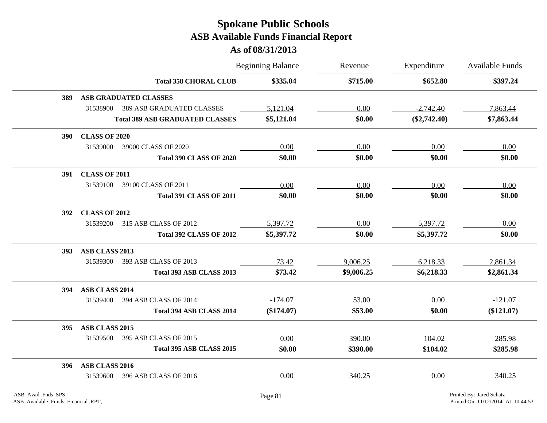|            |                      |                                        | <b>Beginning Balance</b> | Revenue    | Expenditure    | Available Funds |
|------------|----------------------|----------------------------------------|--------------------------|------------|----------------|-----------------|
|            |                      | <b>Total 358 CHORAL CLUB</b>           | \$335.04                 | \$715.00   | \$652.80       | \$397.24        |
| <b>389</b> |                      | <b>ASB GRADUATED CLASSES</b>           |                          |            |                |                 |
|            | 31538900             | <b>389 ASB GRADUATED CLASSES</b>       | 5,121.04                 | 0.00       | $-2,742.40$    | 7,863.44        |
|            |                      | <b>Total 389 ASB GRADUATED CLASSES</b> | \$5,121.04               | \$0.00     | $(\$2,742.40)$ | \$7,863.44      |
| <b>390</b> | <b>CLASS OF 2020</b> |                                        |                          |            |                |                 |
|            | 31539000             | 39000 CLASS OF 2020                    | 0.00                     | 0.00       | 0.00           | 0.00            |
|            |                      | <b>Total 390 CLASS OF 2020</b>         | \$0.00                   | \$0.00     | \$0.00         | \$0.00          |
| <b>391</b> | <b>CLASS OF 2011</b> |                                        |                          |            |                |                 |
|            | 31539100             | 39100 CLASS OF 2011                    | 0.00                     | 0.00       | 0.00           | 0.00            |
|            |                      | <b>Total 391 CLASS OF 2011</b>         | \$0.00                   | \$0.00     | \$0.00         | \$0.00          |
| <b>392</b> | <b>CLASS OF 2012</b> |                                        |                          |            |                |                 |
|            | 31539200             | 315 ASB CLASS OF 2012                  | 5,397.72                 | 0.00       | 5,397.72       | 0.00            |
|            |                      | <b>Total 392 CLASS OF 2012</b>         | \$5,397.72               | \$0.00     | \$5,397.72     | \$0.00          |
| <b>393</b> | ASB CLASS 2013       |                                        |                          |            |                |                 |
|            | 31539300             | 393 ASB CLASS OF 2013                  | 73.42                    | 9,006.25   | 6,218.33       | 2,861.34        |
|            |                      | Total 393 ASB CLASS 2013               | \$73.42                  | \$9,006.25 | \$6,218.33     | \$2,861.34      |
| 394        | ASB CLASS 2014       |                                        |                          |            |                |                 |
|            | 31539400             | 394 ASB CLASS OF 2014                  | $-174.07$                | 53.00      | 0.00           | $-121.07$       |
|            |                      | Total 394 ASB CLASS 2014               | $(\$174.07)$             | \$53.00    | \$0.00         | $(\$121.07)$    |
| <b>395</b> | ASB CLASS 2015       |                                        |                          |            |                |                 |
|            | 31539500             | 395 ASB CLASS OF 2015                  | 0.00                     | 390.00     | 104.02         | 285.98          |
|            |                      | Total 395 ASB CLASS 2015               | \$0.00                   | \$390.00   | \$104.02       | \$285.98        |
| 396        | ASB CLASS 2016       |                                        |                          |            |                |                 |
|            | 31539600             | 396 ASB CLASS OF 2016                  | 0.00                     | 340.25     | 0.00           | 340.25          |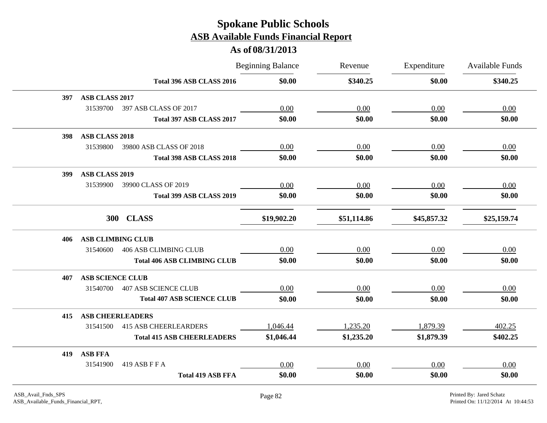|                                 |                                    | <b>Beginning Balance</b> | Revenue     | Expenditure | <b>Available Funds</b> |
|---------------------------------|------------------------------------|--------------------------|-------------|-------------|------------------------|
|                                 | Total 396 ASB CLASS 2016           | \$0.00                   | \$340.25    | \$0.00      | \$340.25               |
| ASB CLASS 2017<br>397           |                                    |                          |             |             |                        |
| 31539700                        | 397 ASB CLASS OF 2017              | 0.00                     | 0.00        | 0.00        | 0.00                   |
|                                 | Total 397 ASB CLASS 2017           | \$0.00                   | \$0.00      | \$0.00      | \$0.00                 |
| <b>ASB CLASS 2018</b><br>398    |                                    |                          |             |             |                        |
| 31539800                        | 39800 ASB CLASS OF 2018            | 0.00                     | 0.00        | 0.00        | 0.00                   |
|                                 | Total 398 ASB CLASS 2018           | \$0.00                   | \$0.00      | \$0.00      | \$0.00                 |
| <b>ASB CLASS 2019</b><br>399    |                                    |                          |             |             |                        |
| 31539900                        | 39900 CLASS OF 2019                | 0.00                     | 0.00        | 0.00        | 0.00                   |
|                                 | Total 399 ASB CLASS 2019           | \$0.00                   | \$0.00      | \$0.00      | \$0.00                 |
| 300 CLASS                       |                                    | \$19,902.20              | \$51,114.86 | \$45,857.32 | \$25,159.74            |
| <b>ASB CLIMBING CLUB</b><br>406 |                                    |                          |             |             |                        |
| 31540600                        | <b>406 ASB CLIMBING CLUB</b>       | 0.00                     | 0.00        | 0.00        | 0.00                   |
|                                 | <b>Total 406 ASB CLIMBING CLUB</b> | \$0.00                   | \$0.00      | \$0.00      | \$0.00                 |
| <b>ASB SCIENCE CLUB</b><br>407  |                                    |                          |             |             |                        |
| 31540700                        | <b>407 ASB SCIENCE CLUB</b>        | 0.00                     | 0.00        | 0.00        | 0.00                   |
|                                 | <b>Total 407 ASB SCIENCE CLUB</b>  | \$0.00                   | \$0.00      | \$0.00      | \$0.00                 |
| <b>ASB CHEERLEADERS</b><br>415  |                                    |                          |             |             |                        |
| 31541500                        | <b>415 ASB CHEERLEARDERS</b>       | 1,046.44                 | 1,235.20    | 1,879.39    | 402.25                 |
|                                 | <b>Total 415 ASB CHEERLEADERS</b>  | \$1,046.44               | \$1,235.20  | \$1,879.39  | \$402.25               |
| <b>ASB FFA</b><br>419           |                                    |                          |             |             |                        |
| 31541900<br>419 ASB F F A       |                                    | 0.00                     | 0.00        | 0.00        | 0.00                   |
|                                 | <b>Total 419 ASB FFA</b>           | \$0.00                   | \$0.00      | \$0.00      | \$0.00                 |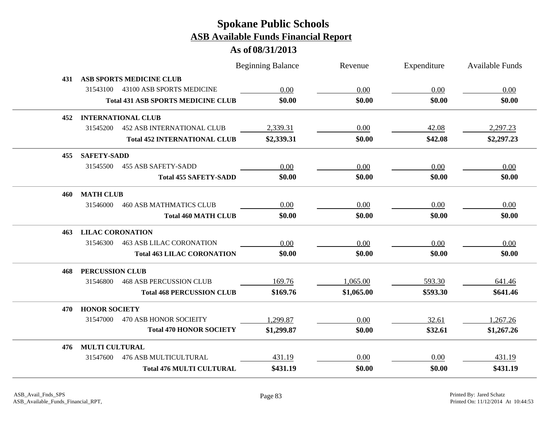|     |                                               | <b>Beginning Balance</b> |            | Revenue    | Expenditure | Available Funds |
|-----|-----------------------------------------------|--------------------------|------------|------------|-------------|-----------------|
| 431 | <b>ASB SPORTS MEDICINE CLUB</b>               |                          |            |            |             |                 |
|     | 31543100<br>43100 ASB SPORTS MEDICINE         |                          | 0.00       | 0.00       | 0.00        | 0.00            |
|     | <b>Total 431 ASB SPORTS MEDICINE CLUB</b>     |                          | \$0.00     | \$0.00     | \$0.00      | \$0.00          |
| 452 | <b>INTERNATIONAL CLUB</b>                     |                          |            |            |             |                 |
|     | 31545200<br><b>452 ASB INTERNATIONAL CLUB</b> |                          | 2,339.31   | 0.00       | 42.08       | 2,297.23        |
|     | <b>Total 452 INTERNATIONAL CLUB</b>           |                          | \$2,339.31 | \$0.00     | \$42.08     | \$2,297.23      |
| 455 | <b>SAFETY-SADD</b>                            |                          |            |            |             |                 |
|     | 31545500<br><b>455 ASB SAFETY-SADD</b>        |                          | 0.00       | 0.00       | 0.00        | 0.00            |
|     | <b>Total 455 SAFETY-SADD</b>                  |                          | \$0.00     | \$0.00     | \$0.00      | \$0.00          |
| 460 | <b>MATH CLUB</b>                              |                          |            |            |             |                 |
|     | 31546000<br><b>460 ASB MATHMATICS CLUB</b>    |                          | 0.00       | 0.00       | 0.00        | 0.00            |
|     | <b>Total 460 MATH CLUB</b>                    |                          | \$0.00     | \$0.00     | \$0.00      | \$0.00          |
| 463 | <b>LILAC CORONATION</b>                       |                          |            |            |             |                 |
|     | 31546300<br><b>463 ASB LILAC CORONATION</b>   |                          | 0.00       | 0.00       | 0.00        | 0.00            |
|     | <b>Total 463 LILAC CORONATION</b>             |                          | \$0.00     | \$0.00     | \$0.00      | \$0.00          |
| 468 | <b>PERCUSSION CLUB</b>                        |                          |            |            |             |                 |
|     | <b>468 ASB PERCUSSION CLUB</b><br>31546800    |                          | 169.76     | 1,065.00   | 593.30      | 641.46          |
|     | <b>Total 468 PERCUSSION CLUB</b>              |                          | \$169.76   | \$1,065.00 | \$593.30    | \$641.46        |
| 470 | <b>HONOR SOCIETY</b>                          |                          |            |            |             |                 |
|     | 31547000<br>470 ASB HONOR SOCIEITY            |                          | 1,299.87   | 0.00       | 32.61       | 1,267.26        |
|     | <b>Total 470 HONOR SOCIETY</b>                |                          | \$1,299.87 | \$0.00     | \$32.61     | \$1,267.26      |
| 476 | <b>MULTI CULTURAL</b>                         |                          |            |            |             |                 |
|     | <b>476 ASB MULTICULTURAL</b><br>31547600      |                          | 431.19     | 0.00       | 0.00        | 431.19          |
|     | <b>Total 476 MULTI CULTURAL</b>               |                          | \$431.19   | \$0.00     | \$0.00      | \$431.19        |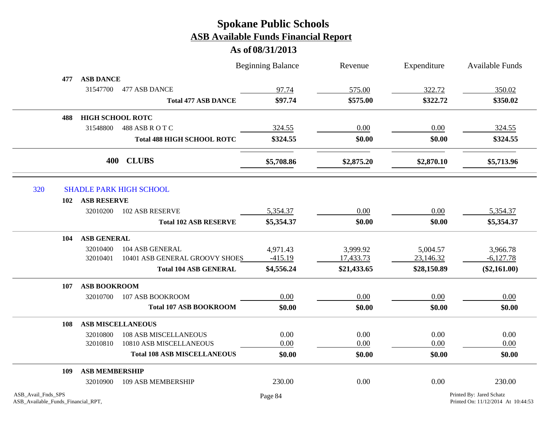|                                                          |     |                         |                                    | <b>Beginning Balance</b> | Revenue     | Expenditure | <b>Available Funds</b>                                         |
|----------------------------------------------------------|-----|-------------------------|------------------------------------|--------------------------|-------------|-------------|----------------------------------------------------------------|
|                                                          | 477 | <b>ASB DANCE</b>        |                                    |                          |             |             |                                                                |
|                                                          |     | 31547700                | 477 ASB DANCE                      | 97.74                    | 575.00      | 322.72      | 350.02                                                         |
|                                                          |     |                         | <b>Total 477 ASB DANCE</b>         | \$97.74                  | \$575.00    | \$322.72    | \$350.02                                                       |
|                                                          | 488 | <b>HIGH SCHOOL ROTC</b> |                                    |                          |             |             |                                                                |
|                                                          |     | 31548800                | 488 ASB R O T C                    | 324.55                   | 0.00        | 0.00        | 324.55                                                         |
|                                                          |     |                         | <b>Total 488 HIGH SCHOOL ROTC</b>  | \$324.55                 | \$0.00      | \$0.00      | \$324.55                                                       |
|                                                          |     | 400                     | <b>CLUBS</b>                       | \$5,708.86               | \$2,875.20  | \$2,870.10  | \$5,713.96                                                     |
| 320                                                      |     |                         | <b>SHADLE PARK HIGH SCHOOL</b>     |                          |             |             |                                                                |
|                                                          |     | <b>ASB RESERVE</b>      |                                    |                          |             |             |                                                                |
|                                                          | 102 | 32010200                | 102 ASB RESERVE                    | 5,354.37                 | 0.00        | 0.00        | 5,354.37                                                       |
|                                                          |     |                         |                                    |                          |             |             |                                                                |
|                                                          |     |                         | <b>Total 102 ASB RESERVE</b>       | \$5,354.37               | \$0.00      | \$0.00      | \$5,354.37                                                     |
|                                                          | 104 | <b>ASB GENERAL</b>      |                                    |                          |             |             |                                                                |
|                                                          |     | 32010400                | 104 ASB GENERAL                    | 4,971.43                 | 3,999.92    | 5,004.57    | 3,966.78                                                       |
|                                                          |     | 32010401                | 10401 ASB GENERAL GROOVY SHOES     | $-415.19$                | 17,433.73   | 23,146.32   | $-6,127.78$                                                    |
|                                                          |     |                         | <b>Total 104 ASB GENERAL</b>       | \$4,556.24               | \$21,433.65 | \$28,150.89 | $(\$2,161.00)$                                                 |
|                                                          | 107 | <b>ASB BOOKROOM</b>     |                                    |                          |             |             |                                                                |
|                                                          |     | 32010700                | 107 ASB BOOKROOM                   | 0.00                     | 0.00        | 0.00        | 0.00                                                           |
|                                                          |     |                         | <b>Total 107 ASB BOOKROOM</b>      | \$0.00                   | \$0.00      | \$0.00      | \$0.00                                                         |
|                                                          | 108 |                         | <b>ASB MISCELLANEOUS</b>           |                          |             |             |                                                                |
|                                                          |     | 32010800                | <b>108 ASB MISCELLANEOUS</b>       | 0.00                     | 0.00        | 0.00        | 0.00                                                           |
|                                                          |     | 32010810                | 10810 ASB MISCELLANEOUS            | 0.00                     | 0.00        | 0.00        | 0.00                                                           |
|                                                          |     |                         | <b>Total 108 ASB MISCELLANEOUS</b> | \$0.00                   | \$0.00      | \$0.00      | \$0.00                                                         |
|                                                          | 109 | <b>ASB MEMBERSHIP</b>   |                                    |                          |             |             |                                                                |
|                                                          |     | 32010900                | 109 ASB MEMBERSHIP                 | 230.00                   | 0.00        | 0.00        | 230.00                                                         |
| ASB_Avail_Fnds_SPS<br>ASB_Available_Funds_Financial_RPT, |     |                         |                                    | Page 84                  |             |             | Printed By: Jared Schatz<br>Printed On: 11/12/2014 At 10:44:53 |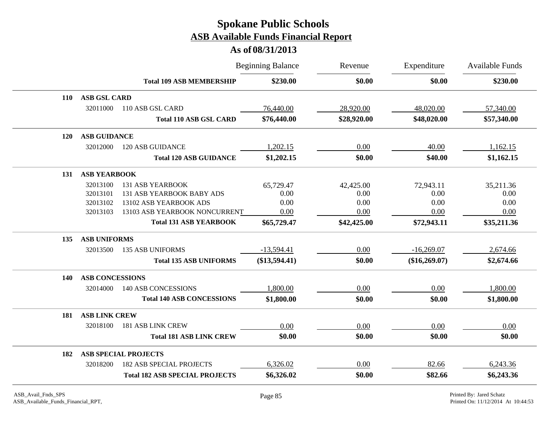|            |                        |                                       | <b>Beginning Balance</b> | Revenue     | Expenditure   | <b>Available Funds</b> |
|------------|------------------------|---------------------------------------|--------------------------|-------------|---------------|------------------------|
|            |                        | <b>Total 109 ASB MEMBERSHIP</b>       | \$230.00                 | \$0.00      | \$0.00        | \$230.00               |
| <b>110</b> | <b>ASB GSL CARD</b>    |                                       |                          |             |               |                        |
|            | 32011000               | 110 ASB GSL CARD                      | 76,440.00                | 28,920.00   | 48,020.00     | 57,340.00              |
|            |                        | <b>Total 110 ASB GSL CARD</b>         | \$76,440.00              | \$28,920.00 | \$48,020.00   | \$57,340.00            |
| <b>120</b> | <b>ASB GUIDANCE</b>    |                                       |                          |             |               |                        |
|            | 32012000               | <b>120 ASB GUIDANCE</b>               | 1,202.15                 | 0.00        | 40.00         | 1,162.15               |
|            |                        | <b>Total 120 ASB GUIDANCE</b>         | \$1,202.15               | \$0.00      | \$40.00       | \$1,162.15             |
| 131        | <b>ASB YEARBOOK</b>    |                                       |                          |             |               |                        |
|            | 32013100               | <b>131 ASB YEARBOOK</b>               | 65,729.47                | 42,425.00   | 72,943.11     | 35,211.36              |
|            | 32013101               | 131 ASB YEARBOOK BABY ADS             | 0.00                     | 0.00        | 0.00          | 0.00                   |
|            | 32013102               | 13102 ASB YEARBOOK ADS                | 0.00                     | 0.00        | 0.00          | 0.00                   |
|            | 32013103               | 13103 ASB YEARBOOK NONCURRENT         | 0.00                     | 0.00        | 0.00          | 0.00                   |
|            |                        | <b>Total 131 ASB YEARBOOK</b>         | \$65,729.47              | \$42,425.00 | \$72,943.11   | \$35,211.36            |
| 135        | <b>ASB UNIFORMS</b>    |                                       |                          |             |               |                        |
|            | 32013500               | <b>135 ASB UNIFORMS</b>               | $-13,594.41$             | 0.00        | $-16,269.07$  | 2,674.66               |
|            |                        | <b>Total 135 ASB UNIFORMS</b>         | (\$13,594.41)            | \$0.00      | (\$16,269.07) | \$2,674.66             |
| 140        | <b>ASB CONCESSIONS</b> |                                       |                          |             |               |                        |
|            | 32014000               | <b>140 ASB CONCESSIONS</b>            | 1,800.00                 | $0.00\,$    | $0.00\,$      | 1,800.00               |
|            |                        | <b>Total 140 ASB CONCESSIONS</b>      | \$1,800.00               | \$0.00      | \$0.00        | \$1,800.00             |
| 181        | <b>ASB LINK CREW</b>   |                                       |                          |             |               |                        |
|            | 32018100               | <b>181 ASB LINK CREW</b>              | 0.00                     | 0.00        | 0.00          | 0.00                   |
|            |                        | <b>Total 181 ASB LINK CREW</b>        | \$0.00                   | \$0.00      | \$0.00        | \$0.00                 |
| 182        |                        | <b>ASB SPECIAL PROJECTS</b>           |                          |             |               |                        |
|            | 32018200               | <b>182 ASB SPECIAL PROJECTS</b>       | 6,326.02                 | 0.00        | 82.66         | 6,243.36               |
|            |                        | <b>Total 182 ASB SPECIAL PROJECTS</b> | \$6,326.02               | \$0.00      | \$82.66       | \$6,243.36             |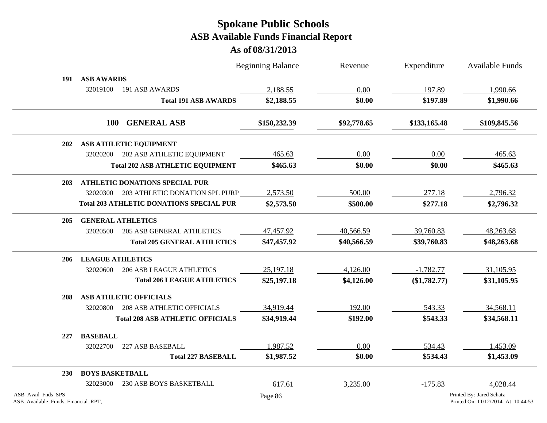|                                                          |                                                 | <b>Beginning Balance</b> | Revenue     | Expenditure  | <b>Available Funds</b>                                         |
|----------------------------------------------------------|-------------------------------------------------|--------------------------|-------------|--------------|----------------------------------------------------------------|
| 191                                                      | <b>ASB AWARDS</b>                               |                          |             |              |                                                                |
|                                                          | 32019100<br>191 ASB AWARDS                      | 2,188.55                 | 0.00        | 197.89       | 1,990.66                                                       |
|                                                          | <b>Total 191 ASB AWARDS</b>                     | \$2,188.55               | \$0.00      | \$197.89     | \$1,990.66                                                     |
|                                                          | <b>GENERAL ASB</b><br><b>100</b>                | \$150,232.39             | \$92,778.65 | \$133,165.48 | \$109,845.56                                                   |
| <b>202</b>                                               | <b>ASB ATHLETIC EQUIPMENT</b>                   |                          |             |              |                                                                |
|                                                          | 202 ASB ATHLETIC EQUIPMENT<br>32020200          | 465.63                   | 0.00        | 0.00         | 465.63                                                         |
|                                                          | <b>Total 202 ASB ATHLETIC EQUIPMENT</b>         | \$465.63                 | \$0.00      | \$0.00       | \$465.63                                                       |
| <b>203</b>                                               | <b>ATHLETIC DONATIONS SPECIAL PUR</b>           |                          |             |              |                                                                |
|                                                          | 203 ATHLETIC DONATION SPL PURP<br>32020300      | 2,573.50                 | 500.00      | 277.18       | 2,796.32                                                       |
|                                                          | <b>Total 203 ATHLETIC DONATIONS SPECIAL PUR</b> | \$2,573.50               | \$500.00    | \$277.18     | \$2,796.32                                                     |
| 205                                                      | <b>GENERAL ATHLETICS</b>                        |                          |             |              |                                                                |
|                                                          | <b>205 ASB GENERAL ATHLETICS</b><br>32020500    | 47,457.92                | 40,566.59   | 39,760.83    | 48,263.68                                                      |
|                                                          | <b>Total 205 GENERAL ATHLETICS</b>              | \$47,457.92              | \$40,566.59 | \$39,760.83  | \$48,263.68                                                    |
| 206                                                      | <b>LEAGUE ATHLETICS</b>                         |                          |             |              |                                                                |
|                                                          | 32020600<br><b>206 ASB LEAGUE ATHLETICS</b>     | 25,197.18                | 4,126.00    | $-1,782.77$  | 31,105.95                                                      |
|                                                          | <b>Total 206 LEAGUE ATHLETICS</b>               | \$25,197.18              | \$4,126.00  | (\$1,782.77) | \$31,105.95                                                    |
| 208                                                      | <b>ASB ATHLETIC OFFICIALS</b>                   |                          |             |              |                                                                |
|                                                          | 208 ASB ATHLETIC OFFICIALS<br>32020800          | 34,919.44                | 192.00      | 543.33       | 34,568.11                                                      |
|                                                          | <b>Total 208 ASB ATHLETIC OFFICIALS</b>         | \$34,919.44              | \$192.00    | \$543.33     | \$34,568.11                                                    |
| 227                                                      | <b>BASEBALL</b>                                 |                          |             |              |                                                                |
|                                                          | 227 ASB BASEBALL<br>32022700                    | 1,987.52                 | 0.00        | 534.43       | 1,453.09                                                       |
|                                                          | <b>Total 227 BASEBALL</b>                       | \$1,987.52               | \$0.00      | \$534.43     | \$1,453.09                                                     |
| <b>230</b>                                               | <b>BOYS BASKETBALL</b>                          |                          |             |              |                                                                |
|                                                          | <b>230 ASB BOYS BASKETBALL</b><br>32023000      | 617.61                   | 3,235.00    | $-175.83$    | 4,028.44                                                       |
| ASB_Avail_Fnds_SPS<br>ASB_Available_Funds_Financial_RPT, |                                                 | Page 86                  |             |              | Printed By: Jared Schatz<br>Printed On: 11/12/2014 At 10:44:53 |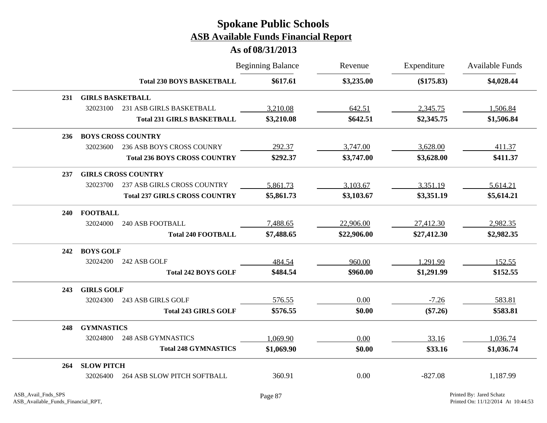|            |                         |                                      | <b>Beginning Balance</b> | Revenue     | Expenditure | <b>Available Funds</b> |
|------------|-------------------------|--------------------------------------|--------------------------|-------------|-------------|------------------------|
|            |                         | <b>Total 230 BOYS BASKETBALL</b>     | \$617.61                 | \$3,235.00  | (\$175.83)  | \$4,028.44             |
| 231        | <b>GIRLS BASKETBALL</b> |                                      |                          |             |             |                        |
|            | 32023100                | 231 ASB GIRLS BASKETBALL             | 3,210.08                 | 642.51      | 2,345.75    | 1,506.84               |
|            |                         | <b>Total 231 GIRLS BASKETBALL</b>    | \$3,210.08               | \$642.51    | \$2,345.75  | \$1,506.84             |
| 236        |                         | <b>BOYS CROSS COUNTRY</b>            |                          |             |             |                        |
|            | 32023600                | 236 ASB BOYS CROSS COUNRY            | 292.37                   | 3,747.00    | 3,628.00    | 411.37                 |
|            |                         | <b>Total 236 BOYS CROSS COUNTRY</b>  | \$292.37                 | \$3,747.00  | \$3,628.00  | \$411.37               |
| 237        |                         | <b>GIRLS CROSS COUNTRY</b>           |                          |             |             |                        |
|            | 32023700                | 237 ASB GIRLS CROSS COUNTRY          | 5,861.73                 | 3,103.67    | 3,351.19    | 5,614.21               |
|            |                         | <b>Total 237 GIRLS CROSS COUNTRY</b> | \$5,861.73               | \$3,103.67  | \$3,351.19  | \$5,614.21             |
| <b>240</b> | <b>FOOTBALL</b>         |                                      |                          |             |             |                        |
|            | 32024000                | <b>240 ASB FOOTBALL</b>              | 7,488.65                 | 22,906.00   | 27,412.30   | 2,982.35               |
|            |                         | <b>Total 240 FOOTBALL</b>            | \$7,488.65               | \$22,906.00 | \$27,412.30 | \$2,982.35             |
| 242        | <b>BOYS GOLF</b>        |                                      |                          |             |             |                        |
|            | 32024200                | 242 ASB GOLF                         | 484.54                   | 960.00      | 1,291.99    | 152.55                 |
|            |                         | <b>Total 242 BOYS GOLF</b>           | \$484.54                 | \$960.00    | \$1,291.99  | \$152.55               |
| 243        | <b>GIRLS GOLF</b>       |                                      |                          |             |             |                        |
|            | 32024300                | 243 ASB GIRLS GOLF                   | 576.55                   | 0.00        | $-7.26$     | 583.81                 |
|            |                         | <b>Total 243 GIRLS GOLF</b>          | \$576.55                 | \$0.00      | $(\$7.26)$  | \$583.81               |
| 248        | <b>GYMNASTICS</b>       |                                      |                          |             |             |                        |
|            | 32024800                | <b>248 ASB GYMNASTICS</b>            | 1,069.90                 | 0.00        | 33.16       | 1,036.74               |
|            |                         | <b>Total 248 GYMNASTICS</b>          | \$1,069.90               | \$0.00      | \$33.16     | \$1,036.74             |
| 264        | <b>SLOW PITCH</b>       |                                      |                          |             |             |                        |
|            | 32026400                | <b>264 ASB SLOW PITCH SOFTBALL</b>   | 360.91                   | 0.00        | $-827.08$   | 1,187.99               |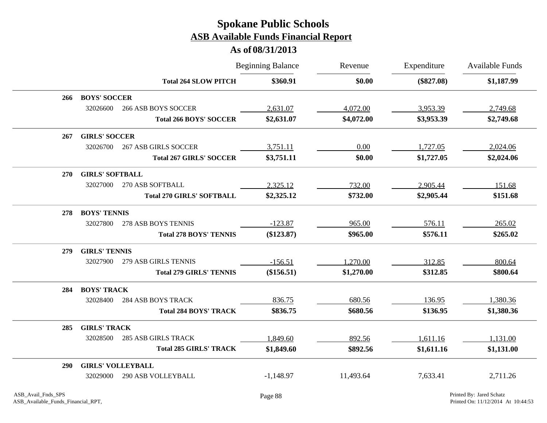|            |                                       |                                  | <b>Beginning Balance</b> | Revenue    | Expenditure  | <b>Available Funds</b> |
|------------|---------------------------------------|----------------------------------|--------------------------|------------|--------------|------------------------|
|            |                                       | <b>Total 264 SLOW PITCH</b>      | \$360.91                 | \$0.00     | $(\$827.08)$ | \$1,187.99             |
| 266        | <b>BOYS' SOCCER</b>                   |                                  |                          |            |              |                        |
|            | 32026600                              | <b>266 ASB BOYS SOCCER</b>       | 2,631.07                 | 4,072.00   | 3,953.39     | 2,749.68               |
|            |                                       | <b>Total 266 BOYS' SOCCER</b>    | \$2,631.07               | \$4,072.00 | \$3,953.39   | \$2,749.68             |
| 267        | <b>GIRLS' SOCCER</b>                  |                                  |                          |            |              |                        |
|            | 32026700                              | <b>267 ASB GIRLS SOCCER</b>      | 3,751.11                 | 0.00       | 1,727.05     | 2,024.06               |
|            |                                       | <b>Total 267 GIRLS' SOCCER</b>   | \$3,751.11               | \$0.00     | \$1,727.05   | \$2,024.06             |
| <b>270</b> | <b>GIRLS' SOFTBALL</b>                |                                  |                          |            |              |                        |
|            | 32027000<br>270 ASB SOFTBALL          |                                  | 2,325.12                 | 732.00     | 2,905.44     | 151.68                 |
|            |                                       | <b>Total 270 GIRLS' SOFTBALL</b> | \$2,325.12               | \$732.00   | \$2,905.44   | \$151.68               |
| 278        | <b>BOYS' TENNIS</b>                   |                                  |                          |            |              |                        |
|            | 32027800<br>278 ASB BOYS TENNIS       |                                  | $-123.87$                | 965.00     | 576.11       | 265.02                 |
|            |                                       | <b>Total 278 BOYS' TENNIS</b>    | (\$123.87)               | \$965.00   | \$576.11     | \$265.02               |
| 279        | <b>GIRLS' TENNIS</b>                  |                                  |                          |            |              |                        |
|            | 32027900                              | 279 ASB GIRLS TENNIS             | $-156.51$                | 1,270.00   | 312.85       | 800.64                 |
|            |                                       | <b>Total 279 GIRLS' TENNIS</b>   | (\$156.51)               | \$1,270.00 | \$312.85     | \$800.64               |
| 284        | <b>BOYS' TRACK</b>                    |                                  |                          |            |              |                        |
|            | 32028400<br><b>284 ASB BOYS TRACK</b> |                                  | 836.75                   | 680.56     | 136.95       | 1,380.36               |
|            |                                       | <b>Total 284 BOYS' TRACK</b>     | \$836.75                 | \$680.56   | \$136.95     | \$1,380.36             |
| 285        | <b>GIRLS' TRACK</b>                   |                                  |                          |            |              |                        |
|            | 32028500                              | <b>285 ASB GIRLS TRACK</b>       | 1,849.60                 | 892.56     | 1,611.16     | 1,131.00               |
|            |                                       | <b>Total 285 GIRLS' TRACK</b>    | \$1,849.60               | \$892.56   | \$1,611.16   | \$1,131.00             |
| <b>290</b> | <b>GIRLS' VOLLEYBALL</b>              |                                  |                          |            |              |                        |
|            | <b>290 ASB VOLLEYBALL</b><br>32029000 |                                  | $-1,148.97$              | 11,493.64  | 7,633.41     | 2,711.26               |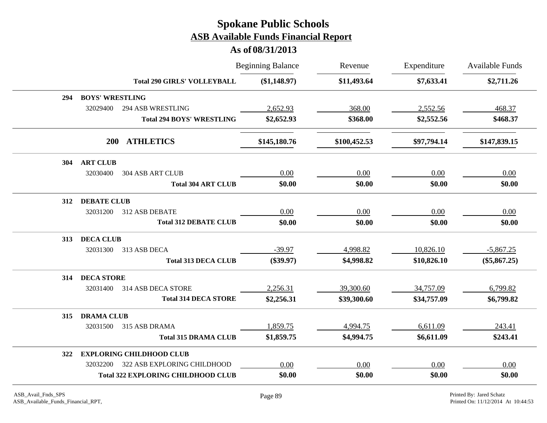|     |                        |                                           | <b>Beginning Balance</b> | Revenue      | Expenditure | Available Funds |
|-----|------------------------|-------------------------------------------|--------------------------|--------------|-------------|-----------------|
|     |                        | <b>Total 290 GIRLS' VOLLEYBALL</b>        | (\$1,148.97)             | \$11,493.64  | \$7,633.41  | \$2,711.26      |
| 294 | <b>BOYS' WRESTLING</b> |                                           |                          |              |             |                 |
|     | 32029400               | <b>294 ASB WRESTLING</b>                  | 2,652.93                 | 368.00       | 2,552.56    | 468.37          |
|     |                        | <b>Total 294 BOYS' WRESTLING</b>          | \$2,652.93               | \$368.00     | \$2,552.56  | \$468.37        |
|     | <b>200</b>             | <b>ATHLETICS</b>                          | \$145,180.76             | \$100,452.53 | \$97,794.14 | \$147,839.15    |
| 304 | <b>ART CLUB</b>        |                                           |                          |              |             |                 |
|     | 32030400               | <b>304 ASB ART CLUB</b>                   | 0.00                     | 0.00         | 0.00        | 0.00            |
|     |                        | <b>Total 304 ART CLUB</b>                 | \$0.00                   | \$0.00       | \$0.00      | \$0.00          |
| 312 | <b>DEBATE CLUB</b>     |                                           |                          |              |             |                 |
|     | 32031200               | 312 ASB DEBATE                            | 0.00                     | 0.00         | 0.00        | 0.00            |
|     |                        | <b>Total 312 DEBATE CLUB</b>              | \$0.00                   | \$0.00       | \$0.00      | \$0.00          |
| 313 | <b>DECA CLUB</b>       |                                           |                          |              |             |                 |
|     | 32031300               | 313 ASB DECA                              | $-39.97$                 | 4,998.82     | 10,826.10   | $-5,867.25$     |
|     |                        | <b>Total 313 DECA CLUB</b>                | $(\$39.97)$              | \$4,998.82   | \$10,826.10 | $(\$5,867.25)$  |
| 314 | <b>DECA STORE</b>      |                                           |                          |              |             |                 |
|     | 32031400               | 314 ASB DECA STORE                        | 2,256.31                 | 39,300.60    | 34,757.09   | 6,799.82        |
|     |                        | <b>Total 314 DECA STORE</b>               | \$2,256.31               | \$39,300.60  | \$34,757.09 | \$6,799.82      |
| 315 | <b>DRAMA CLUB</b>      |                                           |                          |              |             |                 |
|     | 32031500               | 315 ASB DRAMA                             | 1,859.75                 | 4,994.75     | 6,611.09    | 243.41          |
|     |                        | <b>Total 315 DRAMA CLUB</b>               | \$1,859.75               | \$4,994.75   | \$6,611.09  | \$243.41        |
| 322 |                        | <b>EXPLORING CHILDHOOD CLUB</b>           |                          |              |             |                 |
|     | 32032200               | 322 ASB EXPLORING CHILDHOOD               | 0.00                     | 0.00         | 0.00        | 0.00            |
|     |                        | <b>Total 322 EXPLORING CHILDHOOD CLUB</b> | \$0.00                   | \$0.00       | \$0.00      | \$0.00          |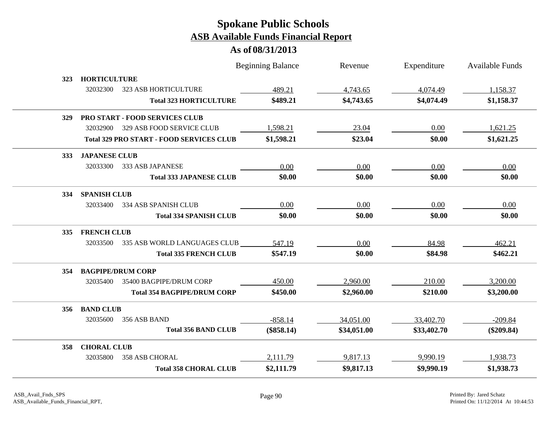|            |                                                 | <b>Beginning Balance</b> | Revenue     | Expenditure | Available Funds |
|------------|-------------------------------------------------|--------------------------|-------------|-------------|-----------------|
| 323        | <b>HORTICULTURE</b>                             |                          |             |             |                 |
|            | 32032300<br>323 ASB HORTICULTURE                | 489.21                   | 4,743.65    | 4,074.49    | 1,158.37        |
|            | <b>Total 323 HORTICULTURE</b>                   | \$489.21                 | \$4,743.65  | \$4,074.49  | \$1,158.37      |
| 329        | PRO START - FOOD SERVICES CLUB                  |                          |             |             |                 |
|            | 32032900 329 ASB FOOD SERVICE CLUB              | 1,598.21                 | 23.04       | 0.00        | 1,621.25        |
|            | <b>Total 329 PRO START - FOOD SERVICES CLUB</b> | \$1,598.21               | \$23.04     | \$0.00      | \$1,621.25      |
| <b>333</b> | <b>JAPANESE CLUB</b>                            |                          |             |             |                 |
|            | 333 ASB JAPANESE<br>32033300                    | 0.00                     | 0.00        | 0.00        | 0.00            |
|            | <b>Total 333 JAPANESE CLUB</b>                  | \$0.00                   | \$0.00      | \$0.00      | \$0.00          |
| 334        | <b>SPANISH CLUB</b>                             |                          |             |             |                 |
|            | 32033400<br>334 ASB SPANISH CLUB                | 0.00                     | 0.00        | 0.00        | 0.00            |
|            | <b>Total 334 SPANISH CLUB</b>                   | \$0.00                   | \$0.00      | \$0.00      | \$0.00          |
| 335        | <b>FRENCH CLUB</b>                              |                          |             |             |                 |
|            | 32033500<br>335 ASB WORLD LANGUAGES CLUB        | 547.19                   | 0.00        | 84.98       | 462.21          |
|            | <b>Total 335 FRENCH CLUB</b>                    | \$547.19                 | \$0.00      | \$84.98     | \$462.21        |
| 354        | <b>BAGPIPE/DRUM CORP</b>                        |                          |             |             |                 |
|            | 35400 BAGPIPE/DRUM CORP<br>32035400             | 450.00                   | 2,960.00    | 210.00      | 3,200.00        |
|            | <b>Total 354 BAGPIPE/DRUM CORP</b>              | \$450.00                 | \$2,960.00  | \$210.00    | \$3,200.00      |
| 356        | <b>BAND CLUB</b>                                |                          |             |             |                 |
|            | 32035600<br>356 ASB BAND                        | $-858.14$                | 34,051.00   | 33,402.70   | $-209.84$       |
|            | <b>Total 356 BAND CLUB</b>                      | $(\$858.14)$             | \$34,051.00 | \$33,402.70 | $(\$209.84)$    |
| 358        | <b>CHORAL CLUB</b>                              |                          |             |             |                 |
|            | 32035800<br>358 ASB CHORAL                      | 2,111.79                 | 9,817.13    | 9,990.19    | 1,938.73        |
|            | <b>Total 358 CHORAL CLUB</b>                    | \$2,111.79               | \$9,817.13  | \$9,990.19  | \$1,938.73      |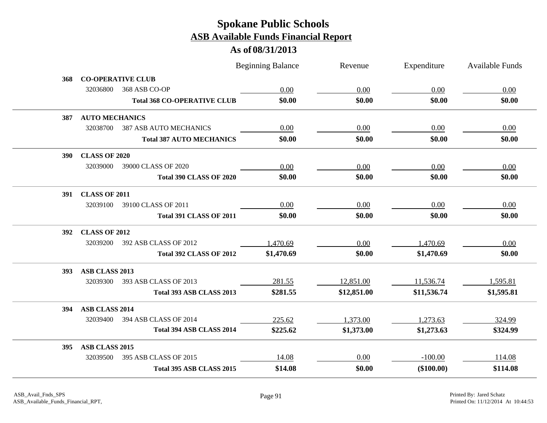|            |                       |                                    | <b>Beginning Balance</b> | Revenue     | Expenditure | Available Funds |
|------------|-----------------------|------------------------------------|--------------------------|-------------|-------------|-----------------|
| 368        |                       | <b>CO-OPERATIVE CLUB</b>           |                          |             |             |                 |
|            | 32036800              | 368 ASB CO-OP                      | 0.00                     | 0.00        | 0.00        | 0.00            |
|            |                       | <b>Total 368 CO-OPERATIVE CLUB</b> | \$0.00                   | \$0.00      | \$0.00      | \$0.00          |
| 387        | <b>AUTO MECHANICS</b> |                                    |                          |             |             |                 |
|            | 32038700              | <b>387 ASB AUTO MECHANICS</b>      | 0.00                     | 0.00        | 0.00        | 0.00            |
|            |                       | <b>Total 387 AUTO MECHANICS</b>    | \$0.00                   | \$0.00      | \$0.00      | \$0.00          |
| <b>390</b> | <b>CLASS OF 2020</b>  |                                    |                          |             |             |                 |
|            | 32039000              | 39000 CLASS OF 2020                | 0.00                     | 0.00        | 0.00        | 0.00            |
|            |                       | <b>Total 390 CLASS OF 2020</b>     | \$0.00                   | \$0.00      | \$0.00      | \$0.00          |
| 391        | <b>CLASS OF 2011</b>  |                                    |                          |             |             |                 |
|            | 32039100              | 39100 CLASS OF 2011                | 0.00                     | 0.00        | 0.00        | 0.00            |
|            |                       | <b>Total 391 CLASS OF 2011</b>     | \$0.00                   | \$0.00      | \$0.00      | \$0.00          |
| 392        | <b>CLASS OF 2012</b>  |                                    |                          |             |             |                 |
|            | 32039200              | 392 ASB CLASS OF 2012              | 1,470.69                 | 0.00        | 1,470.69    | 0.00            |
|            |                       | <b>Total 392 CLASS OF 2012</b>     | \$1,470.69               | \$0.00      | \$1,470.69  | \$0.00          |
| <b>393</b> | ASB CLASS 2013        |                                    |                          |             |             |                 |
|            | 32039300              | 393 ASB CLASS OF 2013              | 281.55                   | 12,851.00   | 11,536.74   | 1,595.81        |
|            |                       | Total 393 ASB CLASS 2013           | \$281.55                 | \$12,851.00 | \$11,536.74 | \$1,595.81      |
| 394        | ASB CLASS 2014        |                                    |                          |             |             |                 |
|            | 32039400              | 394 ASB CLASS OF 2014              | 225.62                   | 1,373.00    | 1,273.63    | 324.99          |
|            |                       | Total 394 ASB CLASS 2014           | \$225.62                 | \$1,373.00  | \$1,273.63  | \$324.99        |
| 395        | ASB CLASS 2015        |                                    |                          |             |             |                 |
|            | 32039500              | 395 ASB CLASS OF 2015              | 14.08                    | 0.00        | $-100.00$   | 114.08          |
|            |                       | Total 395 ASB CLASS 2015           | \$14.08                  | \$0.00      | (\$100.00)  | \$114.08        |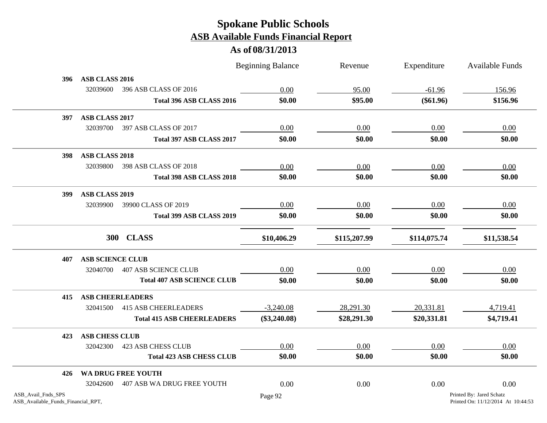|                                                          |                         |                                   | <b>Beginning Balance</b> | Revenue      | Expenditure  | <b>Available Funds</b>                                         |
|----------------------------------------------------------|-------------------------|-----------------------------------|--------------------------|--------------|--------------|----------------------------------------------------------------|
| 396                                                      | ASB CLASS 2016          |                                   |                          |              |              |                                                                |
|                                                          | 32039600                | 396 ASB CLASS OF 2016             | 0.00                     | 95.00        | $-61.96$     | 156.96                                                         |
|                                                          |                         | Total 396 ASB CLASS 2016          | \$0.00                   | \$95.00      | $(\$61.96)$  | \$156.96                                                       |
| 397                                                      | ASB CLASS 2017          |                                   |                          |              |              |                                                                |
|                                                          | 32039700                | 397 ASB CLASS OF 2017             | 0.00                     | 0.00         | 0.00         | 0.00                                                           |
|                                                          |                         | Total 397 ASB CLASS 2017          | \$0.00                   | \$0.00       | \$0.00       | \$0.00                                                         |
| 398                                                      | ASB CLASS 2018          |                                   |                          |              |              |                                                                |
|                                                          | 32039800                | 398 ASB CLASS OF 2018             | 0.00                     | 0.00         | 0.00         | 0.00                                                           |
|                                                          |                         | Total 398 ASB CLASS 2018          | \$0.00                   | \$0.00       | \$0.00       | \$0.00                                                         |
| 399                                                      | ASB CLASS 2019          |                                   |                          |              |              |                                                                |
|                                                          | 32039900                | 39900 CLASS OF 2019               | 0.00                     | 0.00         | 0.00         | 0.00                                                           |
|                                                          |                         | Total 399 ASB CLASS 2019          | \$0.00                   | \$0.00       | \$0.00       | \$0.00                                                         |
|                                                          |                         | 300 CLASS                         | \$10,406.29              | \$115,207.99 | \$114,075.74 | \$11,538.54                                                    |
| 407                                                      | <b>ASB SCIENCE CLUB</b> |                                   |                          |              |              |                                                                |
|                                                          |                         | 32040700  407 ASB SCIENCE CLUB    | 0.00                     | 0.00         | 0.00         | 0.00                                                           |
|                                                          |                         | <b>Total 407 ASB SCIENCE CLUB</b> | \$0.00                   | \$0.00       | \$0.00       | \$0.00                                                         |
| 415                                                      | <b>ASB CHEERLEADERS</b> |                                   |                          |              |              |                                                                |
|                                                          | 32041500                | <b>415 ASB CHEERLEADERS</b>       | $-3,240.08$              | 28,291.30    | 20,331.81    | 4,719.41                                                       |
|                                                          |                         | <b>Total 415 ASB CHEERLEADERS</b> | $(\$3,240.08)$           | \$28,291.30  | \$20,331.81  | \$4,719.41                                                     |
| 423                                                      | <b>ASB CHESS CLUB</b>   |                                   |                          |              |              |                                                                |
|                                                          | 32042300                | 423 ASB CHESS CLUB                | 0.00                     | 0.00         | 0.00         | 0.00                                                           |
|                                                          |                         | <b>Total 423 ASB CHESS CLUB</b>   | \$0.00                   | \$0.00       | \$0.00       | \$0.00                                                         |
| 426                                                      |                         | WA DRUG FREE YOUTH                |                          |              |              |                                                                |
|                                                          | 32042600                | 407 ASB WA DRUG FREE YOUTH        | 0.00                     | 0.00         | 0.00         | 0.00                                                           |
| ASB_Avail_Fnds_SPS<br>ASB_Available_Funds_Financial_RPT, |                         |                                   | Page 92                  |              |              | Printed By: Jared Schatz<br>Printed On: 11/12/2014 At 10:44:53 |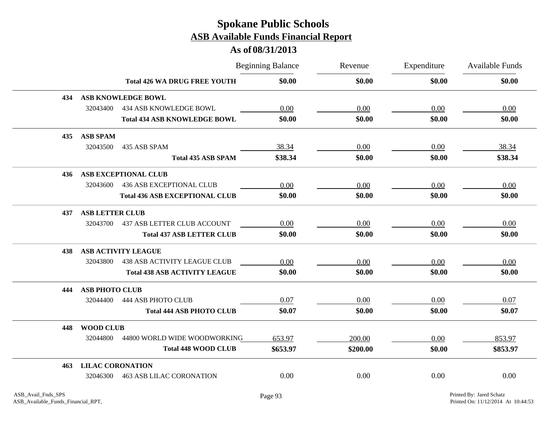|     |                         |                                       | <b>Beginning Balance</b> | Revenue  | Expenditure | <b>Available Funds</b> |
|-----|-------------------------|---------------------------------------|--------------------------|----------|-------------|------------------------|
|     |                         | <b>Total 426 WA DRUG FREE YOUTH</b>   | \$0.00                   | \$0.00   | \$0.00      | \$0.00                 |
| 434 |                         | <b>ASB KNOWLEDGE BOWL</b>             |                          |          |             |                        |
|     | 32043400                | <b>434 ASB KNOWLEDGE BOWL</b>         | 0.00                     | 0.00     | 0.00        | 0.00                   |
|     |                         | <b>Total 434 ASB KNOWLEDGE BOWL</b>   | \$0.00                   | \$0.00   | \$0.00      | \$0.00                 |
| 435 | <b>ASB SPAM</b>         |                                       |                          |          |             |                        |
|     | 32043500                | 435 ASB SPAM                          | 38.34                    | 0.00     | 0.00        | 38.34                  |
|     |                         | <b>Total 435 ASB SPAM</b>             | \$38.34                  | \$0.00   | \$0.00      | \$38.34                |
| 436 |                         | <b>ASB EXCEPTIONAL CLUB</b>           |                          |          |             |                        |
|     | 32043600                | <b>436 ASB EXCEPTIONAL CLUB</b>       | 0.00                     | 0.00     | 0.00        | 0.00                   |
|     |                         | <b>Total 436 ASB EXCEPTIONAL CLUB</b> | \$0.00                   | \$0.00   | \$0.00      | \$0.00                 |
| 437 | <b>ASB LETTER CLUB</b>  |                                       |                          |          |             |                        |
|     |                         | 32043700 437 ASB LETTER CLUB ACCOUNT  | 0.00                     | 0.00     | 0.00        | 0.00                   |
|     |                         | <b>Total 437 ASB LETTER CLUB</b>      | \$0.00                   | \$0.00   | \$0.00      | \$0.00                 |
| 438 |                         | <b>ASB ACTIVITY LEAGUE</b>            |                          |          |             |                        |
|     | 32043800                | <b>438 ASB ACTIVITY LEAGUE CLUB</b>   | 0.00                     | 0.00     | 0.00        | 0.00                   |
|     |                         | <b>Total 438 ASB ACTIVITY LEAGUE</b>  | \$0.00                   | \$0.00   | \$0.00      | \$0.00                 |
| 444 | <b>ASB PHOTO CLUB</b>   |                                       |                          |          |             |                        |
|     | 32044400                | 444 ASB PHOTO CLUB                    | 0.07                     | 0.00     | 0.00        | 0.07                   |
|     |                         | <b>Total 444 ASB PHOTO CLUB</b>       | \$0.07                   | \$0.00   | \$0.00      | \$0.07                 |
| 448 | <b>WOOD CLUB</b>        |                                       |                          |          |             |                        |
|     | 32044800                | 44800 WORLD WIDE WOODWORKING          | 653.97                   | 200.00   | 0.00        | 853.97                 |
|     |                         | <b>Total 448 WOOD CLUB</b>            | \$653.97                 | \$200.00 | \$0.00      | \$853.97               |
| 463 | <b>LILAC CORONATION</b> |                                       |                          |          |             |                        |
|     | 32046300                | <b>463 ASB LILAC CORONATION</b>       | 0.00                     | 0.00     | 0.00        | 0.00                   |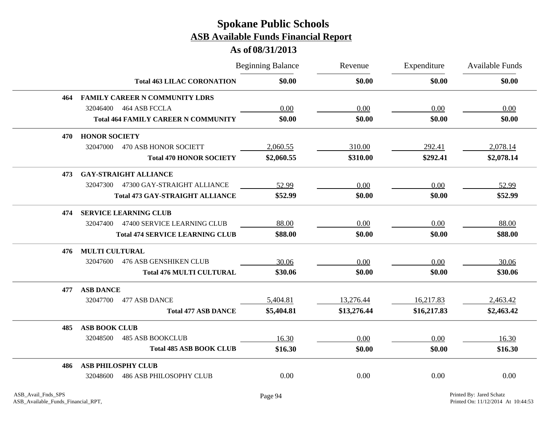|     |                                            | <b>Beginning Balance</b> | Revenue     | Expenditure | <b>Available Funds</b> |
|-----|--------------------------------------------|--------------------------|-------------|-------------|------------------------|
|     | <b>Total 463 LILAC CORONATION</b>          | \$0.00                   | \$0.00      | \$0.00      | \$0.00                 |
| 464 | <b>FAMILY CAREER N COMMUNITY LDRS</b>      |                          |             |             |                        |
|     | 464 ASB FCCLA<br>32046400                  | 0.00                     | 0.00        | 0.00        | 0.00                   |
|     | <b>Total 464 FAMILY CAREER N COMMUNITY</b> | \$0.00                   | \$0.00      | \$0.00      | \$0.00                 |
| 470 | <b>HONOR SOCIETY</b>                       |                          |             |             |                        |
|     | 32047000<br>470 ASB HONOR SOCIETT          | 2,060.55                 | 310.00      | 292.41      | 2,078.14               |
|     | <b>Total 470 HONOR SOCIETY</b>             | \$2,060.55               | \$310.00    | \$292.41    | \$2,078.14             |
| 473 | <b>GAY-STRAIGHT ALLIANCE</b>               |                          |             |             |                        |
|     | 47300 GAY-STRAIGHT ALLIANCE<br>32047300    | 52.99                    | 0.00        | 0.00        | 52.99                  |
|     | <b>Total 473 GAY-STRAIGHT ALLIANCE</b>     | \$52.99                  | \$0.00      | \$0.00      | \$52.99                |
| 474 | <b>SERVICE LEARNING CLUB</b>               |                          |             |             |                        |
|     | 32047400<br>47400 SERVICE LEARNING CLUB    | 88.00                    | 0.00        | 0.00        | 88.00                  |
|     | <b>Total 474 SERVICE LEARNING CLUB</b>     | \$88.00                  | \$0.00      | \$0.00      | \$88.00                |
| 476 | <b>MULTI CULTURAL</b>                      |                          |             |             |                        |
|     | <b>476 ASB GENSHIKEN CLUB</b><br>32047600  | 30.06                    | 0.00        | 0.00        | 30.06                  |
|     | <b>Total 476 MULTI CULTURAL</b>            | \$30.06                  | \$0.00      | \$0.00      | \$30.06                |
| 477 | <b>ASB DANCE</b>                           |                          |             |             |                        |
|     | 32047700<br>477 ASB DANCE                  | 5,404.81                 | 13,276.44   | 16,217.83   | 2,463.42               |
|     | <b>Total 477 ASB DANCE</b>                 | \$5,404.81               | \$13,276.44 | \$16,217.83 | \$2,463.42             |
| 485 | <b>ASB BOOK CLUB</b>                       |                          |             |             |                        |
|     | 32048500<br><b>485 ASB BOOKCLUB</b>        | 16.30                    | 0.00        | 0.00        | 16.30                  |
|     | <b>Total 485 ASB BOOK CLUB</b>             | \$16.30                  | \$0.00      | \$0.00      | \$16.30                |
| 486 | <b>ASB PHILOSPHY CLUB</b>                  |                          |             |             |                        |
|     | <b>486 ASB PHILOSOPHY CLUB</b><br>32048600 | 0.00                     | 0.00        | 0.00        | 0.00                   |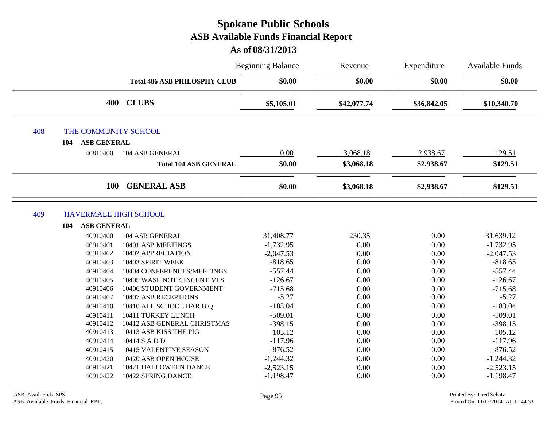|     |                              |                                     | <b>Beginning Balance</b> | Revenue     | Expenditure | <b>Available Funds</b> |
|-----|------------------------------|-------------------------------------|--------------------------|-------------|-------------|------------------------|
|     |                              | <b>Total 486 ASB PHILOSPHY CLUB</b> | \$0.00                   | \$0.00      | \$0.00      | \$0.00                 |
|     | 400                          | <b>CLUBS</b>                        | \$5,105.01               | \$42,077.74 | \$36,842.05 | \$10,340.70            |
| 408 | THE COMMUNITY SCHOOL         |                                     |                          |             |             |                        |
|     | <b>ASB GENERAL</b><br>104    |                                     |                          |             |             |                        |
|     | 40810400                     | 104 ASB GENERAL                     | 0.00                     | 3,068.18    | 2,938.67    | 129.51                 |
|     |                              | <b>Total 104 ASB GENERAL</b>        | \$0.00                   | \$3,068.18  | \$2,938.67  | \$129.51               |
|     | 100                          | <b>GENERAL ASB</b>                  | \$0.00                   | \$3,068.18  | \$2,938.67  | \$129.51               |
| 409 | <b>HAVERMALE HIGH SCHOOL</b> |                                     |                          |             |             |                        |
|     | <b>ASB GENERAL</b><br>104    |                                     |                          |             |             |                        |
|     | 40910400                     | 104 ASB GENERAL                     | 31,408.77                | 230.35      | 0.00        | 31,639.12              |
|     | 40910401                     | 10401 ASB MEETINGS                  | $-1,732.95$              | 0.00        | 0.00        | $-1,732.95$            |
|     | 40910402                     | 10402 APPRECIATION                  | $-2,047.53$              | 0.00        | 0.00        | $-2,047.53$            |
|     | 40910403                     | 10403 SPIRIT WEEK                   | $-818.65$                | 0.00        | 0.00        | $-818.65$              |
|     | 40910404                     | 10404 CONFERENCES/MEETINGS          | $-557.44$                | 0.00        | 0.00        | $-557.44$              |
|     | 40910405                     | 10405 WASL NOT 4 INCENTIVES         | $-126.67$                | 0.00        | 0.00        | $-126.67$              |
|     | 40910406                     | 10406 STUDENT GOVERNMENT            | $-715.68$                | 0.00        | 0.00        | $-715.68$              |
|     | 40910407                     | 10407 ASB RECEPTIONS                | $-5.27$                  | 0.00        | 0.00        | $-5.27$                |
|     | 40910410                     | 10410 ALL SCHOOL BAR B Q            | $-183.04$                | 0.00        | 0.00        | $-183.04$              |
|     | 40910411                     | 10411 TURKEY LUNCH                  | $-509.01$                | 0.00        | 0.00        | $-509.01$              |
|     | 40910412                     | 10412 ASB GENERAL CHRISTMAS         | $-398.15$                | 0.00        | 0.00        | $-398.15$              |
|     | 40910413                     | 10413 ASB KISS THE PIG              | 105.12                   | 0.00        | 0.00        | 105.12                 |
|     | 40910414                     | 10414 S A D D                       | $-117.96$                | 0.00        | 0.00        | $-117.96$              |
|     | 40910415                     | 10415 VALENTINE SEASON              | $-876.52$                | 0.00        | 0.00        | $-876.52$              |
|     | 40910420                     | 10420 ASB OPEN HOUSE                | $-1,244.32$              | 0.00        | 0.00        | $-1,244.32$            |
|     | 40910421                     | 10421 HALLOWEEN DANCE               | $-2,523.15$              | 0.00        | 0.00        | $-2,523.15$            |
|     | 40910422                     | 10422 SPRING DANCE                  | $-1,198.47$              | 0.00        | 0.00        | $-1,198.47$            |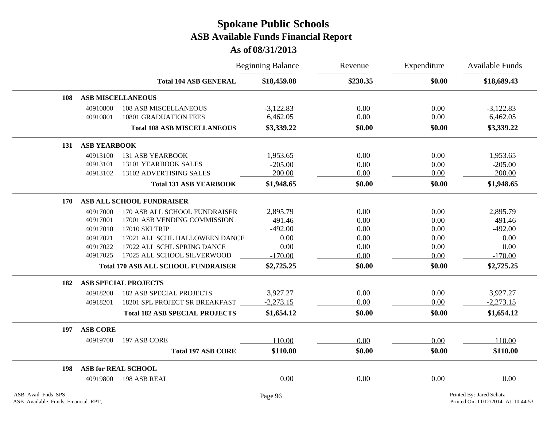|     |                     |                                            | <b>Beginning Balance</b> | Revenue  | Expenditure | <b>Available Funds</b> |
|-----|---------------------|--------------------------------------------|--------------------------|----------|-------------|------------------------|
|     |                     | <b>Total 104 ASB GENERAL</b>               | \$18,459.08              | \$230.35 | \$0.00      | \$18,689.43            |
| 108 |                     | <b>ASB MISCELLANEOUS</b>                   |                          |          |             |                        |
|     | 40910800            | <b>108 ASB MISCELLANEOUS</b>               | $-3,122.83$              | 0.00     | 0.00        | $-3,122.83$            |
|     | 40910801            | <b>10801 GRADUATION FEES</b>               | 6,462.05                 | 0.00     | 0.00        | 6,462.05               |
|     |                     | <b>Total 108 ASB MISCELLANEOUS</b>         | \$3,339.22               | \$0.00   | \$0.00      | \$3,339.22             |
| 131 | <b>ASB YEARBOOK</b> |                                            |                          |          |             |                        |
|     | 40913100            | <b>131 ASB YEARBOOK</b>                    | 1,953.65                 | 0.00     | 0.00        | 1,953.65               |
|     | 40913101            | 13101 YEARBOOK SALES                       | $-205.00$                | 0.00     | 0.00        | $-205.00$              |
|     | 40913102            | 13102 ADVERTISING SALES                    | 200.00                   | 0.00     | 0.00        | 200.00                 |
|     |                     | <b>Total 131 ASB YEARBOOK</b>              | \$1,948.65               | \$0.00   | \$0.00      | \$1,948.65             |
| 170 |                     | ASB ALL SCHOOL FUNDRAISER                  |                          |          |             |                        |
|     | 40917000            | 170 ASB ALL SCHOOL FUNDRAISER              | 2,895.79                 | 0.00     | 0.00        | 2,895.79               |
|     | 40917001            | 17001 ASB VENDING COMMISSION               | 491.46                   | 0.00     | 0.00        | 491.46                 |
|     | 40917010            | 17010 SKI TRIP                             | $-492.00$                | 0.00     | 0.00        | $-492.00$              |
|     | 40917021            | 17021 ALL SCHL HALLOWEEN DANCE             | 0.00                     | 0.00     | 0.00        | 0.00                   |
|     | 40917022            | 17022 ALL SCHL SPRING DANCE                | 0.00                     | 0.00     | 0.00        | 0.00                   |
|     | 40917025            | 17025 ALL SCHOOL SILVERWOOD                | $-170.00$                | 0.00     | 0.00        | $-170.00$              |
|     |                     | <b>Total 170 ASB ALL SCHOOL FUNDRAISER</b> | \$2,725.25               | \$0.00   | \$0.00      | \$2,725.25             |
| 182 |                     | <b>ASB SPECIAL PROJECTS</b>                |                          |          |             |                        |
|     | 40918200            | <b>182 ASB SPECIAL PROJECTS</b>            | 3,927.27                 | 0.00     | 0.00        | 3,927.27               |
|     | 40918201            | 18201 SPL PROJECT SR BREAKFAST             | $-2,273.15$              | 0.00     | 0.00        | $-2,273.15$            |
|     |                     | <b>Total 182 ASB SPECIAL PROJECTS</b>      | \$1,654.12               | \$0.00   | \$0.00      | \$1,654.12             |
| 197 | <b>ASB CORE</b>     |                                            |                          |          |             |                        |
|     | 40919700            | 197 ASB CORE                               | 110.00                   | 0.00     | 0.00        | 110.00                 |
|     |                     | <b>Total 197 ASB CORE</b>                  | \$110.00                 | \$0.00   | \$0.00      | \$110.00               |
| 198 |                     | <b>ASB for REAL SCHOOL</b>                 |                          |          |             |                        |
|     | 40919800            | 198 ASB REAL                               | 0.00                     | 0.00     | 0.00        | 0.00                   |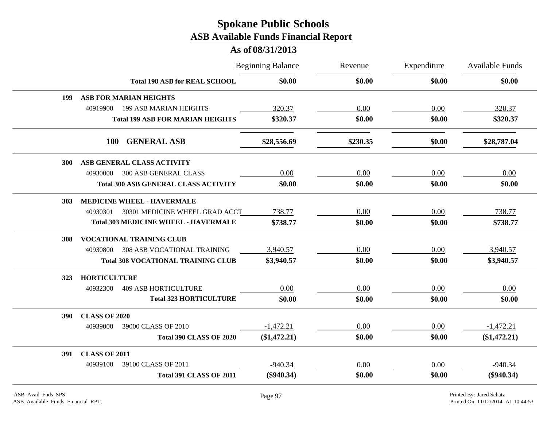|            |                      |                                             | <b>Beginning Balance</b> |          | Expenditure | Available Funds |
|------------|----------------------|---------------------------------------------|--------------------------|----------|-------------|-----------------|
|            |                      | <b>Total 198 ASB for REAL SCHOOL</b>        | \$0.00                   | \$0.00   | \$0.00      | \$0.00          |
| 199        |                      | <b>ASB FOR MARIAN HEIGHTS</b>               |                          |          |             |                 |
|            | 40919900             | <b>199 ASB MARIAN HEIGHTS</b>               | 320.37                   | 0.00     | 0.00        | 320.37          |
|            |                      | <b>Total 199 ASB FOR MARIAN HEIGHTS</b>     | \$320.37                 | \$0.00   | \$0.00      | \$320.37        |
|            | <b>100</b>           | <b>GENERAL ASB</b>                          | \$28,556.69              | \$230.35 | \$0.00      | \$28,787.04     |
| <b>300</b> |                      | ASB GENERAL CLASS ACTIVITY                  |                          |          |             |                 |
|            | 40930000             | 300 ASB GENERAL CLASS                       | 0.00                     | 0.00     | 0.00        | 0.00            |
|            |                      | <b>Total 300 ASB GENERAL CLASS ACTIVITY</b> | \$0.00                   | \$0.00   | \$0.00      | \$0.00          |
| 303        |                      | <b>MEDICINE WHEEL - HAVERMALE</b>           |                          |          |             |                 |
|            | 40930301             | 30301 MEDICINE WHEEL GRAD ACCT              | 738.77                   | 0.00     | 0.00        | 738.77          |
|            |                      | <b>Total 303 MEDICINE WHEEL - HAVERMALE</b> | \$738.77                 | \$0.00   | \$0.00      | \$738.77        |
| 308        |                      | <b>VOCATIONAL TRAINING CLUB</b>             |                          |          |             |                 |
|            | 40930800             | <b>308 ASB VOCATIONAL TRAINING</b>          | 3,940.57                 | 0.00     | 0.00        | 3,940.57        |
|            |                      | <b>Total 308 VOCATIONAL TRAINING CLUB</b>   | \$3,940.57               | \$0.00   | \$0.00      | \$3,940.57      |
| 323        | <b>HORTICULTURE</b>  |                                             |                          |          |             |                 |
|            | 40932300             | <b>409 ASB HORTICULTURE</b>                 | 0.00                     | 0.00     | 0.00        | 0.00            |
|            |                      | <b>Total 323 HORTICULTURE</b>               | \$0.00                   | \$0.00   | \$0.00      | \$0.00          |
| 390        | <b>CLASS OF 2020</b> |                                             |                          |          |             |                 |
|            | 40939000             | 39000 CLASS OF 2010                         | $-1,472.21$              | 0.00     | 0.00        | $-1,472.21$     |
|            |                      | <b>Total 390 CLASS OF 2020</b>              | (\$1,472.21)             | \$0.00   | \$0.00      | (\$1,472.21)    |
| 391        | <b>CLASS OF 2011</b> |                                             |                          |          |             |                 |
|            | 40939100             | 39100 CLASS OF 2011                         | $-940.34$                | 0.00     | 0.00        | $-940.34$       |
|            |                      | <b>Total 391 CLASS OF 2011</b>              | $(\$940.34)$             | \$0.00   | \$0.00      | $(\$940.34)$    |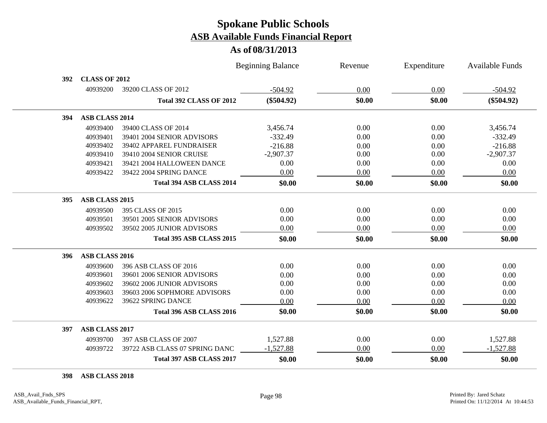### **As of 08/31/2013**

|     |                       |                                 | <b>Beginning Balance</b> | Revenue | Expenditure | <b>Available Funds</b> |
|-----|-----------------------|---------------------------------|--------------------------|---------|-------------|------------------------|
| 392 | <b>CLASS OF 2012</b>  |                                 |                          |         |             |                        |
|     | 40939200              | 39200 CLASS OF 2012             | $-504.92$                | 0.00    | 0.00        | $-504.92$              |
|     |                       | <b>Total 392 CLASS OF 2012</b>  | $(\$504.92)$             | \$0.00  | \$0.00      | $(\$504.92)$           |
| 394 | <b>ASB CLASS 2014</b> |                                 |                          |         |             |                        |
|     | 40939400              | 39400 CLASS OF 2014             | 3,456.74                 | 0.00    | 0.00        | 3,456.74               |
|     | 40939401              | 39401 2004 SENIOR ADVISORS      | $-332.49$                | 0.00    | 0.00        | $-332.49$              |
|     | 40939402              | 39402 APPAREL FUNDRAISER        | $-216.88$                | 0.00    | 0.00        | $-216.88$              |
|     | 40939410              | 39410 2004 SENIOR CRUISE        | $-2,907.37$              | 0.00    | 0.00        | $-2,907.37$            |
|     | 40939421              | 39421 2004 HALLOWEEN DANCE      | 0.00                     | 0.00    | 0.00        | 0.00                   |
|     | 40939422              | 39422 2004 SPRING DANCE         | 0.00                     | 0.00    | 0.00        | 0.00                   |
|     |                       | Total 394 ASB CLASS 2014        | \$0.00                   | \$0.00  | \$0.00      | \$0.00                 |
| 395 | <b>ASB CLASS 2015</b> |                                 |                          |         |             |                        |
|     | 40939500              | 395 CLASS OF 2015               | 0.00                     | 0.00    | 0.00        | 0.00                   |
|     | 40939501              | 39501 2005 SENIOR ADVISORS      | 0.00                     | 0.00    | 0.00        | 0.00                   |
|     | 40939502              | 39502 2005 JUNIOR ADVISORS      | 0.00                     | 0.00    | 0.00        | 0.00                   |
|     |                       | <b>Total 395 ASB CLASS 2015</b> | \$0.00                   | \$0.00  | \$0.00      | \$0.00                 |
| 396 | ASB CLASS 2016        |                                 |                          |         |             |                        |
|     | 40939600              | 396 ASB CLASS OF 2016           | 0.00                     | 0.00    | 0.00        | 0.00                   |
|     | 40939601              | 39601 2006 SENIOR ADVISORS      | 0.00                     | 0.00    | 0.00        | 0.00                   |
|     | 40939602              | 39602 2006 JUNIOR ADVISORS      | 0.00                     | 0.00    | 0.00        | 0.00                   |
|     | 40939603              | 39603 2006 SOPHMORE ADVISORS    | 0.00                     | 0.00    | 0.00        | 0.00                   |
|     | 40939622              | 39622 SPRING DANCE              | 0.00                     | 0.00    | 0.00        | 0.00                   |
|     |                       | Total 396 ASB CLASS 2016        | \$0.00                   | \$0.00  | \$0.00      | \$0.00                 |
| 397 | <b>ASB CLASS 2017</b> |                                 |                          |         |             |                        |
|     | 40939700              | 397 ASB CLASS OF 2007           | 1,527.88                 | 0.00    | 0.00        | 1,527.88               |
|     | 40939722              | 39722 ASB CLASS 07 SPRING DANC  | $-1,527.88$              | 0.00    | 0.00        | $-1,527.88$            |
|     |                       | Total 397 ASB CLASS 2017        | \$0.00                   | \$0.00  | \$0.00      | \$0.00                 |

**ASB CLASS 2018**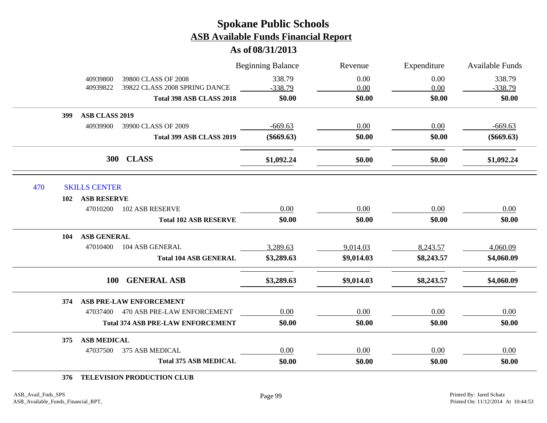**As of 08/31/2013**

|     |                              |                                          | <b>Beginning Balance</b> | Revenue    | Expenditure | <b>Available Funds</b> |
|-----|------------------------------|------------------------------------------|--------------------------|------------|-------------|------------------------|
|     | 40939800                     | 39800 CLASS OF 2008                      | 338.79                   | 0.00       | 0.00        | 338.79                 |
|     | 40939822                     | 39822 CLASS 2008 SPRING DANCE            | $-338.79$                | 0.00       | 0.00        | $-338.79$              |
|     |                              | Total 398 ASB CLASS 2018                 | \$0.00                   | \$0.00     | \$0.00      | \$0.00                 |
|     | <b>ASB CLASS 2019</b><br>399 |                                          |                          |            |             |                        |
|     | 40939900                     | 39900 CLASS OF 2009                      | $-669.63$                | 0.00       | 0.00        | $-669.63$              |
|     |                              | Total 399 ASB CLASS 2019                 | $(\$669.63)$             | \$0.00     | \$0.00      | $(\$669.63)$           |
|     |                              | 300 CLASS                                | \$1,092.24               | \$0.00     | \$0.00      | \$1,092.24             |
| 470 | <b>SKILLS CENTER</b>         |                                          |                          |            |             |                        |
|     | <b>ASB RESERVE</b><br>102    |                                          |                          |            |             |                        |
|     | 47010200                     | 102 ASB RESERVE                          | 0.00                     | 0.00       | 0.00        | 0.00                   |
|     |                              | <b>Total 102 ASB RESERVE</b>             | \$0.00                   | \$0.00     | \$0.00      | \$0.00                 |
|     | <b>ASB GENERAL</b><br>104    |                                          |                          |            |             |                        |
|     | 47010400                     | 104 ASB GENERAL                          | 3,289.63                 | 9,014.03   | 8,243.57    | 4,060.09               |
|     |                              | <b>Total 104 ASB GENERAL</b>             | \$3,289.63               | \$9,014.03 | \$8,243.57  | \$4,060.09             |
|     |                              | 100 GENERAL ASB                          | \$3,289.63               | \$9,014.03 | \$8,243.57  | \$4,060.09             |
|     | 374                          | ASB PRE-LAW ENFORCEMENT                  |                          |            |             |                        |
|     |                              | 47037400 470 ASB PRE-LAW ENFORCEMENT     | 0.00                     | 0.00       | 0.00        | 0.00                   |
|     |                              | <b>Total 374 ASB PRE-LAW ENFORCEMENT</b> | \$0.00                   | \$0.00     | \$0.00      | \$0.00                 |
|     | <b>ASB MEDICAL</b><br>375    |                                          |                          |            |             |                        |
|     | 47037500                     | 375 ASB MEDICAL                          | 0.00                     | 0.00       | 0.00        | 0.00                   |
|     |                              | <b>Total 375 ASB MEDICAL</b>             | \$0.00                   | \$0.00     | \$0.00      | \$0.00                 |

#### **376 TELEVISION PRODUCTION CLUB**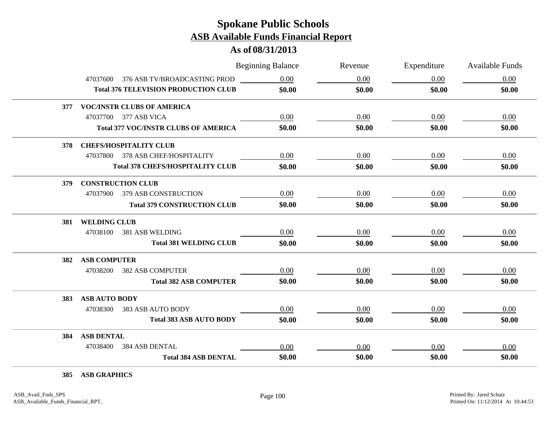### **As of 08/31/2013**

|                                             | <b>Beginning Balance</b> |          | Revenue | Expenditure | <b>Available Funds</b> |
|---------------------------------------------|--------------------------|----------|---------|-------------|------------------------|
| 47037600 376 ASB TV/BROADCASTING PROD       |                          | 0.00     | 0.00    | 0.00        | 0.00                   |
| <b>Total 376 TELEVISION PRODUCTION CLUB</b> |                          | \$0.00   | \$0.00  | \$0.00      | \$0.00                 |
| <b>VOC/INSTR CLUBS OF AMERICA</b><br>377    |                          |          |         |             |                        |
| 47037700 377 ASB VICA                       |                          | 0.00     | 0.00    | 0.00        | 0.00                   |
| <b>Total 377 VOC/INSTR CLUBS OF AMERICA</b> |                          | \$0.00   | \$0.00  | \$0.00      | \$0.00                 |
| <b>CHEFS/HOSPITALITY CLUB</b><br>378        |                          |          |         |             |                        |
| 47037800 378 ASB CHEF/HOSPITALITY           |                          | 0.00     | 0.00    | 0.00        | 0.00                   |
| <b>Total 378 CHEFS/HOSPITALITY CLUB</b>     |                          | \$0.00   | \$0.00  | \$0.00      | \$0.00                 |
| <b>CONSTRUCTION CLUB</b><br>379             |                          |          |         |             |                        |
| 47037900<br><b>379 ASB CONSTRUCTION</b>     |                          | 0.00     | 0.00    | 0.00        | 0.00                   |
| <b>Total 379 CONSTRUCTION CLUB</b>          |                          | \$0.00   | \$0.00  | \$0.00      | \$0.00                 |
| 381 WELDING CLUB                            |                          |          |         |             |                        |
| 47038100<br>381 ASB WELDING                 |                          | 0.00     | 0.00    | 0.00        | 0.00                   |
| <b>Total 381 WELDING CLUB</b>               |                          | \$0.00   | \$0.00  | \$0.00      | \$0.00                 |
| <b>ASB COMPUTER</b><br>382                  |                          |          |         |             |                        |
| <b>382 ASB COMPUTER</b><br>47038200         |                          | 0.00     | 0.00    | 0.00        | 0.00                   |
| <b>Total 382 ASB COMPUTER</b>               |                          | \$0.00   | \$0.00  | \$0.00      | \$0.00                 |
| <b>ASB AUTO BODY</b><br>383                 |                          |          |         |             |                        |
| 47038300<br>383 ASB AUTO BODY               |                          | $0.00\,$ | 0.00    | 0.00        | 0.00                   |
| <b>Total 383 ASB AUTO BODY</b>              |                          | \$0.00   | \$0.00  | \$0.00      | \$0.00                 |
| <b>ASB DENTAL</b><br>384                    |                          |          |         |             |                        |
| 47038400<br>384 ASB DENTAL                  |                          | 0.00     | 0.00    | 0.00        | 0.00                   |
| <b>Total 384 ASB DENTAL</b>                 |                          | \$0.00   | \$0.00  | \$0.00      | \$0.00                 |

**385 ASB GRAPHICS**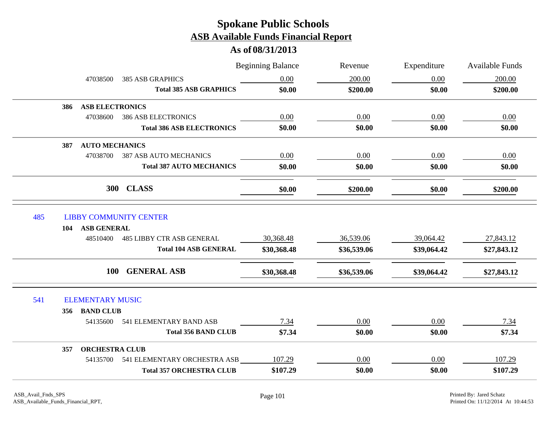|                                |                                       | <b>Beginning Balance</b> | Revenue     | Expenditure | Available Funds |
|--------------------------------|---------------------------------------|--------------------------|-------------|-------------|-----------------|
| 47038500                       | <b>385 ASB GRAPHICS</b>               | 0.00                     | 200.00      | 0.00        | 200.00          |
|                                | <b>Total 385 ASB GRAPHICS</b>         | \$0.00                   | \$200.00    | \$0.00      | \$200.00        |
| 386                            | <b>ASB ELECTRONICS</b>                |                          |             |             |                 |
| 47038600                       | <b>386 ASB ELECTRONICS</b>            | 0.00                     | 0.00        | 0.00        | 0.00            |
|                                | <b>Total 386 ASB ELECTRONICS</b>      | \$0.00                   | \$0.00      | \$0.00      | \$0.00          |
| 387                            | <b>AUTO MECHANICS</b>                 |                          |             |             |                 |
| 47038700                       | <b>387 ASB AUTO MECHANICS</b>         | 0.00                     | 0.00        | 0.00        | 0.00            |
|                                | <b>Total 387 AUTO MECHANICS</b>       | \$0.00                   | \$0.00      | \$0.00      | \$0.00          |
|                                | <b>CLASS</b><br><b>300</b>            | \$0.00                   | \$200.00    | \$0.00      | \$200.00        |
| 485                            | <b>LIBBY COMMUNITY CENTER</b>         |                          |             |             |                 |
| <b>ASB GENERAL</b><br>104      |                                       |                          |             |             |                 |
| 48510400                       | <b>485 LIBBY CTR ASB GENERAL</b>      | 30,368.48                | 36,539.06   | 39,064.42   | 27,843.12       |
|                                | <b>Total 104 ASB GENERAL</b>          | \$30,368.48              | \$36,539.06 | \$39,064.42 | \$27,843.12     |
|                                | 100 GENERAL ASB                       | \$30,368.48              | \$36,539.06 | \$39,064.42 | \$27,843.12     |
| 541<br><b>ELEMENTARY MUSIC</b> |                                       |                          |             |             |                 |
| <b>BAND CLUB</b><br>356        |                                       |                          |             |             |                 |
| 54135600                       | 541 ELEMENTARY BAND ASB               | 7.34                     | 0.00        | 0.00        | 7.34            |
|                                | <b>Total 356 BAND CLUB</b>            | \$7.34                   | \$0.00      | \$0.00      | \$7.34          |
| 357                            | <b>ORCHESTRA CLUB</b>                 |                          |             |             |                 |
|                                | 54135700 541 ELEMENTARY ORCHESTRA ASB | 107.29                   | $0.00\,$    | 0.00        | 107.29          |
|                                | <b>Total 357 ORCHESTRA CLUB</b>       | \$107.29                 | \$0.00      | \$0.00      | \$107.29        |